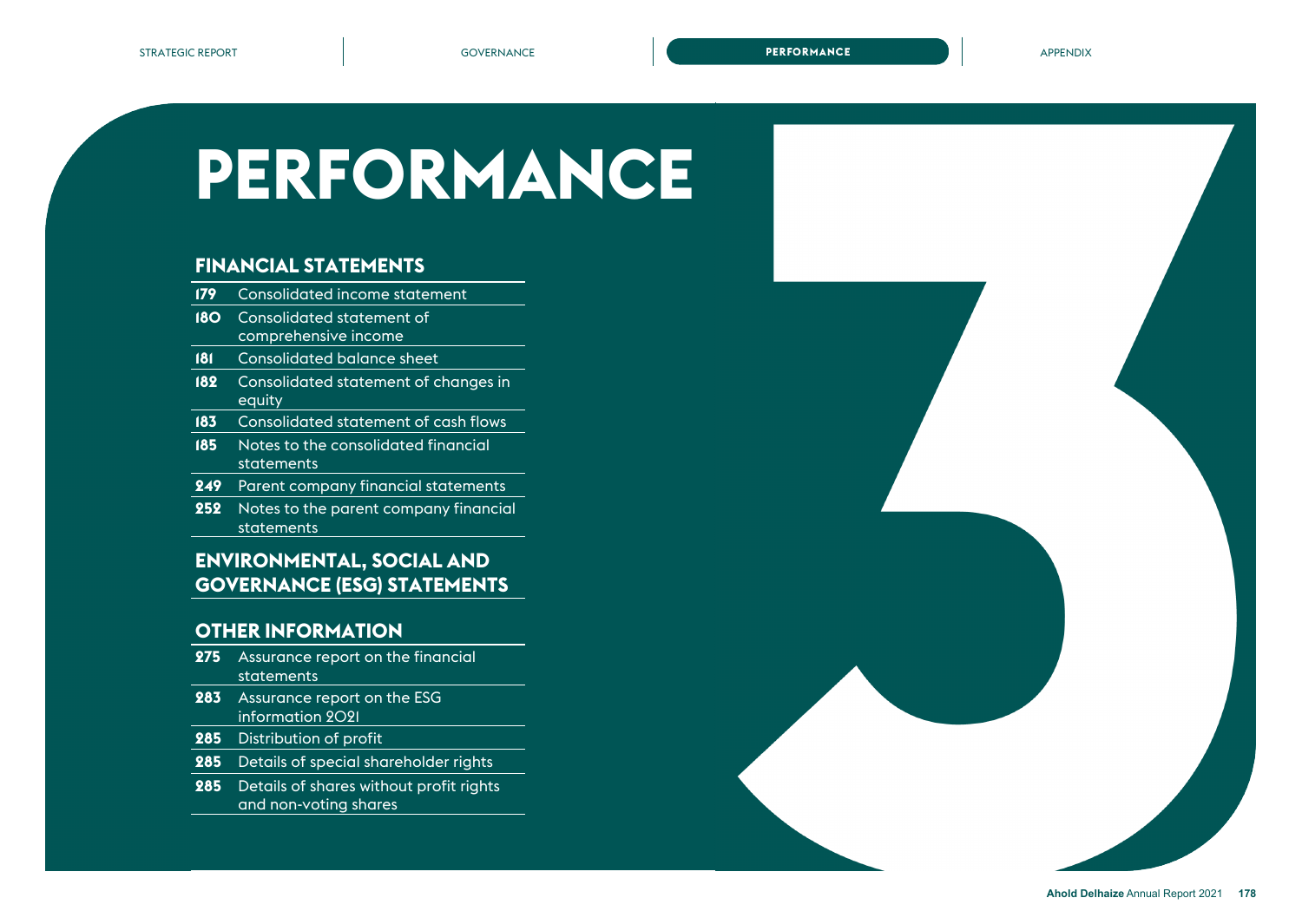# **PERFORMANCE**

## **FINANCIAL STATEMENTS**

- **[179](#page-1-0)** [Consolidated income statement](#page-1-0)
- **[180](#page-2-0)** [Consolidated statement of](#page-2-0)  [comprehensive income](#page-2-0)
- **[181](#page-3-0)** [Consolidated balance sheet](#page-3-0)
- **[182](#page-4-0)** [Consolidated statement of changes in](#page-4-0)  [equity](#page-4-0)
- **[183](#page-5-0)** [Consolidated statement of cash flows](#page-5-0)
- **[185](#page-7-0)** [Notes to the consolidated financial](#page-6-0)  [statements](#page-6-0)
- **[249](#page-71-0)** [Parent company financial statements](#page-71-0)
- **[252](#page-74-0)** [Notes to the parent company financial](#page-73-0)  [statements](#page-73-0)

## **[ENVIRONMENTAL, SOCIAL AND](#page-82-0)  [GOVERNANCE \(ESG\) STATEMENTS](#page-82-0)**

## **[OTHER INFORMATION](#page-97-0)**

- **[275](#page-97-0)** [Assurance report on the financial](#page-97-0)  [statements](#page-97-0)
- **[283](#page-105-0)** [Assurance report on the ESG](#page-105-0)  [information](#page-105-0) 2021
- **[285](#page-107-0)** [Distribution of profit](#page-107-0)
- **[285](#page-107-0)** [Details of special shareholder rights](#page-107-0)
- **[285](#page-107-0)** [Details of shares without profit rights](#page-107-0)  [and non-voting shares](#page-107-0)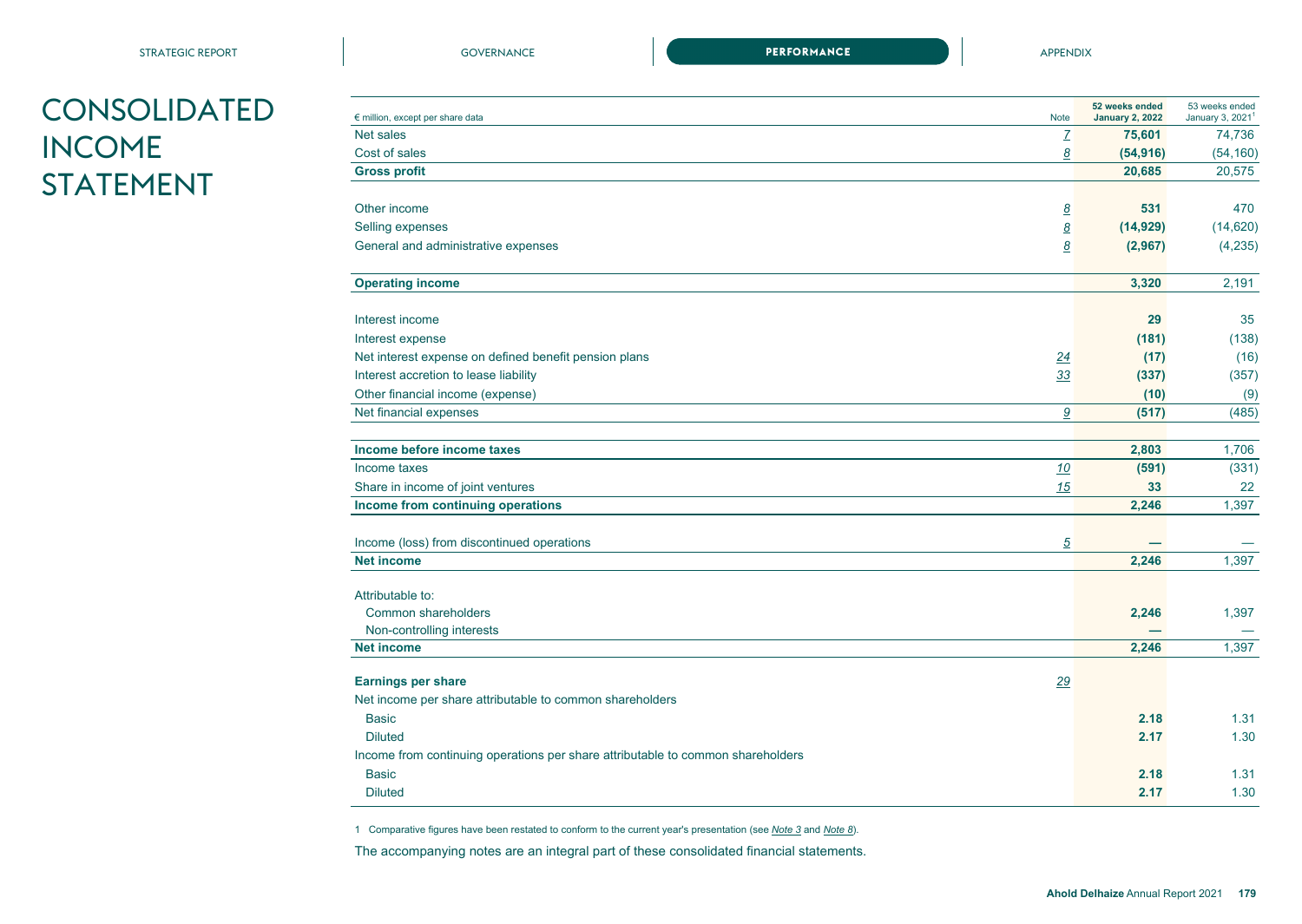# <span id="page-1-0"></span>CONSOLIDATED INCOME STATEMENT

| Z<br>Net sales                                                                  | 75,601    |           |
|---------------------------------------------------------------------------------|-----------|-----------|
|                                                                                 |           | 74,736    |
| Cost of sales<br>8                                                              | (54, 916) | (54, 160) |
| <b>Gross profit</b>                                                             | 20,685    | 20,575    |
| Other income<br>$\underline{8}$                                                 | 531       | 470       |
| $\underline{8}$<br>Selling expenses                                             | (14, 929) | (14, 620) |
| 8<br>General and administrative expenses                                        | (2,967)   | (4,235)   |
| <b>Operating income</b>                                                         | 3,320     | 2,191     |
| Interest income                                                                 | 29        | 35        |
| Interest expense                                                                | (181)     | (138)     |
| Net interest expense on defined benefit pension plans<br>$\overline{24}$        | (17)      | (16)      |
| Interest accretion to lease liability<br>33                                     | (337)     | (357)     |
| Other financial income (expense)                                                | (10)      | (9)       |
| Net financial expenses<br>$\underline{9}$                                       | (517)     | (485)     |
| Income before income taxes                                                      | 2,803     | 1,706     |
| 10<br>Income taxes                                                              | (591)     | (331)     |
| 15<br>Share in income of joint ventures                                         | 33        | 22        |
| Income from continuing operations                                               | 2,246     | 1,397     |
| Income (loss) from discontinued operations<br>$\overline{5}$                    |           |           |
| <b>Net income</b>                                                               | 2,246     | 1,397     |
|                                                                                 |           |           |
| Attributable to:<br>Common shareholders                                         | 2,246     | 1,397     |
| Non-controlling interests                                                       |           |           |
| <b>Net income</b>                                                               | 2,246     | 1,397     |
|                                                                                 |           |           |
| 29<br><b>Earnings per share</b>                                                 |           |           |
| Net income per share attributable to common shareholders                        |           |           |
| <b>Basic</b>                                                                    | 2.18      | 1.31      |
| <b>Diluted</b>                                                                  | 2.17      | 1.30      |
| Income from continuing operations per share attributable to common shareholders |           |           |
| <b>Basic</b>                                                                    | 2.18      | 1.31      |
| <b>Diluted</b>                                                                  | 2.17      | 1.30      |

1 Comparative figures have been restated to conform to the current year's presentation (see *[Note 3](#page-9-0)* and *[Note 8](#page-16-0)*).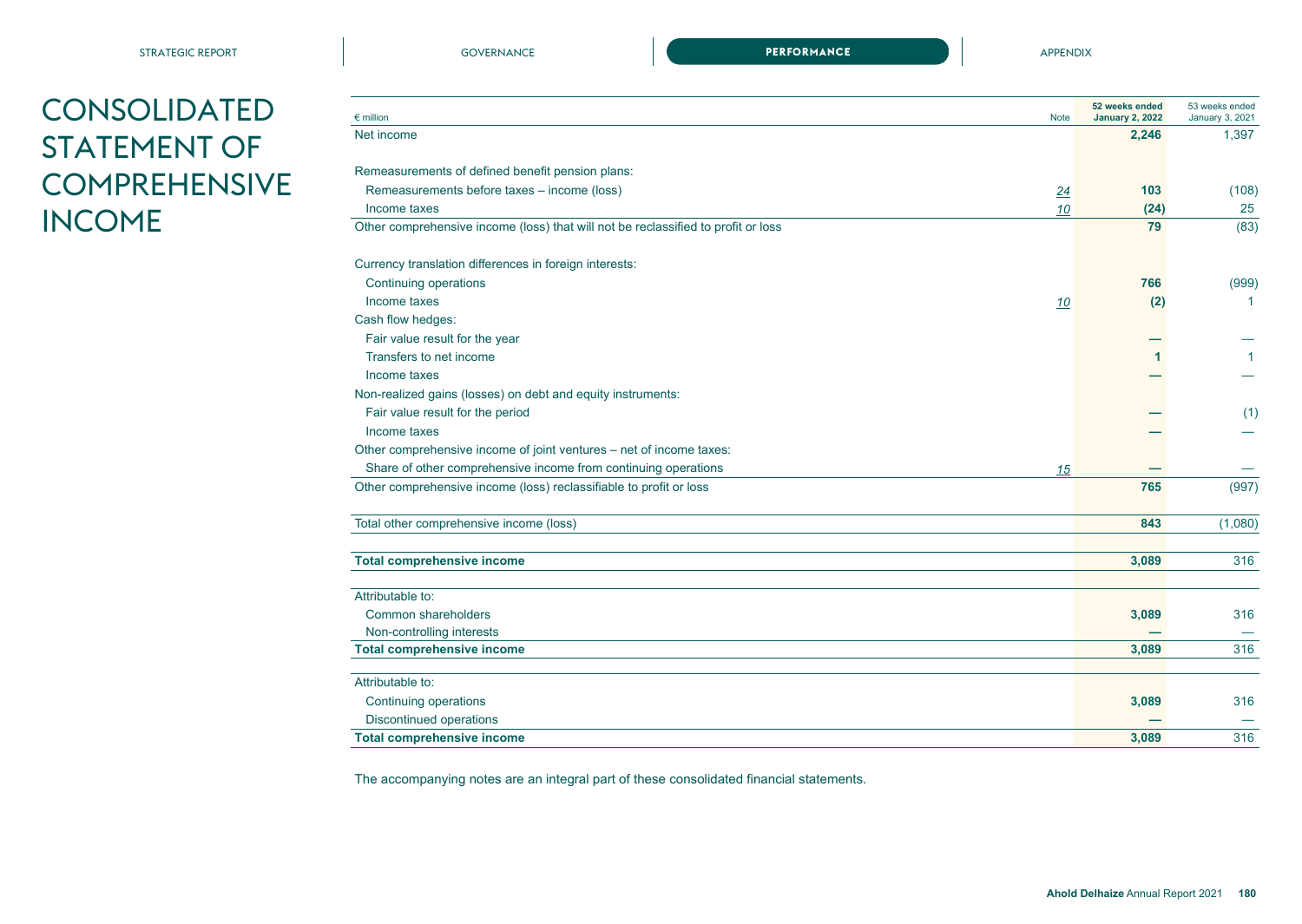# <span id="page-2-0"></span>CONSOLIDATED STATEMENT OF **COMPREHENSIVE** INCOME

| $\epsilon$ million<br><b>Note</b>                                                 | 52 weeks ended<br><b>January 2, 2022</b> | 53 weeks ended<br><b>January 3, 2021</b> |
|-----------------------------------------------------------------------------------|------------------------------------------|------------------------------------------|
| Net income                                                                        | 2,246                                    | 1,397                                    |
| Remeasurements of defined benefit pension plans:                                  |                                          |                                          |
| Remeasurements before taxes - income (loss)<br>24                                 | 103                                      | (108)                                    |
| Income taxes<br>10                                                                | (24)                                     | 25                                       |
| Other comprehensive income (loss) that will not be reclassified to profit or loss | 79                                       | (83)                                     |
| Currency translation differences in foreign interests:                            |                                          |                                          |
| Continuing operations                                                             | 766                                      | (999)                                    |
| Income taxes<br>10                                                                | (2)                                      | -1                                       |
| Cash flow hedges:                                                                 |                                          |                                          |
| Fair value result for the year                                                    |                                          |                                          |
| Transfers to net income                                                           | 1                                        | $\mathbf{1}$                             |
| Income taxes                                                                      |                                          |                                          |
| Non-realized gains (losses) on debt and equity instruments:                       |                                          |                                          |
| Fair value result for the period                                                  |                                          | (1)                                      |
| Income taxes                                                                      |                                          |                                          |
| Other comprehensive income of joint ventures - net of income taxes:               |                                          |                                          |
| Share of other comprehensive income from continuing operations<br>15              |                                          |                                          |
| Other comprehensive income (loss) reclassifiable to profit or loss                | 765                                      | (997)                                    |
| Total other comprehensive income (loss)                                           | 843                                      | (1,080)                                  |
| <b>Total comprehensive income</b>                                                 | 3,089                                    | 316                                      |
|                                                                                   |                                          |                                          |
| Attributable to:                                                                  |                                          |                                          |
| Common shareholders                                                               | 3,089                                    | 316                                      |
| Non-controlling interests                                                         |                                          |                                          |
| <b>Total comprehensive income</b>                                                 | 3,089                                    | 316                                      |
| Attributable to:                                                                  |                                          |                                          |
| Continuing operations                                                             | 3,089                                    | 316                                      |
| Discontinued operations                                                           |                                          |                                          |
| <b>Total comprehensive income</b>                                                 | 3,089                                    | 316                                      |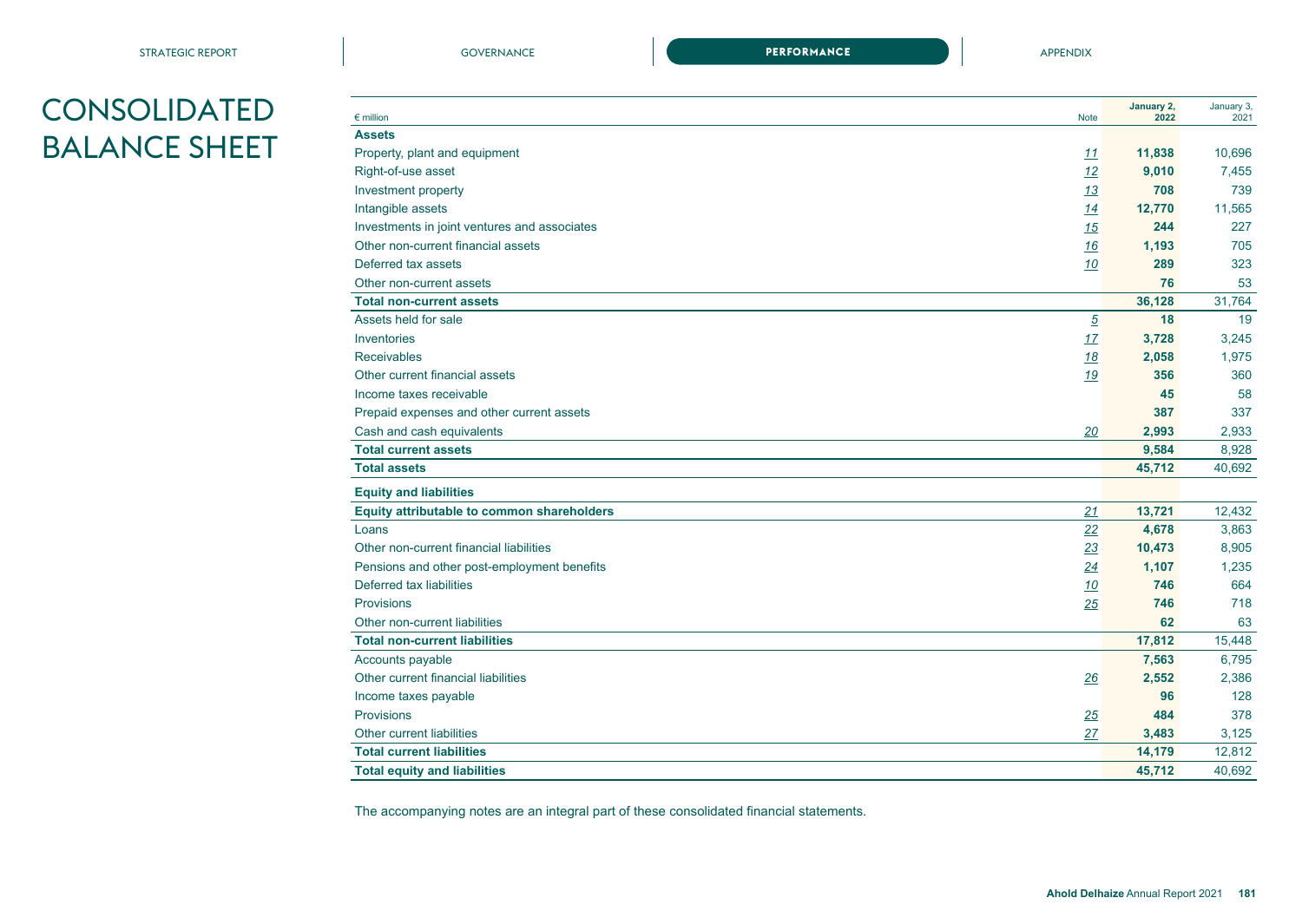# <span id="page-3-0"></span>CONSOLIDATED BALANCE SHEET

| $\epsilon$ million                           | <b>Note</b>    | January 2,<br>2022 | January 3,<br>2021 |
|----------------------------------------------|----------------|--------------------|--------------------|
| <b>Assets</b>                                |                |                    |                    |
| Property, plant and equipment                | 11             | 11,838             | 10,696             |
| Right-of-use asset                           | 12             | 9,010              | 7,455              |
| Investment property                          | 13             | 708                | 739                |
| Intangible assets                            | 14             | 12,770             | 11,565             |
| Investments in joint ventures and associates | 15             | 244                | 227                |
| Other non-current financial assets           | 16             | 1,193              | 705                |
| Deferred tax assets                          | 10             | 289                | 323                |
| Other non-current assets                     |                | 76                 | 53                 |
| <b>Total non-current assets</b>              |                | 36,128             | 31,764             |
| Assets held for sale                         | $\overline{5}$ | 18                 | 19                 |
| Inventories                                  | 17             | 3,728              | 3,245              |
| <b>Receivables</b>                           | 18             | 2,058              | 1,975              |
| Other current financial assets               | 19             | 356                | 360                |
| Income taxes receivable                      |                | 45                 | 58                 |
| Prepaid expenses and other current assets    |                | 387                | 337                |
| Cash and cash equivalents                    | 20             | 2,993              | 2,933              |
| <b>Total current assets</b>                  |                | 9,584              | 8,928              |
| <b>Total assets</b>                          |                | 45,712             | 40,692             |
| <b>Equity and liabilities</b>                |                |                    |                    |
| Equity attributable to common shareholders   | 21             | 13,721             | 12,432             |
| Loans                                        | 22             | 4,678              | 3,863              |
| Other non-current financial liabilities      | 23             | 10,473             | 8,905              |
| Pensions and other post-employment benefits  | 24             | 1,107              | 1,235              |
| Deferred tax liabilities                     | 10             | 746                | 664                |
| Provisions                                   | 25             | 746                | 718                |
| Other non-current liabilities                |                | 62                 | 63                 |
| <b>Total non-current liabilities</b>         |                | 17,812             | 15,448             |
| Accounts payable                             |                | 7,563              | 6,795              |
| Other current financial liabilities          | 26             | 2,552              | 2,386              |
| Income taxes payable                         |                | 96                 | 128                |
| Provisions                                   | 25             | 484                | 378                |
| Other current liabilities                    | 27             | 3,483              | 3,125              |
| <b>Total current liabilities</b>             |                | 14,179             | 12,812             |
| <b>Total equity and liabilities</b>          |                | 45,712             | 40,692             |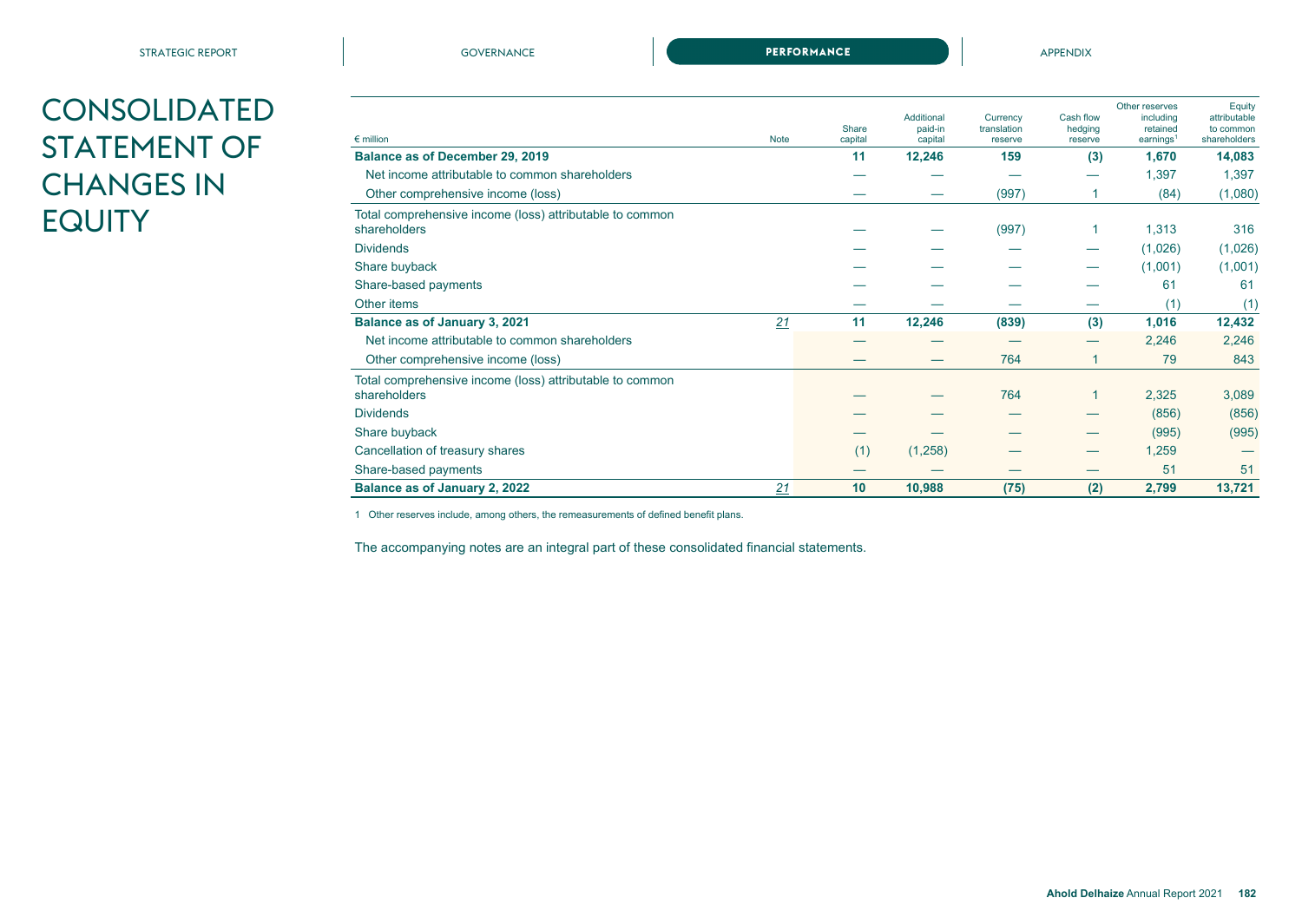# <span id="page-4-0"></span>CONSOLIDATED STATEMENT OF CHANGES IN EQUITY

| $\epsilon$ million                                                       | <b>Note</b> | Share<br>capital | Additional<br>paid-in<br>capital | Currency<br>translation<br>reserve | Cash flow<br>hedging<br>reserve | Other reserves<br>including<br>retained<br>earnings <sup>1</sup> | Equity<br>attributable<br>to common<br>shareholders |
|--------------------------------------------------------------------------|-------------|------------------|----------------------------------|------------------------------------|---------------------------------|------------------------------------------------------------------|-----------------------------------------------------|
| Balance as of December 29, 2019                                          |             | 11               | 12,246                           | 159                                | (3)                             | 1,670                                                            | 14,083                                              |
| Net income attributable to common shareholders                           |             |                  |                                  |                                    |                                 | 1,397                                                            | 1,397                                               |
| Other comprehensive income (loss)                                        |             |                  |                                  | (997)                              |                                 | (84)                                                             | (1,080)                                             |
| Total comprehensive income (loss) attributable to common<br>shareholders |             |                  |                                  | (997)                              |                                 | 1,313                                                            | 316                                                 |
| <b>Dividends</b>                                                         |             |                  |                                  |                                    |                                 | (1,026)                                                          | (1,026)                                             |
| Share buyback                                                            |             |                  |                                  |                                    |                                 | (1,001)                                                          | (1,001)                                             |
| Share-based payments                                                     |             |                  |                                  |                                    |                                 | 61                                                               | 61                                                  |
| Other items                                                              |             |                  |                                  |                                    |                                 | (1)                                                              | (1)                                                 |
| Balance as of January 3, 2021                                            | 21          | 11               | 12,246                           | (839)                              | (3)                             | 1,016                                                            | 12,432                                              |
| Net income attributable to common shareholders                           |             |                  |                                  |                                    |                                 | 2,246                                                            | 2,246                                               |
| Other comprehensive income (loss)                                        |             |                  |                                  | 764                                |                                 | 79                                                               | 843                                                 |
| Total comprehensive income (loss) attributable to common<br>shareholders |             |                  |                                  | 764                                |                                 | 2,325                                                            | 3,089                                               |
| <b>Dividends</b>                                                         |             |                  |                                  |                                    |                                 | (856)                                                            | (856)                                               |
| Share buyback                                                            |             |                  |                                  |                                    |                                 | (995)                                                            | (995)                                               |
| Cancellation of treasury shares                                          |             | (1)              | (1,258)                          |                                    |                                 | 1,259                                                            |                                                     |
| Share-based payments                                                     |             |                  |                                  |                                    |                                 | 51                                                               | 51                                                  |
| Balance as of January 2, 2022                                            | 21          | 10               | 10,988                           | (75)                               | (2)                             | 2,799                                                            | 13,721                                              |

1 Other reserves include, among others, the remeasurements of defined benefit plans.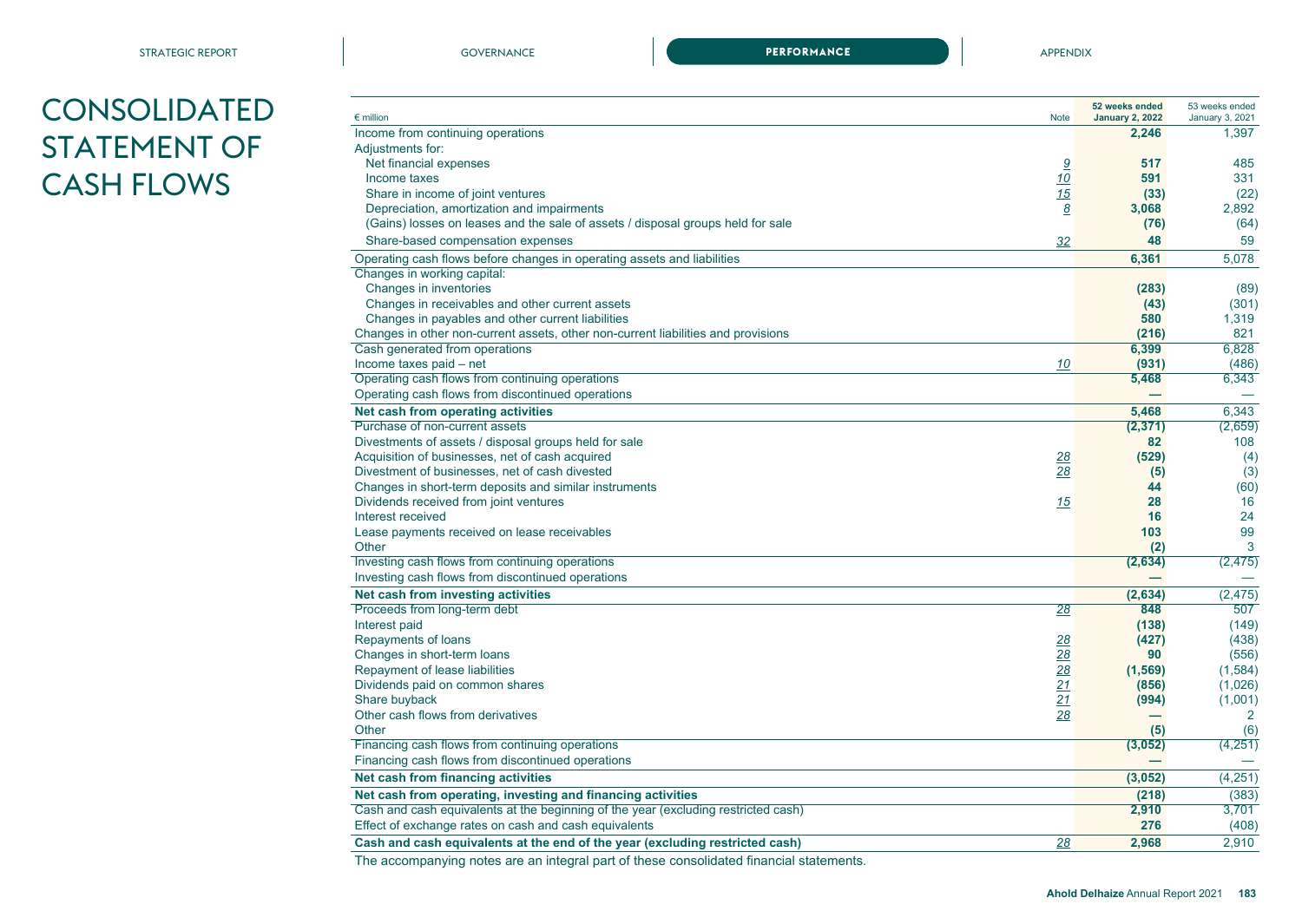**52 weeks ended**

53 weeks ended

## <span id="page-5-0"></span>CONSOLIDATED STATEMENT OF CASH FLOWS

| $\epsilon$ million                                                                     | <b>Note</b> | <b>January 2, 2022</b> | January 3, 2021 |
|----------------------------------------------------------------------------------------|-------------|------------------------|-----------------|
| Income from continuing operations                                                      |             | 2,246                  | 1,397           |
| Adjustments for:                                                                       |             |                        |                 |
| Net financial expenses                                                                 | 9           | 517                    | 485             |
| Income taxes                                                                           | 10          | 591                    | 331             |
| Share in income of joint ventures                                                      | 15          | (33)                   | (22)            |
| Depreciation, amortization and impairments                                             | 8           | 3,068                  | 2,892           |
| (Gains) losses on leases and the sale of assets / disposal groups held for sale        |             | (76)                   | (64)            |
| Share-based compensation expenses                                                      | 32          | 48                     | 59              |
| Operating cash flows before changes in operating assets and liabilities                |             | 6,361                  | 5,078           |
| Changes in working capital:                                                            |             |                        |                 |
| Changes in inventories                                                                 |             | (283)                  | (89)            |
| Changes in receivables and other current assets                                        |             | (43)                   | (301)           |
| Changes in payables and other current liabilities                                      |             | 580                    | 1,319           |
| Changes in other non-current assets, other non-current liabilities and provisions      |             | (216)                  | 821             |
| Cash generated from operations                                                         |             | 6,399                  | 6,828           |
| Income taxes paid - net                                                                | 10          | (931)                  | (486)           |
| Operating cash flows from continuing operations                                        |             | 5,468                  | 6,343           |
| Operating cash flows from discontinued operations                                      |             |                        |                 |
| Net cash from operating activities                                                     |             | 5,468                  | 6,343           |
| Purchase of non-current assets                                                         |             | (2, 371)               | (2,659)         |
| Divestments of assets / disposal groups held for sale                                  |             | 82                     | 108             |
| Acquisition of businesses, net of cash acquired                                        | 28          | (529)                  | (4)             |
| Divestment of businesses, net of cash divested                                         | 28          | (5)                    | (3)             |
| Changes in short-term deposits and similar instruments                                 |             | 44                     | (60)            |
| Dividends received from joint ventures                                                 | 15          | 28                     | 16              |
| Interest received                                                                      |             | 16                     | 24              |
| Lease payments received on lease receivables                                           |             | 103                    | 99              |
| Other                                                                                  |             | (2)                    | 3               |
| Investing cash flows from continuing operations                                        |             | (2,634)                | (2, 475)        |
| Investing cash flows from discontinued operations                                      |             |                        |                 |
| Net cash from investing activities                                                     |             | (2,634)                | (2, 475)        |
| Proceeds from long-term debt                                                           | 28          | 848                    | 507             |
| Interest paid                                                                          |             | (138)                  | (149)           |
| Repayments of loans                                                                    | 28          | (427)                  | (438)           |
| Changes in short-term loans                                                            | 28          | 90                     | (556)           |
| Repayment of lease liabilities                                                         | 28          | (1, 569)               | (1,584)         |
| Dividends paid on common shares                                                        | 21          | (856)                  | (1,026)         |
| Share buyback                                                                          | 21          | (994)                  | (1,001)         |
| Other cash flows from derivatives                                                      | 28          |                        | 2               |
| Other                                                                                  |             | (5)                    | (6)             |
| Financing cash flows from continuing operations                                        |             | (3,052)                | (4,251)         |
| Financing cash flows from discontinued operations                                      |             |                        |                 |
| Net cash from financing activities                                                     |             | (3,052)                | (4,251)         |
| Net cash from operating, investing and financing activities                            |             | (218)                  | (383)           |
| Cash and cash equivalents at the beginning of the year (excluding restricted cash)     |             | 2,910                  | 3,701           |
| Effect of exchange rates on cash and cash equivalents                                  |             | 276                    | (408)           |
| Cash and cash equivalents at the end of the year (excluding restricted cash)           | 28          | 2,968                  | 2,910           |
| The accompanying notes are an integral part of these consolidated financial statements |             |                        |                 |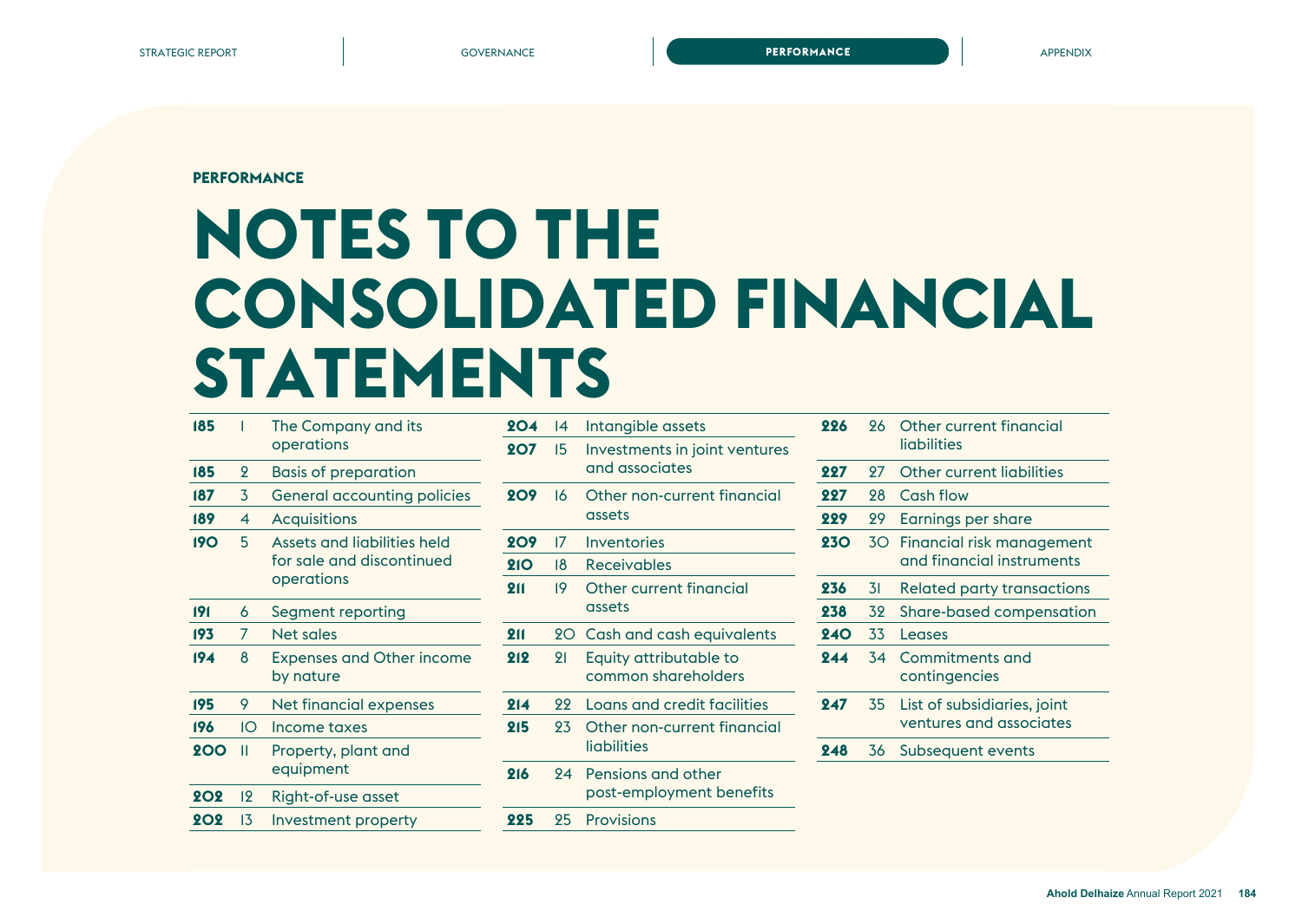#### <span id="page-6-0"></span>**PERFORMANCE**

# **NOTES TO THE CONSOLIDATED FINANCIAL STATEMENTS**

| 185        |                 | The Company and its                           | <b>204</b> | $\overline{14}$ | Intangible assets                             |
|------------|-----------------|-----------------------------------------------|------------|-----------------|-----------------------------------------------|
|            |                 | operations                                    | <b>207</b> | 15              | Investments in joint ventur                   |
| 185        | $\overline{2}$  | <b>Basis of preparation</b>                   |            |                 | and associates                                |
| 187        | 3               | <b>General accounting policies</b>            | <b>209</b> | 16              | Other non-current financion                   |
| 189        | 4               | <b>Acquisitions</b>                           |            |                 | assets                                        |
| <b>190</b> | 5               | Assets and liabilities held                   | <b>209</b> | $\overline{17}$ | Inventories                                   |
|            |                 | for sale and discontinued                     | <b>210</b> | 8               | <b>Receivables</b>                            |
|            |                 | operations                                    | 211        | $ 9\rangle$     | Other current financial                       |
| 191        | 6               | Segment reporting                             |            |                 | assets                                        |
| 193        | $\overline{7}$  | Net sales                                     | 211        | 20              | Cash and cash equivalents                     |
| 194        | 8               | <b>Expenses and Other income</b><br>by nature | 212        | 21              | Equity attributable to<br>common shareholders |
| 195        | 9               | Net financial expenses                        | 214        | 22              | Loans and credit facilities                   |
| 196        | <b>IO</b>       | Income taxes                                  | 215        | 23              | Other non-current financio                    |
| <b>200</b> | $\mathbf{II}$   | Property, plant and                           |            |                 | liabilities                                   |
|            |                 | equipment                                     | 216        | 24              | Pensions and other                            |
| <b>202</b> | 2               | Right-of-use asset                            |            |                 | post-employment benefits                      |
| <b>202</b> | $\overline{13}$ | Investment property                           | 225        | 25              | <b>Provisions</b>                             |
|            |                 |                                               |            |                 |                                               |

| 185        |                | The Company and its                           | <b>204</b> | 4               | Intangible assets                             | 226        | 26 | Other current financial                 |
|------------|----------------|-----------------------------------------------|------------|-----------------|-----------------------------------------------|------------|----|-----------------------------------------|
|            |                | operations                                    | <b>207</b> | 15              | Investments in joint ventures                 |            |    | liabilities                             |
| 185        | $\overline{2}$ | <b>Basis of preparation</b>                   |            |                 | and associates                                | 227        | 27 | Other current liabilities               |
| 187        | 3              | <b>General accounting policies</b>            | <b>209</b> | 16              | Other non-current financial                   | 227        | 28 | <b>Cash flow</b>                        |
| 189        | 4              | <b>Acquisitions</b>                           |            |                 | assets                                        | 229        | 29 | Earnings per share                      |
| <b>190</b> | 5.             | Assets and liabilities held                   | <b>209</b> | $\overline{17}$ | <b>Inventories</b>                            | <b>230</b> | 3O | Financial risk management               |
|            |                | for sale and discontinued                     | <b>210</b> | 18              | <b>Receivables</b>                            |            |    | and financial instruments               |
|            |                | operations                                    | 211        | $ 9\rangle$     | Other current financial                       | 236        | 31 | Related party transactions              |
| 191        | 6              | Segment reporting                             |            |                 | assets                                        | 238        | 32 | Share-based compensation                |
| 193        | 7              | Net sales                                     | 211        |                 | 20 Cash and cash equivalents                  | <b>240</b> | 33 | Leases                                  |
| 194        | 8              | <b>Expenses and Other income</b><br>by nature | 212        | 21              | Equity attributable to<br>common shareholders | 244        | 34 | <b>Commitments and</b><br>contingencies |
| 195        | 9              | Net financial expenses                        | 214        | 22              | Loans and credit facilities                   | 247        | 35 | List of subsidiaries, joint             |
| 196        | IO             | Income taxes                                  | 215        | 23              | Other non-current financial                   |            |    | ventures and associates                 |
| 200        | $\mathbf{H}$   | Property, plant and                           |            |                 | <b>ligbilities</b>                            | 248        | 36 | Subsequent events                       |
|            |                | equipment                                     | 216        | 24              | Pensions and other                            |            |    |                                         |
| <b>202</b> | 2              | Right-of-use asset                            |            |                 | post-employment benefits                      |            |    |                                         |
| 202        | 13             | Investment property                           | 225        | 25              | Provisions                                    |            |    |                                         |

| 226        | 96 | Other current financial<br>liabilities                 |
|------------|----|--------------------------------------------------------|
| 227        | 97 | Other current liabilities                              |
| 227        | 98 | Cash flow                                              |
| 229        | 99 | Earnings per share                                     |
| <b>230</b> | 30 | Financial risk management<br>and financial instruments |
| 236        | 31 | Related party transactions                             |
| 238        | 32 | Share-based compensation                               |
| <b>240</b> | 33 | Leases                                                 |
| 244        | 34 | Commitments and<br>contingencies                       |
| 247        | 35 | List of subsidiaries, joint<br>ventures and associates |
| 248        | 36 | Subsequent events                                      |
|            |    |                                                        |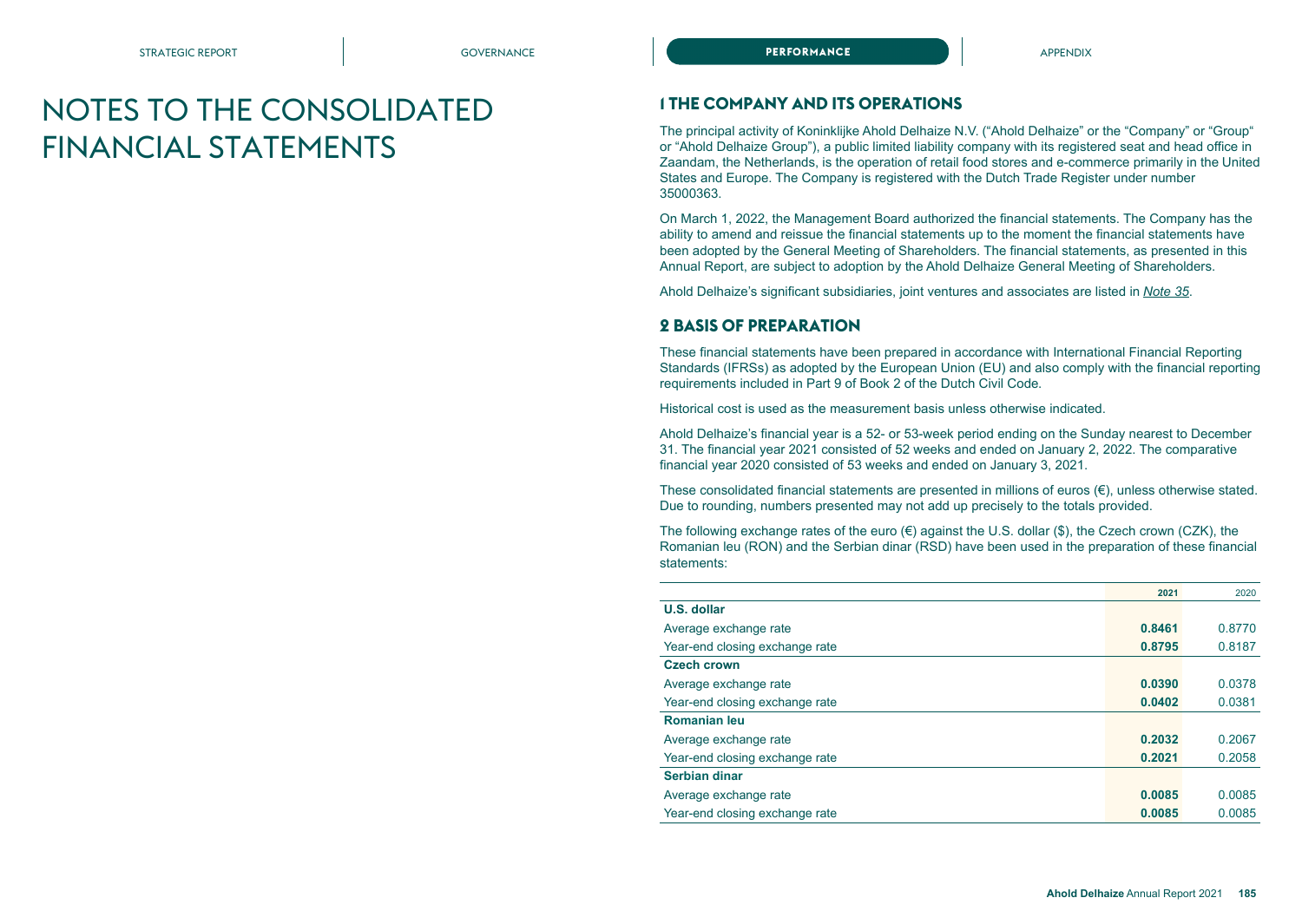# <span id="page-7-0"></span>NOTES TO THE CONSOLIDATED FINANCIAL STATEMENTS

## **1 THE COMPANY AND ITS OPERATIONS**

The principal activity of Koninklijke Ahold Delhaize N.V. ("Ahold Delhaize" or the "Company" or "Group" or "Ahold Delhaize Group"), a public limited liability company with its registered seat and head office in Zaandam, the Netherlands, is the operation of retail food stores and e-commerce primarily in the United States and Europe. The Company is registered with the Dutch Trade Register under number 35000363.

On March 1, 2022, the Management Board authorized the financial statements. The Company has the ability to amend and reissue the financial statements up to the moment the financial statements have been adopted by the General Meeting of Shareholders. The financial statements, as presented in this Annual Report, are subject to adoption by the Ahold Delhaize General Meeting of Shareholders.

Ahold Delhaize's significant subsidiaries, joint ventures and associates are listed in *[Note 35](#page-69-0)*.

## **2 BASIS OF PREPARATION**

These financial statements have been prepared in accordance with International Financial Reporting Standards (IFRSs) as adopted by the European Union (EU) and also comply with the financial reporting requirements included in Part 9 of Book 2 of the Dutch Civil Code.

Historical cost is used as the measurement basis unless otherwise indicated.

Ahold Delhaize's financial year is a 52- or 53-week period ending on the Sunday nearest to December 31. The financial year 2021 consisted of 52 weeks and ended on January 2, 2022. The comparative financial year 2020 consisted of 53 weeks and ended on January 3, 2021.

These consolidated financial statements are presented in millions of euros (€), unless otherwise stated. Due to rounding, numbers presented may not add up precisely to the totals provided.

The following exchange rates of the euro  $(\epsilon)$  against the U.S. dollar  $(\text{\$})$ , the Czech crown (CZK), the Romanian leu (RON) and the Serbian dinar (RSD) have been used in the preparation of these financial statements:

|                                | 2021   | 2020   |
|--------------------------------|--------|--------|
| U.S. dollar                    |        |        |
| Average exchange rate          | 0.8461 | 0.8770 |
| Year-end closing exchange rate | 0.8795 | 0.8187 |
| <b>Czech crown</b>             |        |        |
| Average exchange rate          | 0.0390 | 0.0378 |
| Year-end closing exchange rate | 0.0402 | 0.0381 |
| <b>Romanian leu</b>            |        |        |
| Average exchange rate          | 0.2032 | 0.2067 |
| Year-end closing exchange rate | 0.2021 | 0.2058 |
| Serbian dinar                  |        |        |
| Average exchange rate          | 0.0085 | 0.0085 |
| Year-end closing exchange rate | 0.0085 | 0.0085 |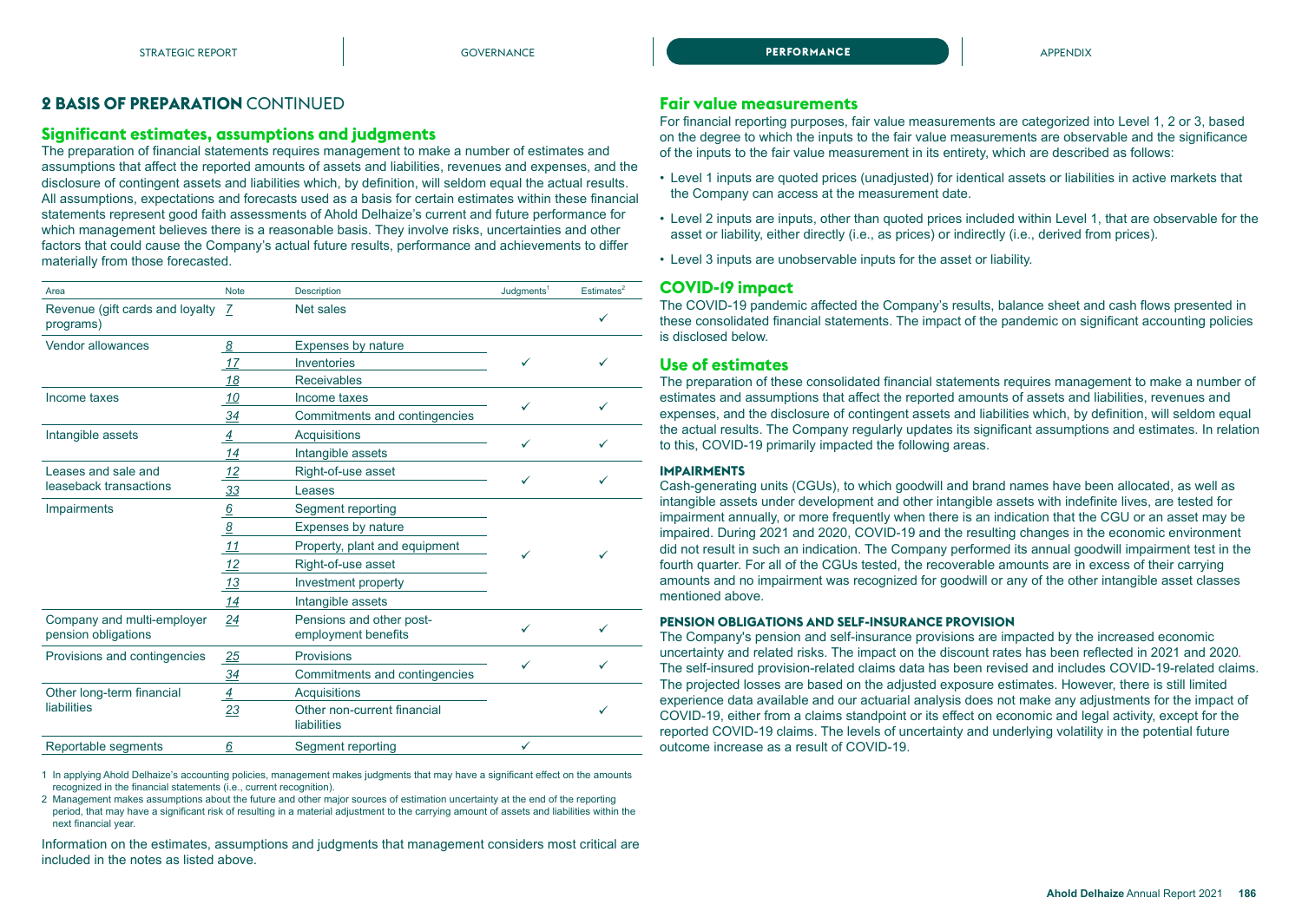## **2 BASIS OF PREPARATION** CONTINUED

## **Significant estimates, assumptions and judgments**

The preparation of financial statements requires management to make a number of estimates and assumptions that affect the reported amounts of assets and liabilities, revenues and expenses, and the disclosure of contingent assets and liabilities which, by definition, will seldom equal the actual results. All assumptions, expectations and forecasts used as a basis for certain estimates within these financial statements represent good faith assessments of Ahold Delhaize's current and future performance for which management believes there is a reasonable basis. They involve risks, uncertainties and other factors that could cause the Company's actual future results, performance and achievements to differ materially from those forecasted.

| Area                                              | <b>Note</b>     | Description                                     | Judgments <sup>1</sup> | Estimates <sup>2</sup> |
|---------------------------------------------------|-----------------|-------------------------------------------------|------------------------|------------------------|
| Revenue (gift cards and loyalty<br>programs)      | $\overline{7}$  | Net sales                                       |                        |                        |
| Vendor allowances                                 | 8               | Expenses by nature                              |                        |                        |
|                                                   | 17              | Inventories                                     | ✓                      |                        |
|                                                   | 18              | <b>Receivables</b>                              |                        |                        |
| Income taxes                                      | <u>10</u>       | Income taxes                                    |                        |                        |
|                                                   | 34              | Commitments and contingencies                   |                        |                        |
| Intangible assets                                 | $\overline{4}$  | <b>Acquisitions</b>                             |                        |                        |
|                                                   | 14              | Intangible assets                               | ✓                      |                        |
| Leases and sale and                               | 12              | Right-of-use asset                              |                        |                        |
| leaseback transactions                            | 33              | Leases                                          | ✓                      | ✓                      |
| <b>Impairments</b>                                | $\underline{6}$ | Segment reporting                               |                        |                        |
|                                                   | $\underline{8}$ | Expenses by nature                              |                        |                        |
|                                                   | 11              | Property, plant and equipment                   |                        |                        |
|                                                   | 12              | Right-of-use asset                              |                        |                        |
|                                                   | <u>13</u>       | Investment property                             |                        |                        |
|                                                   | 14              | Intangible assets                               |                        |                        |
| Company and multi-employer<br>pension obligations | 24              | Pensions and other post-<br>employment benefits | ✓                      |                        |
| Provisions and contingencies                      | 25              | Provisions                                      |                        |                        |
|                                                   | 34              | Commitments and contingencies                   |                        |                        |
| Other long-term financial                         | 4               | Acquisitions                                    |                        |                        |
| liabilities                                       | 23              | Other non-current financial<br>liabilities      |                        |                        |
| Reportable segments                               | 6               | Segment reporting                               | ✓                      |                        |

1 In applying Ahold Delhaize's accounting policies, management makes judgments that may have a significant effect on the amounts recognized in the financial statements (i.e., current recognition).

2 Management makes assumptions about the future and other major sources of estimation uncertainty at the end of the reporting period, that may have a significant risk of resulting in a material adjustment to the carrying amount of assets and liabilities within the next financial year.

Information on the estimates, assumptions and judgments that management considers most critical are included in the notes as listed above.

#### **Fair value measurements**

For financial reporting purposes, fair value measurements are categorized into Level 1, 2 or 3, based on the degree to which the inputs to the fair value measurements are observable and the significance of the inputs to the fair value measurement in its entirety, which are described as follows:

- Level 1 inputs are quoted prices (unadjusted) for identical assets or liabilities in active markets that the Company can access at the measurement date.
- Level 2 inputs are inputs, other than quoted prices included within Level 1, that are observable for the asset or liability, either directly (i.e., as prices) or indirectly (i.e., derived from prices).
- Level 3 inputs are unobservable inputs for the asset or liability.

## **COVID-19 impact**

The COVID-19 pandemic affected the Company's results, balance sheet and cash flows presented in these consolidated financial statements. The impact of the pandemic on significant accounting policies is disclosed below.

## **Use of estimates**

The preparation of these consolidated financial statements requires management to make a number of estimates and assumptions that affect the reported amounts of assets and liabilities, revenues and expenses, and the disclosure of contingent assets and liabilities which, by definition, will seldom equal the actual results. The Company regularly updates its significant assumptions and estimates. In relation to this, COVID-19 primarily impacted the following areas.

#### **IMPAIRMENTS**

Cash-generating units (CGUs), to which goodwill and brand names have been allocated, as well as intangible assets under development and other intangible assets with indefinite lives, are tested for impairment annually, or more frequently when there is an indication that the CGU or an asset may be impaired. During 2021 and 2020, COVID-19 and the resulting changes in the economic environment did not result in such an indication. The Company performed its annual goodwill impairment test in the fourth quarter. For all of the CGUs tested, the recoverable amounts are in excess of their carrying amounts and no impairment was recognized for goodwill or any of the other intangible asset classes mentioned above.

#### **PENSION OBLIGATIONS AND SELF-INSURANCE PROVISION**

The Company's pension and self-insurance provisions are impacted by the increased economic uncertainty and related risks. The impact on the discount rates has been reflected in 2021 and 2020. The self-insured provision-related claims data has been revised and includes COVID-19-related claims. The projected losses are based on the adjusted exposure estimates. However, there is still limited experience data available and our actuarial analysis does not make any adjustments for the impact of COVID-19, either from a claims standpoint or its effect on economic and legal activity, except for the reported COVID-19 claims. The levels of uncertainty and underlying volatility in the potential future outcome increase as a result of COVID-19.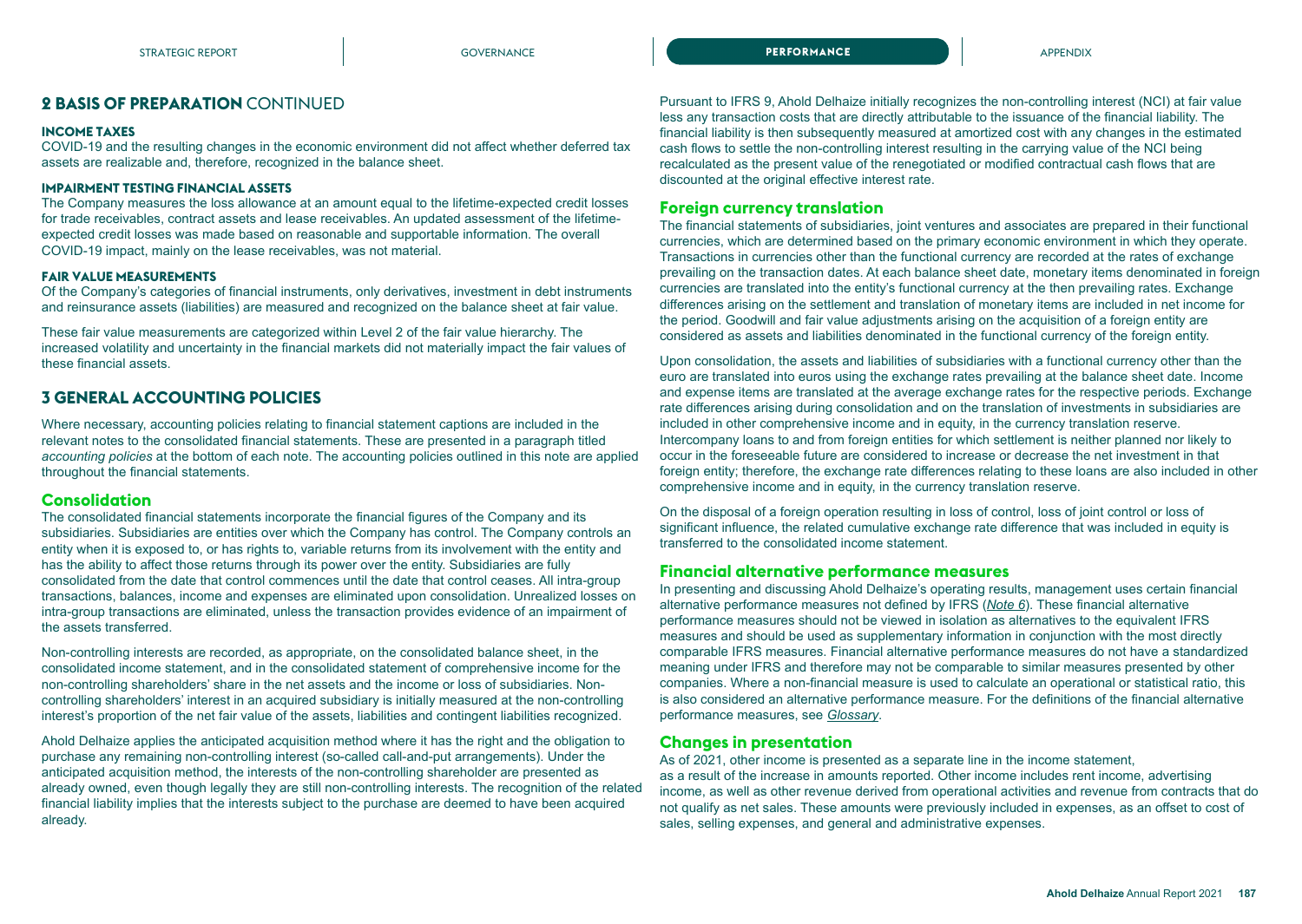## <span id="page-9-0"></span>**2 BASIS OF PREPARATION** CONTINUED

#### **INCOME TAXES**

COVID-19 and the resulting changes in the economic environment did not affect whether deferred tax assets are realizable and, therefore, recognized in the balance sheet.

#### **IMPAIRMENT TESTING FINANCIAL ASSETS**

The Company measures the loss allowance at an amount equal to the lifetime-expected credit losses for trade receivables, contract assets and lease receivables. An updated assessment of the lifetimeexpected credit losses was made based on reasonable and supportable information. The overall COVID-19 impact, mainly on the lease receivables, was not material.

#### **FAIR VALUE MEASUREMENTS**

Of the Company's categories of financial instruments, only derivatives, investment in debt instruments and reinsurance assets (liabilities) are measured and recognized on the balance sheet at fair value.

These fair value measurements are categorized within Level 2 of the fair value hierarchy. The increased volatility and uncertainty in the financial markets did not materially impact the fair values of these financial assets.

## **3 GENERAL ACCOUNTING POLICIES**

Where necessary, accounting policies relating to financial statement captions are included in the relevant notes to the consolidated financial statements. These are presented in a paragraph titled *accounting policies* at the bottom of each note. The accounting policies outlined in this note are applied throughout the financial statements.

#### **Consolidation**

The consolidated financial statements incorporate the financial figures of the Company and its subsidiaries. Subsidiaries are entities over which the Company has control. The Company controls an entity when it is exposed to, or has rights to, variable returns from its involvement with the entity and has the ability to affect those returns through its power over the entity. Subsidiaries are fully consolidated from the date that control commences until the date that control ceases. All intra-group transactions, balances, income and expenses are eliminated upon consolidation. Unrealized losses on intra-group transactions are eliminated, unless the transaction provides evidence of an impairment of the assets transferred.

Non-controlling interests are recorded, as appropriate, on the consolidated balance sheet, in the consolidated income statement, and in the consolidated statement of comprehensive income for the non-controlling shareholders' share in the net assets and the income or loss of subsidiaries. Noncontrolling shareholders' interest in an acquired subsidiary is initially measured at the non-controlling interest's proportion of the net fair value of the assets, liabilities and contingent liabilities recognized.

Ahold Delhaize applies the anticipated acquisition method where it has the right and the obligation to purchase any remaining non-controlling interest (so-called call-and-put arrangements). Under the anticipated acquisition method, the interests of the non-controlling shareholder are presented as already owned, even though legally they are still non-controlling interests. The recognition of the related financial liability implies that the interests subject to the purchase are deemed to have been acquired already.

Pursuant to IFRS 9, Ahold Delhaize initially recognizes the non-controlling interest (NCI) at fair value less any transaction costs that are directly attributable to the issuance of the financial liability. The financial liability is then subsequently measured at amortized cost with any changes in the estimated cash flows to settle the non-controlling interest resulting in the carrying value of the NCI being recalculated as the present value of the renegotiated or modified contractual cash flows that are discounted at the original effective interest rate.

#### **Foreign currency translation**

The financial statements of subsidiaries, joint ventures and associates are prepared in their functional currencies, which are determined based on the primary economic environment in which they operate. Transactions in currencies other than the functional currency are recorded at the rates of exchange prevailing on the transaction dates. At each balance sheet date, monetary items denominated in foreign currencies are translated into the entity's functional currency at the then prevailing rates. Exchange differences arising on the settlement and translation of monetary items are included in net income for the period. Goodwill and fair value adjustments arising on the acquisition of a foreign entity are considered as assets and liabilities denominated in the functional currency of the foreign entity.

Upon consolidation, the assets and liabilities of subsidiaries with a functional currency other than the euro are translated into euros using the exchange rates prevailing at the balance sheet date. Income and expense items are translated at the average exchange rates for the respective periods. Exchange rate differences arising during consolidation and on the translation of investments in subsidiaries are included in other comprehensive income and in equity, in the currency translation reserve. Intercompany loans to and from foreign entities for which settlement is neither planned nor likely to occur in the foreseeable future are considered to increase or decrease the net investment in that foreign entity; therefore, the exchange rate differences relating to these loans are also included in other comprehensive income and in equity, in the currency translation reserve.

On the disposal of a foreign operation resulting in loss of control, loss of joint control or loss of significant influence, the related cumulative exchange rate difference that was included in equity is transferred to the consolidated income statement.

#### **Financial alternative performance measures**

In presenting and discussing Ahold Delhaize's operating results, management uses certain financial alternative performance measures not defined by IFRS (*[Note 6](#page-13-0)*). These financial alternative performance measures should not be viewed in isolation as alternatives to the equivalent IFRS measures and should be used as supplementary information in conjunction with the most directly comparable IFRS measures. Financial alternative performance measures do not have a standardized meaning under IFRS and therefore may not be comparable to similar measures presented by other companies. Where a non-financial measure is used to calculate an operational or statistical ratio, this is also considered an alternative performance measure. For the definitions of the financial alternative performance measures, see *Glossary*.

#### **Changes in presentation**

As of 2021, other income is presented as a separate line in the income statement, as a result of the increase in amounts reported. Other income includes rent income, advertising income, as well as other revenue derived from operational activities and revenue from contracts that do not qualify as net sales. These amounts were previously included in expenses, as an offset to cost of sales, selling expenses, and general and administrative expenses.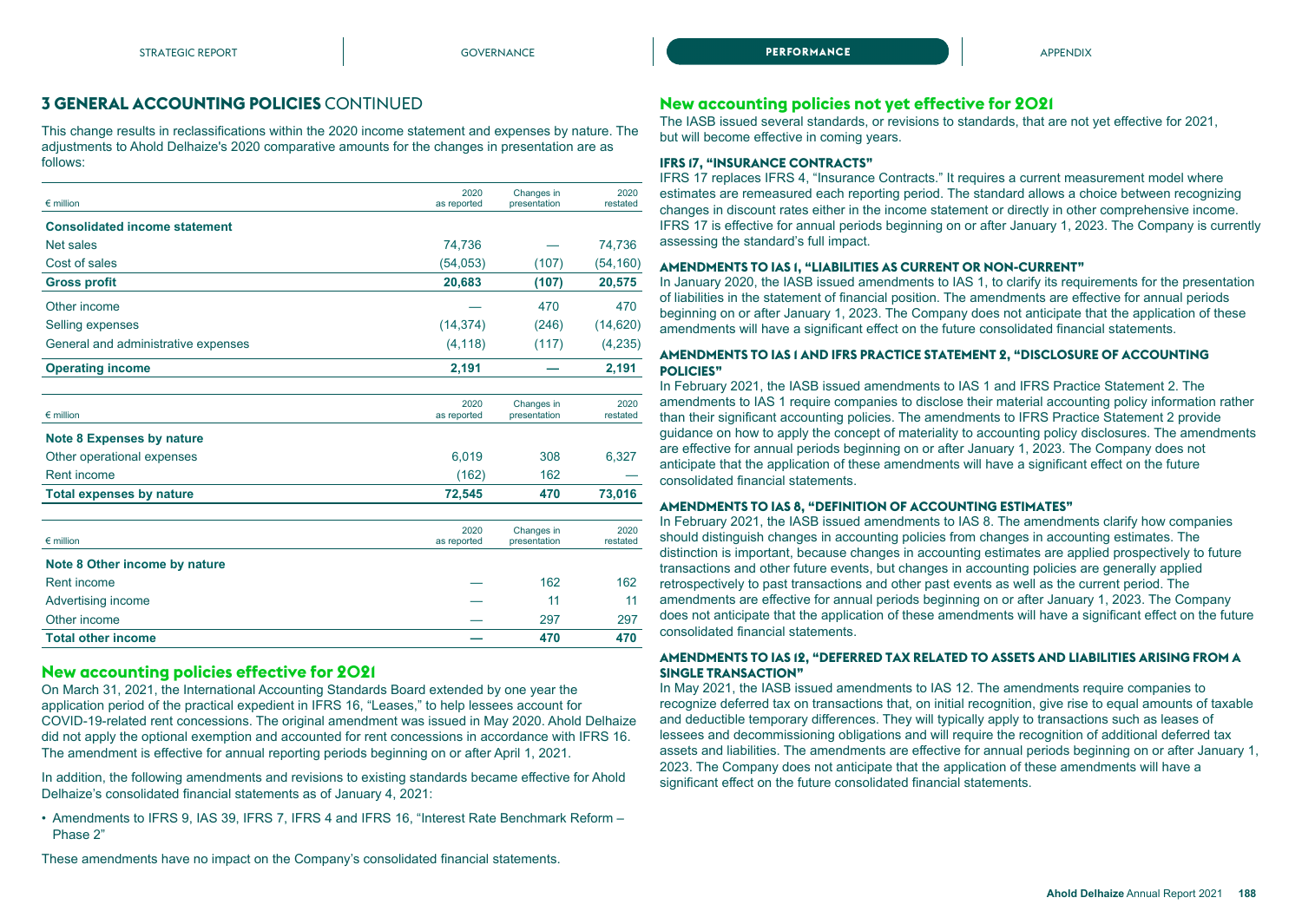## **3 GENERAL ACCOUNTING POLICIES** CONTINUED

This change results in reclassifications within the 2020 income statement and expenses by nature. The adjustments to Ahold Delhaize's 2020 comparative amounts for the changes in presentation are as follows:

| $\epsilon$ million                   | 2020<br>as reported | Changes in<br>presentation | 2020<br>restated |
|--------------------------------------|---------------------|----------------------------|------------------|
| <b>Consolidated income statement</b> |                     |                            |                  |
| <b>Net sales</b>                     | 74,736              |                            | 74,736           |
| Cost of sales                        | (54, 053)           | (107)                      | (54, 160)        |
| <b>Gross profit</b>                  | 20,683              | (107)                      | 20,575           |
| Other income                         |                     | 470                        | 470              |
| Selling expenses                     | (14, 374)           | (246)                      | (14, 620)        |
| General and administrative expenses  | (4, 118)            | (117)                      | (4,235)          |
| <b>Operating income</b>              | 2,191               |                            | 2,191            |
| $\epsilon$ million                   | 2020<br>as reported | Changes in<br>presentation | 2020<br>restated |
| <b>Note 8 Expenses by nature</b>     |                     |                            |                  |
| Other operational expenses           | 6,019               | 308                        | 6,327            |
| Rent income                          | (162)               | 162                        |                  |
| <b>Total expenses by nature</b>      | 72,545              | 470                        | 73,016           |
|                                      |                     |                            |                  |
| $\epsilon$ million                   | 2020<br>as reported | Changes in<br>presentation | 2020<br>restated |
| Note 8 Other income by nature        |                     |                            |                  |
| Rent income                          |                     | 162                        | 162              |
| Advertising income                   |                     | 11                         | 11               |
| Other income                         |                     | 297                        | 297              |
| <b>Total other income</b>            |                     | 470                        | 470              |

## **New accounting policies effective for 2021**

On March 31, 2021, the International Accounting Standards Board extended by one year the application period of the practical expedient in IFRS 16, "Leases," to help lessees account for COVID-19-related rent concessions. The original amendment was issued in May 2020. Ahold Delhaize did not apply the optional exemption and accounted for rent concessions in accordance with IFRS 16. The amendment is effective for annual reporting periods beginning on or after April 1, 2021.

In addition, the following amendments and revisions to existing standards became effective for Ahold Delhaize's consolidated financial statements as of January 4, 2021:

• Amendments to IFRS 9, IAS 39, IFRS 7, IFRS 4 and IFRS 16, "Interest Rate Benchmark Reform – Phase 2"

These amendments have no impact on the Company's consolidated financial statements.

## **New accounting policies not yet effective for 2021**

The IASB issued several standards, or revisions to standards, that are not yet effective for 2021, but will become effective in coming years.

#### **IFRS 17, "INSURANCE CONTRACTS"**

IFRS 17 replaces IFRS 4, "Insurance Contracts." It requires a current measurement model where estimates are remeasured each reporting period. The standard allows a choice between recognizing changes in discount rates either in the income statement or directly in other comprehensive income. IFRS 17 is effective for annual periods beginning on or after January 1, 2023. The Company is currently assessing the standard's full impact.

#### **AMENDMENTS TO IAS 1, "LIABILITIES AS CURRENT OR NON-CURRENT"**

In January 2020, the IASB issued amendments to IAS 1, to clarify its requirements for the presentation of liabilities in the statement of financial position. The amendments are effective for annual periods beginning on or after January 1, 2023. The Company does not anticipate that the application of these amendments will have a significant effect on the future consolidated financial statements.

#### **AMENDMENTS TO IAS 1 AND IFRS PRACTICE STATEMENT 2, "DISCLOSURE OF ACCOUNTING POLICIES"**

In February 2021, the IASB issued amendments to IAS 1 and IFRS Practice Statement 2. The amendments to IAS 1 require companies to disclose their material accounting policy information rather than their significant accounting policies. The amendments to IFRS Practice Statement 2 provide guidance on how to apply the concept of materiality to accounting policy disclosures. The amendments are effective for annual periods beginning on or after January 1, 2023. The Company does not anticipate that the application of these amendments will have a significant effect on the future consolidated financial statements.

#### **AMENDMENTS TO IAS 8, "DEFINITION OF ACCOUNTING ESTIMATES"**

In February 2021, the IASB issued amendments to IAS 8. The amendments clarify how companies should distinguish changes in accounting policies from changes in accounting estimates. The distinction is important, because changes in accounting estimates are applied prospectively to future transactions and other future events, but changes in accounting policies are generally applied retrospectively to past transactions and other past events as well as the current period. The amendments are effective for annual periods beginning on or after January 1, 2023. The Company does not anticipate that the application of these amendments will have a significant effect on the future consolidated financial statements.

#### **AMENDMENTS TO IAS 12, "DEFERRED TAX RELATED TO ASSETS AND LIABILITIES ARISING FROM A SINGLE TRANSACTION"**

In May 2021, the IASB issued amendments to IAS 12. The amendments require companies to recognize deferred tax on transactions that, on initial recognition, give rise to equal amounts of taxable and deductible temporary differences. They will typically apply to transactions such as leases of lessees and decommissioning obligations and will require the recognition of additional deferred tax assets and liabilities. The amendments are effective for annual periods beginning on or after January 1, 2023. The Company does not anticipate that the application of these amendments will have a significant effect on the future consolidated financial statements.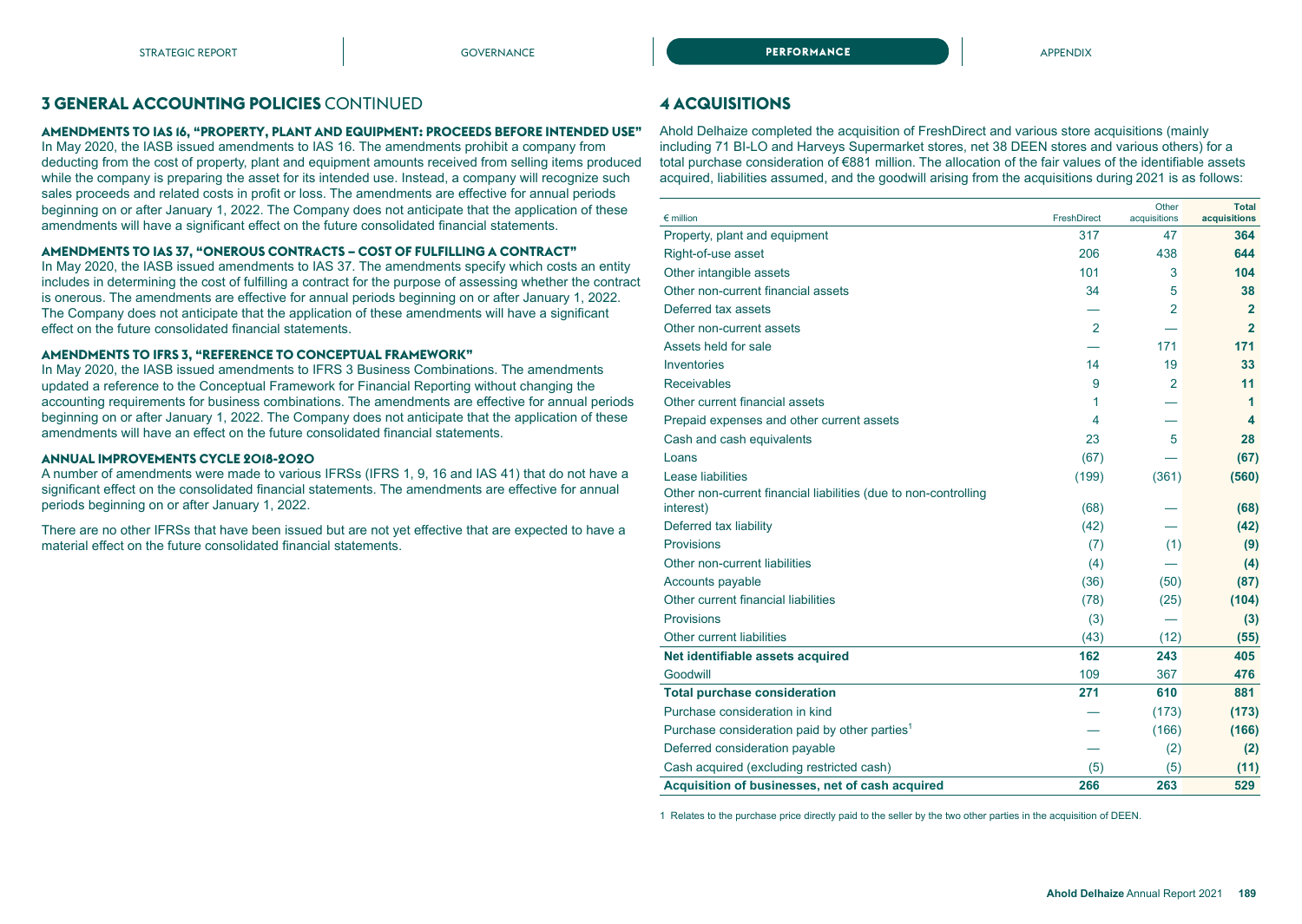## <span id="page-11-0"></span>**3 GENERAL ACCOUNTING POLICIES** CONTINUED

#### **AMENDMENTS TO IAS 16, "PROPERTY, PLANT AND EQUIPMENT: PROCEEDS BEFORE INTENDED USE"**

In May 2020, the IASB issued amendments to IAS 16. The amendments prohibit a company from deducting from the cost of property, plant and equipment amounts received from selling items produced while the company is preparing the asset for its intended use. Instead, a company will recognize such sales proceeds and related costs in profit or loss. The amendments are effective for annual periods beginning on or after January 1, 2022. The Company does not anticipate that the application of these amendments will have a significant effect on the future consolidated financial statements.

#### **AMENDMENTS TO IAS 37, "ONEROUS CONTRACTS – COST OF FULFILLING A CONTRACT"**

In May 2020, the IASB issued amendments to IAS 37. The amendments specify which costs an entity includes in determining the cost of fulfilling a contract for the purpose of assessing whether the contract is onerous. The amendments are effective for annual periods beginning on or after January 1, 2022. The Company does not anticipate that the application of these amendments will have a significant effect on the future consolidated financial statements.

#### **AMENDMENTS TO IFRS 3, "REFERENCE TO CONCEPTUAL FRAMEWORK"**

In May 2020, the IASB issued amendments to IFRS 3 Business Combinations. The amendments updated a reference to the Conceptual Framework for Financial Reporting without changing the accounting requirements for business combinations. The amendments are effective for annual periods beginning on or after January 1, 2022. The Company does not anticipate that the application of these amendments will have an effect on the future consolidated financial statements.

#### **ANNUAL IMPROVEMENTS CYCLE 2018-2020**

A number of amendments were made to various IFRSs (IFRS 1, 9, 16 and IAS 41) that do not have a significant effect on the consolidated financial statements. The amendments are effective for annual periods beginning on or after January 1, 2022.

There are no other IFRSs that have been issued but are not yet effective that are expected to have a material effect on the future consolidated financial statements.

### **4 ACQUISITIONS**

Ahold Delhaize completed the acquisition of FreshDirect and various store acquisitions (mainly including 71 BI-LO and Harveys Supermarket stores, net 38 DEEN stores and various others) for a total purchase consideration of €881 million. The allocation of the fair values of the identifiable assets acquired, liabilities assumed, and the goodwill arising from the acquisitions during 2021 is as follows:

| $\epsilon$ million                                              | FreshDirect    | Other<br>acquisitions | <b>Total</b><br>acquisitions |
|-----------------------------------------------------------------|----------------|-----------------------|------------------------------|
| Property, plant and equipment                                   | 317            | 47                    | 364                          |
| Right-of-use asset                                              | 206            | 438                   | 644                          |
| Other intangible assets                                         | 101            | 3                     | 104                          |
| Other non-current financial assets                              | 34             | 5                     | 38                           |
| Deferred tax assets                                             |                | $\overline{2}$        | $\mathbf{2}$                 |
| Other non-current assets                                        | $\overline{2}$ |                       | $\overline{2}$               |
| Assets held for sale                                            |                | 171                   | 171                          |
| Inventories                                                     | 14             | 19                    | 33                           |
| <b>Receivables</b>                                              | 9              | 2                     | 11                           |
| Other current financial assets                                  | 1              |                       | 1                            |
| Prepaid expenses and other current assets                       | 4              |                       | 4                            |
| Cash and cash equivalents                                       | 23             | 5                     | 28                           |
| Loans                                                           | (67)           |                       | (67)                         |
| Lease liabilities                                               | (199)          | (361)                 | (560)                        |
| Other non-current financial liabilities (due to non-controlling |                |                       |                              |
| interest)                                                       | (68)           |                       | (68)                         |
| Deferred tax liability                                          | (42)           |                       | (42)                         |
| Provisions                                                      | (7)            | (1)                   | (9)                          |
| Other non-current liabilities                                   | (4)            |                       | (4)                          |
| Accounts payable                                                | (36)           | (50)                  | (87)                         |
| Other current financial liabilities                             | (78)           | (25)                  | (104)                        |
| Provisions                                                      | (3)            |                       | (3)                          |
| Other current liabilities                                       | (43)           | (12)                  | (55)                         |
| Net identifiable assets acquired                                | 162            | 243                   | 405                          |
| Goodwill                                                        | 109            | 367                   | 476                          |
| <b>Total purchase consideration</b>                             | 271            | 610                   | 881                          |
| Purchase consideration in kind                                  |                | (173)                 | (173)                        |
| Purchase consideration paid by other parties <sup>1</sup>       |                | (166)                 | (166)                        |
| Deferred consideration payable                                  |                | (2)                   | (2)                          |
| Cash acquired (excluding restricted cash)                       | (5)            | (5)                   | (11)                         |
| Acquisition of businesses, net of cash acquired                 | 266            | 263                   | 529                          |

1 Relates to the purchase price directly paid to the seller by the two other parties in the acquisition of DEEN.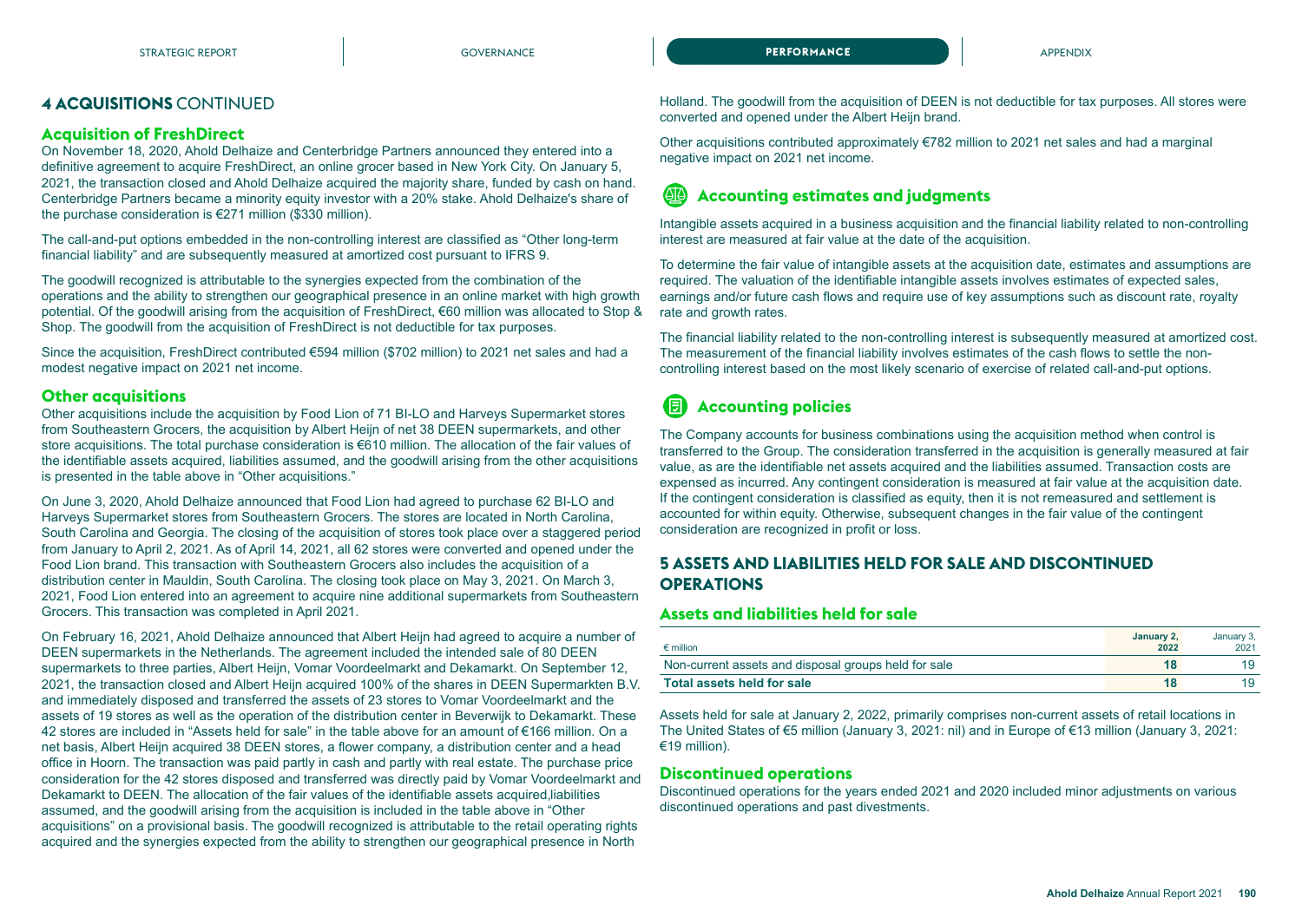## <span id="page-12-0"></span>**4 ACQUISITIONS** CONTINUED

#### **Acquisition of FreshDirect**

On November 18, 2020, Ahold Delhaize and Centerbridge Partners announced they entered into a definitive agreement to acquire FreshDirect, an online grocer based in New York City. On January 5, 2021, the transaction closed and Ahold Delhaize acquired the majority share, funded by cash on hand. Centerbridge Partners became a minority equity investor with a 20% stake. Ahold Delhaize's share of the purchase consideration is €271 million (\$330 million).

The call-and-put options embedded in the non-controlling interest are classified as "Other long-term financial liability" and are subsequently measured at amortized cost pursuant to IFRS 9.

The goodwill recognized is attributable to the synergies expected from the combination of the operations and the ability to strengthen our geographical presence in an online market with high growth potential. Of the goodwill arising from the acquisition of FreshDirect, €60 million was allocated to Stop & Shop. The goodwill from the acquisition of FreshDirect is not deductible for tax purposes.

Since the acquisition, FreshDirect contributed €594 million (\$702 million) to 2021 net sales and had a modest negative impact on 2021 net income.

#### **Other acquisitions**

Other acquisitions include the acquisition by Food Lion of 71 BI-LO and Harveys Supermarket stores from Southeastern Grocers, the acquisition by Albert Heijn of net 38 DEEN supermarkets, and other store acquisitions. The total purchase consideration is €610 million. The allocation of the fair values of the identifiable assets acquired, liabilities assumed, and the goodwill arising from the other acquisitions is presented in the table above in "Other acquisitions."

On June 3, 2020, Ahold Delhaize announced that Food Lion had agreed to purchase 62 BI-LO and Harveys Supermarket stores from Southeastern Grocers. The stores are located in North Carolina, South Carolina and Georgia. The closing of the acquisition of stores took place over a staggered period from January to April 2, 2021. As of April 14, 2021, all 62 stores were converted and opened under the Food Lion brand. This transaction with Southeastern Grocers also includes the acquisition of a distribution center in Mauldin, South Carolina. The closing took place on May 3, 2021. On March 3, 2021, Food Lion entered into an agreement to acquire nine additional supermarkets from Southeastern Grocers. This transaction was completed in April 2021.

On February 16, 2021, Ahold Delhaize announced that Albert Heijn had agreed to acquire a number of DEEN supermarkets in the Netherlands. The agreement included the intended sale of 80 DEEN supermarkets to three parties, Albert Heijn, Vomar Voordeelmarkt and Dekamarkt. On September 12, 2021, the transaction closed and Albert Heijn acquired 100% of the shares in DEEN Supermarkten B.V. and immediately disposed and transferred the assets of 23 stores to Vomar Voordeelmarkt and the assets of 19 stores as well as the operation of the distribution center in Beverwijk to Dekamarkt. These 42 stores are included in "Assets held for sale" in the table above for an amount of €166 million. On a net basis, Albert Heijn acquired 38 DEEN stores, a flower company, a distribution center and a head office in Hoorn. The transaction was paid partly in cash and partly with real estate. The purchase price consideration for the 42 stores disposed and transferred was directly paid by Vomar Voordeelmarkt and Dekamarkt to DEEN. The allocation of the fair values of the identifiable assets acquired,liabilities assumed, and the goodwill arising from the acquisition is included in the table above in "Other acquisitions" on a provisional basis. The goodwill recognized is attributable to the retail operating rights acquired and the synergies expected from the ability to strengthen our geographical presence in North

Holland. The goodwill from the acquisition of DEEN is not deductible for tax purposes. All stores were converted and opened under the Albert Heijn brand.

Other acquisitions contributed approximately €782 million to 2021 net sales and had a marginal negative impact on 2021 net income.

#### **Accounting estimates and judgments** <u>(414)</u>

Intangible assets acquired in a business acquisition and the financial liability related to non-controlling interest are measured at fair value at the date of the acquisition.

To determine the fair value of intangible assets at the acquisition date, estimates and assumptions are required. The valuation of the identifiable intangible assets involves estimates of expected sales, earnings and/or future cash flows and require use of key assumptions such as discount rate, royalty rate and growth rates.

The financial liability related to the non-controlling interest is subsequently measured at amortized cost. The measurement of the financial liability involves estimates of the cash flows to settle the noncontrolling interest based on the most likely scenario of exercise of related call-and-put options.

#### 偏 **Accounting policies**

The Company accounts for business combinations using the acquisition method when control is transferred to the Group. The consideration transferred in the acquisition is generally measured at fair value, as are the identifiable net assets acquired and the liabilities assumed. Transaction costs are expensed as incurred. Any contingent consideration is measured at fair value at the acquisition date. If the contingent consideration is classified as equity, then it is not remeasured and settlement is accounted for within equity. Otherwise, subsequent changes in the fair value of the contingent consideration are recognized in profit or loss.

## **5 ASSETS AND LIABILITIES HELD FOR SALE AND DISCONTINUED OPERATIONS**

#### **Assets and liabilities held for sale**

|                                                      | January 2, | January 3. |
|------------------------------------------------------|------------|------------|
| $\epsilon$ million                                   | 2022       | 2021       |
| Non-current assets and disposal groups held for sale |            | 19.        |
| Total assets held for sale                           |            | 19         |

Assets held for sale at January 2, 2022, primarily comprises non-current assets of retail locations in The United States of €5 million (January 3, 2021: nil) and in Europe of €13 million (January 3, 2021: €19 million).

## **Discontinued operations**

Discontinued operations for the years ended 2021 and 2020 included minor adjustments on various discontinued operations and past divestments.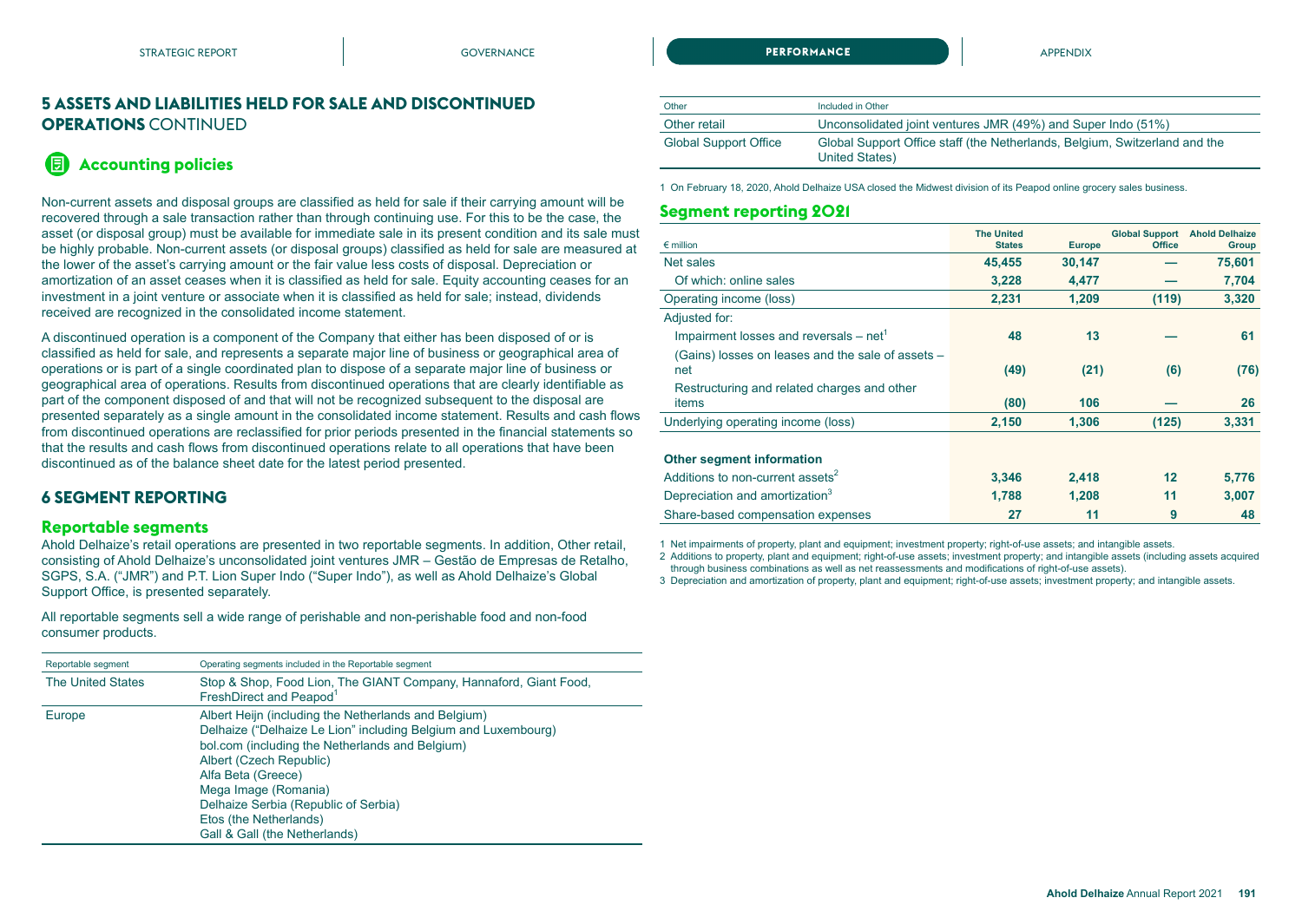## <span id="page-13-0"></span>**5 ASSETS AND LIABILITIES HELD FOR SALE AND DISCONTINUED OPERATIONS** CONTINUED

#### **Accounting policies** (F)

Non-current assets and disposal groups are classified as held for sale if their carrying amount will be recovered through a sale transaction rather than through continuing use. For this to be the case, the asset (or disposal group) must be available for immediate sale in its present condition and its sale must be highly probable. Non-current assets (or disposal groups) classified as held for sale are measured at the lower of the asset's carrying amount or the fair value less costs of disposal. Depreciation or amortization of an asset ceases when it is classified as held for sale. Equity accounting ceases for an investment in a joint venture or associate when it is classified as held for sale; instead, dividends received are recognized in the consolidated income statement.

A discontinued operation is a component of the Company that either has been disposed of or is classified as held for sale, and represents a separate major line of business or geographical area of operations or is part of a single coordinated plan to dispose of a separate major line of business or geographical area of operations. Results from discontinued operations that are clearly identifiable as part of the component disposed of and that will not be recognized subsequent to the disposal are presented separately as a single amount in the consolidated income statement. Results and cash flows from discontinued operations are reclassified for prior periods presented in the financial statements so that the results and cash flows from discontinued operations relate to all operations that have been discontinued as of the balance sheet date for the latest period presented.

## **6 SEGMENT REPORTING**

#### **Reportable segments**

Ahold Delhaize's retail operations are presented in two reportable segments. In addition, Other retail, consisting of Ahold Delhaize's unconsolidated joint ventures JMR – Gestão de Empresas de Retalho, SGPS, S.A. ("JMR") and P.T. Lion Super Indo ("Super Indo"), as well as Ahold Delhaize's Global Support Office, is presented separately.

All reportable segments sell a wide range of perishable and non-perishable food and non-food consumer products.

| Reportable segment       | Operating segments included in the Reportable segment                                                                                                                                                                                                                                                                                                 |
|--------------------------|-------------------------------------------------------------------------------------------------------------------------------------------------------------------------------------------------------------------------------------------------------------------------------------------------------------------------------------------------------|
| <b>The United States</b> | Stop & Shop, Food Lion, The GIANT Company, Hannaford, Giant Food,<br>FreshDirect and Peapod <sup>1</sup>                                                                                                                                                                                                                                              |
| Europe                   | Albert Heijn (including the Netherlands and Belgium)<br>Delhaize ("Delhaize Le Lion" including Belgium and Luxembourg)<br>bol.com (including the Netherlands and Belgium)<br>Albert (Czech Republic)<br>Alfa Beta (Greece)<br>Mega Image (Romania)<br>Delhaize Serbia (Republic of Serbia)<br>Etos (the Netherlands)<br>Gall & Gall (the Netherlands) |

| Other                        | Included in Other                                                                            |
|------------------------------|----------------------------------------------------------------------------------------------|
| Other retail                 | Unconsolidated joint ventures JMR (49%) and Super Indo (51%)                                 |
| <b>Global Support Office</b> | Global Support Office staff (the Netherlands, Belgium, Switzerland and the<br>United States) |

1 On February 18, 2020, Ahold Delhaize USA closed the Midwest division of its Peapod online grocery sales business.

## **Segment reporting 2021**

| $\epsilon$ million                                       | <b>The United</b><br><b>States</b> | <b>Europe</b> | <b>Global Support</b><br><b>Office</b> | <b>Ahold Delhaize</b><br><b>Group</b> |
|----------------------------------------------------------|------------------------------------|---------------|----------------------------------------|---------------------------------------|
| Net sales                                                | 45,455                             | 30,147        |                                        | 75,601                                |
| Of which: online sales                                   | 3,228                              | 4,477         |                                        | 7,704                                 |
| Operating income (loss)                                  | 2,231                              | 1,209         | (119)                                  | 3,320                                 |
| Adjusted for:                                            |                                    |               |                                        |                                       |
| Impairment losses and reversals $-$ net <sup>1</sup>     | 48                                 | 13            |                                        | 61                                    |
| (Gains) losses on leases and the sale of assets -<br>net | (49)                               | (21)          | (6)                                    | (76)                                  |
| Restructuring and related charges and other<br>items     | (80)                               | 106           |                                        | 26                                    |
| Underlying operating income (loss)                       | 2,150                              | 1,306         | (125)                                  | 3,331                                 |
| <b>Other segment information</b>                         |                                    |               |                                        |                                       |
| Additions to non-current assets <sup>2</sup>             | 3,346                              | 2,418         | 12                                     | 5,776                                 |
| Depreciation and amortization <sup>3</sup>               | 1,788                              | 1,208         | 11                                     | 3,007                                 |
| Share-based compensation expenses                        | 27                                 | 11            | 9                                      | 48                                    |

1 Net impairments of property, plant and equipment; investment property; right-of-use assets; and intangible assets.

2 Additions to property, plant and equipment; right-of-use assets; investment property; and intangible assets (including assets acquired through business combinations as well as net reassessments and modifications of right-of-use assets).

3 Depreciation and amortization of property, plant and equipment; right-of-use assets; investment property; and intangible assets.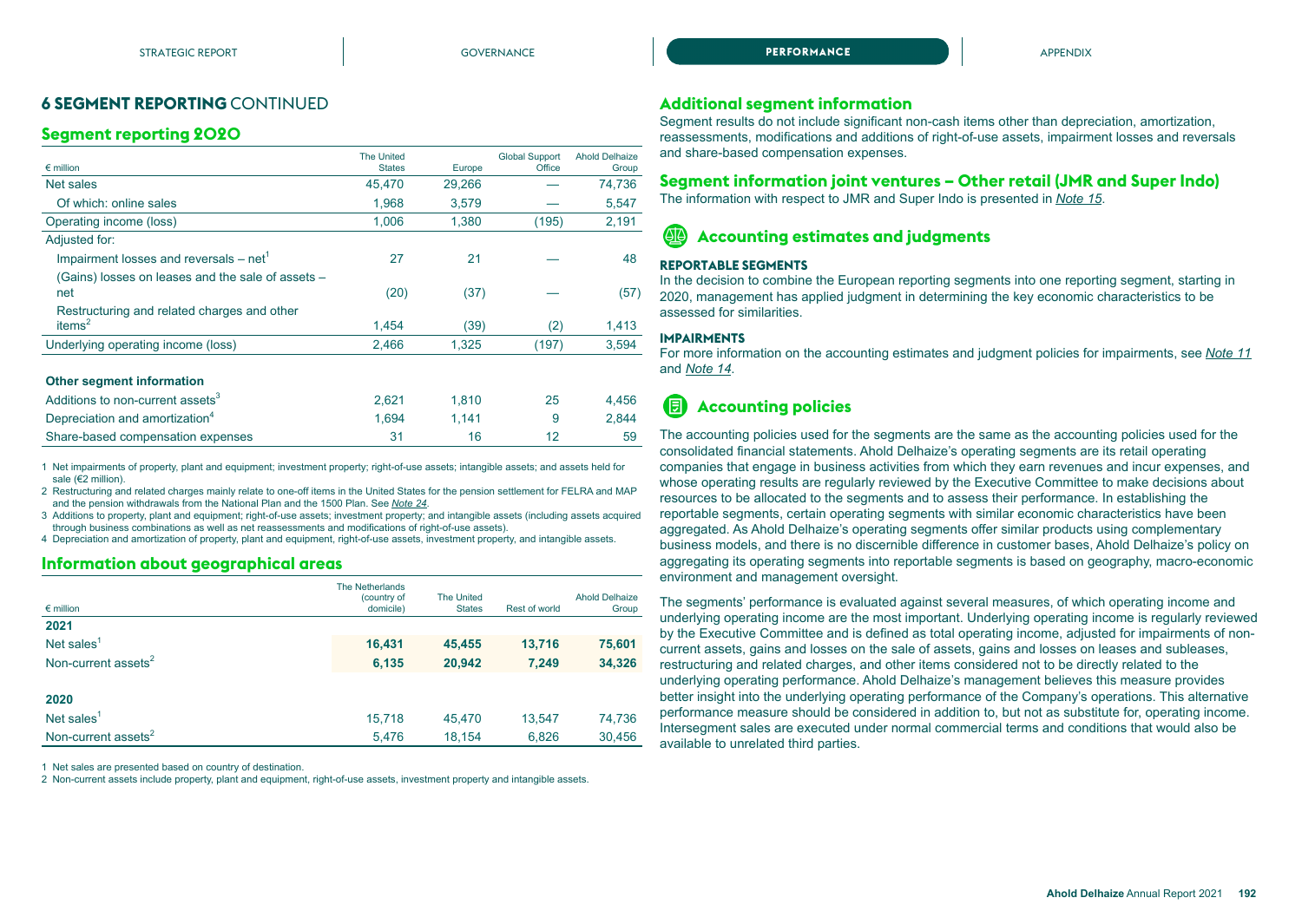## **6 SEGMENT REPORTING** CONTINUED

#### **Segment reporting 2020**

| $\epsilon$ million                                                | <b>The United</b><br><b>States</b> | Europe | <b>Global Support</b><br>Office | <b>Ahold Delhaize</b><br>Group |
|-------------------------------------------------------------------|------------------------------------|--------|---------------------------------|--------------------------------|
| Net sales                                                         | 45,470                             | 29,266 |                                 | 74,736                         |
| Of which: online sales                                            | 1.968                              | 3,579  |                                 | 5,547                          |
| Operating income (loss)                                           | 1.006                              | 1,380  | (195)                           | 2,191                          |
| Adjusted for:                                                     |                                    |        |                                 |                                |
| Impairment losses and reversals $-$ net <sup>1</sup>              | 27                                 | 21     |                                 | 48                             |
| (Gains) losses on leases and the sale of assets -<br>net          | (20)                               | (37)   |                                 | (57)                           |
| Restructuring and related charges and other<br>items <sup>2</sup> | 1.454                              | (39)   | (2)                             | 1,413                          |
| Underlying operating income (loss)                                | 2,466                              | 1,325  | (197)                           | 3,594                          |
| <b>Other segment information</b>                                  |                                    |        |                                 |                                |
| Additions to non-current assets <sup>3</sup>                      | 2,621                              | 1,810  | 25                              | 4,456                          |
| Depreciation and amortization <sup>4</sup>                        | 1.694                              | 1.141  | 9                               | 2,844                          |
| Share-based compensation expenses                                 | 31                                 | 16     | 12                              | 59                             |

1 Net impairments of property, plant and equipment; investment property; right-of-use assets; intangible assets; and assets held for sale (€2 million).

2 Restructuring and related charges mainly relate to one-off items in the United States for the pension settlement for FELRA and MAP and the pension withdrawals from the National Plan and the 1500 Plan. See *[Note 24](#page-38-0)*.

3 Additions to property, plant and equipment; right-of-use assets; investment property; and intangible assets (including assets acquired through business combinations as well as net reassessments and modifications of right-of-use assets).

4 Depreciation and amortization of property, plant and equipment, right-of-use assets, investment property, and intangible assets.

## **Information about geographical areas**

| $\epsilon$ million              | The Netherlands<br>(country of<br>domicile) | <b>The United</b><br><b>States</b> | Rest of world | <b>Ahold Delhaize</b><br>Group |
|---------------------------------|---------------------------------------------|------------------------------------|---------------|--------------------------------|
| 2021                            |                                             |                                    |               |                                |
| Net sales $1$                   | 16,431                                      | 45,455                             | 13,716        | 75,601                         |
| Non-current assets <sup>2</sup> | 6,135                                       | 20,942                             | 7,249         | 34,326                         |
|                                 |                                             |                                    |               |                                |
| 2020                            |                                             |                                    |               |                                |
| Net sales $1$                   | 15,718                                      | 45.470                             | 13,547        | 74,736                         |
| Non-current assets <sup>2</sup> | 5,476                                       | 18,154                             | 6,826         | 30,456                         |

1 Net sales are presented based on country of destination.

2 Non-current assets include property, plant and equipment, right-of-use assets, investment property and intangible assets.

#### **Additional segment information**

Segment results do not include significant non-cash items other than depreciation, amortization, reassessments, modifications and additions of right-of-use assets, impairment losses and reversals and share-based compensation expenses.

#### **Segment information joint ventures – Other retail (JMR and Super Indo)**

The information with respect to JMR and Super Indo is presented in *[Note 15](#page-29-0)*.

## **Accounting estimates and judgments**

#### **REPORTABLE SEGMENTS**

In the decision to combine the European reporting segments into one reporting segment, starting in 2020, management has applied judgment in determining the key economic characteristics to be assessed for similarities.

#### **IMPAIRMENTS**

For more information on the accounting estimates and judgment policies for impairments, see *[Note 11](#page-22-0)* and *[Note 14](#page-26-0)*.

## **Accounting policies**

The accounting policies used for the segments are the same as the accounting policies used for the consolidated financial statements. Ahold Delhaize's operating segments are its retail operating companies that engage in business activities from which they earn revenues and incur expenses, and whose operating results are regularly reviewed by the Executive Committee to make decisions about resources to be allocated to the segments and to assess their performance. In establishing the reportable segments, certain operating segments with similar economic characteristics have been aggregated. As Ahold Delhaize's operating segments offer similar products using complementary business models, and there is no discernible difference in customer bases, Ahold Delhaize's policy on aggregating its operating segments into reportable segments is based on geography, macro-economic environment and management oversight.

The segments' performance is evaluated against several measures, of which operating income and underlying operating income are the most important. Underlying operating income is regularly reviewed by the Executive Committee and is defined as total operating income, adjusted for impairments of noncurrent assets, gains and losses on the sale of assets, gains and losses on leases and subleases, restructuring and related charges, and other items considered not to be directly related to the underlying operating performance. Ahold Delhaize's management believes this measure provides better insight into the underlying operating performance of the Company's operations. This alternative performance measure should be considered in addition to, but not as substitute for, operating income. Intersegment sales are executed under normal commercial terms and conditions that would also be available to unrelated third parties.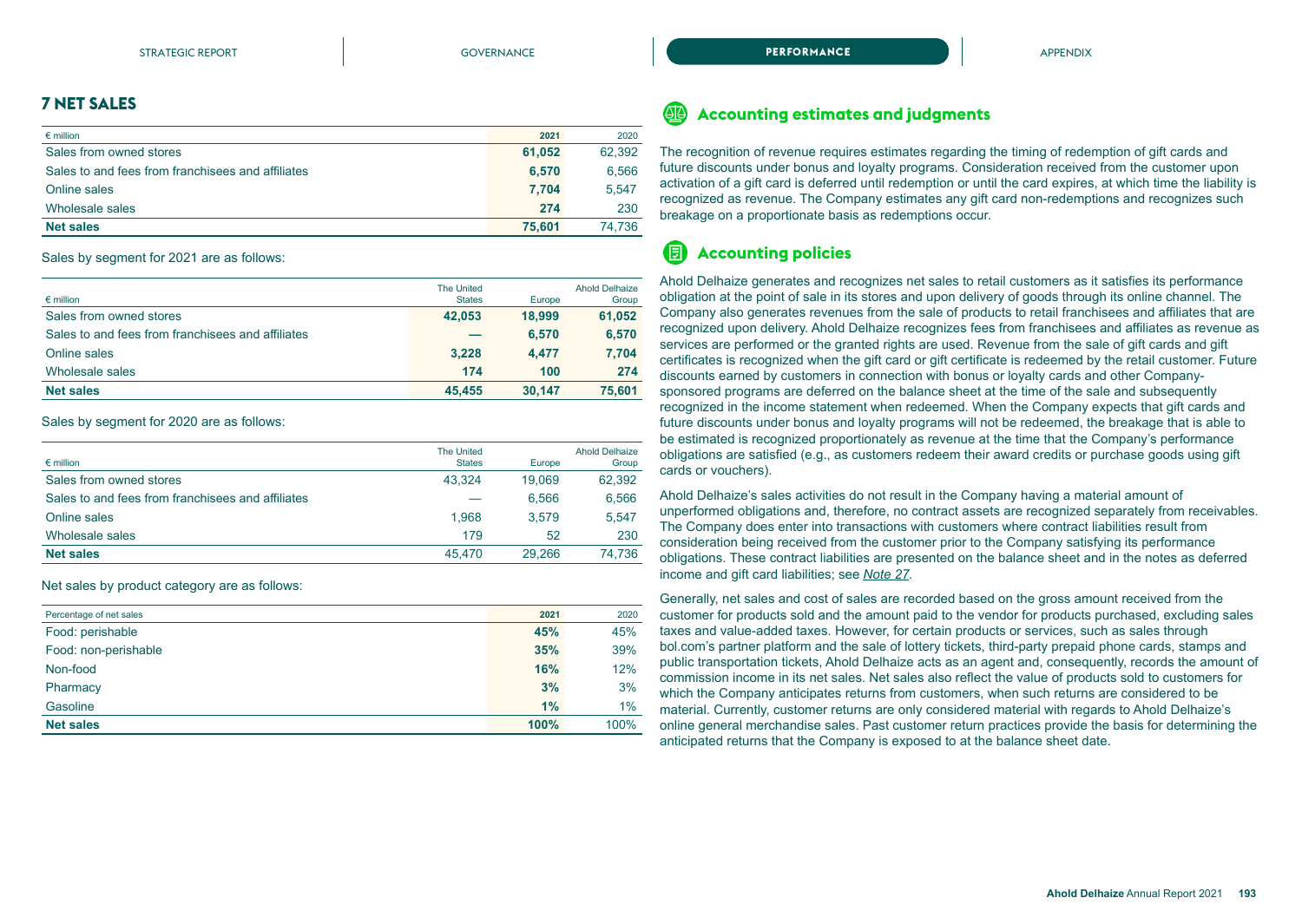## <span id="page-15-0"></span>**7 NET SALES**

| $\epsilon$ million                                | 2021   | 2020   |
|---------------------------------------------------|--------|--------|
| Sales from owned stores                           | 61.052 | 62.392 |
| Sales to and fees from franchisees and affiliates | 6.570  | 6.566  |
| Online sales                                      | 7.704  | 5.547  |
| Wholesale sales                                   | 274    | 230    |
| <b>Net sales</b>                                  | 75,601 | 74.736 |

#### Sales by segment for 2021 are as follows:

| $\epsilon$ million                                | <b>The United</b><br><b>States</b> | Europe | <b>Ahold Delhaize</b><br>Group |
|---------------------------------------------------|------------------------------------|--------|--------------------------------|
| Sales from owned stores                           | 42.053                             | 18.999 | 61.052                         |
| Sales to and fees from franchisees and affiliates |                                    | 6.570  | 6,570                          |
| Online sales                                      | 3,228                              | 4.477  | 7.704                          |
| Wholesale sales                                   | 174                                | 100    | 274                            |
| <b>Net sales</b>                                  | 45.455                             | 30.147 | 75,601                         |

Sales by segment for 2020 are as follows:

| $\epsilon$ million                                | <b>The United</b><br><b>States</b> | Europe | <b>Ahold Delhaize</b><br>Group |
|---------------------------------------------------|------------------------------------|--------|--------------------------------|
| Sales from owned stores                           | 43.324                             | 19.069 | 62,392                         |
| Sales to and fees from franchisees and affiliates |                                    | 6.566  | 6,566                          |
| Online sales                                      | 1.968                              | 3.579  | 5.547                          |
| Wholesale sales                                   | 179                                | 52     | 230                            |
| <b>Net sales</b>                                  | 45.470                             | 29.266 | 74.736                         |

Net sales by product category are as follows:

| Percentage of net sales | 2021 | 2020 |
|-------------------------|------|------|
| Food: perishable        | 45%  | 45%  |
| Food: non-perishable    | 35%  | 39%  |
| Non-food                | 16%  | 12%  |
| Pharmacy                | 3%   | 3%   |
| Gasoline                | 1%   | 1%   |
| <b>Net sales</b>        | 100% | 100% |

## **Accounting estimates and judgments**

The recognition of revenue requires estimates regarding the timing of redemption of gift cards and future discounts under bonus and loyalty programs. Consideration received from the customer upon activation of a gift card is deferred until redemption or until the card expires, at which time the liability is recognized as revenue. The Company estimates any gift card non-redemptions and recognizes such breakage on a proportionate basis as redemptions occur.

## **Accounting policies**

Ahold Delhaize generates and recognizes net sales to retail customers as it satisfies its performance obligation at the point of sale in its stores and upon delivery of goods through its online channel. The Company also generates revenues from the sale of products to retail franchisees and affiliates that are recognized upon delivery. Ahold Delhaize recognizes fees from franchisees and affiliates as revenue as services are performed or the granted rights are used. Revenue from the sale of gift cards and gift certificates is recognized when the gift card or gift certificate is redeemed by the retail customer. Future discounts earned by customers in connection with bonus or loyalty cards and other Companysponsored programs are deferred on the balance sheet at the time of the sale and subsequently recognized in the income statement when redeemed. When the Company expects that gift cards and future discounts under bonus and loyalty programs will not be redeemed, the breakage that is able to be estimated is recognized proportionately as revenue at the time that the Company's performance obligations are satisfied (e.g., as customers redeem their award credits or purchase goods using gift cards or vouchers).

Ahold Delhaize's sales activities do not result in the Company having a material amount of unperformed obligations and, therefore, no contract assets are recognized separately from receivables. The Company does enter into transactions with customers where contract liabilities result from consideration being received from the customer prior to the Company satisfying its performance obligations. These contract liabilities are presented on the balance sheet and in the notes as deferred income and gift card liabilities; see *[Note 27](#page-49-0).*

Generally, net sales and cost of sales are recorded based on the gross amount received from the customer for products sold and the amount paid to the vendor for products purchased, excluding sales taxes and value-added taxes. However, for certain products or services, such as sales through bol.com's partner platform and the sale of lottery tickets, third-party prepaid phone cards, stamps and public transportation tickets, Ahold Delhaize acts as an agent and, consequently, records the amount of commission income in its net sales. Net sales also reflect the value of products sold to customers for which the Company anticipates returns from customers, when such returns are considered to be material. Currently, customer returns are only considered material with regards to Ahold Delhaize's online general merchandise sales. Past customer return practices provide the basis for determining the anticipated returns that the Company is exposed to at the balance sheet date.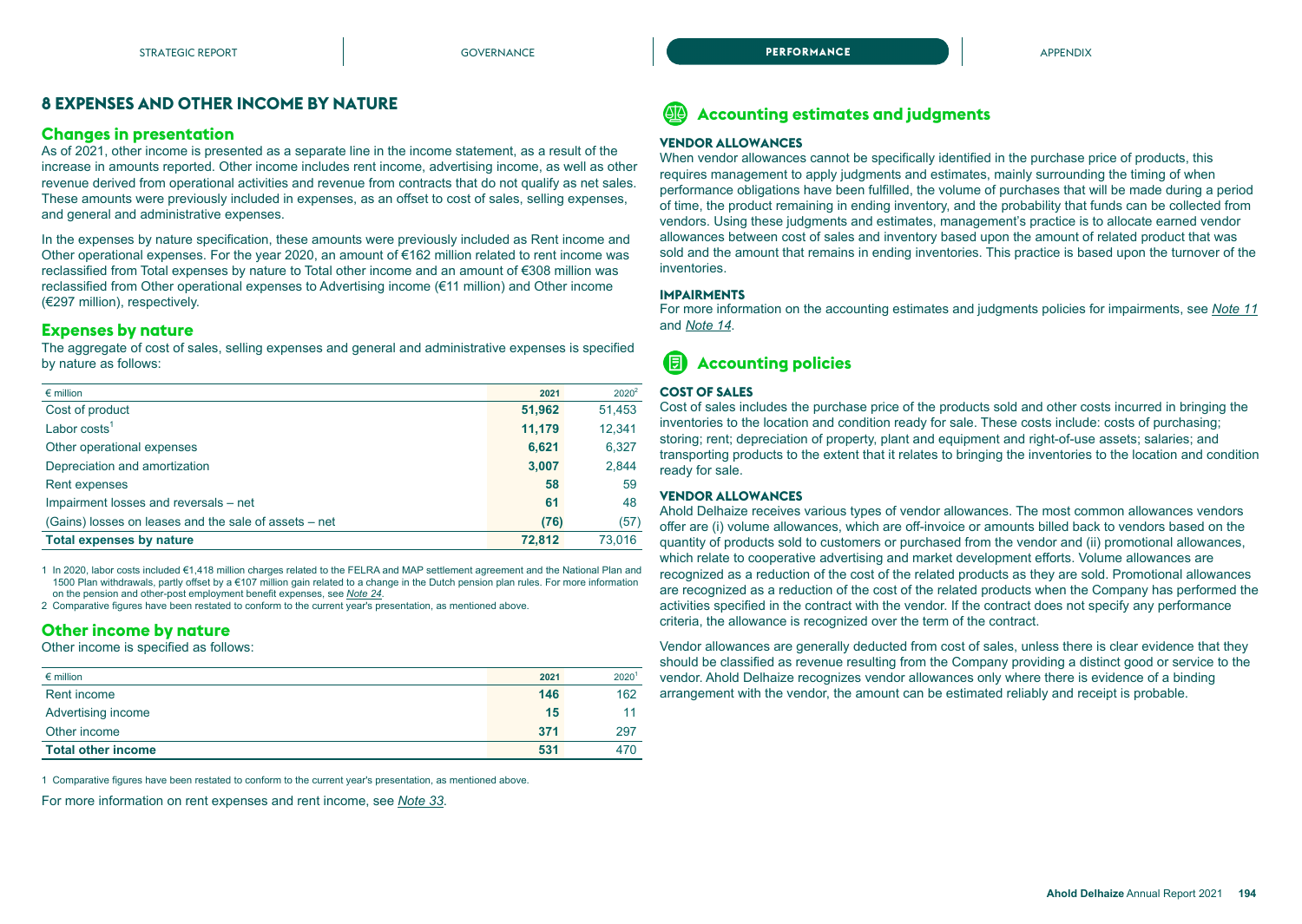## <span id="page-16-0"></span>**8 EXPENSES AND OTHER INCOME BY NATURE**

#### **Changes in presentation**

As of 2021, other income is presented as a separate line in the income statement, as a result of the increase in amounts reported. Other income includes rent income, advertising income, as well as other revenue derived from operational activities and revenue from contracts that do not qualify as net sales. These amounts were previously included in expenses, as an offset to cost of sales, selling expenses, and general and administrative expenses.

In the expenses by nature specification, these amounts were previously included as Rent income and Other operational expenses. For the year 2020, an amount of €162 million related to rent income was reclassified from Total expenses by nature to Total other income and an amount of €308 million was reclassified from Other operational expenses to Advertising income (€11 million) and Other income (€297 million), respectively.

#### **Expenses by nature**

The aggregate of cost of sales, selling expenses and general and administrative expenses is specified by nature as follows:

| $\epsilon$ million                                    | 2021   | $2020^2$ |
|-------------------------------------------------------|--------|----------|
| Cost of product                                       | 51,962 | 51,453   |
| Labor $costs1$                                        | 11,179 | 12,341   |
| Other operational expenses                            | 6,621  | 6,327    |
| Depreciation and amortization                         | 3.007  | 2,844    |
| Rent expenses                                         | 58     | 59       |
| Impairment losses and reversals - net                 | 61     | 48       |
| (Gains) losses on leases and the sale of assets – net | (76)   | (57)     |
| <b>Total expenses by nature</b>                       | 72.812 | 73.016   |

1 In 2020, labor costs included €1,418 million charges related to the FELRA and MAP settlement agreement and the National Plan and 1500 Plan withdrawals, partly offset by a €107 million gain related to a change in the Dutch pension plan rules. For more information on the pension and other-post employment benefit expenses, see *[Note 24](#page-38-0)*.

2 Comparative figures have been restated to conform to the current year's presentation, as mentioned above.

#### **Other income by nature**

Other income is specified as follows:

| $\epsilon$ million        | 2021 | 2020 <sup>1</sup> |
|---------------------------|------|-------------------|
| Rent income               | 146  | 162               |
| Advertising income        | 15   |                   |
| Other income              | 371  | 297               |
| <b>Total other income</b> | 531  | 470               |

1 Comparative figures have been restated to conform to the current year's presentation, as mentioned above.

For more information on rent expenses and rent income, see *[Note 33](#page-62-0)*.

## **Accounting estimates and judgments**

#### **VENDOR ALLOWANCES**

When vendor allowances cannot be specifically identified in the purchase price of products, this requires management to apply judgments and estimates, mainly surrounding the timing of when performance obligations have been fulfilled, the volume of purchases that will be made during a period of time, the product remaining in ending inventory, and the probability that funds can be collected from vendors. Using these judgments and estimates, management's practice is to allocate earned vendor allowances between cost of sales and inventory based upon the amount of related product that was sold and the amount that remains in ending inventories. This practice is based upon the turnover of the inventories.

#### **IMPAIRMENTS**

For more information on the accounting estimates and judgments policies for impairments, see *[Note 11](#page-22-0)* and *[Note 14](#page-26-0)*.

## **Accounting policies**

#### **COST OF SALES**

Cost of sales includes the purchase price of the products sold and other costs incurred in bringing the inventories to the location and condition ready for sale. These costs include: costs of purchasing; storing; rent; depreciation of property, plant and equipment and right-of-use assets; salaries; and transporting products to the extent that it relates to bringing the inventories to the location and condition ready for sale.

#### **VENDOR ALLOWANCES**

Ahold Delhaize receives various types of vendor allowances. The most common allowances vendors offer are (i) volume allowances, which are off-invoice or amounts billed back to vendors based on the quantity of products sold to customers or purchased from the vendor and (ii) promotional allowances, which relate to cooperative advertising and market development efforts. Volume allowances are recognized as a reduction of the cost of the related products as they are sold. Promotional allowances are recognized as a reduction of the cost of the related products when the Company has performed the activities specified in the contract with the vendor. If the contract does not specify any performance criteria, the allowance is recognized over the term of the contract.

Vendor allowances are generally deducted from cost of sales, unless there is clear evidence that they should be classified as revenue resulting from the Company providing a distinct good or service to the vendor. Ahold Delhaize recognizes vendor allowances only where there is evidence of a binding arrangement with the vendor, the amount can be estimated reliably and receipt is probable.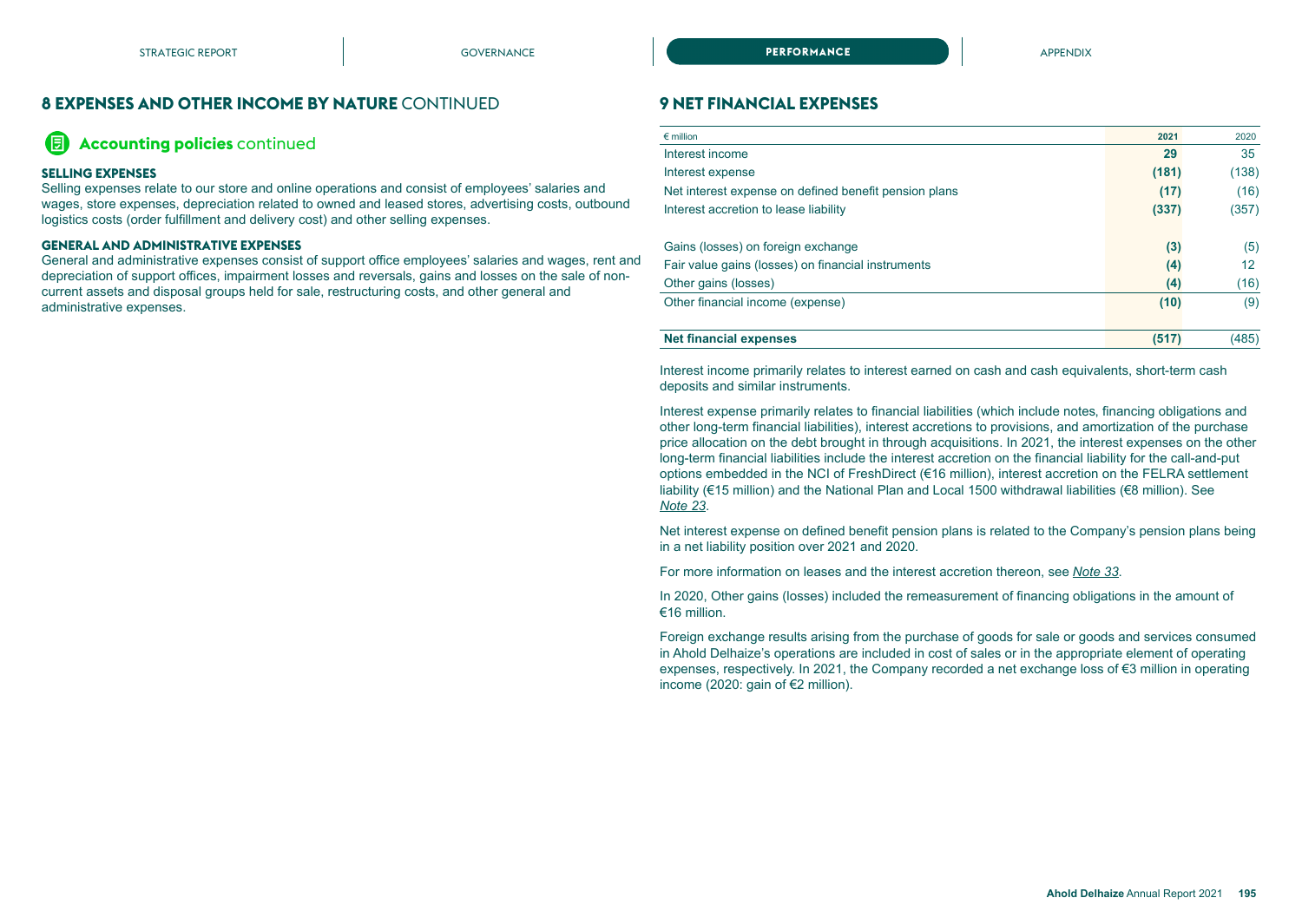## <span id="page-17-0"></span>**8 EXPENSES AND OTHER INCOME BY NATURE** CONTINUED

#### 侗 **Accounting policies** continued

#### **SELLING EXPENSES**

Selling expenses relate to our store and online operations and consist of employees' salaries and wages, store expenses, depreciation related to owned and leased stores, advertising costs, outbound logistics costs (order fulfillment and delivery cost) and other selling expenses.

#### **GENERAL AND ADMINISTRATIVE EXPENSES**

General and administrative expenses consist of support office employees' salaries and wages, rent and depreciation of support offices, impairment losses and reversals, gains and losses on the sale of noncurrent assets and disposal groups held for sale, restructuring costs, and other general and administrative expenses.

## **9 NET FINANCIAL EXPENSES**

| $\epsilon$ million                                    | 2021  | 2020  |
|-------------------------------------------------------|-------|-------|
| Interest income                                       | 29    | 35    |
| Interest expense                                      | (181) | (138) |
| Net interest expense on defined benefit pension plans | (17)  | (16)  |
| Interest accretion to lease liability                 | (337) | (357) |
|                                                       |       |       |
| Gains (losses) on foreign exchange                    | (3)   | (5)   |
| Fair value gains (losses) on financial instruments    | (4)   | 12    |
| Other gains (losses)                                  | (4)   | (16)  |
| Other financial income (expense)                      | (10)  | (9)   |
|                                                       |       |       |
| <b>Net financial expenses</b>                         | (517) | (485) |

Interest income primarily relates to interest earned on cash and cash equivalents, short-term cash deposits and similar instruments.

Interest expense primarily relates to financial liabilities (which include notes, financing obligations and other long-term financial liabilities), interest accretions to provisions, and amortization of the purchase price allocation on the debt brought in through acquisitions. In 2021, the interest expenses on the other long-term financial liabilities include the interest accretion on the financial liability for the call-and-put options embedded in the NCI of FreshDirect (€16 million), interest accretion on the FELRA settlement liability (€15 million) and the National Plan and Local 1500 withdrawal liabilities (€8 million). See *[Note 23](#page-37-0)*.

Net interest expense on defined benefit pension plans is related to the Company's pension plans being in a net liability position over 2021 and 2020.

For more information on leases and the interest accretion thereon, see *[Note 33](#page-62-0)*.

In 2020, Other gains (losses) included the remeasurement of financing obligations in the amount of €16 million.

Foreign exchange results arising from the purchase of goods for sale or goods and services consumed in Ahold Delhaize's operations are included in cost of sales or in the appropriate element of operating expenses, respectively. In 2021, the Company recorded a net exchange loss of €3 million in operating income (2020: gain of €2 million).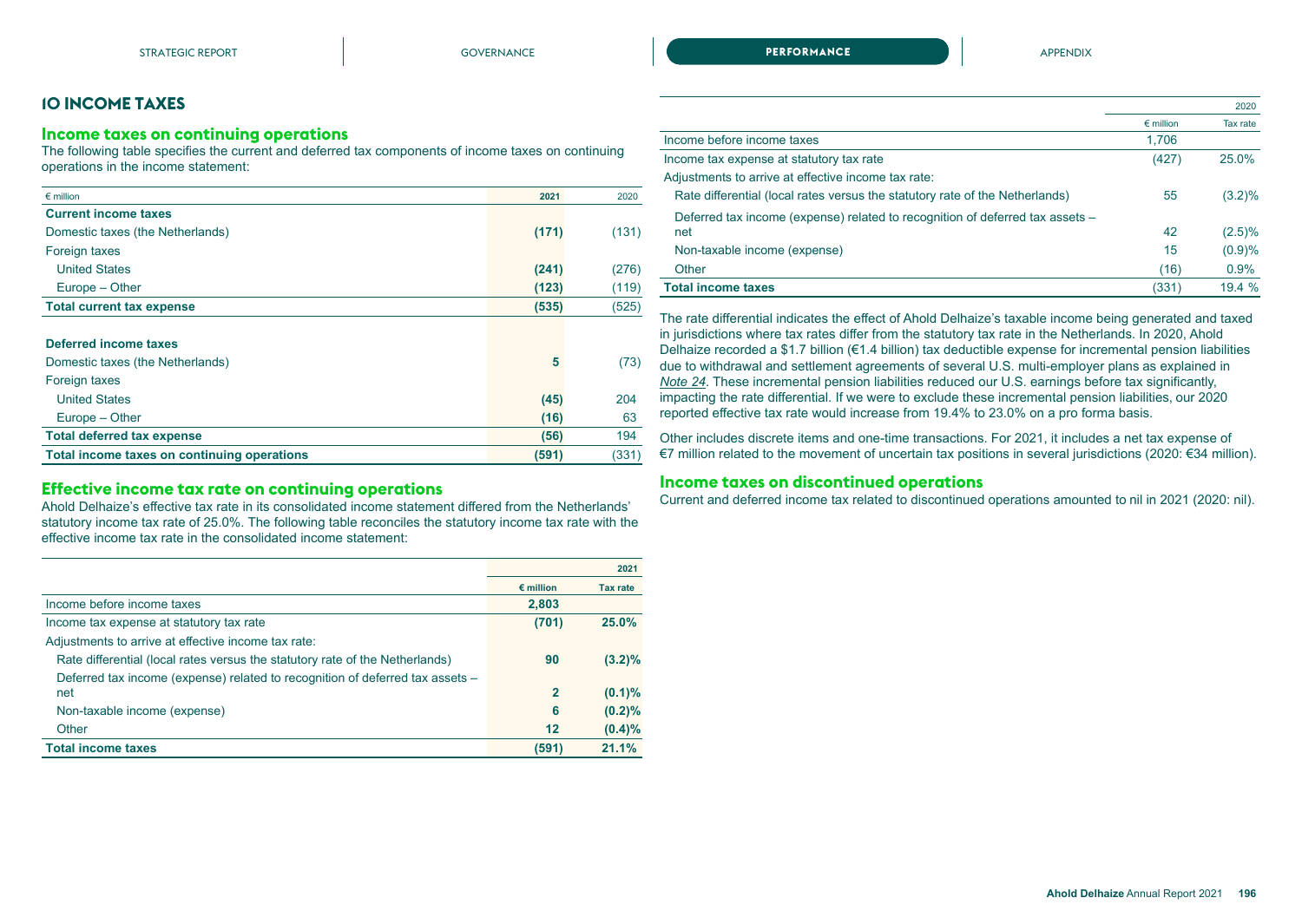<span id="page-18-0"></span>

|  |  | <b>IO INCOME TAXES</b> |
|--|--|------------------------|
|--|--|------------------------|

#### **Income taxes on continuing operations**

The following table specifies the current and deferred tax components of income taxes on continuing operations in the income statement:

| $\epsilon$ million                          | 2021  | 2020  |
|---------------------------------------------|-------|-------|
| <b>Current income taxes</b>                 |       |       |
| Domestic taxes (the Netherlands)            | (171) | (131) |
| Foreign taxes                               |       |       |
| <b>United States</b>                        | (241) | (276) |
| Europe – Other                              | (123) | (119) |
| <b>Total current tax expense</b>            | (535) | (525) |
|                                             |       |       |
| Deferred income taxes                       |       |       |
| Domestic taxes (the Netherlands)            | 5     | (73)  |
| Foreign taxes                               |       |       |
| <b>United States</b>                        | (45)  | 204   |
| Europe – Other                              | (16)  | 63    |
| <b>Total deferred tax expense</b>           | (56)  | 194   |
| Total income taxes on continuing operations | (591) | (331) |

## **Effective income tax rate on continuing operations**

Ahold Delhaize's effective tax rate in its consolidated income statement differed from the Netherlands' statutory income tax rate of 25.0%. The following table reconciles the statutory income tax rate with the effective income tax rate in the consolidated income statement:

|                                                                               |                    | 2021            |
|-------------------------------------------------------------------------------|--------------------|-----------------|
|                                                                               | $\epsilon$ million | <b>Tax rate</b> |
| Income before income taxes                                                    | 2,803              |                 |
| Income tax expense at statutory tax rate                                      | (701)              | 25.0%           |
| Adjustments to arrive at effective income tax rate:                           |                    |                 |
| Rate differential (local rates versus the statutory rate of the Netherlands)  | 90                 | $(3.2)\%$       |
| Deferred tax income (expense) related to recognition of deferred tax assets – |                    |                 |
| net                                                                           | $\mathbf{2}$       | $(0.1)\%$       |
| Non-taxable income (expense)                                                  | 6                  | $(0.2)\%$       |
| Other                                                                         | $12 \overline{ }$  | $(0.4)\%$       |
| <b>Total income taxes</b>                                                     | (591)              | 21.1%           |

|                                                                               |                    | 2020      |
|-------------------------------------------------------------------------------|--------------------|-----------|
|                                                                               | $\epsilon$ million | Tax rate  |
| Income before income taxes                                                    | 1,706              |           |
| Income tax expense at statutory tax rate                                      | (427)              | 25.0%     |
| Adjustments to arrive at effective income tax rate:                           |                    |           |
| Rate differential (local rates versus the statutory rate of the Netherlands)  | 55                 | $(3.2)\%$ |
| Deferred tax income (expense) related to recognition of deferred tax assets – |                    |           |
| net                                                                           | 42                 | (2.5)%    |
| Non-taxable income (expense)                                                  | 15                 | (0.9)%    |
| Other                                                                         | (16)               | 0.9%      |
| <b>Total income taxes</b>                                                     | (331)              | 19.4%     |

The rate differential indicates the effect of Ahold Delhaize's taxable income being generated and taxed in jurisdictions where tax rates differ from the statutory tax rate in the Netherlands. In 2020, Ahold Delhaize recorded a \$1.7 billion (€1.4 billion) tax deductible expense for incremental pension liabilities due to withdrawal and settlement agreements of several U.S. multi-employer plans as explained in *[Note 24](#page-38-0)*. These incremental pension liabilities reduced our U.S. earnings before tax significantly, impacting the rate differential. If we were to exclude these incremental pension liabilities, our 2020 reported effective tax rate would increase from 19.4% to 23.0% on a pro forma basis.

Other includes discrete items and one-time transactions. For 2021, it includes a net tax expense of €7 million related to the movement of uncertain tax positions in several jurisdictions (2020: €34 million).

### **Income taxes on discontinued operations**

Current and deferred income tax related to discontinued operations amounted to nil in 2021 (2020: nil).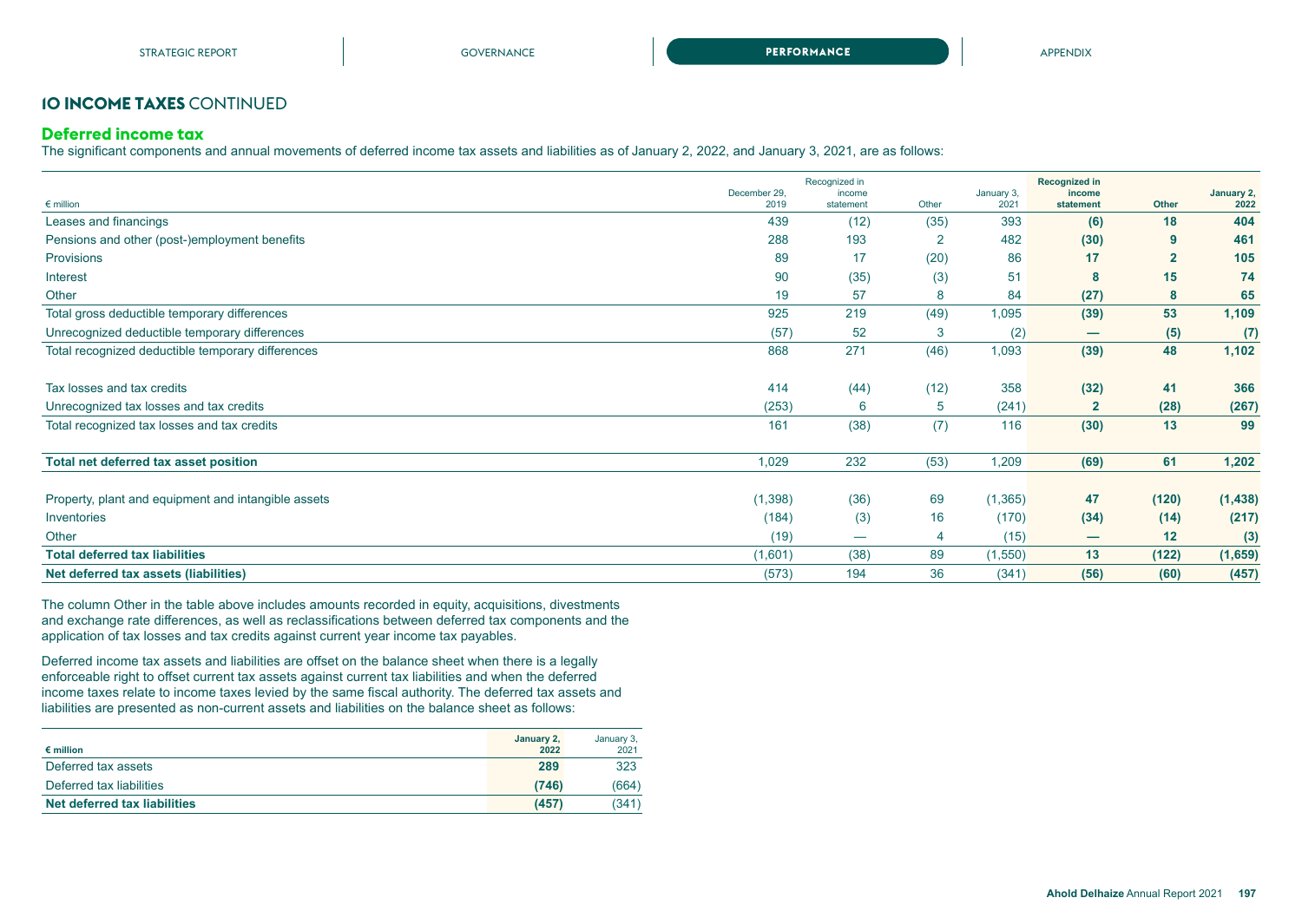## **10 INCOME TAXES** CONTINUED

### **Deferred income tax**

The significant components and annual movements of deferred income tax assets and liabilities as of January 2, 2022, and January 3, 2021, are as follows:

|                                                     | December 29. | Recognized in<br>income |                | January 3, | <b>Recognized in</b><br>income |                | January 2, |
|-----------------------------------------------------|--------------|-------------------------|----------------|------------|--------------------------------|----------------|------------|
| $\epsilon$ million                                  | 2019         | statement               | Other          | 2021       | statement                      | Other          | 2022       |
| Leases and financings                               | 439          | (12)                    | (35)           | 393        | (6)                            | 18             | 404        |
| Pensions and other (post-)employment benefits       | 288          | 193                     | $\overline{2}$ | 482        | (30)                           | 9              | 461        |
| Provisions                                          | 89           | 17                      | (20)           | 86         | 17                             | $\overline{2}$ | 105        |
| Interest                                            | 90           | (35)                    | (3)            | 51         | 8                              | 15             | 74         |
| Other                                               | 19           | 57                      | 8              | 84         | (27)                           | 8              | 65         |
| Total gross deductible temporary differences        | 925          | 219                     | (49)           | 1,095      | (39)                           | 53             | 1,109      |
| Unrecognized deductible temporary differences       | (57)         | 52                      | 3              | (2)        |                                | (5)            | (7)        |
| Total recognized deductible temporary differences   | 868          | 271                     | (46)           | 1,093      | (39)                           | 48             | 1,102      |
| Tax losses and tax credits                          | 414          | (44)                    | (12)           | 358        | (32)                           | 41             | 366        |
| Unrecognized tax losses and tax credits             | (253)        | 6                       | 5              | (241)      | $\overline{2}$                 | (28)           | (267)      |
| Total recognized tax losses and tax credits         | 161          | (38)                    | (7)            | 116        | (30)                           | 13             | 99         |
| Total net deferred tax asset position               | 1,029        | 232                     | (53)           | 1,209      | (69)                           | 61             | 1,202      |
| Property, plant and equipment and intangible assets | (1, 398)     | (36)                    | 69             | (1,365)    | 47                             | (120)          | (1, 438)   |
| Inventories                                         | (184)        | (3)                     | 16             | (170)      | (34)                           | (14)           | (217)      |
| Other                                               | (19)         |                         | 4              | (15)       |                                | 12             | (3)        |
| <b>Total deferred tax liabilities</b>               | (1,601)      | (38)                    | 89             | (1,550)    | 13                             | (122)          | (1,659)    |
| Net deferred tax assets (liabilities)               | (573)        | 194                     | 36             | (341)      | (56)                           | (60)           | (457)      |

The column Other in the table above includes amounts recorded in equity, acquisitions, divestments and exchange rate differences, as well as reclassifications between deferred tax components and the application of tax losses and tax credits against current year income tax payables.

Deferred income tax assets and liabilities are offset on the balance sheet when there is a legally enforceable right to offset current tax assets against current tax liabilities and when the deferred income taxes relate to income taxes levied by the same fiscal authority. The deferred tax assets and liabilities are presented as non-current assets and liabilities on the balance sheet as follows:

| $\epsilon$ million           | January 2,<br>2022 | January 3,<br>2021 |
|------------------------------|--------------------|--------------------|
| Deferred tax assets          | 289                | 323                |
| Deferred tax liabilities     | (746)              | (664)              |
| Net deferred tax liabilities | (457)              | (341)              |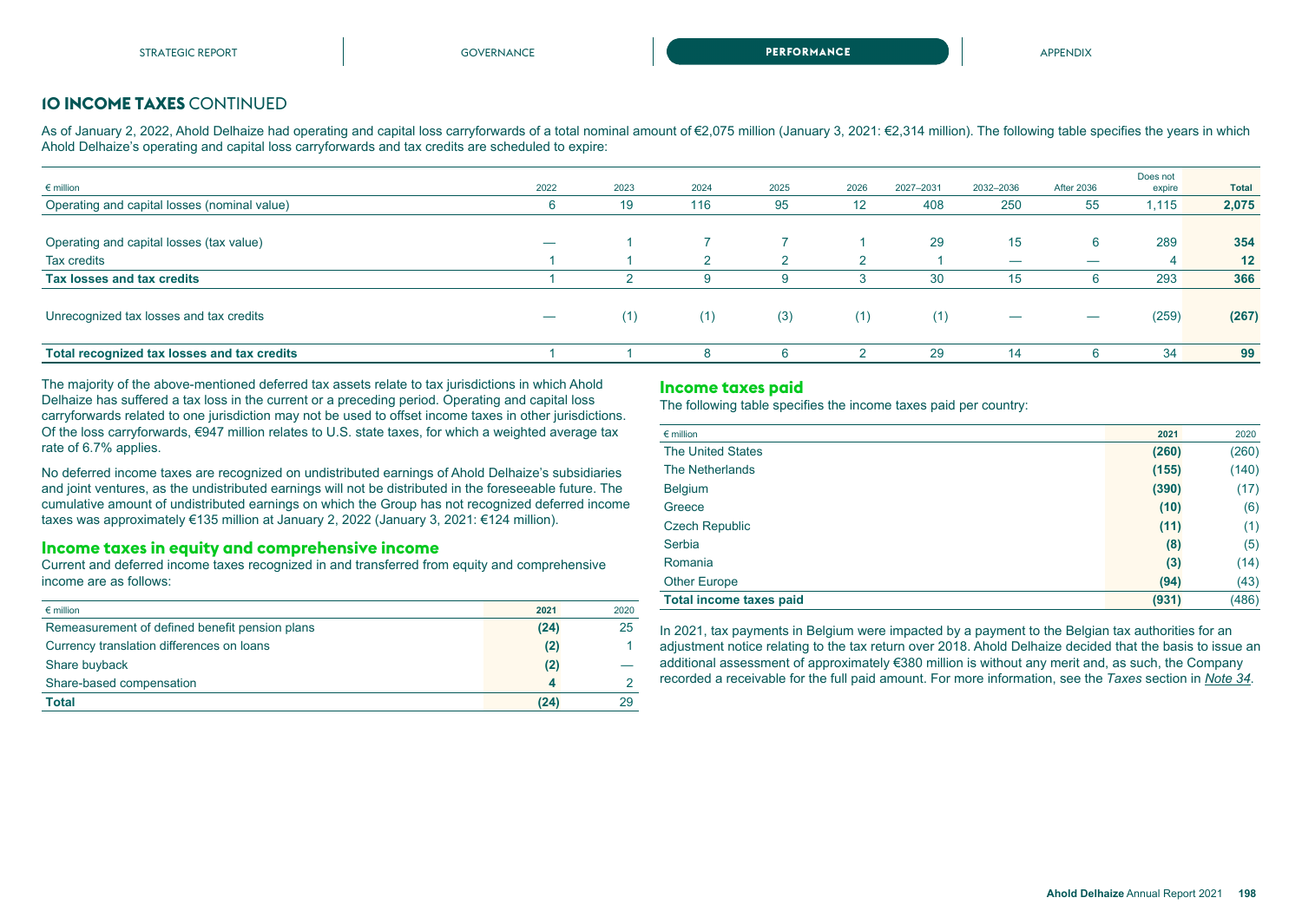## **10 INCOME TAXES** CONTINUED

As of January 2, 2022, Ahold Delhaize had operating and capital loss carryforwards of a total nominal amount of €2,075 million (January 3, 2021: €2,314 million). The following table specifies the years in which Ahold Delhaize's operating and capital loss carryforwards and tax credits are scheduled to expire:

| $\epsilon$ million                           | 2022 | 2023 | 2024 | 2025 | 2026            | 2027-2031 | 2032-2036                | <b>After 2036</b>        | Does not<br>expire | <b>Total</b> |
|----------------------------------------------|------|------|------|------|-----------------|-----------|--------------------------|--------------------------|--------------------|--------------|
| Operating and capital losses (nominal value) | 6    | 19   | 116  | 95   | 12 <sup>°</sup> | 408       | 250                      | 55                       | 1,115              | 2,075        |
|                                              |      |      |      |      |                 |           |                          |                          |                    |              |
| Operating and capital losses (tax value)     |      |      |      |      |                 | 29        | 15                       | 6                        | 289                | 354          |
| Tax credits                                  |      |      |      |      |                 |           |                          |                          | 4                  | 12           |
| Tax losses and tax credits                   |      |      |      |      |                 | 30        | 15                       | 6                        | 293                | 366          |
| Unrecognized tax losses and tax credits      |      | (1)  | (1)  | (3)  | (1)             | (1)       | $\overline{\phantom{m}}$ | $\overline{\phantom{a}}$ | (259)              | (267)        |
| Total recognized tax losses and tax credits  |      |      |      |      |                 | 29        | 14                       |                          | 34                 | 99           |

The majority of the above-mentioned deferred tax assets relate to tax jurisdictions in which Ahold Delhaize has suffered a tax loss in the current or a preceding period. Operating and capital loss carryforwards related to one jurisdiction may not be used to offset income taxes in other jurisdictions. Of the loss carryforwards, €947 million relates to U.S. state taxes, for which a weighted average tax rate of 6.7% applies.

No deferred income taxes are recognized on undistributed earnings of Ahold Delhaize's subsidiaries and joint ventures, as the undistributed earnings will not be distributed in the foreseeable future. The cumulative amount of undistributed earnings on which the Group has not recognized deferred income taxes was approximately €135 million at January 2, 2022 (January 3, 2021: €124 million).

#### **Income taxes in equity and comprehensive income**

Current and deferred income taxes recognized in and transferred from equity and comprehensive income are as follows:

| $\epsilon$ million                             | 2021 | 2020 |
|------------------------------------------------|------|------|
| Remeasurement of defined benefit pension plans | (24) | 25   |
| Currency translation differences on loans      | (2)  |      |
| Share buyback                                  | (2)  |      |
| Share-based compensation                       | 4    |      |
| Total                                          | (24) | 29   |

#### **Income taxes paid**

The following table specifies the income taxes paid per country:

| $\epsilon$ million             | 2021  | 2020  |
|--------------------------------|-------|-------|
| <b>The United States</b>       | (260) | (260) |
| The Netherlands                | (155) | (140) |
| <b>Belgium</b>                 | (390) | (17)  |
| Greece                         | (10)  | (6)   |
| <b>Czech Republic</b>          | (11)  | (1)   |
| Serbia                         | (8)   | (5)   |
| Romania                        | (3)   | (14)  |
| <b>Other Europe</b>            | (94)  | (43)  |
| <b>Total income taxes paid</b> | (931) | (486) |

In 2021, tax payments in Belgium were impacted by a payment to the Belgian tax authorities for an adjustment notice relating to the tax return over 2018. Ahold Delhaize decided that the basis to issue an additional assessment of approximately €380 million is without any merit and, as such, the Company recorded a receivable for the full paid amount. For more information, see the *Taxes* section in *[Note 34](#page-66-0)*.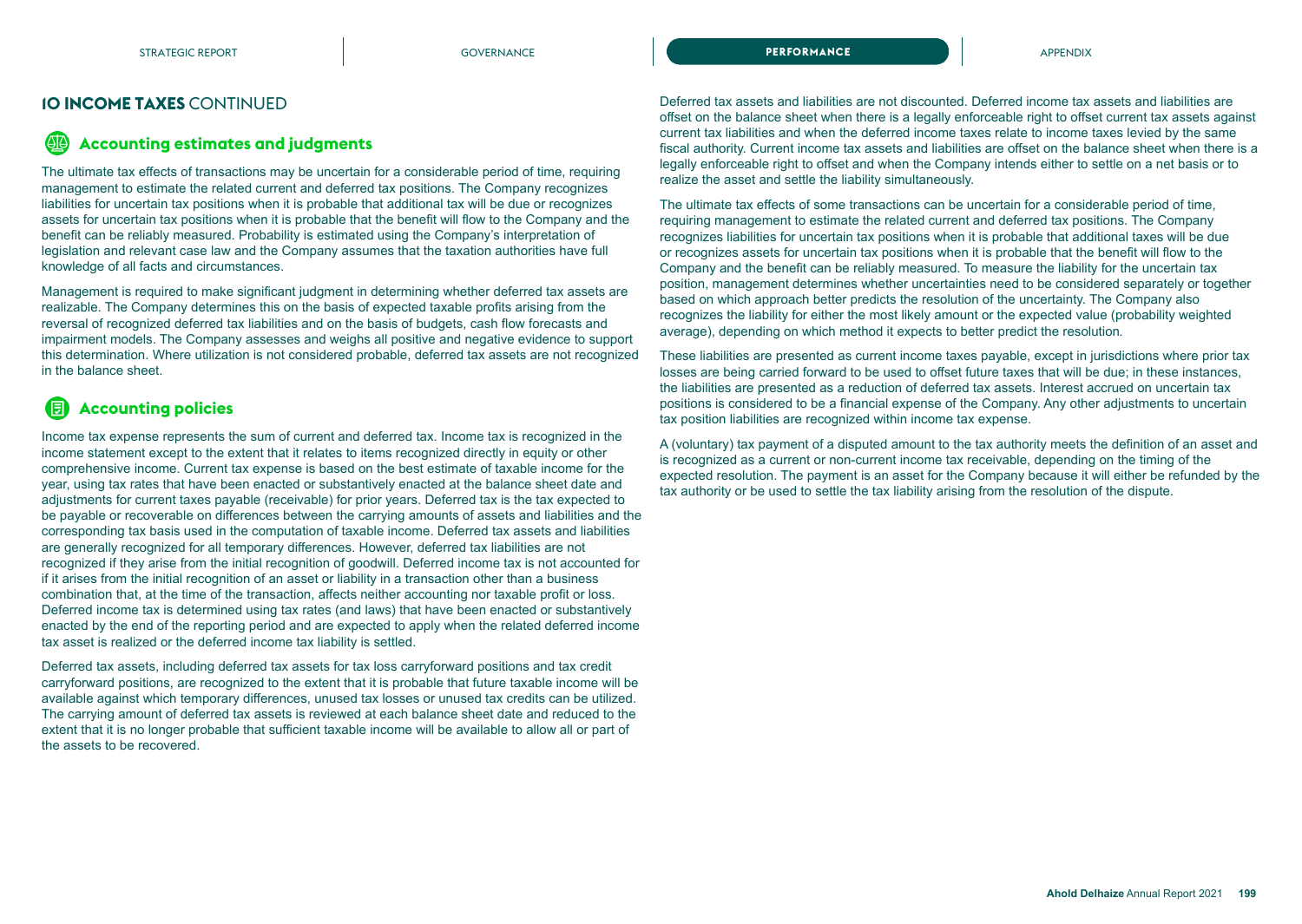#### STRATEGIC REPORT STRATEGIC REPORT APPENDIX APPENDIX GOVERNANCE STRATEGIC REPORT OF APPENDIX

## **10 INCOME TAXES** CONTINUED

## **Accounting estimates and judgments**

The ultimate tax effects of transactions may be uncertain for a considerable period of time, requiring management to estimate the related current and deferred tax positions. The Company recognizes liabilities for uncertain tax positions when it is probable that additional tax will be due or recognizes assets for uncertain tax positions when it is probable that the benefit will flow to the Company and the benefit can be reliably measured. Probability is estimated using the Company's interpretation of legislation and relevant case law and the Company assumes that the taxation authorities have full knowledge of all facts and circumstances.

Management is required to make significant judgment in determining whether deferred tax assets are realizable. The Company determines this on the basis of expected taxable profits arising from the reversal of recognized deferred tax liabilities and on the basis of budgets, cash flow forecasts and impairment models. The Company assesses and weighs all positive and negative evidence to support this determination. Where utilization is not considered probable, deferred tax assets are not recognized in the balance sheet.

#### **Accounting policies** (FI)

Income tax expense represents the sum of current and deferred tax. Income tax is recognized in the income statement except to the extent that it relates to items recognized directly in equity or other comprehensive income. Current tax expense is based on the best estimate of taxable income for the year, using tax rates that have been enacted or substantively enacted at the balance sheet date and adjustments for current taxes payable (receivable) for prior years. Deferred tax is the tax expected to be payable or recoverable on differences between the carrying amounts of assets and liabilities and the corresponding tax basis used in the computation of taxable income. Deferred tax assets and liabilities are generally recognized for all temporary differences. However, deferred tax liabilities are not recognized if they arise from the initial recognition of goodwill. Deferred income tax is not accounted for if it arises from the initial recognition of an asset or liability in a transaction other than a business combination that, at the time of the transaction, affects neither accounting nor taxable profit or loss. Deferred income tax is determined using tax rates (and laws) that have been enacted or substantively enacted by the end of the reporting period and are expected to apply when the related deferred income tax asset is realized or the deferred income tax liability is settled.

Deferred tax assets, including deferred tax assets for tax loss carryforward positions and tax credit carryforward positions, are recognized to the extent that it is probable that future taxable income will be available against which temporary differences, unused tax losses or unused tax credits can be utilized. The carrying amount of deferred tax assets is reviewed at each balance sheet date and reduced to the extent that it is no longer probable that sufficient taxable income will be available to allow all or part of the assets to be recovered.

Deferred tax assets and liabilities are not discounted. Deferred income tax assets and liabilities are offset on the balance sheet when there is a legally enforceable right to offset current tax assets against current tax liabilities and when the deferred income taxes relate to income taxes levied by the same fiscal authority. Current income tax assets and liabilities are offset on the balance sheet when there is a legally enforceable right to offset and when the Company intends either to settle on a net basis or to realize the asset and settle the liability simultaneously.

The ultimate tax effects of some transactions can be uncertain for a considerable period of time, requiring management to estimate the related current and deferred tax positions. The Company recognizes liabilities for uncertain tax positions when it is probable that additional taxes will be due or recognizes assets for uncertain tax positions when it is probable that the benefit will flow to the Company and the benefit can be reliably measured. To measure the liability for the uncertain tax position, management determines whether uncertainties need to be considered separately or together based on which approach better predicts the resolution of the uncertainty. The Company also recognizes the liability for either the most likely amount or the expected value (probability weighted average), depending on which method it expects to better predict the resolution.

These liabilities are presented as current income taxes payable, except in jurisdictions where prior tax losses are being carried forward to be used to offset future taxes that will be due; in these instances, the liabilities are presented as a reduction of deferred tax assets. Interest accrued on uncertain tax positions is considered to be a financial expense of the Company. Any other adjustments to uncertain tax position liabilities are recognized within income tax expense.

A (voluntary) tax payment of a disputed amount to the tax authority meets the definition of an asset and is recognized as a current or non-current income tax receivable, depending on the timing of the expected resolution. The payment is an asset for the Company because it will either be refunded by the tax authority or be used to settle the tax liability arising from the resolution of the dispute.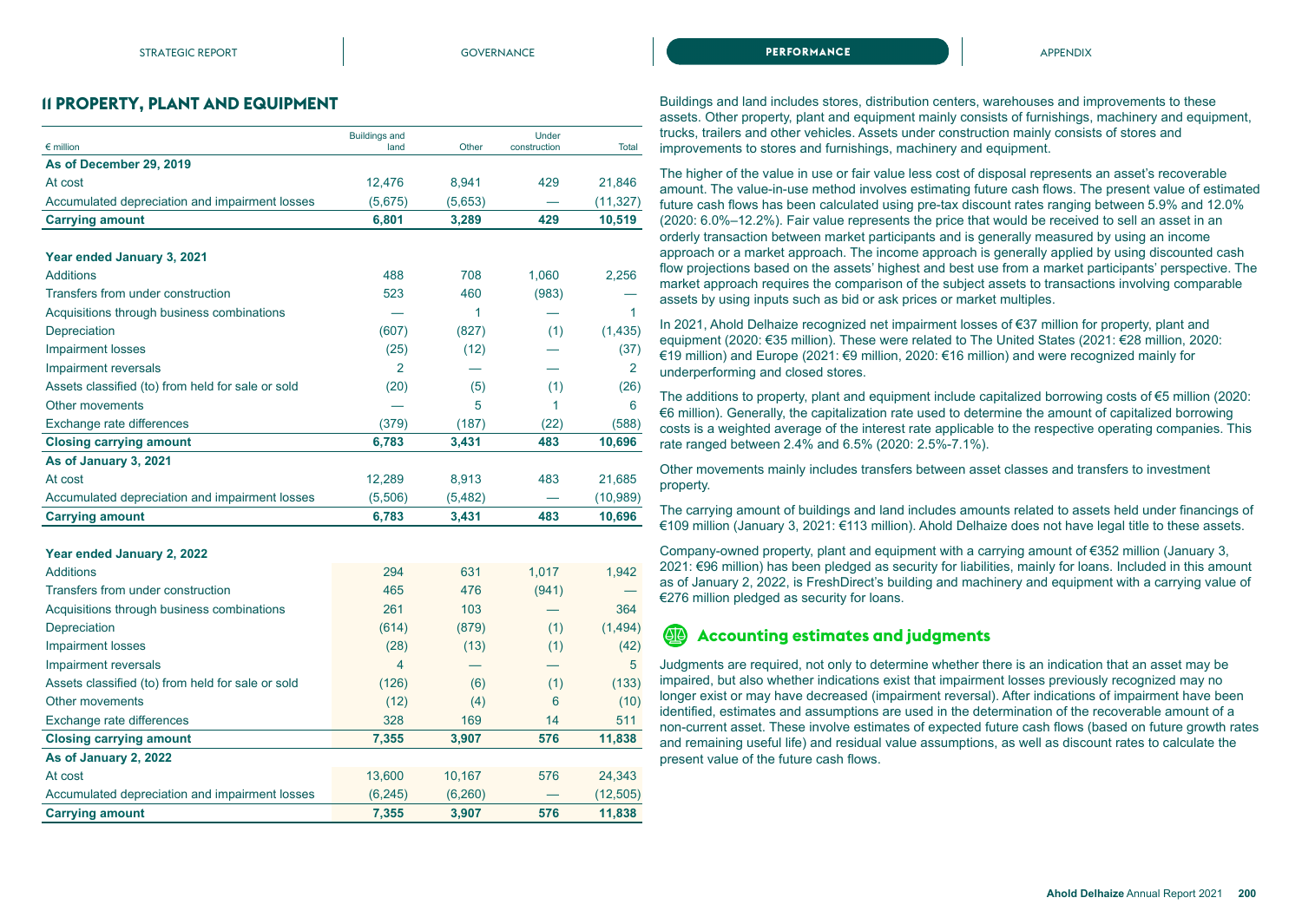## <span id="page-22-0"></span>**11 PROPERTY, PLANT AND EQUIPMENT**

| $\epsilon$ million                                | <b>Buildings and</b><br>land | Other    | Under<br>construction | <b>Total</b> |
|---------------------------------------------------|------------------------------|----------|-----------------------|--------------|
| As of December 29, 2019                           |                              |          |                       |              |
| At cost                                           | 12,476                       | 8,941    | 429                   | 21,846       |
| Accumulated depreciation and impairment losses    | (5,675)                      | (5,653)  |                       | (11, 327)    |
| <b>Carrying amount</b>                            | 6,801                        | 3,289    | 429                   | 10,519       |
|                                                   |                              |          |                       |              |
| Year ended January 3, 2021                        |                              |          |                       |              |
| <b>Additions</b>                                  | 488                          | 708      | 1,060                 | 2,256        |
| Transfers from under construction                 | 523                          | 460      | (983)                 |              |
| Acquisitions through business combinations        |                              | 1        |                       | 1            |
| Depreciation                                      | (607)                        | (827)    | (1)                   | (1, 435)     |
| <b>Impairment losses</b>                          | (25)                         | (12)     |                       | (37)         |
| Impairment reversals                              | 2                            |          |                       | 2            |
| Assets classified (to) from held for sale or sold | (20)                         | (5)      | (1)                   | (26)         |
| <b>Other movements</b>                            |                              | 5        | 1                     | 6            |
| Exchange rate differences                         | (379)                        | (187)    | (22)                  | (588)        |
| <b>Closing carrying amount</b>                    | 6,783                        | 3,431    | 483                   | 10,696       |
| As of January 3, 2021                             |                              |          |                       |              |
| At cost                                           | 12,289                       | 8,913    | 483                   | 21,685       |
| Accumulated depreciation and impairment losses    | (5,506)                      | (5, 482) |                       | (10, 989)    |
| <b>Carrying amount</b>                            | 6,783                        | 3,431    | 483                   | 10,696       |
|                                                   |                              |          |                       |              |
| Year ended January 2, 2022                        |                              |          |                       |              |
| <b>Additions</b>                                  | 294                          | 631      | 1,017                 | 1,942        |
| Transfers from under construction                 | 465                          | 476      | (941)                 |              |
| Acquisitions through business combinations        | 261                          | 103      |                       | 364          |
| Depreciation                                      | (614)                        | (879)    | (1)                   | (1,494)      |
| <b>Impairment losses</b>                          | (28)                         | (13)     | (1)                   | (42)         |
| Impairment reversals                              | 4                            |          |                       | 5            |
| Assets classified (to) from held for sale or sold | (126)                        | (6)      | (1)                   | (133)        |
| Other movements                                   | (12)                         | (4)      | 6                     | (10)         |
| Exchange rate differences                         | 328                          | 169      | 14                    | 511          |
| <b>Closing carrying amount</b>                    | 7,355                        | 3,907    | 576                   | 11,838       |
| As of January 2, 2022                             |                              |          |                       |              |
| At cost                                           | 13,600                       | 10,167   | 576                   | 24,343       |
| Accumulated depreciation and impairment losses    | (6, 245)                     | (6, 260) |                       | (12, 505)    |
| <b>Carrying amount</b>                            | 7,355                        | 3,907    | 576                   | 11,838       |

Buildings and land includes stores, distribution centers, warehouses and improvements to these assets. Other property, plant and equipment mainly consists of furnishings, machinery and equipment, trucks, trailers and other vehicles. Assets under construction mainly consists of stores and improvements to stores and furnishings, machinery and equipment.

The higher of the value in use or fair value less cost of disposal represents an asset's recoverable amount. The value-in-use method involves estimating future cash flows. The present value of estimated future cash flows has been calculated using pre-tax discount rates ranging between 5.9% and 12.0% (2020: 6.0%–12.2%). Fair value represents the price that would be received to sell an asset in an orderly transaction between market participants and is generally measured by using an income approach or a market approach. The income approach is generally applied by using discounted cash flow projections based on the assets' highest and best use from a market participants' perspective. The market approach requires the comparison of the subject assets to transactions involving comparable assets by using inputs such as bid or ask prices or market multiples.

In 2021, Ahold Delhaize recognized net impairment losses of €37 million for property, plant and equipment (2020: €35 million). These were related to The United States (2021: €28 million, 2020: €19 million) and Europe (2021: €9 million, 2020: €16 million) and were recognized mainly for underperforming and closed stores.

The additions to property, plant and equipment include capitalized borrowing costs of €5 million (2020: €6 million). Generally, the capitalization rate used to determine the amount of capitalized borrowing costs is a weighted average of the interest rate applicable to the respective operating companies. This rate ranged between 2.4% and 6.5% (2020: 2.5%-7.1%).

Other movements mainly includes transfers between asset classes and transfers to investment property.

The carrying amount of buildings and land includes amounts related to assets held under financings of €109 million (January 3, 2021: €113 million). Ahold Delhaize does not have legal title to these assets.

Company-owned property, plant and equipment with a carrying amount of €352 million (January 3, 2021: €96 million) has been pledged as security for liabilities, mainly for loans. Included in this amount as of January 2, 2022, is FreshDirect's building and machinery and equipment with a carrying value of €276 million pledged as security for loans.

## **Accounting estimates and judgments**

Judgments are required, not only to determine whether there is an indication that an asset may be impaired, but also whether indications exist that impairment losses previously recognized may no longer exist or may have decreased (impairment reversal). After indications of impairment have been identified, estimates and assumptions are used in the determination of the recoverable amount of a non-current asset. These involve estimates of expected future cash flows (based on future growth rates and remaining useful life) and residual value assumptions, as well as discount rates to calculate the present value of the future cash flows.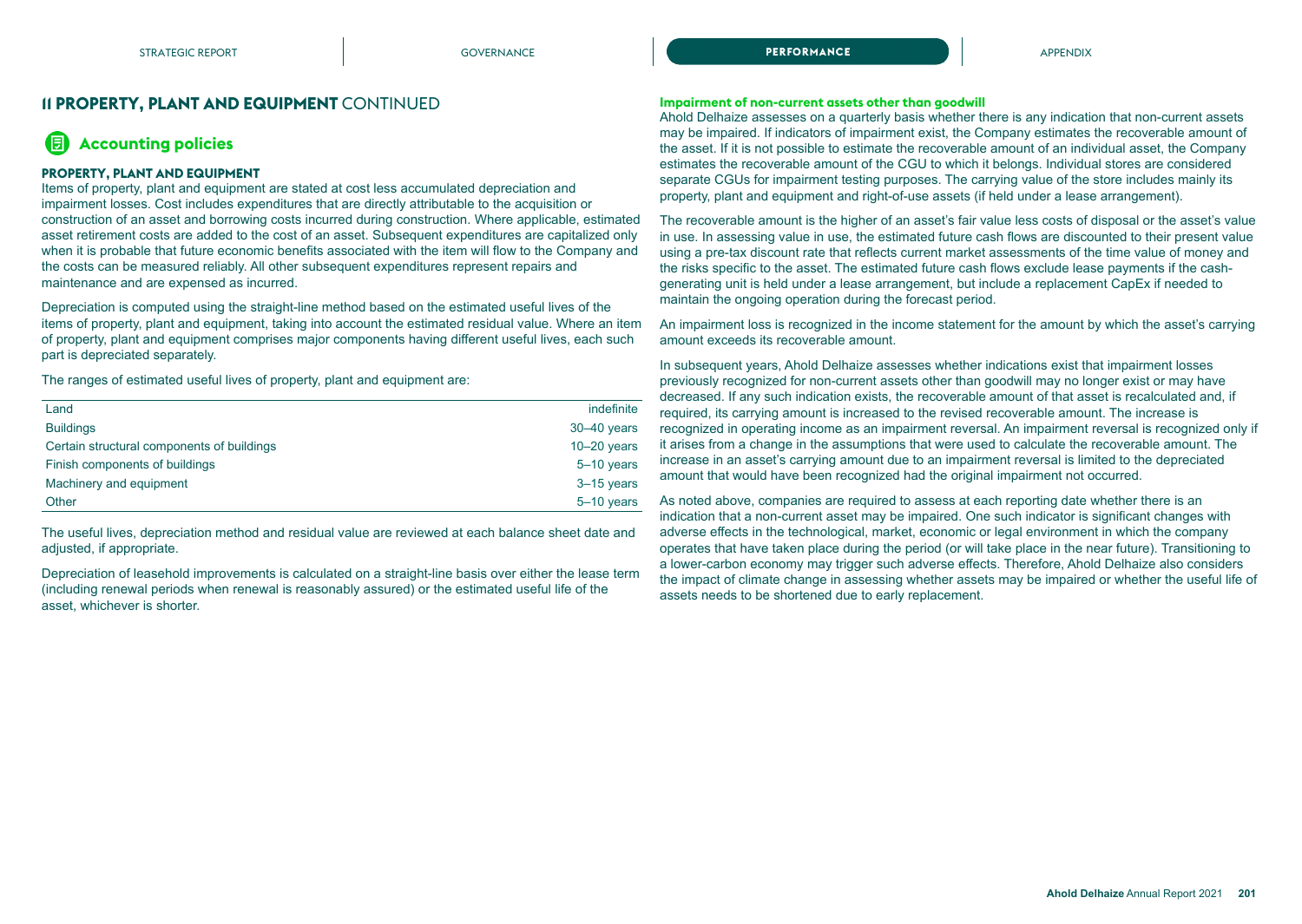## **11 PROPERTY, PLANT AND EQUIPMENT** CONTINUED

#### **Accounting policies** (同

#### **PROPERTY, PLANT AND EQUIPMENT**

Items of property, plant and equipment are stated at cost less accumulated depreciation and impairment losses. Cost includes expenditures that are directly attributable to the acquisition or construction of an asset and borrowing costs incurred during construction. Where applicable, estimated asset retirement costs are added to the cost of an asset. Subsequent expenditures are capitalized only when it is probable that future economic benefits associated with the item will flow to the Company and the costs can be measured reliably. All other subsequent expenditures represent repairs and maintenance and are expensed as incurred.

Depreciation is computed using the straight-line method based on the estimated useful lives of the items of property, plant and equipment, taking into account the estimated residual value. Where an item of property, plant and equipment comprises major components having different useful lives, each such part is depreciated separately.

The ranges of estimated useful lives of property, plant and equipment are:

| Land                                       | indefinite      |
|--------------------------------------------|-----------------|
| <b>Buildings</b>                           | $30 - 40$ years |
| Certain structural components of buildings | $10 - 20$ years |
| Finish components of buildings             | $5 - 10$ years  |
| Machinery and equipment                    | $3 - 15$ years  |
| Other                                      | $5 - 10$ years  |

The useful lives, depreciation method and residual value are reviewed at each balance sheet date and adjusted, if appropriate.

Depreciation of leasehold improvements is calculated on a straight-line basis over either the lease term (including renewal periods when renewal is reasonably assured) or the estimated useful life of the asset, whichever is shorter.

#### **Impairment of non-current assets other than goodwill**

Ahold Delhaize assesses on a quarterly basis whether there is any indication that non-current assets may be impaired. If indicators of impairment exist, the Company estimates the recoverable amount of the asset. If it is not possible to estimate the recoverable amount of an individual asset, the Company estimates the recoverable amount of the CGU to which it belongs. Individual stores are considered separate CGUs for impairment testing purposes. The carrying value of the store includes mainly its property, plant and equipment and right-of-use assets (if held under a lease arrangement).

The recoverable amount is the higher of an asset's fair value less costs of disposal or the asset's value in use. In assessing value in use, the estimated future cash flows are discounted to their present value using a pre-tax discount rate that reflects current market assessments of the time value of money and the risks specific to the asset. The estimated future cash flows exclude lease payments if the cashgenerating unit is held under a lease arrangement, but include a replacement CapEx if needed to maintain the ongoing operation during the forecast period.

An impairment loss is recognized in the income statement for the amount by which the asset's carrying amount exceeds its recoverable amount.

In subsequent years, Ahold Delhaize assesses whether indications exist that impairment losses previously recognized for non-current assets other than goodwill may no longer exist or may have decreased. If any such indication exists, the recoverable amount of that asset is recalculated and, if required, its carrying amount is increased to the revised recoverable amount. The increase is recognized in operating income as an impairment reversal. An impairment reversal is recognized only if it arises from a change in the assumptions that were used to calculate the recoverable amount. The increase in an asset's carrying amount due to an impairment reversal is limited to the depreciated amount that would have been recognized had the original impairment not occurred.

As noted above, companies are required to assess at each reporting date whether there is an indication that a non-current asset may be impaired. One such indicator is significant changes with adverse effects in the technological, market, economic or legal environment in which the company operates that have taken place during the period (or will take place in the near future). Transitioning to a lower-carbon economy may trigger such adverse effects. Therefore, Ahold Delhaize also considers the impact of climate change in assessing whether assets may be impaired or whether the useful life of assets needs to be shortened due to early replacement.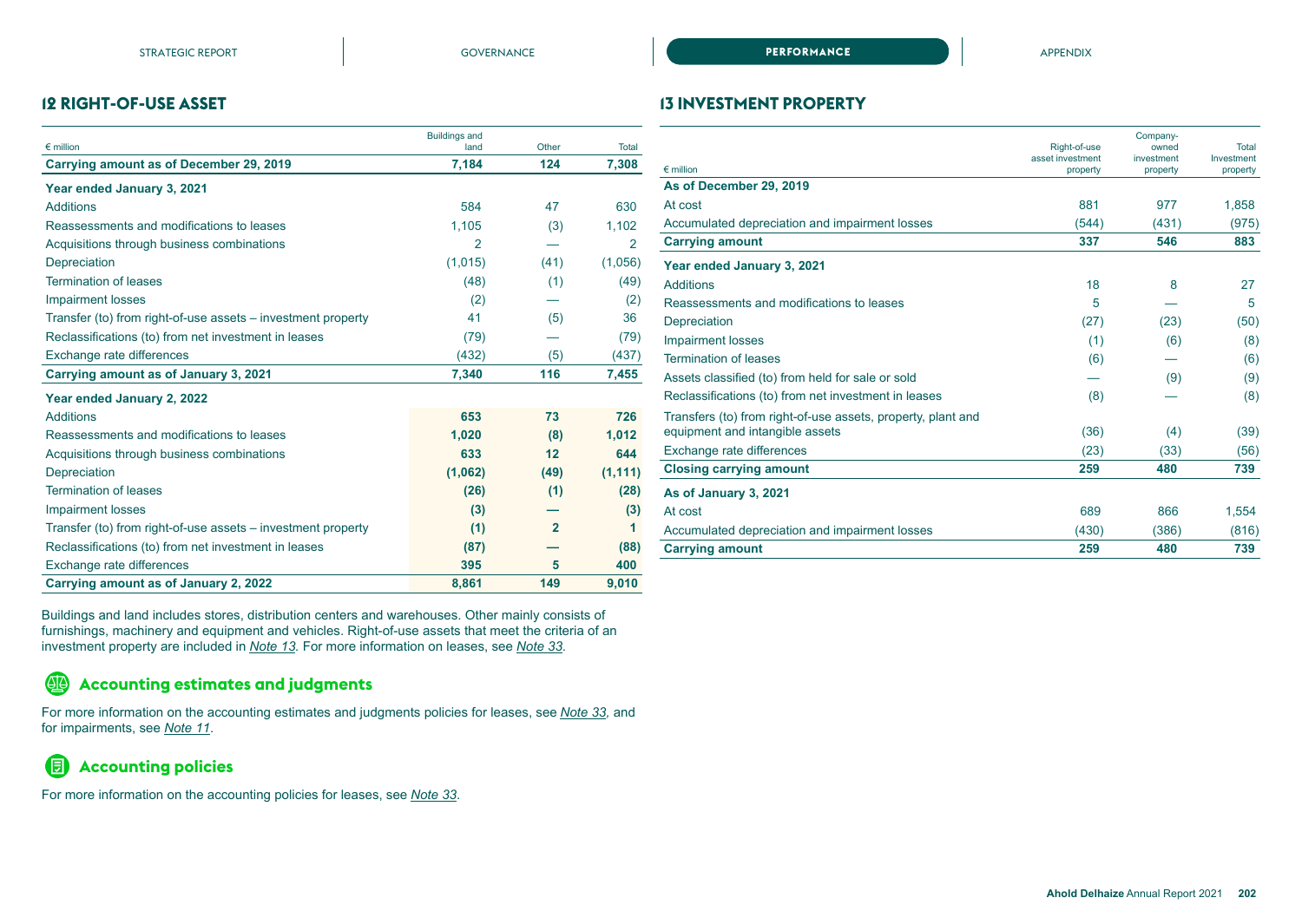## <span id="page-24-0"></span>**12 RIGHT-OF-USE ASSET**

| $\epsilon$ million                                           | <b>Buildings and</b><br>land | Other          | Total          |
|--------------------------------------------------------------|------------------------------|----------------|----------------|
| Carrying amount as of December 29, 2019                      | 7,184                        | 124            | 7,308          |
| Year ended January 3, 2021                                   |                              |                |                |
| <b>Additions</b>                                             | 584                          | 47             | 630            |
| Reassessments and modifications to leases                    | 1,105                        | (3)            | 1,102          |
| Acquisitions through business combinations                   | 2                            |                | $\mathfrak{p}$ |
| Depreciation                                                 | (1,015)                      | (41)           | (1,056)        |
| <b>Termination of leases</b>                                 | (48)                         | (1)            | (49)           |
| <b>Impairment losses</b>                                     | (2)                          |                | (2)            |
| Transfer (to) from right-of-use assets – investment property | 41                           | (5)            | 36             |
| Reclassifications (to) from net investment in leases         | (79)                         |                | (79)           |
| Exchange rate differences                                    | (432)                        | (5)            | (437)          |
| Carrying amount as of January 3, 2021                        | 7,340                        | 116            | 7,455          |
| Year ended January 2, 2022                                   |                              |                |                |
| <b>Additions</b>                                             | 653                          | 73             | 726            |
| Reassessments and modifications to leases                    | 1,020                        | (8)            | 1,012          |
| Acquisitions through business combinations                   | 633                          | 12             | 644            |
| Depreciation                                                 | (1,062)                      | (49)           | (1, 111)       |
| <b>Termination of leases</b>                                 | (26)                         | (1)            | (28)           |
| <b>Impairment losses</b>                                     | (3)                          |                | (3)            |
| Transfer (to) from right-of-use assets – investment property | (1)                          | $\overline{2}$ | 1              |
| Reclassifications (to) from net investment in leases         | (87)                         |                | (88)           |
| Exchange rate differences                                    | 395                          | 5              | 400            |
| Carrying amount as of January 2, 2022                        | 8,861                        | 149            | 9,010          |

Buildings and land includes stores, distribution centers and warehouses. Other mainly consists of furnishings, machinery and equipment and vehicles. Right-of-use assets that meet the criteria of an investment property are included in *Note 13.* For more information on leases, see *[Note 33](#page-62-0)*.

#### 四 **Accounting estimates and judgments**

For more information on the accounting estimates and judgments policies for leases, see *[Note 33](#page-62-0),* and for impairments, see *[Note 11](#page-22-0)*.

## **B** Accounting policies

For more information on the accounting policies for leases, see *[Note 33](#page-62-0)*.

## **13 INVESTMENT PROPERTY**

|                                                              | Right-of-use                 | Company-<br>owned      | Total                  |
|--------------------------------------------------------------|------------------------------|------------------------|------------------------|
| $\epsilon$ million                                           | asset investment<br>property | investment<br>property | Investment<br>property |
| As of December 29, 2019                                      |                              |                        |                        |
| At cost                                                      | 881                          | 977                    | 1,858                  |
| Accumulated depreciation and impairment losses               | (544)                        | (431)                  | (975)                  |
| <b>Carrying amount</b>                                       | 337                          | 546                    | 883                    |
| Year ended January 3, 2021                                   |                              |                        |                        |
| Additions                                                    | 18                           | 8                      | 27                     |
| Reassessments and modifications to leases                    | 5                            |                        | 5                      |
| Depreciation                                                 | (27)                         | (23)                   | (50)                   |
| <b>Impairment losses</b>                                     | (1)                          | (6)                    | (8)                    |
| <b>Termination of leases</b>                                 | (6)                          |                        | (6)                    |
| Assets classified (to) from held for sale or sold            |                              | (9)                    | (9)                    |
| Reclassifications (to) from net investment in leases         | (8)                          |                        | (8)                    |
| Transfers (to) from right-of-use assets, property, plant and |                              |                        |                        |
| equipment and intangible assets                              | (36)                         | (4)                    | (39)                   |
| Exchange rate differences                                    | (23)                         | (33)                   | (56)                   |
| <b>Closing carrying amount</b>                               | 259                          | 480                    | 739                    |
| As of January 3, 2021                                        |                              |                        |                        |
| At cost                                                      | 689                          | 866                    | 1,554                  |
| Accumulated depreciation and impairment losses               | (430)                        | (386)                  | (816)                  |
| <b>Carrying amount</b>                                       | 259                          | 480                    | 739                    |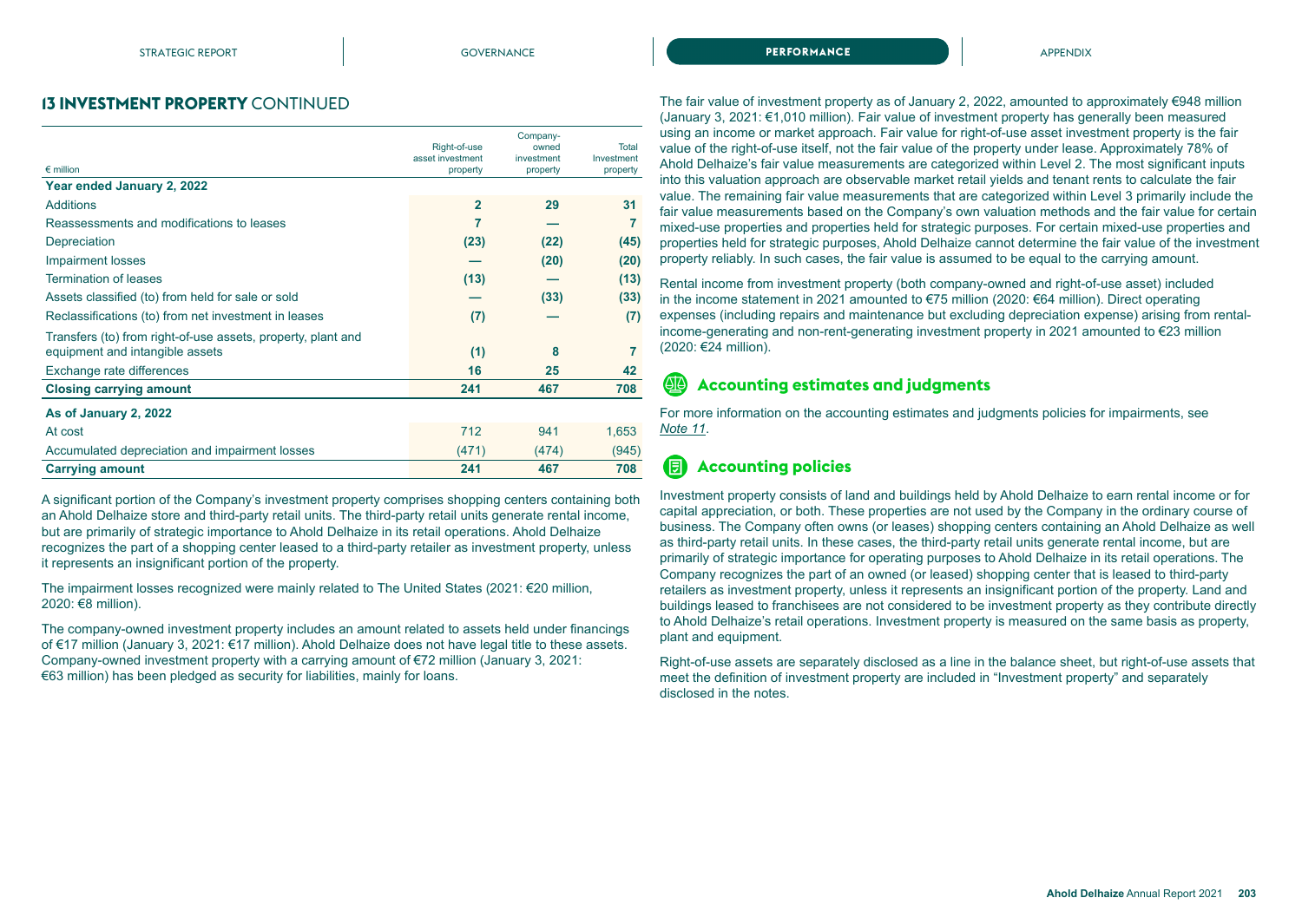## **13 INVESTMENT PROPERTY** CONTINUED

|                                                              | Right-of-use<br>asset investment | Company-<br>owned<br>investment | Total<br>Investment |
|--------------------------------------------------------------|----------------------------------|---------------------------------|---------------------|
| $\epsilon$ million                                           | property                         | property                        | property            |
| Year ended January 2, 2022                                   |                                  |                                 |                     |
| Additions                                                    | $\overline{2}$                   | 29                              | 31                  |
| Reassessments and modifications to leases                    | 7                                |                                 | 7                   |
| Depreciation                                                 | (23)                             | (22)                            | (45)                |
| <b>Impairment losses</b>                                     |                                  | (20)                            | (20)                |
| <b>Termination of leases</b>                                 | (13)                             |                                 | (13)                |
| Assets classified (to) from held for sale or sold            |                                  | (33)                            | (33)                |
| Reclassifications (to) from net investment in leases         | (7)                              |                                 | (7)                 |
| Transfers (to) from right-of-use assets, property, plant and |                                  |                                 |                     |
| equipment and intangible assets                              | (1)                              | 8                               | 7                   |
| Exchange rate differences                                    | 16                               | 25                              | 42                  |
| <b>Closing carrying amount</b>                               | 241                              | 467                             | 708                 |
| As of January 2, 2022                                        |                                  |                                 |                     |
| At cost                                                      | 712                              | 941                             | 1,653               |
| Accumulated depreciation and impairment losses               | (471)                            | (474)                           | (945)               |
| <b>Carrying amount</b>                                       | 241                              | 467                             | 708                 |

A significant portion of the Company's investment property comprises shopping centers containing both an Ahold Delhaize store and third-party retail units. The third-party retail units generate rental income, but are primarily of strategic importance to Ahold Delhaize in its retail operations. Ahold Delhaize recognizes the part of a shopping center leased to a third-party retailer as investment property, unless it represents an insignificant portion of the property.

The impairment losses recognized were mainly related to The United States (2021: €20 million, 2020: €8 million).

The company-owned investment property includes an amount related to assets held under financings of €17 million (January 3, 2021: €17 million). Ahold Delhaize does not have legal title to these assets. Company-owned investment property with a carrying amount of €72 million (January 3, 2021: €63 million) has been pledged as security for liabilities, mainly for loans.

The fair value of investment property as of January 2, 2022, amounted to approximately €948 million (January 3, 2021: €1,010 million). Fair value of investment property has generally been measured using an income or market approach. Fair value for right-of-use asset investment property is the fair value of the right-of-use itself, not the fair value of the property under lease. Approximately 78% of Ahold Delhaize's fair value measurements are categorized within Level 2. The most significant inputs into this valuation approach are observable market retail yields and tenant rents to calculate the fair value. The remaining fair value measurements that are categorized within Level 3 primarily include the fair value measurements based on the Company's own valuation methods and the fair value for certain mixed-use properties and properties held for strategic purposes. For certain mixed-use properties and properties held for strategic purposes, Ahold Delhaize cannot determine the fair value of the investment property reliably. In such cases, the fair value is assumed to be equal to the carrying amount.

Rental income from investment property (both company-owned and right-of-use asset) included in the income statement in 2021 amounted to €75 million (2020: €64 million). Direct operating expenses (including repairs and maintenance but excluding depreciation expense) arising from rentalincome-generating and non-rent-generating investment property in 2021 amounted to €23 million (2020: €24 million).

## **Accounting estimates and judgments**

For more information on the accounting estimates and judgments policies for impairments, see *[Note 11](#page-22-0)*.

#### 同 **Accounting policies**

Investment property consists of land and buildings held by Ahold Delhaize to earn rental income or for capital appreciation, or both. These properties are not used by the Company in the ordinary course of business. The Company often owns (or leases) shopping centers containing an Ahold Delhaize as well as third-party retail units. In these cases, the third-party retail units generate rental income, but are primarily of strategic importance for operating purposes to Ahold Delhaize in its retail operations. The Company recognizes the part of an owned (or leased) shopping center that is leased to third-party retailers as investment property, unless it represents an insignificant portion of the property. Land and buildings leased to franchisees are not considered to be investment property as they contribute directly to Ahold Delhaize's retail operations. Investment property is measured on the same basis as property, plant and equipment.

Right-of-use assets are separately disclosed as a line in the balance sheet, but right-of-use assets that meet the definition of investment property are included in "Investment property" and separately disclosed in the notes.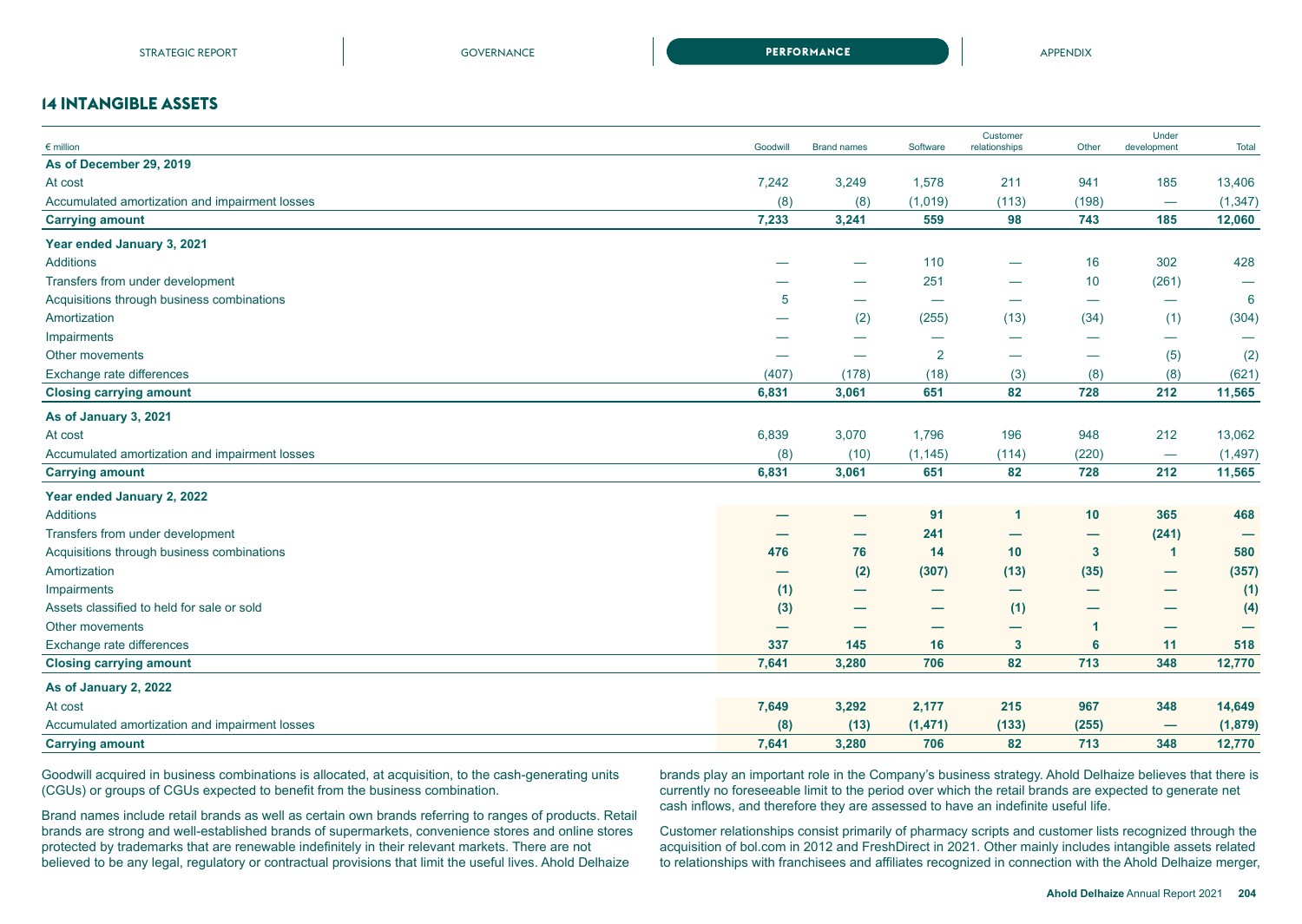## <span id="page-26-0"></span>**14 INTANGIBLE ASSETS**

| $\epsilon$ million                             | Goodwill | <b>Brand names</b>       | Software                 | Customer<br>relationships | Other                    | Under<br>development     | Total    |
|------------------------------------------------|----------|--------------------------|--------------------------|---------------------------|--------------------------|--------------------------|----------|
| As of December 29, 2019                        |          |                          |                          |                           |                          |                          |          |
| At cost                                        | 7,242    | 3,249                    | 1,578                    | 211                       | 941                      | 185                      | 13,406   |
| Accumulated amortization and impairment losses | (8)      | (8)                      | (1,019)                  | (113)                     | (198)                    | $\overline{\phantom{m}}$ | (1, 347) |
| <b>Carrying amount</b>                         | 7,233    | 3,241                    | 559                      | 98                        | 743                      | 185                      | 12,060   |
| Year ended January 3, 2021                     |          |                          |                          |                           |                          |                          |          |
| <b>Additions</b>                               |          |                          | 110                      |                           | 16                       | 302                      | 428      |
| Transfers from under development               |          | __                       | 251                      |                           | 10                       | (261)                    |          |
| Acquisitions through business combinations     | 5        |                          | $\overline{\phantom{0}}$ |                           |                          | $\overline{\phantom{m}}$ | 6        |
| Amortization                                   |          | (2)                      | (255)                    | (13)                      | (34)                     | (1)                      | (304)    |
| Impairments                                    |          |                          |                          |                           |                          |                          |          |
| Other movements                                |          | $\overline{\phantom{0}}$ | $\overline{2}$           |                           |                          | (5)                      | (2)      |
| Exchange rate differences                      | (407)    | (178)                    | (18)                     | (3)                       | (8)                      | (8)                      | (621)    |
| <b>Closing carrying amount</b>                 | 6,831    | 3,061                    | 651                      | 82                        | 728                      | 212                      | 11,565   |
| As of January 3, 2021                          |          |                          |                          |                           |                          |                          |          |
| At cost                                        | 6,839    | 3,070                    | 1,796                    | 196                       | 948                      | 212                      | 13,062   |
| Accumulated amortization and impairment losses | (8)      | (10)                     | (1, 145)                 | (114)                     | (220)                    |                          | (1, 497) |
| <b>Carrying amount</b>                         | 6,831    | 3,061                    | 651                      | 82                        | 728                      | 212                      | 11,565   |
| Year ended January 2, 2022                     |          |                          |                          |                           |                          |                          |          |
| <b>Additions</b>                               |          | -                        | 91                       |                           | 10                       | 365                      | 468      |
| Transfers from under development               |          | -                        | 241                      |                           | $\overline{\phantom{0}}$ | (241)                    | -        |
| Acquisitions through business combinations     | 476      | 76                       | 14                       | 10                        | $\overline{\mathbf{3}}$  | -1                       | 580      |
| Amortization                                   |          | (2)                      | (307)                    | (13)                      | (35)                     |                          | (357)    |
| Impairments                                    | (1)      |                          |                          |                           |                          |                          | (1)      |
| Assets classified to held for sale or sold     | (3)      |                          | -                        | (1)                       | -                        |                          | (4)      |
| Other movements                                | -        |                          | -                        | -                         | $\overline{1}$           | -                        |          |
| Exchange rate differences                      | 337      | 145                      | 16                       | $\mathbf{3}$              | 6                        | 11                       | 518      |
| <b>Closing carrying amount</b>                 | 7,641    | 3,280                    | 706                      | 82                        | 713                      | 348                      | 12,770   |
| As of January 2, 2022                          |          |                          |                          |                           |                          |                          |          |
| At cost                                        | 7,649    | 3,292                    | 2,177                    | 215                       | 967                      | 348                      | 14,649   |
| Accumulated amortization and impairment losses | (8)      | (13)                     | (1, 471)                 | (133)                     | (255)                    |                          | (1,879)  |
| <b>Carrying amount</b>                         | 7,641    | 3,280                    | 706                      | 82                        | 713                      | 348                      | 12,770   |

Goodwill acquired in business combinations is allocated, at acquisition, to the cash-generating units (CGUs) or groups of CGUs expected to benefit from the business combination.

Brand names include retail brands as well as certain own brands referring to ranges of products. Retail brands are strong and well-established brands of supermarkets, convenience stores and online stores protected by trademarks that are renewable indefinitely in their relevant markets. There are not believed to be any legal, regulatory or contractual provisions that limit the useful lives. Ahold Delhaize

brands play an important role in the Company's business strategy. Ahold Delhaize believes that there is currently no foreseeable limit to the period over which the retail brands are expected to generate net cash inflows, and therefore they are assessed to have an indefinite useful life.

Customer relationships consist primarily of pharmacy scripts and customer lists recognized through the acquisition of bol.com in 2012 and FreshDirect in 2021. Other mainly includes intangible assets related to relationships with franchisees and affiliates recognized in connection with the Ahold Delhaize merger,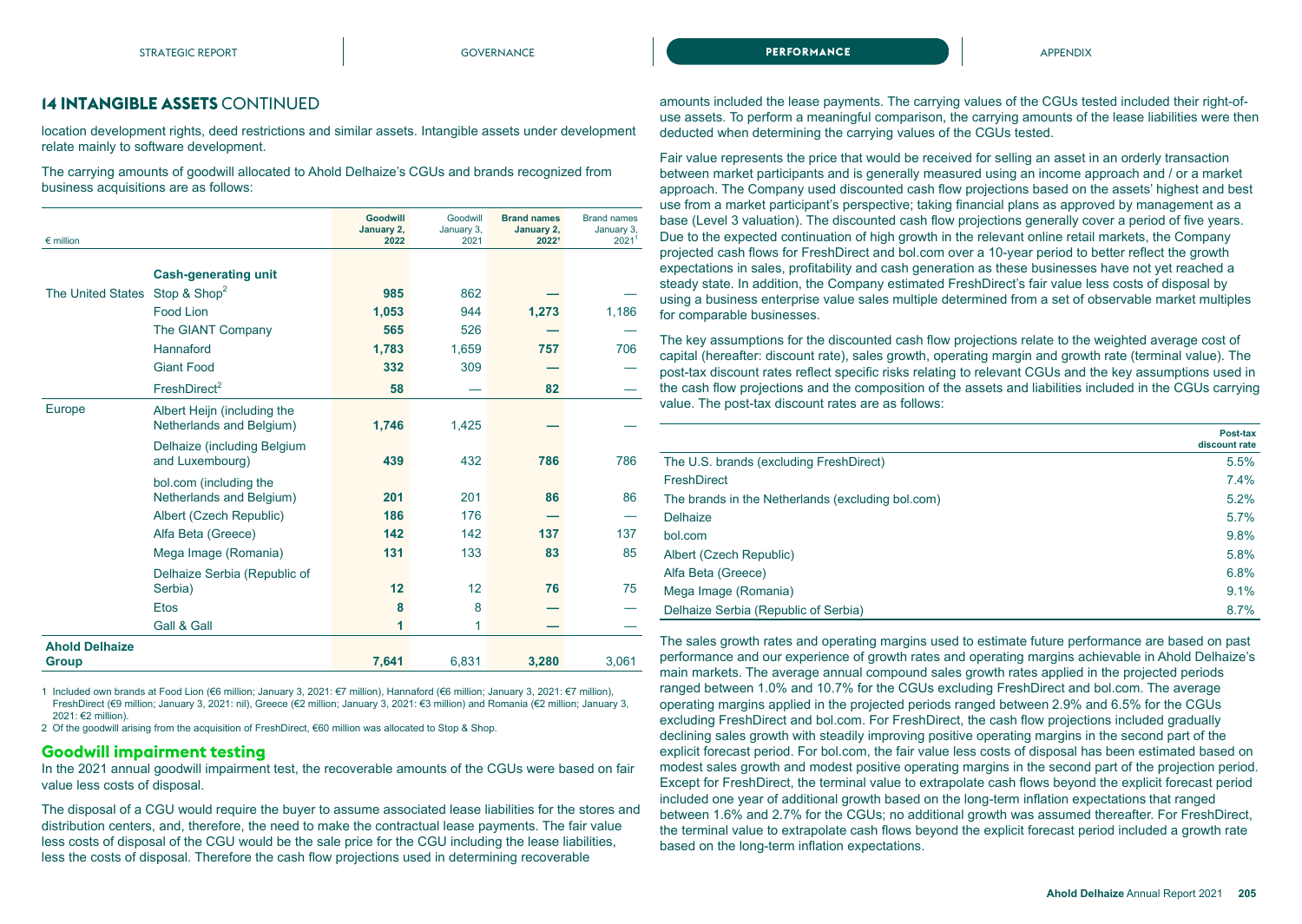## **14 INTANGIBLE ASSETS** CONTINUED

location development rights, deed restrictions and similar assets. Intangible assets under development relate mainly to software development.

The carrying amounts of goodwill allocated to Ahold Delhaize's CGUs and brands recognized from business acquisitions are as follows:

| $\epsilon$ million                    |                                                         | <b>Goodwill</b><br>January 2,<br>2022 | Goodwill<br>January 3,<br>2021 | <b>Brand names</b><br>January 2,<br>20221 | <b>Brand names</b><br>January 3,<br>2021 <sup>1</sup> |
|---------------------------------------|---------------------------------------------------------|---------------------------------------|--------------------------------|-------------------------------------------|-------------------------------------------------------|
|                                       | <b>Cash-generating unit</b>                             |                                       |                                |                                           |                                                       |
| <b>The United States</b>              | Stop & Shop <sup>2</sup>                                | 985                                   | 862                            |                                           |                                                       |
|                                       | <b>Food Lion</b>                                        | 1,053                                 | 944                            | 1,273                                     | 1,186                                                 |
|                                       | The GIANT Company                                       | 565                                   | 526                            |                                           |                                                       |
|                                       | Hannaford                                               | 1,783                                 | 1,659                          | 757                                       | 706                                                   |
|                                       | <b>Giant Food</b>                                       | 332                                   | 309                            |                                           |                                                       |
|                                       | FreshDirect <sup>2</sup>                                | 58                                    |                                | 82                                        |                                                       |
| Europe                                | Albert Heijn (including the<br>Netherlands and Belgium) | 1,746                                 | 1,425                          |                                           |                                                       |
|                                       | Delhaize (including Belgium<br>and Luxembourg)          | 439                                   | 432                            | 786                                       | 786                                                   |
|                                       | bol.com (including the<br>Netherlands and Belgium)      | 201                                   | 201                            | 86                                        | 86                                                    |
|                                       | Albert (Czech Republic)                                 | 186                                   | 176                            |                                           |                                                       |
|                                       | Alfa Beta (Greece)                                      | 142                                   | 142                            | 137                                       | 137                                                   |
|                                       | Mega Image (Romania)                                    | 131                                   | 133                            | 83                                        | 85                                                    |
|                                       | Delhaize Serbia (Republic of<br>Serbia)                 | 12                                    | 12                             | 76                                        | 75                                                    |
|                                       | <b>Etos</b>                                             | 8                                     | 8                              |                                           |                                                       |
|                                       | Gall & Gall                                             | 1                                     | 1                              |                                           |                                                       |
| <b>Ahold Delhaize</b><br><b>Group</b> |                                                         | 7,641                                 | 6.831                          | 3,280                                     | 3,061                                                 |

1 Included own brands at Food Lion (€6 million; January 3, 2021: €7 million), Hannaford (€6 million; January 3, 2021: €7 million), FreshDirect (€9 million; January 3, 2021: nil), Greece (€2 million; January 3, 2021: €3 million) and Romania (€2 million; January 3, 2021: €2 million).

2 Of the goodwill arising from the acquisition of FreshDirect, €60 million was allocated to Stop & Shop.

#### **Goodwill impairment testing**

In the 2021 annual goodwill impairment test, the recoverable amounts of the CGUs were based on fair value less costs of disposal.

The disposal of a CGU would require the buyer to assume associated lease liabilities for the stores and distribution centers, and, therefore, the need to make the contractual lease payments. The fair value less costs of disposal of the CGU would be the sale price for the CGU including the lease liabilities, less the costs of disposal. Therefore the cash flow projections used in determining recoverable

amounts included the lease payments. The carrying values of the CGUs tested included their right-ofuse assets. To perform a meaningful comparison, the carrying amounts of the lease liabilities were then deducted when determining the carrying values of the CGUs tested.

Fair value represents the price that would be received for selling an asset in an orderly transaction between market participants and is generally measured using an income approach and / or a market approach. The Company used discounted cash flow projections based on the assets' highest and best use from a market participant's perspective; taking financial plans as approved by management as a base (Level 3 valuation). The discounted cash flow projections generally cover a period of five years. Due to the expected continuation of high growth in the relevant online retail markets, the Company projected cash flows for FreshDirect and bol.com over a 10-year period to better reflect the growth expectations in sales, profitability and cash generation as these businesses have not yet reached a steady state. In addition, the Company estimated FreshDirect's fair value less costs of disposal by using a business enterprise value sales multiple determined from a set of observable market multiples for comparable businesses.

The key assumptions for the discounted cash flow projections relate to the weighted average cost of capital (hereafter: discount rate), sales growth, operating margin and growth rate (terminal value). The post-tax discount rates reflect specific risks relating to relevant CGUs and the key assumptions used in the cash flow projections and the composition of the assets and liabilities included in the CGUs carrying value. The post-tax discount rates are as follows:

|                                                   | Post-tax<br>discount rate |
|---------------------------------------------------|---------------------------|
| The U.S. brands (excluding FreshDirect)           | 5.5%                      |
| FreshDirect                                       | 7.4%                      |
| The brands in the Netherlands (excluding bol.com) | 5.2%                      |
| Delhaize                                          | 5.7%                      |
| bol.com                                           | 9.8%                      |
| Albert (Czech Republic)                           | 5.8%                      |
| Alfa Beta (Greece)                                | 6.8%                      |
| Mega Image (Romania)                              | 9.1%                      |
| Delhaize Serbia (Republic of Serbia)              | 8.7%                      |

The sales growth rates and operating margins used to estimate future performance are based on past performance and our experience of growth rates and operating margins achievable in Ahold Delhaize's main markets. The average annual compound sales growth rates applied in the projected periods ranged between 1.0% and 10.7% for the CGUs excluding FreshDirect and bol.com. The average operating margins applied in the projected periods ranged between 2.9% and 6.5% for the CGUs excluding FreshDirect and bol.com. For FreshDirect, the cash flow projections included gradually declining sales growth with steadily improving positive operating margins in the second part of the explicit forecast period. For bol.com, the fair value less costs of disposal has been estimated based on modest sales growth and modest positive operating margins in the second part of the projection period. Except for FreshDirect, the terminal value to extrapolate cash flows beyond the explicit forecast period included one year of additional growth based on the long-term inflation expectations that ranged between 1.6% and 2.7% for the CGUs; no additional growth was assumed thereafter. For FreshDirect, the terminal value to extrapolate cash flows beyond the explicit forecast period included a growth rate based on the long-term inflation expectations.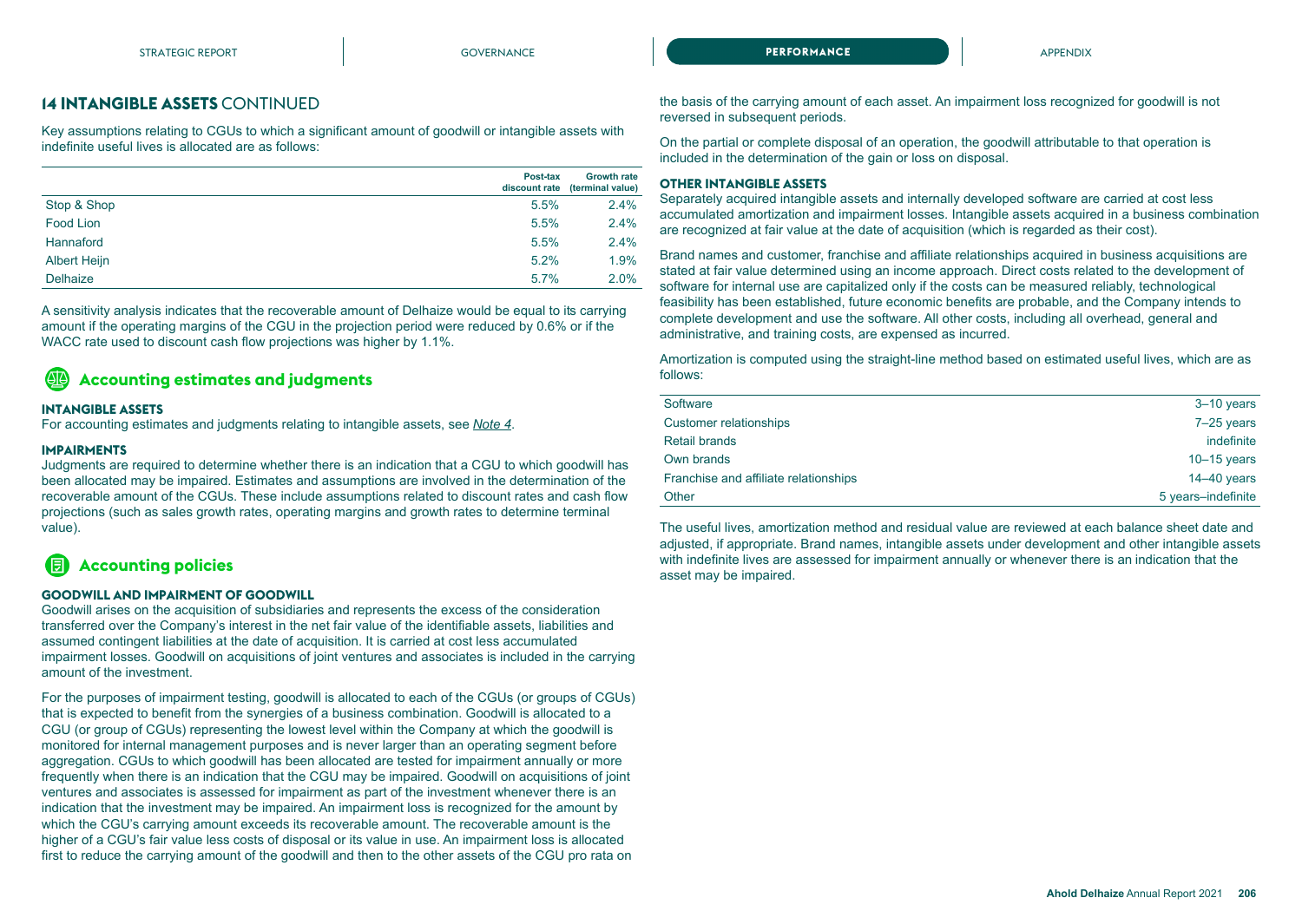## **14 INTANGIBLE ASSETS** CONTINUED

Key assumptions relating to CGUs to which a significant amount of goodwill or intangible assets with indefinite useful lives is allocated are as follows:

|                     | Post-tax<br>discount rate | <b>Growth rate</b><br>(terminal value) |
|---------------------|---------------------------|----------------------------------------|
| Stop & Shop         | 5.5%                      | 2.4%                                   |
| Food Lion           | 5.5%                      | 2.4%                                   |
| Hannaford           | 5.5%                      | 2.4%                                   |
| <b>Albert Heijn</b> | 5.2%                      | 1.9%                                   |
| <b>Delhaize</b>     | 5.7%                      | 2.0%                                   |

A sensitivity analysis indicates that the recoverable amount of Delhaize would be equal to its carrying amount if the operating margins of the CGU in the projection period were reduced by 0.6% or if the WACC rate used to discount cash flow projections was higher by 1.1%.

## **Accounting estimates and judgments**

#### **INTANGIBLE ASSETS**

For accounting estimates and judgments relating to intangible assets, see *[Note 4](#page-11-0)*.

#### **IMPAIRMENTS**

Judgments are required to determine whether there is an indication that a CGU to which goodwill has been allocated may be impaired. Estimates and assumptions are involved in the determination of the recoverable amount of the CGUs. These include assumptions related to discount rates and cash flow projections (such as sales growth rates, operating margins and growth rates to determine terminal value).

#### **Accounting policies** 侗

#### **GOODWILL AND IMPAIRMENT OF GOODWILL**

Goodwill arises on the acquisition of subsidiaries and represents the excess of the consideration transferred over the Company's interest in the net fair value of the identifiable assets, liabilities and assumed contingent liabilities at the date of acquisition. It is carried at cost less accumulated impairment losses. Goodwill on acquisitions of joint ventures and associates is included in the carrying amount of the investment.

For the purposes of impairment testing, goodwill is allocated to each of the CGUs (or groups of CGUs) that is expected to benefit from the synergies of a business combination. Goodwill is allocated to a CGU (or group of CGUs) representing the lowest level within the Company at which the goodwill is monitored for internal management purposes and is never larger than an operating segment before aggregation. CGUs to which goodwill has been allocated are tested for impairment annually or more frequently when there is an indication that the CGU may be impaired. Goodwill on acquisitions of joint ventures and associates is assessed for impairment as part of the investment whenever there is an indication that the investment may be impaired. An impairment loss is recognized for the amount by which the CGU's carrying amount exceeds its recoverable amount. The recoverable amount is the higher of a CGU's fair value less costs of disposal or its value in use. An impairment loss is allocated first to reduce the carrying amount of the goodwill and then to the other assets of the CGU pro rata on

the basis of the carrying amount of each asset. An impairment loss recognized for goodwill is not reversed in subsequent periods.

On the partial or complete disposal of an operation, the goodwill attributable to that operation is included in the determination of the gain or loss on disposal.

#### **OTHER INTANGIBLE ASSETS**

Separately acquired intangible assets and internally developed software are carried at cost less accumulated amortization and impairment losses. Intangible assets acquired in a business combination are recognized at fair value at the date of acquisition (which is regarded as their cost).

Brand names and customer, franchise and affiliate relationships acquired in business acquisitions are stated at fair value determined using an income approach. Direct costs related to the development of software for internal use are capitalized only if the costs can be measured reliably, technological feasibility has been established, future economic benefits are probable, and the Company intends to complete development and use the software. All other costs, including all overhead, general and administrative, and training costs, are expensed as incurred.

Amortization is computed using the straight-line method based on estimated useful lives, which are as follows:

| Software                              | $3 - 10$ years     |
|---------------------------------------|--------------------|
| Customer relationships                | $7 - 25$ years     |
| Retail brands                         | indefinite         |
| Own brands                            | $10 - 15$ years    |
| Franchise and affiliate relationships | $14-40$ years      |
| Other                                 | 5 years-indefinite |

The useful lives, amortization method and residual value are reviewed at each balance sheet date and adjusted, if appropriate. Brand names, intangible assets under development and other intangible assets with indefinite lives are assessed for impairment annually or whenever there is an indication that the asset may be impaired.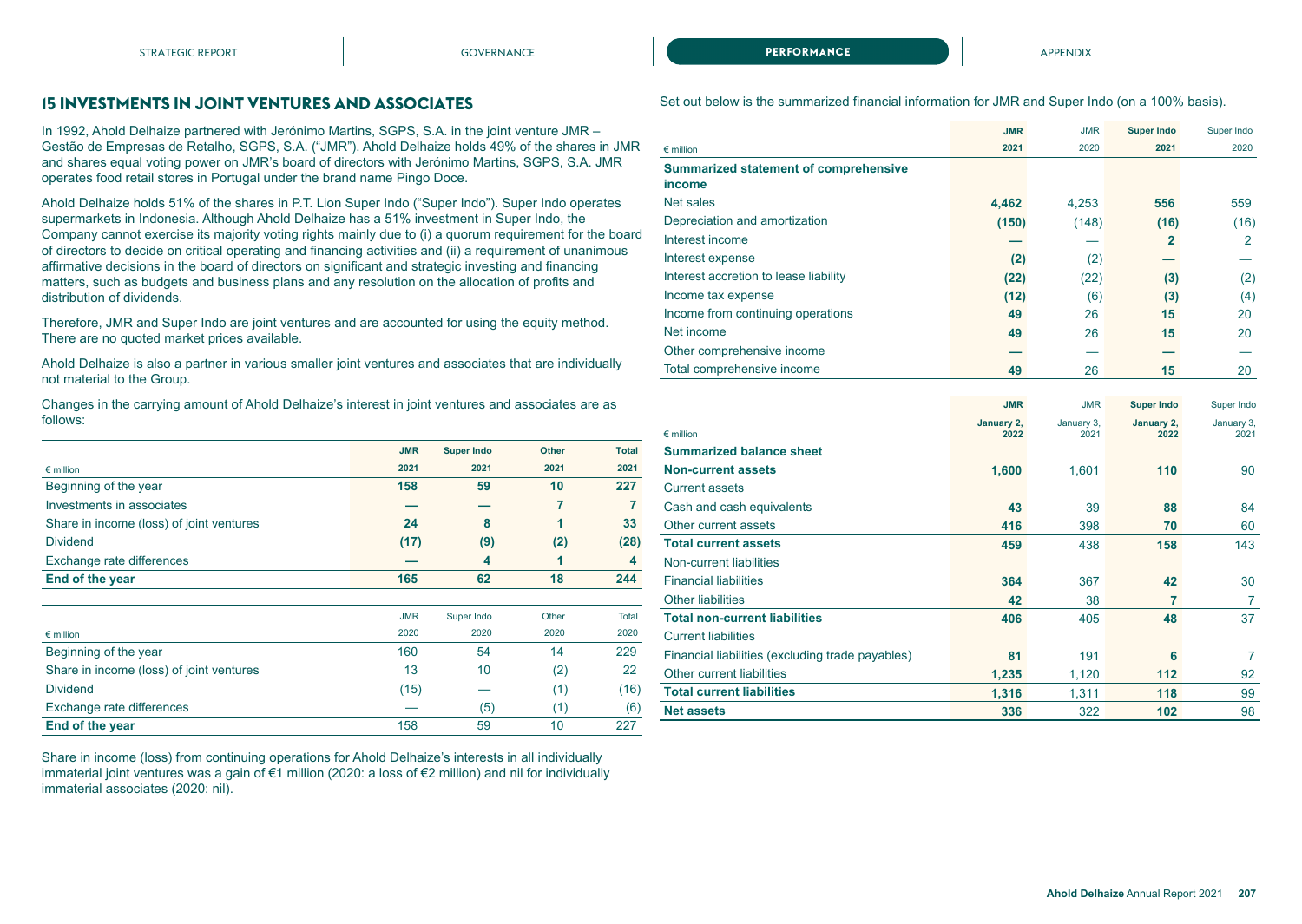## <span id="page-29-0"></span>**15 INVESTMENTS IN JOINT VENTURES AND ASSOCIATES**

In 1992, Ahold Delhaize partnered with Jerónimo Martins, SGPS, S.A. in the joint venture JMR – Gestão de Empresas de Retalho, SGPS, S.A. ("JMR"). Ahold Delhaize holds 49% of the shares in JMR and shares equal voting power on JMR's board of directors with Jerónimo Martins, SGPS, S.A. JMR operates food retail stores in Portugal under the brand name Pingo Doce.

Ahold Delhaize holds 51% of the shares in P.T. Lion Super Indo ("Super Indo"). Super Indo operates supermarkets in Indonesia. Although Ahold Delhaize has a 51% investment in Super Indo, the Company cannot exercise its majority voting rights mainly due to (i) a quorum requirement for the board of directors to decide on critical operating and financing activities and (ii) a requirement of unanimous affirmative decisions in the board of directors on significant and strategic investing and financing matters, such as budgets and business plans and any resolution on the allocation of profits and distribution of dividends.

Therefore, JMR and Super Indo are joint ventures and are accounted for using the equity method. There are no quoted market prices available.

Ahold Delhaize is also a partner in various smaller joint ventures and associates that are individually not material to the Group.

Changes in the carrying amount of Ahold Delhaize's interest in joint ventures and associates are as follows:

|                                          | <b>JMR</b> | <b>Super Indo</b> | <b>Other</b> | <b>Total</b> |
|------------------------------------------|------------|-------------------|--------------|--------------|
| $\epsilon$ million                       | 2021       | 2021              | 2021         | 2021         |
| Beginning of the year                    | 158        | 59                | 10           | 227          |
| Investments in associates                |            |                   | 7            |              |
| Share in income (loss) of joint ventures | 24         | 8                 | 1            | 33           |
| <b>Dividend</b>                          | (17)       | (9)               | (2)          | (28)         |
| Exchange rate differences                |            | 4                 |              | 4            |
| End of the year                          | 165        | 62                | 18           | 244          |
|                                          |            |                   |              |              |
|                                          | <b>JMR</b> | Super Indo        | Other        | <b>Total</b> |
| $\epsilon$ million                       | 2020       | 2020              | 2020         | 2020         |
| Beginning of the year                    | 160        | 54                | 14           | 229          |
| Share in income (loss) of joint ventures | 13         | 10                | (2)          | 22           |
| <b>Dividend</b>                          | (15)       |                   | (1)          | (16)         |
| Exchange rate differences                |            | (5)               | (1)          | (6)          |
| End of the year                          | 158        | 59                | 10           | 227          |

Share in income (loss) from continuing operations for Ahold Delhaize's interests in all individually immaterial joint ventures was a gain of €1 million (2020: a loss of €2 million) and nil for individually immaterial associates (2020: nil).

Set out below is the summarized financial information for JMR and Super Indo (on a 100% basis).

|                                                  | <b>JMR</b>         | <b>JMR</b>         | <b>Super Indo</b>  | Super Indo         |
|--------------------------------------------------|--------------------|--------------------|--------------------|--------------------|
| $\epsilon$ million                               | 2021               | 2020               | 2021               | 2020               |
| <b>Summarized statement of comprehensive</b>     |                    |                    |                    |                    |
| income                                           |                    |                    |                    |                    |
| Net sales                                        | 4.462              | 4,253              | 556                | 559                |
| Depreciation and amortization                    | (150)              | (148)              | (16)               | (16)               |
| Interest income                                  |                    |                    | $\overline{2}$     | 2                  |
| Interest expense                                 | (2)                | (2)                |                    |                    |
| Interest accretion to lease liability            | (22)               | (22)               | (3)                | (2)                |
| Income tax expense                               | (12)               | (6)                | (3)                | (4)                |
| Income from continuing operations                | 49                 | 26                 | 15                 | 20                 |
| Net income                                       | 49                 | 26                 | 15                 | 20                 |
| Other comprehensive income                       |                    |                    |                    |                    |
| Total comprehensive income                       | 49                 | 26                 | 15                 | 20                 |
|                                                  |                    |                    |                    |                    |
|                                                  | <b>JMR</b>         | <b>JMR</b>         | <b>Super Indo</b>  | Super Indo         |
| $\epsilon$ million                               | January 2,<br>2022 | January 3,<br>2021 | January 2,<br>2022 | January 3,<br>2021 |
| <b>Summarized balance sheet</b>                  |                    |                    |                    |                    |
| <b>Non-current assets</b>                        | 1,600              | 1,601              | 110                | 90                 |
| <b>Current assets</b>                            |                    |                    |                    |                    |
| Cash and cash equivalents                        | 43                 | 39                 | 88                 | 84                 |
| Other current assets                             | 416                | 398                | 70                 | 60                 |
| <b>Total current assets</b>                      | 459                | 438                | 158                | 143                |
| Non-current liabilities                          |                    |                    |                    |                    |
| <b>Financial liabilities</b>                     | 364                | 367                | 42                 | 30                 |
| <b>Other liabilities</b>                         | 42                 | 38                 | 7                  | 7                  |
| <b>Total non-current liabilities</b>             | 406                | 405                | 48                 | 37                 |
| <b>Current liabilities</b>                       |                    |                    |                    |                    |
| Financial liabilities (excluding trade payables) | 81                 | 191                | 6                  | 7                  |
| Other current liabilities                        | 1.235              | 1,120              | 112                | 92                 |
| <b>Total current liabilities</b>                 | 1,316              | 1,311              | 118                | 99                 |
| <b>Net assets</b>                                | 336                | 322                | 102                | 98                 |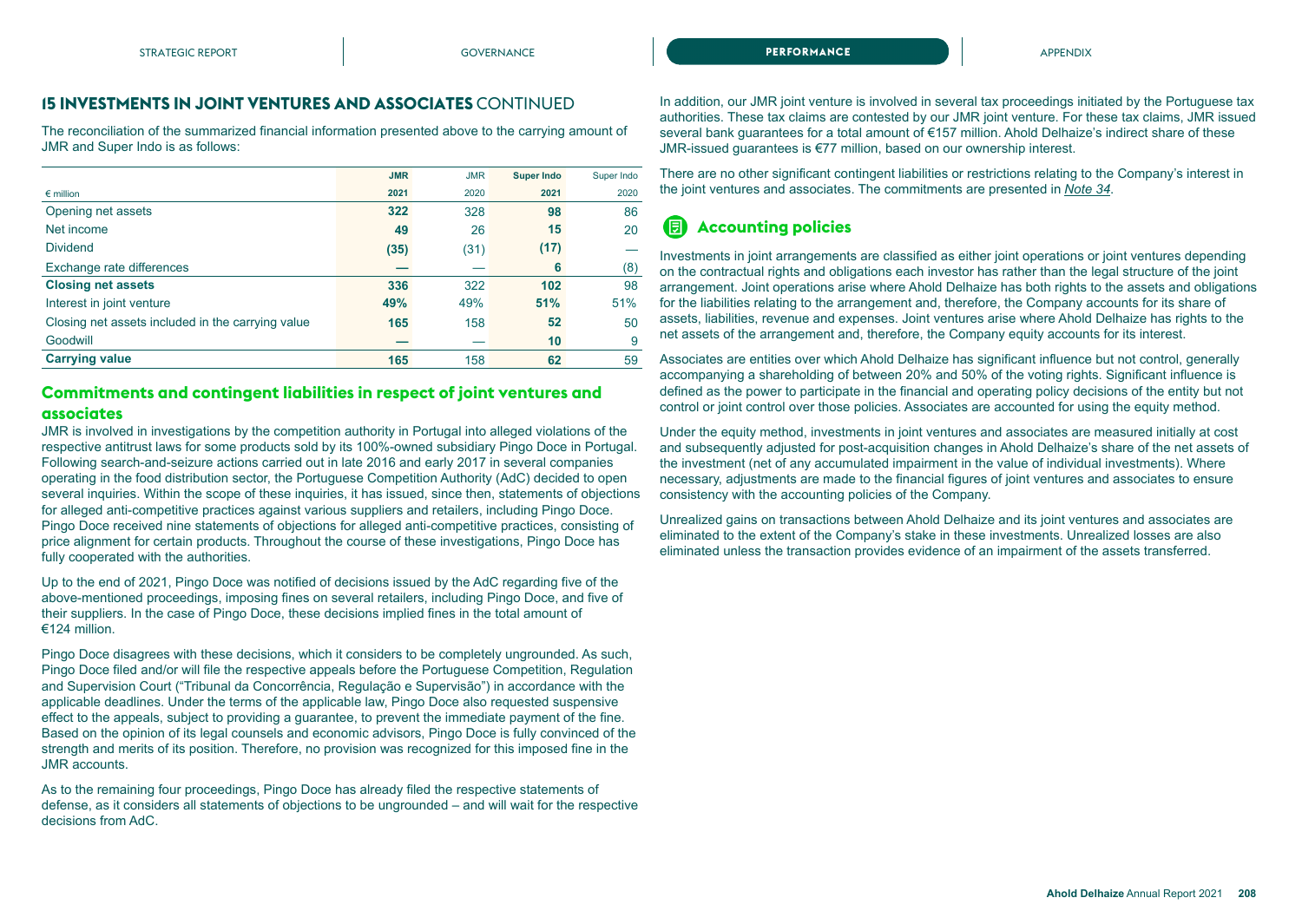## **15 INVESTMENTS IN JOINT VENTURES AND ASSOCIATES** CONTINUED

The reconciliation of the summarized financial information presented above to the carrying amount of JMR and Super Indo is as follows:

|                                                   | <b>JMR</b> | <b>JMR</b> | <b>Super Indo</b> | Super Indo |
|---------------------------------------------------|------------|------------|-------------------|------------|
| $\epsilon$ million                                | 2021       | 2020       | 2021              | 2020       |
| Opening net assets                                | 322        | 328        | 98                | 86         |
| Net income                                        | 49         | 26         | 15                | 20         |
| <b>Dividend</b>                                   | (35)       | (31)       | (17)              |            |
| Exchange rate differences                         |            |            | 6                 | (8)        |
| <b>Closing net assets</b>                         | 336        | 322        | $102$             | 98         |
| Interest in joint venture                         | 49%        | 49%        | 51%               | 51%        |
| Closing net assets included in the carrying value | 165        | 158        | 52                | 50         |
| Goodwill                                          |            |            | 10                | 9          |
| <b>Carrying value</b>                             | 165        | 158        | 62                | 59         |

## **Commitments and contingent liabilities in respect of joint ventures and associates**

JMR is involved in investigations by the competition authority in Portugal into alleged violations of the respective antitrust laws for some products sold by its 100%-owned subsidiary Pingo Doce in Portugal. Following search-and-seizure actions carried out in late 2016 and early 2017 in several companies operating in the food distribution sector, the Portuguese Competition Authority (AdC) decided to open several inquiries. Within the scope of these inquiries, it has issued, since then, statements of objections for alleged anti-competitive practices against various suppliers and retailers, including Pingo Doce. Pingo Doce received nine statements of objections for alleged anti-competitive practices, consisting of price alignment for certain products. Throughout the course of these investigations, Pingo Doce has fully cooperated with the authorities.

Up to the end of 2021, Pingo Doce was notified of decisions issued by the AdC regarding five of the above-mentioned proceedings, imposing fines on several retailers, including Pingo Doce, and five of their suppliers. In the case of Pingo Doce, these decisions implied fines in the total amount of €124 million.

Pingo Doce disagrees with these decisions, which it considers to be completely ungrounded. As such, Pingo Doce filed and/or will file the respective appeals before the Portuguese Competition, Regulation and Supervision Court ("Tribunal da Concorrência, Regulação e Supervisão") in accordance with the applicable deadlines. Under the terms of the applicable law, Pingo Doce also requested suspensive effect to the appeals, subject to providing a guarantee, to prevent the immediate payment of the fine. Based on the opinion of its legal counsels and economic advisors, Pingo Doce is fully convinced of the strength and merits of its position. Therefore, no provision was recognized for this imposed fine in the JMR accounts.

As to the remaining four proceedings, Pingo Doce has already filed the respective statements of defense, as it considers all statements of objections to be ungrounded – and will wait for the respective decisions from AdC.

In addition, our JMR joint venture is involved in several tax proceedings initiated by the Portuguese tax authorities. These tax claims are contested by our JMR joint venture. For these tax claims, JMR issued several bank guarantees for a total amount of €157 million. Ahold Delhaize's indirect share of these JMR-issued guarantees is €77 million, based on our ownership interest.

There are no other significant contingent liabilities or restrictions relating to the Company's interest in the joint ventures and associates. The commitments are presented in *[Note 34](#page-66-0)*.

## **Accounting policies**

Investments in joint arrangements are classified as either joint operations or joint ventures depending on the contractual rights and obligations each investor has rather than the legal structure of the joint arrangement. Joint operations arise where Ahold Delhaize has both rights to the assets and obligations for the liabilities relating to the arrangement and, therefore, the Company accounts for its share of assets, liabilities, revenue and expenses. Joint ventures arise where Ahold Delhaize has rights to the net assets of the arrangement and, therefore, the Company equity accounts for its interest.

Associates are entities over which Ahold Delhaize has significant influence but not control, generally accompanying a shareholding of between 20% and 50% of the voting rights. Significant influence is defined as the power to participate in the financial and operating policy decisions of the entity but not control or joint control over those policies. Associates are accounted for using the equity method.

Under the equity method, investments in joint ventures and associates are measured initially at cost and subsequently adjusted for post-acquisition changes in Ahold Delhaize's share of the net assets of the investment (net of any accumulated impairment in the value of individual investments). Where necessary, adjustments are made to the financial figures of joint ventures and associates to ensure consistency with the accounting policies of the Company.

Unrealized gains on transactions between Ahold Delhaize and its joint ventures and associates are eliminated to the extent of the Company's stake in these investments. Unrealized losses are also eliminated unless the transaction provides evidence of an impairment of the assets transferred.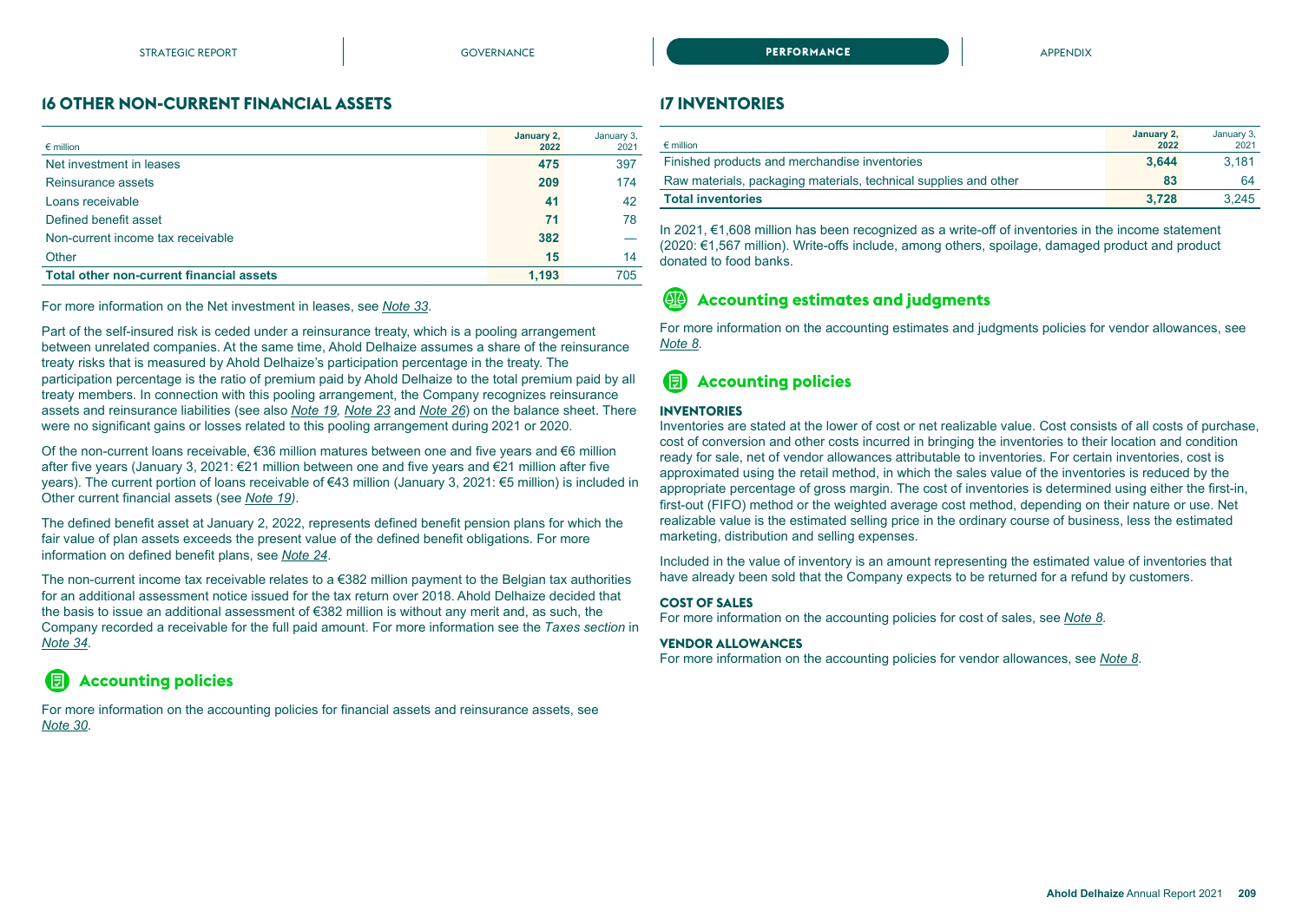## <span id="page-31-0"></span>**16 OTHER NON-CURRENT FINANCIAL ASSETS**

| $\epsilon$ million                              | January 2,<br>2022 | January 3,<br>2021 |
|-------------------------------------------------|--------------------|--------------------|
| Net investment in leases                        | 475                | 397                |
| Reinsurance assets                              | 209                | 174                |
| Loans receivable                                | 41                 | 42                 |
| Defined benefit asset                           | 71                 | 78                 |
| Non-current income tax receivable               | 382                |                    |
| Other                                           | 15                 | 14                 |
| <b>Total other non-current financial assets</b> | 1,193              | 705                |

#### For more information on the Net investment in leases, see *[Note 33](#page-62-0)*.

Part of the self-insured risk is ceded under a reinsurance treaty, which is a pooling arrangement between unrelated companies. At the same time, Ahold Delhaize assumes a share of the reinsurance treaty risks that is measured by Ahold Delhaize's participation percentage in the treaty. The participation percentage is the ratio of premium paid by Ahold Delhaize to the total premium paid by all treaty members. In connection with this pooling arrangement, the Company recognizes reinsurance assets and reinsurance liabilities (see also *[Note 19](#page-33-0), [Note 23](#page-37-0)* and *[Note 26](#page-48-0)*) on the balance sheet. There were no significant gains or losses related to this pooling arrangement during 2021 or 2020.

Of the non-current loans receivable, €36 million matures between one and five years and €6 million after five years (January 3, 2021: €21 million between one and five years and €21 million after five years). The current portion of loans receivable of €43 million (January 3, 2021: €5 million) is included in Other current financial assets (see *[Note 19](#page-33-0))*.

The defined benefit asset at January 2, 2022, represents defined benefit pension plans for which the fair value of plan assets exceeds the present value of the defined benefit obligations. For more information on defined benefit plans, see *[Note 24](#page-38-0)*.

The non-current income tax receivable relates to a €382 million payment to the Belgian tax authorities for an additional assessment notice issued for the tax return over 2018. Ahold Delhaize decided that the basis to issue an additional assessment of €382 million is without any merit and, as such, the Company recorded a receivable for the full paid amount. For more information see the *Taxes section* in *[Note 34](#page-66-0)*.

## **B** Accounting policies

For more information on the accounting policies for financial assets and reinsurance assets, see *[Note 30](#page-52-0)*.

## **17 INVENTORIES**

| $\epsilon$ million                                               | January 2,<br>2022 | January 3,<br>2021 |
|------------------------------------------------------------------|--------------------|--------------------|
| Finished products and merchandise inventories                    | 3.644              | 3.181              |
| Raw materials, packaging materials, technical supplies and other | 83                 | 64                 |
| <b>Total inventories</b>                                         | 3.728              | 3.245              |

In 2021, €1,608 million has been recognized as a write-off of inventories in the income statement (2020: €1,567 million). Write-offs include, among others, spoilage, damaged product and product donated to food banks.

## **Accounting estimates and judgments**

For more information on the accounting estimates and judgments policies for vendor allowances, see *[Note 8](#page-16-0)*.

#### **Accounting policies** (目)

#### **INVENTORIES**

Inventories are stated at the lower of cost or net realizable value. Cost consists of all costs of purchase, cost of conversion and other costs incurred in bringing the inventories to their location and condition ready for sale, net of vendor allowances attributable to inventories. For certain inventories, cost is approximated using the retail method, in which the sales value of the inventories is reduced by the appropriate percentage of gross margin. The cost of inventories is determined using either the first-in, first-out (FIFO) method or the weighted average cost method, depending on their nature or use. Net realizable value is the estimated selling price in the ordinary course of business, less the estimated marketing, distribution and selling expenses.

Included in the value of inventory is an amount representing the estimated value of inventories that have already been sold that the Company expects to be returned for a refund by customers.

#### **COST OF SALES**

For more information on the accounting policies for cost of sales, see *[Note 8](#page-16-0)*.

#### **VENDOR ALLOWANCES**

For more information on the accounting policies for vendor allowances, see *[Note 8](#page-16-0)*.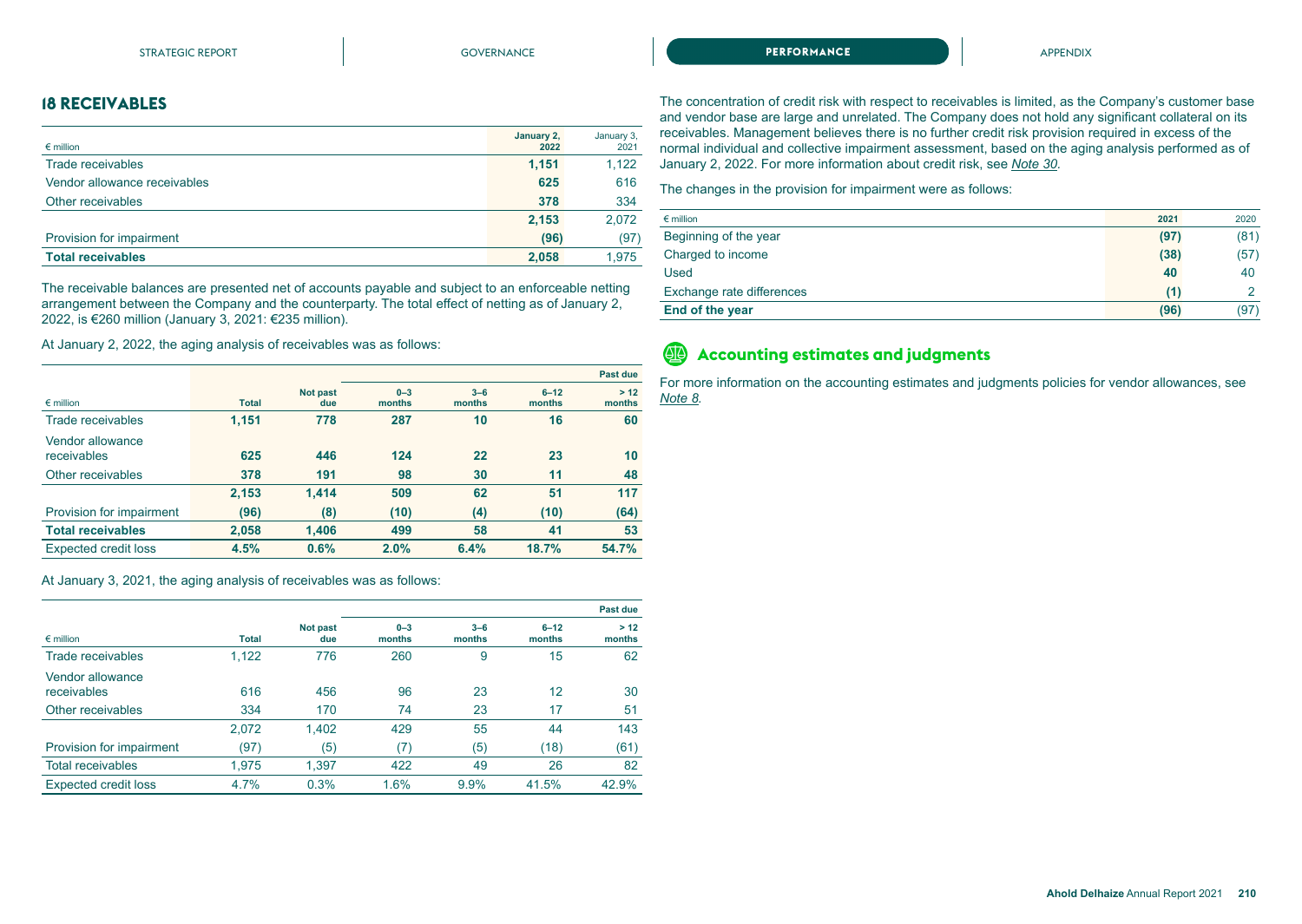## <span id="page-32-0"></span>**18 RECEIVABLES**

| $\epsilon$ million           | January 2,<br>2022 | January 3,<br>2021 |
|------------------------------|--------------------|--------------------|
| Trade receivables            | 1.151              | 1,122              |
| Vendor allowance receivables | 625                | 616                |
| Other receivables            | 378                | 334                |
|                              | 2,153              | 2,072              |
| Provision for impairment     | (96)               | (97)               |
| <b>Total receivables</b>     | 2.058              | 1.975              |

The receivable balances are presented net of accounts payable and subject to an enforceable netting arrangement between the Company and the counterparty. The total effect of netting as of January 2, 2022, is €260 million (January 3, 2021: €235 million).

#### At January 2, 2022, the aging analysis of receivables was as follows:

|                                 |              |                 |                   |                   |                    | Past due      |
|---------------------------------|--------------|-----------------|-------------------|-------------------|--------------------|---------------|
| $\epsilon$ million              | <b>Total</b> | Not past<br>due | $0 - 3$<br>months | $3 - 6$<br>months | $6 - 12$<br>months | >12<br>months |
| Trade receivables               | 1,151        | 778             | 287               | 10                | 16                 | 60            |
| Vendor allowance<br>receivables | 625          | 446             | 124               | 22                | 23                 | 10            |
| Other receivables               | 378          | 191             | 98                | 30                | 11                 | 48            |
|                                 | 2,153        | 1,414           | 509               | 62                | 51                 | 117           |
| Provision for impairment        | (96)         | (8)             | (10)              | (4)               | (10)               | (64)          |
| <b>Total receivables</b>        | 2.058        | 1.406           | 499               | 58                | 41                 | 53            |
| Expected credit loss            | 4.5%         | 0.6%            | 2.0%              | 6.4%              | 18.7%              | 54.7%         |

#### At January 3, 2021, the aging analysis of receivables was as follows:

|                                 |              |                 |                   |                   |                    | Past due       |
|---------------------------------|--------------|-----------------|-------------------|-------------------|--------------------|----------------|
| $\epsilon$ million              | <b>Total</b> | Not past<br>due | $0 - 3$<br>months | $3 - 6$<br>months | $6 - 12$<br>months | > 12<br>months |
| Trade receivables               | 1,122        | 776             | 260               | 9                 | 15                 | 62             |
| Vendor allowance<br>receivables | 616          | 456             | 96                | 23                | 12                 | 30             |
| Other receivables               | 334          | 170             | 74                | 23                | 17                 | 51             |
|                                 | 2,072        | 1,402           | 429               | 55                | 44                 | 143            |
| Provision for impairment        | (97)         | (5)             | (7)               | (5)               | (18)               | (61)           |
| <b>Total receivables</b>        | 1.975        | 1.397           | 422               | 49                | 26                 | 82             |
| Expected credit loss            | 4.7%         | 0.3%            | 1.6%              | 9.9%              | 41.5%              | 42.9%          |

The concentration of credit risk with respect to receivables is limited, as the Company's customer base and vendor base are large and unrelated. The Company does not hold any significant collateral on its receivables. Management believes there is no further credit risk provision required in excess of the normal individual and collective impairment assessment, based on the aging analysis performed as of January 2, 2022. For more information about credit risk, see *[Note 30](#page-52-0).*

The changes in the provision for impairment were as follows:

| $\epsilon$ million        | 2021 | 2020 |
|---------------------------|------|------|
| Beginning of the year     | (97) | (81) |
| Charged to income         | (38) | (57) |
| Used                      | 40   | 40   |
| Exchange rate differences | (1)  | ົ    |
| End of the year           | (96) | (97) |

#### **AR Accounting estimates and judgments**

For more information on the accounting estimates and judgments policies for vendor allowances, see *[Note 8.](#page-16-0)*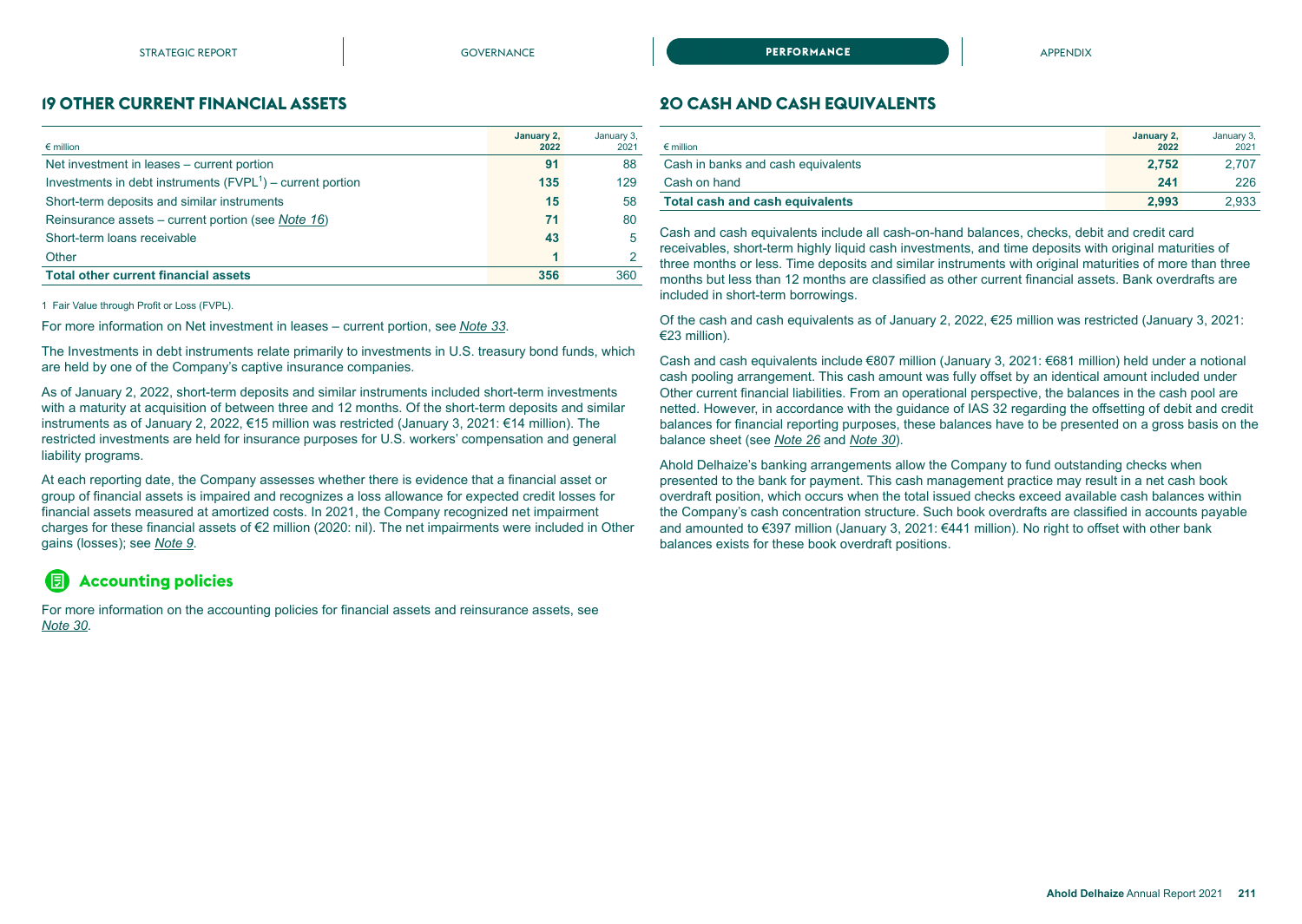## <span id="page-33-0"></span>**19 OTHER CURRENT FINANCIAL ASSETS**

| $\epsilon$ million                                          | January 2,<br>2022 | January 3,<br>2021 |
|-------------------------------------------------------------|--------------------|--------------------|
| Net investment in leases – current portion                  | 91                 | 88                 |
| Investments in debt instruments $(FVPL1)$ – current portion | 135                | 129                |
| Short-term deposits and similar instruments                 | 15                 | 58                 |
| Reinsurance assets – current portion (see Note 16)          | 71                 | 80                 |
| Short-term loans receivable                                 | 43                 | 5                  |
| Other                                                       |                    | 2                  |
| <b>Total other current financial assets</b>                 | 356                | 360                |

1 Fair Value through Profit or Loss (FVPL).

For more information on Net investment in leases – current portion, see *[Note 33](#page-62-0)*.

The Investments in debt instruments relate primarily to investments in U.S. treasury bond funds, which are held by one of the Company's captive insurance companies.

As of January 2, 2022, short-term deposits and similar instruments included short-term investments with a maturity at acquisition of between three and 12 months. Of the short-term deposits and similar instruments as of January 2, 2022, €15 million was restricted (January 3, 2021: €14 million). The restricted investments are held for insurance purposes for U.S. workers' compensation and general liability programs.

At each reporting date, the Company assesses whether there is evidence that a financial asset or group of financial assets is impaired and recognizes a loss allowance for expected credit losses for financial assets measured at amortized costs. In 2021, the Company recognized net impairment charges for these financial assets of €2 million (2020: nil). The net impairments were included in Other gains (losses); see *[Note 9](#page-17-0)*.

## **Accounting policies**

For more information on the accounting policies for financial assets and reinsurance assets, see *[Note 30](#page-52-0)*.

## **20 CASH AND CASH EQUIVALENTS**

| $\epsilon$ million                 | January 2,<br>2022 | January 3,<br>2021 |
|------------------------------------|--------------------|--------------------|
| Cash in banks and cash equivalents | 2.752              | 2.707              |
| Cash on hand                       | 241                | 226                |
| Total cash and cash equivalents    | 2.993              | 2.933              |

Cash and cash equivalents include all cash-on-hand balances, checks, debit and credit card receivables, short-term highly liquid cash investments, and time deposits with original maturities of three months or less. Time deposits and similar instruments with original maturities of more than three months but less than 12 months are classified as other current financial assets. Bank overdrafts are included in short-term borrowings.

Of the cash and cash equivalents as of January 2, 2022, €25 million was restricted (January 3, 2021: €23 million).

Cash and cash equivalents include €807 million (January 3, 2021: €681 million) held under a notional cash pooling arrangement. This cash amount was fully offset by an identical amount included under Other current financial liabilities. From an operational perspective, the balances in the cash pool are netted. However, in accordance with the guidance of IAS 32 regarding the offsetting of debit and credit balances for financial reporting purposes, these balances have to be presented on a gross basis on the balance sheet (see *[Note 26](#page-48-0)* and *[Note 30](#page-52-0)*).

Ahold Delhaize's banking arrangements allow the Company to fund outstanding checks when presented to the bank for payment. This cash management practice may result in a net cash book overdraft position, which occurs when the total issued checks exceed available cash balances within the Company's cash concentration structure. Such book overdrafts are classified in accounts payable and amounted to €397 million (January 3, 2021: €441 million). No right to offset with other bank balances exists for these book overdraft positions.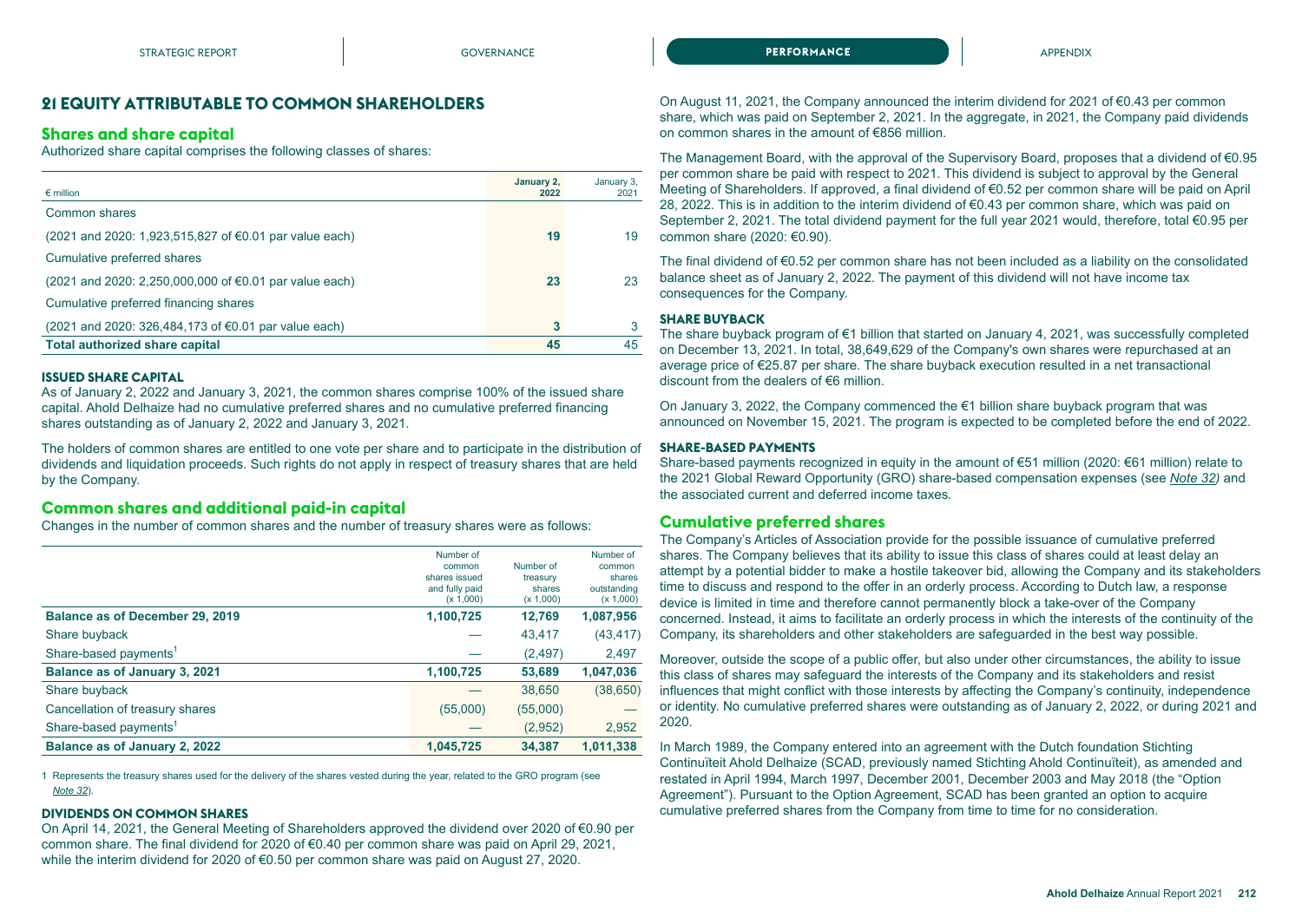## <span id="page-34-0"></span>**21 EQUITY ATTRIBUTABLE TO COMMON SHAREHOLDERS**

#### **Shares and share capital**

Authorized share capital comprises the following classes of shares:

| $\epsilon$ million                                       | January 2.<br>2022 | January 3,<br>2021 |
|----------------------------------------------------------|--------------------|--------------------|
| Common shares                                            |                    |                    |
| $(2021$ and 2020: 1,923,515,827 of €0.01 par value each) | 19                 | 19                 |
| Cumulative preferred shares                              |                    |                    |
| $(2021$ and 2020: 2,250,000,000 of €0.01 par value each) | 23                 | 23                 |
| Cumulative preferred financing shares                    |                    |                    |
| $(2021$ and 2020: 326,484,173 of €0.01 par value each)   | 3                  | 3                  |
| <b>Total authorized share capital</b>                    | 45                 | 45                 |

#### **ISSUED SHARE CAPITAL**

As of January 2, 2022 and January 3, 2021, the common shares comprise 100% of the issued share capital. Ahold Delhaize had no cumulative preferred shares and no cumulative preferred financing shares outstanding as of January 2, 2022 and January 3, 2021.

The holders of common shares are entitled to one vote per share and to participate in the distribution of dividends and liquidation proceeds. Such rights do not apply in respect of treasury shares that are held by the Company.

#### **Common shares and additional paid-in capital**

Changes in the number of common shares and the number of treasury shares were as follows:

|                                        | Number of<br>common<br>shares issued<br>and fully paid<br>(x 1,000) | Number of<br>treasury<br>shares<br>(x 1,000) | Number of<br>common<br>shares<br>outstanding<br>(x 1,000) |
|----------------------------------------|---------------------------------------------------------------------|----------------------------------------------|-----------------------------------------------------------|
| <b>Balance as of December 29, 2019</b> | 1,100,725                                                           | 12,769                                       | 1,087,956                                                 |
| Share buyback                          |                                                                     | 43,417                                       | (43, 417)                                                 |
| Share-based payments <sup>1</sup>      |                                                                     | (2, 497)                                     | 2,497                                                     |
| <b>Balance as of January 3, 2021</b>   | 1,100,725                                                           | 53,689                                       | 1,047,036                                                 |
| Share buyback                          |                                                                     | 38,650                                       | (38, 650)                                                 |
| Cancellation of treasury shares        | (55,000)                                                            | (55,000)                                     |                                                           |
| Share-based payments <sup>1</sup>      |                                                                     | (2,952)                                      | 2,952                                                     |
| Balance as of January 2, 2022          | 1.045.725                                                           | 34,387                                       | 1,011,338                                                 |

1 Represents the treasury shares used for the delivery of the shares vested during the year, related to the GRO program (see *[Note 32](#page-60-0)*).

#### **DIVIDENDS ON COMMON SHARES**

On April 14, 2021, the General Meeting of Shareholders approved the dividend over 2020 of €0.90 per common share. The final dividend for 2020 of €0.40 per common share was paid on April 29, 2021, while the interim dividend for 2020 of €0.50 per common share was paid on August 27, 2020.

On August 11, 2021, the Company announced the interim dividend for 2021 of €0.43 per common share, which was paid on September 2, 2021. In the aggregate, in 2021, the Company paid dividends on common shares in the amount of €856 million.

The Management Board, with the approval of the Supervisory Board, proposes that a dividend of €0.95 per common share be paid with respect to 2021. This dividend is subject to approval by the General Meeting of Shareholders. If approved, a final dividend of €0.52 per common share will be paid on April 28, 2022. This is in addition to the interim dividend of €0.43 per common share, which was paid on September 2, 2021. The total dividend payment for the full year 2021 would, therefore, total €0.95 per common share (2020: €0.90).

The final dividend of €0.52 per common share has not been included as a liability on the consolidated balance sheet as of January 2, 2022. The payment of this dividend will not have income tax consequences for the Company.

#### **SHARE BUYBACK**

The share buyback program of  $\epsilon$ 1 billion that started on January 4, 2021, was successfully completed on December 13, 2021. In total, 38,649,629 of the Company's own shares were repurchased at an average price of €25.87 per share. The share buyback execution resulted in a net transactional discount from the dealers of €6 million.

On January 3, 2022, the Company commenced the  $\epsilon$ 1 billion share buyback program that was announced on November 15, 2021. The program is expected to be completed before the end of 2022.

#### **SHARE-BASED PAYMENTS**

Share-based payments recognized in equity in the amount of €51 million (2020: €61 million) relate to the 2021 Global Reward Opportunity (GRO) share-based compensation expenses (see *[Note 32\)](#page-60-0)* and the associated current and deferred income taxes*.*

#### **Cumulative preferred shares**

The Company's Articles of Association provide for the possible issuance of cumulative preferred shares. The Company believes that its ability to issue this class of shares could at least delay an attempt by a potential bidder to make a hostile takeover bid, allowing the Company and its stakeholders time to discuss and respond to the offer in an orderly process. According to Dutch law, a response device is limited in time and therefore cannot permanently block a take-over of the Company concerned. Instead, it aims to facilitate an orderly process in which the interests of the continuity of the Company, its shareholders and other stakeholders are safeguarded in the best way possible.

Moreover, outside the scope of a public offer, but also under other circumstances, the ability to issue this class of shares may safeguard the interests of the Company and its stakeholders and resist influences that might conflict with those interests by affecting the Company's continuity, independence or identity. No cumulative preferred shares were outstanding as of January 2, 2022, or during 2021 and 2020.

In March 1989, the Company entered into an agreement with the Dutch foundation Stichting Continuïteit Ahold Delhaize (SCAD, previously named Stichting Ahold Continuïteit), as amended and restated in April 1994, March 1997, December 2001, December 2003 and May 2018 (the "Option Agreement"). Pursuant to the Option Agreement, SCAD has been granted an option to acquire cumulative preferred shares from the Company from time to time for no consideration.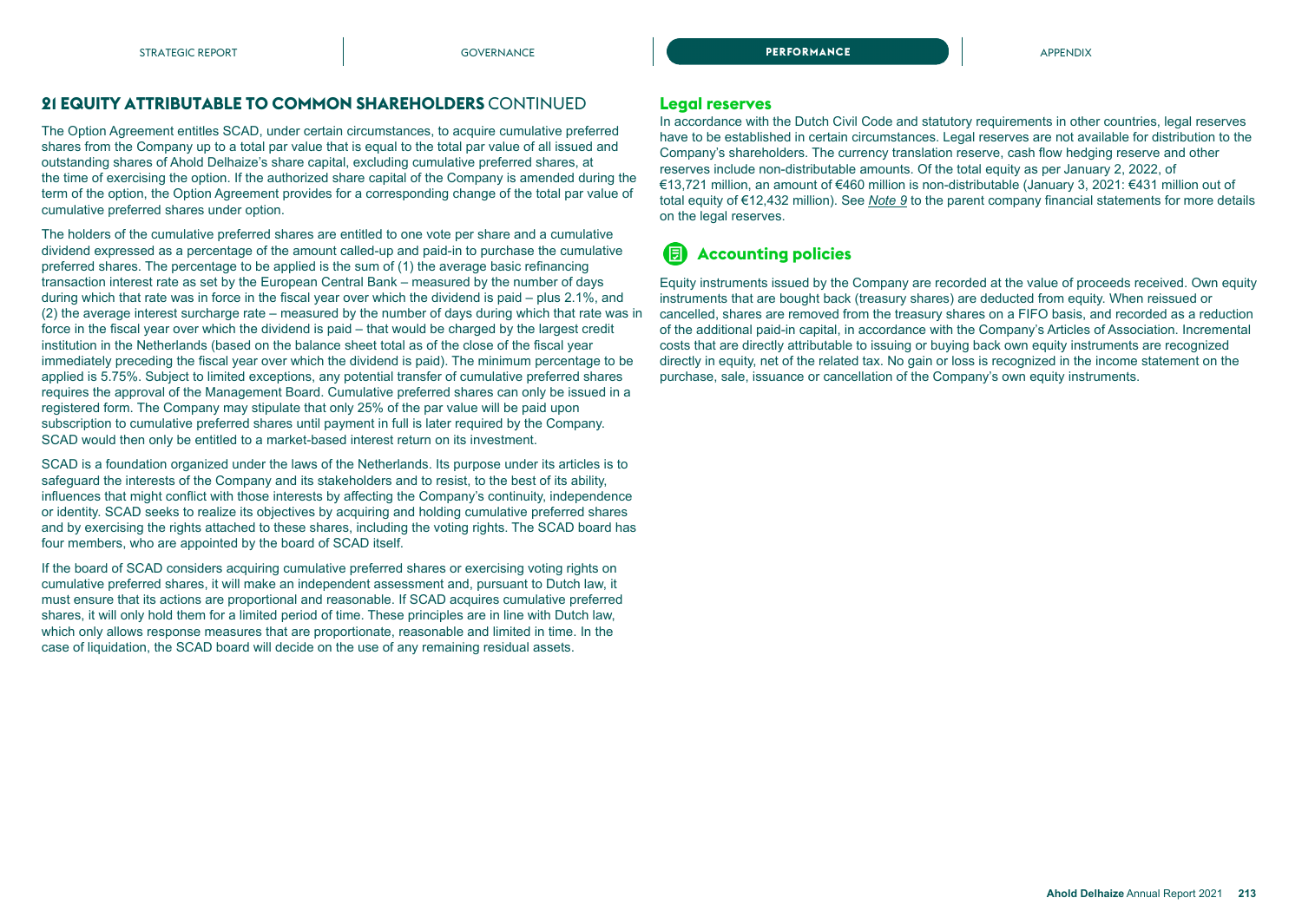## **21 EQUITY ATTRIBUTABLE TO COMMON SHAREHOLDERS** CONTINUED

The Option Agreement entitles SCAD, under certain circumstances, to acquire cumulative preferred shares from the Company up to a total par value that is equal to the total par value of all issued and outstanding shares of Ahold Delhaize's share capital, excluding cumulative preferred shares, at the time of exercising the option. If the authorized share capital of the Company is amended during the term of the option, the Option Agreement provides for a corresponding change of the total par value of cumulative preferred shares under option.

The holders of the cumulative preferred shares are entitled to one vote per share and a cumulative dividend expressed as a percentage of the amount called-up and paid-in to purchase the cumulative preferred shares. The percentage to be applied is the sum of (1) the average basic refinancing transaction interest rate as set by the European Central Bank – measured by the number of days during which that rate was in force in the fiscal year over which the dividend is paid – plus 2.1%, and (2) the average interest surcharge rate – measured by the number of days during which that rate was in force in the fiscal year over which the dividend is paid – that would be charged by the largest credit institution in the Netherlands (based on the balance sheet total as of the close of the fiscal year immediately preceding the fiscal year over which the dividend is paid). The minimum percentage to be applied is 5.75%. Subject to limited exceptions, any potential transfer of cumulative preferred shares requires the approval of the Management Board. Cumulative preferred shares can only be issued in a registered form. The Company may stipulate that only 25% of the par value will be paid upon subscription to cumulative preferred shares until payment in full is later required by the Company. SCAD would then only be entitled to a market-based interest return on its investment.

SCAD is a foundation organized under the laws of the Netherlands. Its purpose under its articles is to safeguard the interests of the Company and its stakeholders and to resist, to the best of its ability, influences that might conflict with those interests by affecting the Company's continuity, independence or identity. SCAD seeks to realize its objectives by acquiring and holding cumulative preferred shares and by exercising the rights attached to these shares, including the voting rights. The SCAD board has four members, who are appointed by the board of SCAD itself.

If the board of SCAD considers acquiring cumulative preferred shares or exercising voting rights on cumulative preferred shares, it will make an independent assessment and, pursuant to Dutch law, it must ensure that its actions are proportional and reasonable. If SCAD acquires cumulative preferred shares, it will only hold them for a limited period of time. These principles are in line with Dutch law, which only allows response measures that are proportionate, reasonable and limited in time. In the case of liquidation, the SCAD board will decide on the use of any remaining residual assets.

#### **Legal reserves**

In accordance with the Dutch Civil Code and statutory requirements in other countries, legal reserves have to be established in certain circumstances. Legal reserves are not available for distribution to the Company's shareholders. The currency translation reserve, cash flow hedging reserve and other reserves include non-distributable amounts. Of the total equity as per January 2, 2022, of €13,721 million, an amount of €460 million is non-distributable (January 3, 2021: €431 million out of total equity of €12,432 million). See *[Note 9](#page-78-0)* to the parent company financial statements for more details on the legal reserves.

#### **Accounting policies** 侗

Equity instruments issued by the Company are recorded at the value of proceeds received. Own equity instruments that are bought back (treasury shares) are deducted from equity. When reissued or cancelled, shares are removed from the treasury shares on a FIFO basis, and recorded as a reduction of the additional paid-in capital, in accordance with the Company's Articles of Association. Incremental costs that are directly attributable to issuing or buying back own equity instruments are recognized directly in equity, net of the related tax. No gain or loss is recognized in the income statement on the purchase, sale, issuance or cancellation of the Company's own equity instruments.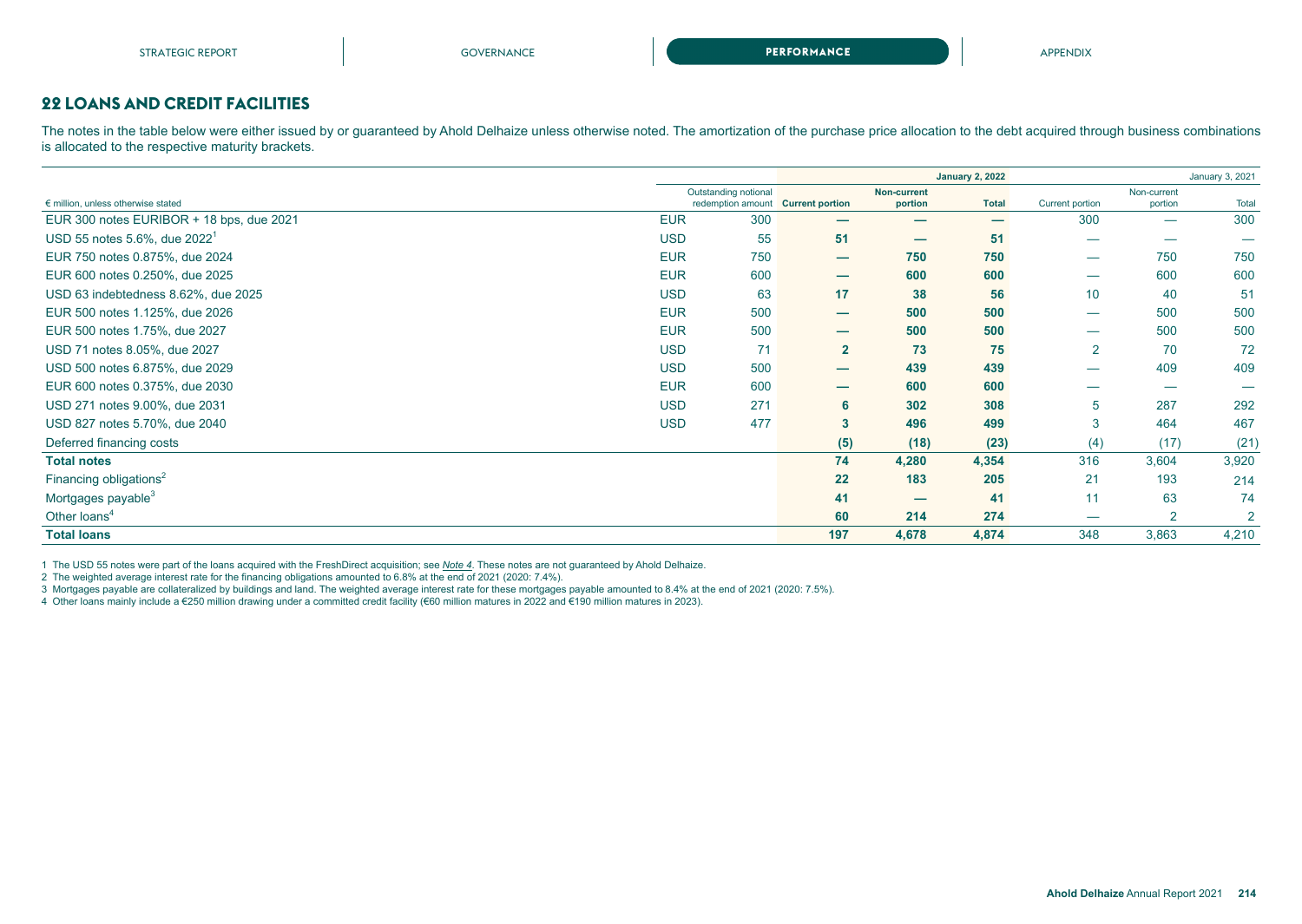### <span id="page-36-0"></span>**22 LOANS AND CREDIT FACILITIES**

The notes in the table below were either issued by or guaranteed by Ahold Delhaize unless otherwise noted. The amortization of the purchase price allocation to the debt acquired through business combinations is allocated to the respective maturity brackets.

|                                             |            |                      |                          |             | <b>January 2, 2022</b> |                 |                          | January 3, 2021 |
|---------------------------------------------|------------|----------------------|--------------------------|-------------|------------------------|-----------------|--------------------------|-----------------|
|                                             |            | Outstanding notional |                          | Non-current |                        |                 | Non-current              |                 |
| $\epsilon$ million, unless otherwise stated |            | redemption amount    | <b>Current portion</b>   | portion     | <b>Total</b>           | Current portion | portion                  | Total           |
| EUR 300 notes EURIBOR + 18 bps, due 2021    | <b>EUR</b> | 300                  | $\overline{\phantom{a}}$ |             | -                      | 300             | $\overline{\phantom{m}}$ | 300             |
| USD 55 notes 5.6%, due $2022^1$             | <b>USD</b> | 55                   | 51                       |             | 51                     |                 |                          |                 |
| EUR 750 notes 0.875%, due 2024              | <b>EUR</b> | 750                  |                          | 750         | 750                    |                 | 750                      | 750             |
| EUR 600 notes 0.250%, due 2025              | <b>EUR</b> | 600                  | -                        | 600         | 600                    |                 | 600                      | 600             |
| USD 63 indebtedness 8.62%, due 2025         | <b>USD</b> | 63                   | 17                       | 38          | 56                     | 10              | 40                       | 51              |
| EUR 500 notes 1.125%, due 2026              | <b>EUR</b> | 500                  | -                        | 500         | 500                    |                 | 500                      | 500             |
| EUR 500 notes 1.75%, due 2027               | <b>EUR</b> | 500                  | $\overline{\phantom{0}}$ | 500         | 500                    |                 | 500                      | 500             |
| USD 71 notes 8.05%, due 2027                | <b>USD</b> | 71                   | $\overline{2}$           | 73          | 75                     | 2               | 70                       | 72              |
| USD 500 notes 6.875%, due 2029              | <b>USD</b> | 500                  | -                        | 439         | 439                    |                 | 409                      | 409             |
| EUR 600 notes 0.375%, due 2030              | <b>EUR</b> | 600                  | -                        | 600         | 600                    |                 |                          |                 |
| USD 271 notes 9.00%, due 2031               | <b>USD</b> | 271                  | 6                        | 302         | 308                    | 5               | 287                      | 292             |
| USD 827 notes 5.70%, due 2040               | <b>USD</b> | 477                  | $\overline{\mathbf{3}}$  | 496         | 499                    | 3               | 464                      | 467             |
| Deferred financing costs                    |            |                      | (5)                      | (18)        | (23)                   | (4)             | (17)                     | (21)            |
| <b>Total notes</b>                          |            |                      | 74                       | 4,280       | 4,354                  | 316             | 3,604                    | 3,920           |
| Financing obligations <sup>2</sup>          |            |                      | $22 \overline{ }$        | 183         | 205                    | 21              | 193                      | 214             |
| Mortgages payable <sup>3</sup>              |            |                      | 41                       |             | 41                     | 11              | 63                       | 74              |
| Other loans <sup>4</sup>                    |            |                      | 60                       | 214         | 274                    |                 | $\overline{2}$           | $\overline{2}$  |
| <b>Total loans</b>                          |            |                      | 197                      | 4,678       | 4,874                  | 348             | 3,863                    | 4,210           |

1 The USD 55 notes were part of the loans acquired with the FreshDirect acquisition; see *[Note 4](#page-11-0)*. These notes are not guaranteed by Ahold Delhaize.

2 The weighted average interest rate for the financing obligations amounted to 6.8% at the end of 2021 (2020: 7.4%).

3 Mortgages payable are collateralized by buildings and land. The weighted average interest rate for these mortgages payable amounted to 8.4% at the end of 2021 (2020: 7.5%).

4 Other loans mainly include a €250 million drawing under a committed credit facility (€60 million matures in 2022 and €190 million matures in 2023).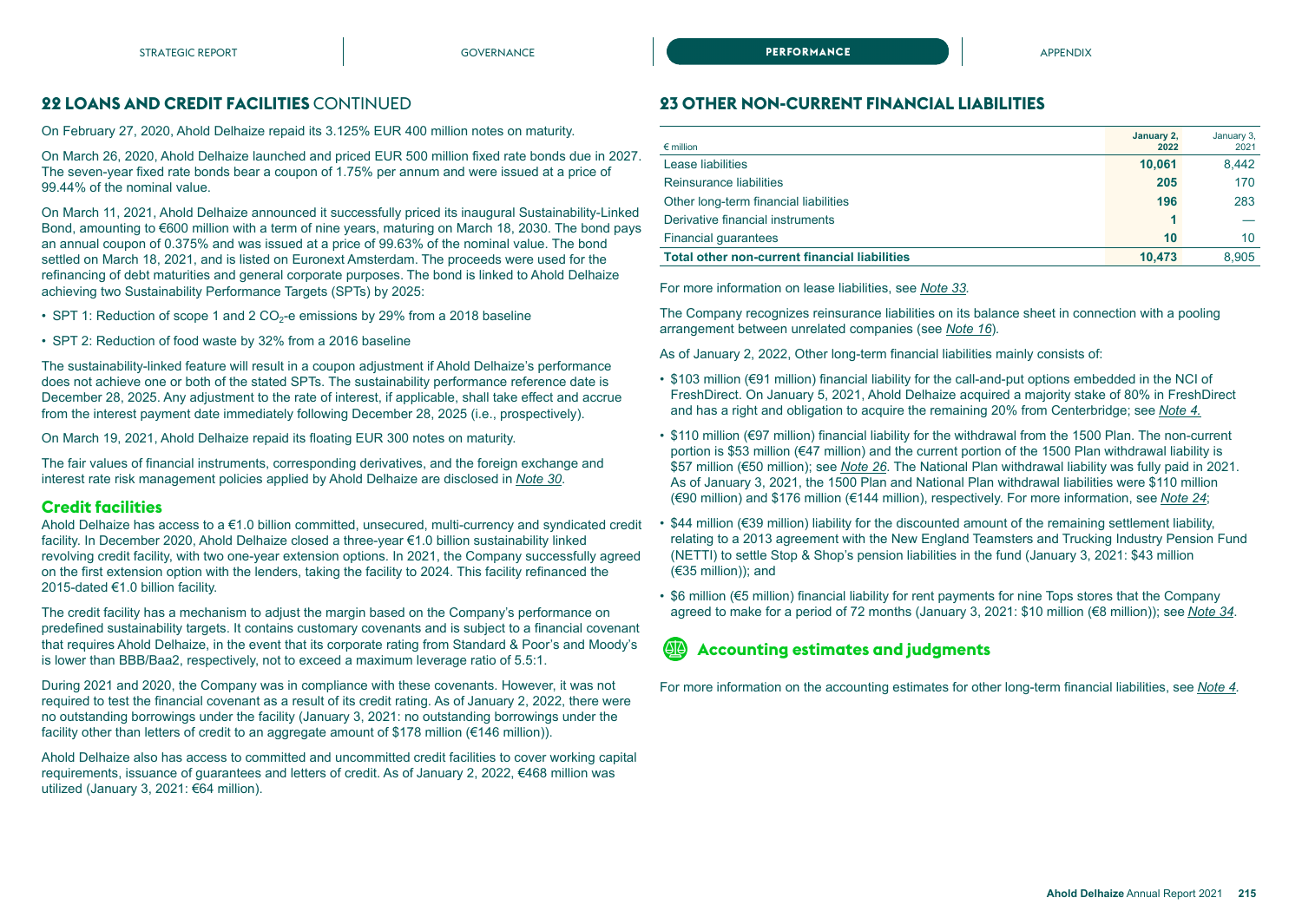### <span id="page-37-0"></span>**22 LOANS AND CREDIT FACILITIES** CONTINUED

On February 27, 2020, Ahold Delhaize repaid its 3.125% EUR 400 million notes on maturity.

On March 26, 2020, Ahold Delhaize launched and priced EUR 500 million fixed rate bonds due in 2027. The seven-year fixed rate bonds bear a coupon of 1.75% per annum and were issued at a price of 99.44% of the nominal value.

On March 11, 2021, Ahold Delhaize announced it successfully priced its inaugural Sustainability-Linked Bond, amounting to €600 million with a term of nine years, maturing on March 18, 2030. The bond pays an annual coupon of 0.375% and was issued at a price of 99.63% of the nominal value. The bond settled on March 18, 2021, and is listed on Euronext Amsterdam. The proceeds were used for the refinancing of debt maturities and general corporate purposes. The bond is linked to Ahold Delhaize achieving two Sustainability Performance Targets (SPTs) by 2025:

- SPT 1: Reduction of scope 1 and 2  $CO<sub>2</sub>$ -e emissions by 29% from a 2018 baseline
- SPT 2: Reduction of food waste by 32% from a 2016 baseline

The sustainability-linked feature will result in a coupon adjustment if Ahold Delhaize's performance does not achieve one or both of the stated SPTs. The sustainability performance reference date is December 28, 2025. Any adjustment to the rate of interest, if applicable, shall take effect and accrue from the interest payment date immediately following December 28, 2025 (i.e., prospectively).

On March 19, 2021, Ahold Delhaize repaid its floating EUR 300 notes on maturity.

The fair values of financial instruments, corresponding derivatives, and the foreign exchange and interest rate risk management policies applied by Ahold Delhaize are disclosed in *[Note 30](#page-52-0)*.

### **Credit facilities**

Ahold Delhaize has access to a €1.0 billion committed, unsecured, multi-currency and syndicated credit facility. In December 2020, Ahold Delhaize closed a three-year €1.0 billion sustainability linked revolving credit facility, with two one-year extension options. In 2021, the Company successfully agreed on the first extension option with the lenders, taking the facility to 2024. This facility refinanced the 2015-dated €1.0 billion facility.

The credit facility has a mechanism to adjust the margin based on the Company's performance on predefined sustainability targets. It contains customary covenants and is subject to a financial covenant that requires Ahold Delhaize, in the event that its corporate rating from Standard & Poor's and Moody's is lower than BBB/Baa2, respectively, not to exceed a maximum leverage ratio of 5.5:1.

During 2021 and 2020, the Company was in compliance with these covenants. However, it was not required to test the financial covenant as a result of its credit rating. As of January 2, 2022, there were no outstanding borrowings under the facility (January 3, 2021: no outstanding borrowings under the facility other than letters of credit to an aggregate amount of \$178 million ( $\epsilon$ 146 million)).

Ahold Delhaize also has access to committed and uncommitted credit facilities to cover working capital requirements, issuance of guarantees and letters of credit. As of January 2, 2022, €468 million was utilized (January 3, 2021: €64 million).

### **23 OTHER NON-CURRENT FINANCIAL LIABILITIES**

| $\epsilon$ million                                   | January 2,<br>2022 | January 3,<br>2021 |
|------------------------------------------------------|--------------------|--------------------|
| Lease liabilities                                    | 10.061             | 8.442              |
| Reinsurance liabilities                              | 205                | 170                |
| Other long-term financial liabilities                | 196                | 283                |
| Derivative financial instruments                     |                    |                    |
| <b>Financial quarantees</b>                          | 10                 | 10 <sup>°</sup>    |
| <b>Total other non-current financial liabilities</b> | 10.473             | 8.905              |

For more information on lease liabilities, see *[Note 33](#page-62-0).*

The Company recognizes reinsurance liabilities on its balance sheet in connection with a pooling arrangement between unrelated companies (see *[Note 16](#page-31-0)*)*.*

As of January 2, 2022, Other long-term financial liabilities mainly consists of:

- \$103 million (€91 million) financial liability for the call-and-put options embedded in the NCI of FreshDirect. On January 5, 2021, Ahold Delhaize acquired a majority stake of 80% in FreshDirect and has a right and obligation to acquire the remaining 20% from Centerbridge; see *[Note 4.](#page-11-0)*
- \$110 million (€97 million) financial liability for the withdrawal from the 1500 Plan. The non-current portion is \$53 million (€47 million) and the current portion of the 1500 Plan withdrawal liability is \$57 million (€50 million); see *[Note 26](#page-48-0)*. The National Plan withdrawal liability was fully paid in 2021. As of January 3, 2021, the 1500 Plan and National Plan withdrawal liabilities were \$110 million (€90 million) and \$176 million (€144 million), respectively. For more information, see *[Note 24](#page-38-0)*;
- \$44 million (€39 million) liability for the discounted amount of the remaining settlement liability, relating to a 2013 agreement with the New England Teamsters and Trucking Industry Pension Fund (NETTI) to settle Stop & Shop's pension liabilities in the fund (January 3, 2021: \$43 million (€35 million)); and
- \$6 million (€5 million) financial liability for rent payments for nine Tops stores that the Company agreed to make for a period of 72 months (January 3, 2021: \$10 million (€8 million)); see *[Note 34](#page-66-0)*.

#### **Accounting estimates and judgments** 40

For more information on the accounting estimates for other long-term financial liabilities, see *[Note 4.](#page-11-0)*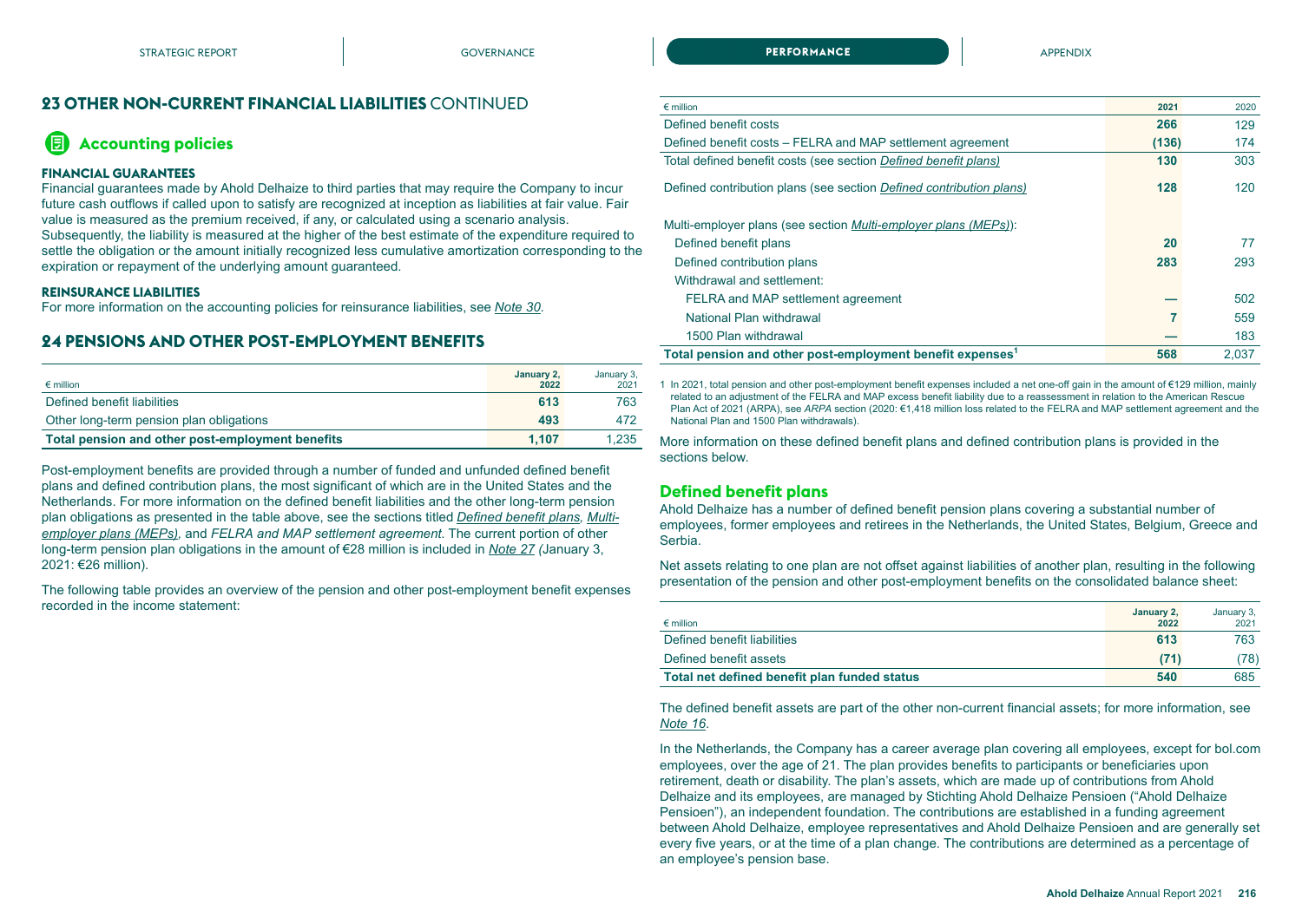<span id="page-38-0"></span>

| 23 OTHER NON-CURRENT FINANCIAL LIABILITIES CONTINUED |  |
|------------------------------------------------------|--|
|------------------------------------------------------|--|

#### **Accounting policies** Ħ

#### **FINANCIAL GUARANTEES**

Financial guarantees made by Ahold Delhaize to third parties that may require the Company to incur future cash outflows if called upon to satisfy are recognized at inception as liabilities at fair value. Fair value is measured as the premium received, if any, or calculated using a scenario analysis. Subsequently, the liability is measured at the higher of the best estimate of the expenditure required to settle the obligation or the amount initially recognized less cumulative amortization corresponding to the expiration or repayment of the underlying amount guaranteed.

#### **REINSURANCE LIABILITIES**

For more information on the accounting policies for reinsurance liabilities, see *[Note 30](#page-52-0)*.

### **24 PENSIONS AND OTHER POST-EMPLOYMENT BENEFITS**

| $\epsilon$ million                               | January 2.<br>2022 | January 3.<br>2021 |
|--------------------------------------------------|--------------------|--------------------|
| Defined benefit liabilities                      | 613                | 763                |
| Other long-term pension plan obligations         | 493                | 472                |
| Total pension and other post-employment benefits | 1.107              | 1.235              |

Post-employment benefits are provided through a number of funded and unfunded defined benefit plans and defined contribution plans, the most significant of which are in the United States and the Netherlands. For more information on the defined benefit liabilities and the other long-term pension plan obligations as presented in the table above, see the sections titled *Defined benefit plans, [Multi](#page-43-0)[employer plans \(MEPs\)](#page-43-0),* and *FELRA and MAP settlement agreement*. The current portion of other long-term pension plan obligations in the amount of €28 million is included in *[Note 27](#page-49-0) (*January 3, 2021: €26 million).

The following table provides an overview of the pension and other post-employment benefit expenses recorded in the income statement:

| $\epsilon$ million                                                                     | 2021  | 2020  |
|----------------------------------------------------------------------------------------|-------|-------|
| Defined benefit costs                                                                  | 266   | 129   |
| Defined benefit costs - FELRA and MAP settlement agreement                             | (136) | 174   |
| Total defined benefit costs (see section Defined benefit plans)                        | 130   | 303   |
| Defined contribution plans (see section Defined contribution plans)                    | 128   | 120   |
| Multi-employer plans (see section <i>Multi-employer plans (MEPs)</i> ):                |       |       |
| Defined benefit plans                                                                  | 20    | 77    |
| Defined contribution plans                                                             | 283   | 293   |
| Withdrawal and settlement:                                                             |       |       |
| FELRA and MAP settlement agreement                                                     |       | 502   |
| National Plan withdrawal                                                               |       | 559   |
| 1500 Plan withdrawal                                                                   |       | 183   |
| Total pension and other post-employment benefit expenses $^{\text{\tiny{\textsf{1}}}}$ | 568   | 2.037 |

1 In 2021, total pension and other post-employment benefit expenses included a net one-off gain in the amount of €129 million, mainly related to an adjustment of the FELRA and MAP excess benefit liability due to a reassessment in relation to the American Rescue Plan Act of 2021 (ARPA), see ARPA section (2020: €1,418 million loss related to the FELRA and MAP settlement agreement and the National Plan and 1500 Plan withdrawals).

More information on these defined benefit plans and defined contribution plans is provided in the sections below.

### **Defined benefit plans**

Ahold Delhaize has a number of defined benefit pension plans covering a substantial number of employees, former employees and retirees in the Netherlands, the United States, Belgium, Greece and Serbia.

Net assets relating to one plan are not offset against liabilities of another plan, resulting in the following presentation of the pension and other post-employment benefits on the consolidated balance sheet:

| $\epsilon$ million                           | January 2,<br>2022 | January 3,<br>2021 |
|----------------------------------------------|--------------------|--------------------|
| Defined benefit liabilities                  | 613                | 763                |
| Defined benefit assets                       | (71)               | (78)               |
| Total net defined benefit plan funded status | 540                | 685                |

The defined benefit assets are part of the other non-current financial assets; for more information, see *[Note 16](#page-31-0)*.

In the Netherlands, the Company has a career average plan covering all employees, except for bol.com employees, over the age of 21. The plan provides benefits to participants or beneficiaries upon retirement, death or disability. The plan's assets, which are made up of contributions from Ahold Delhaize and its employees, are managed by Stichting Ahold Delhaize Pensioen ("Ahold Delhaize Pensioen"), an independent foundation. The contributions are established in a funding agreement between Ahold Delhaize, employee representatives and Ahold Delhaize Pensioen and are generally set every five years, or at the time of a plan change. The contributions are determined as a percentage of an employee's pension base.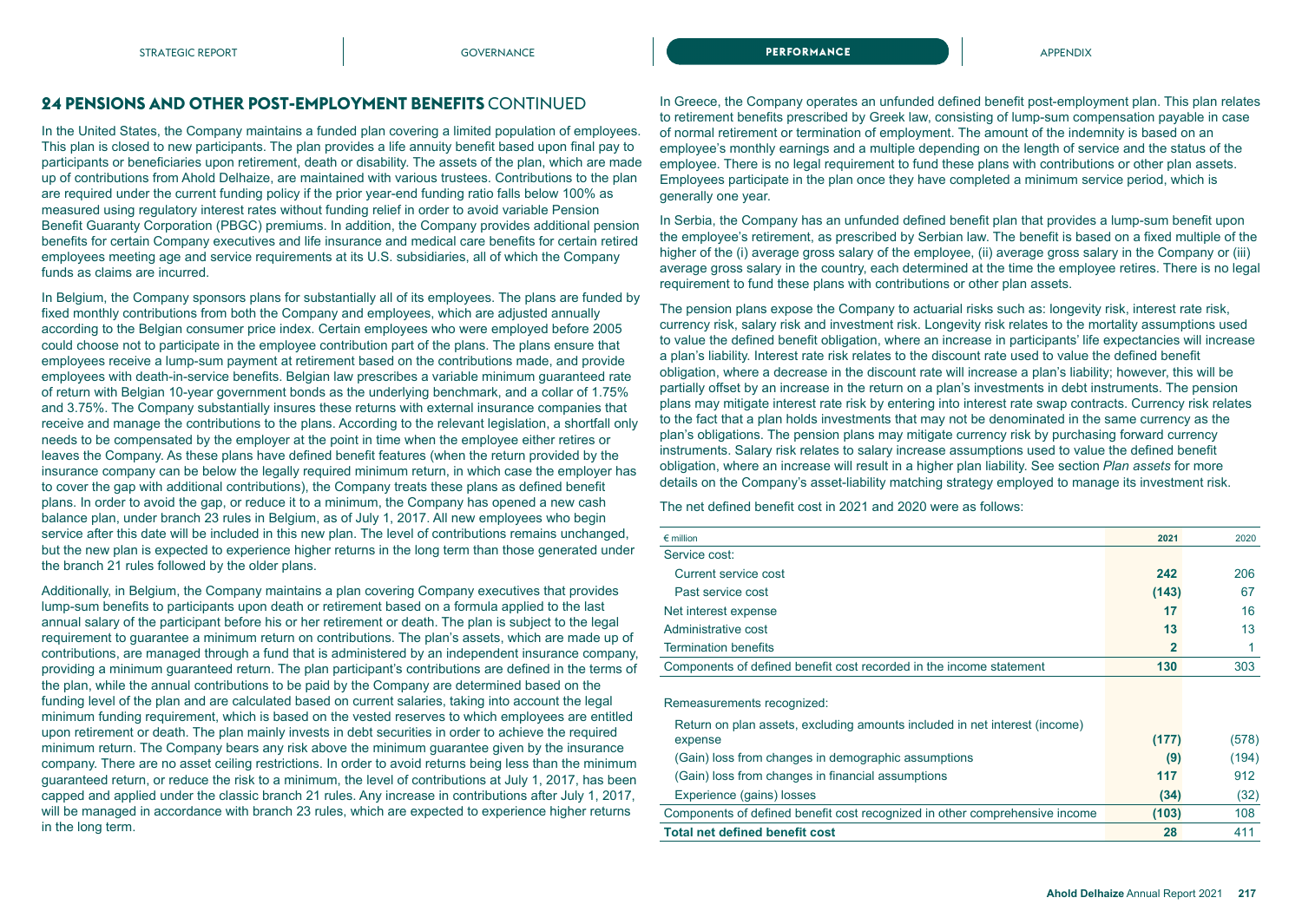In the United States, the Company maintains a funded plan covering a limited population of employees. This plan is closed to new participants. The plan provides a life annuity benefit based upon final pay to participants or beneficiaries upon retirement, death or disability. The assets of the plan, which are made up of contributions from Ahold Delhaize, are maintained with various trustees. Contributions to the plan are required under the current funding policy if the prior year-end funding ratio falls below 100% as measured using regulatory interest rates without funding relief in order to avoid variable Pension Benefit Guaranty Corporation (PBGC) premiums. In addition, the Company provides additional pension benefits for certain Company executives and life insurance and medical care benefits for certain retired employees meeting age and service requirements at its U.S. subsidiaries, all of which the Company funds as claims are incurred.

In Belgium, the Company sponsors plans for substantially all of its employees. The plans are funded by fixed monthly contributions from both the Company and employees, which are adjusted annually according to the Belgian consumer price index. Certain employees who were employed before 2005 could choose not to participate in the employee contribution part of the plans. The plans ensure that employees receive a lump-sum payment at retirement based on the contributions made, and provide employees with death-in-service benefits. Belgian law prescribes a variable minimum guaranteed rate of return with Belgian 10-year government bonds as the underlying benchmark, and a collar of 1.75% and 3.75%. The Company substantially insures these returns with external insurance companies that receive and manage the contributions to the plans. According to the relevant legislation, a shortfall only needs to be compensated by the employer at the point in time when the employee either retires or leaves the Company. As these plans have defined benefit features (when the return provided by the insurance company can be below the legally required minimum return, in which case the employer has to cover the gap with additional contributions), the Company treats these plans as defined benefit plans. In order to avoid the gap, or reduce it to a minimum, the Company has opened a new cash balance plan, under branch 23 rules in Belgium, as of July 1, 2017. All new employees who begin service after this date will be included in this new plan. The level of contributions remains unchanged, but the new plan is expected to experience higher returns in the long term than those generated under the branch 21 rules followed by the older plans.

Additionally, in Belgium, the Company maintains a plan covering Company executives that provides lump-sum benefits to participants upon death or retirement based on a formula applied to the last annual salary of the participant before his or her retirement or death. The plan is subject to the legal requirement to guarantee a minimum return on contributions. The plan's assets, which are made up of contributions, are managed through a fund that is administered by an independent insurance company, providing a minimum guaranteed return. The plan participant's contributions are defined in the terms of the plan, while the annual contributions to be paid by the Company are determined based on the funding level of the plan and are calculated based on current salaries, taking into account the legal minimum funding requirement, which is based on the vested reserves to which employees are entitled upon retirement or death. The plan mainly invests in debt securities in order to achieve the required minimum return. The Company bears any risk above the minimum guarantee given by the insurance company. There are no asset ceiling restrictions. In order to avoid returns being less than the minimum guaranteed return, or reduce the risk to a minimum, the level of contributions at July 1, 2017, has been capped and applied under the classic branch 21 rules. Any increase in contributions after July 1, 2017, will be managed in accordance with branch 23 rules, which are expected to experience higher returns in the long term.

In Greece, the Company operates an unfunded defined benefit post-employment plan. This plan relates to retirement benefits prescribed by Greek law, consisting of lump-sum compensation payable in case of normal retirement or termination of employment. The amount of the indemnity is based on an employee's monthly earnings and a multiple depending on the length of service and the status of the employee. There is no legal requirement to fund these plans with contributions or other plan assets. Employees participate in the plan once they have completed a minimum service period, which is generally one year.

In Serbia, the Company has an unfunded defined benefit plan that provides a lump-sum benefit upon the employee's retirement, as prescribed by Serbian law. The benefit is based on a fixed multiple of the higher of the (i) average gross salary of the employee, (ii) average gross salary in the Company or (iii) average gross salary in the country, each determined at the time the employee retires. There is no legal requirement to fund these plans with contributions or other plan assets.

The pension plans expose the Company to actuarial risks such as: longevity risk, interest rate risk, currency risk, salary risk and investment risk. Longevity risk relates to the mortality assumptions used to value the defined benefit obligation, where an increase in participants' life expectancies will increase a plan's liability. Interest rate risk relates to the discount rate used to value the defined benefit obligation, where a decrease in the discount rate will increase a plan's liability; however, this will be partially offset by an increase in the return on a plan's investments in debt instruments. The pension plans may mitigate interest rate risk by entering into interest rate swap contracts. Currency risk relates to the fact that a plan holds investments that may not be denominated in the same currency as the plan's obligations. The pension plans may mitigate currency risk by purchasing forward currency instruments. Salary risk relates to salary increase assumptions used to value the defined benefit obligation, where an increase will result in a higher plan liability. See section *Plan assets* for more details on the Company's asset-liability matching strategy employed to manage its investment risk.

The net defined benefit cost in 2021 and 2020 were as follows:

| $\epsilon$ million                                                          | 2021         | 2020  |
|-----------------------------------------------------------------------------|--------------|-------|
| Service cost:                                                               |              |       |
| Current service cost                                                        | 242          | 206   |
| Past service cost                                                           | (143)        | 67    |
| Net interest expense                                                        | 17           | 16    |
| Administrative cost                                                         | 13           | 13    |
| <b>Termination benefits</b>                                                 | $\mathbf{2}$ |       |
| Components of defined benefit cost recorded in the income statement         | 130          | 303   |
|                                                                             |              |       |
| Remeasurements recognized:                                                  |              |       |
| Return on plan assets, excluding amounts included in net interest (income)  |              |       |
| expense                                                                     | (177)        | (578) |
| (Gain) loss from changes in demographic assumptions                         | (9)          | (194) |
| (Gain) loss from changes in financial assumptions                           | 117          | 912   |
| Experience (gains) losses                                                   | (34)         | (32)  |
| Components of defined benefit cost recognized in other comprehensive income | (103)        | 108   |
| <b>Total net defined benefit cost</b>                                       | 28           | 411   |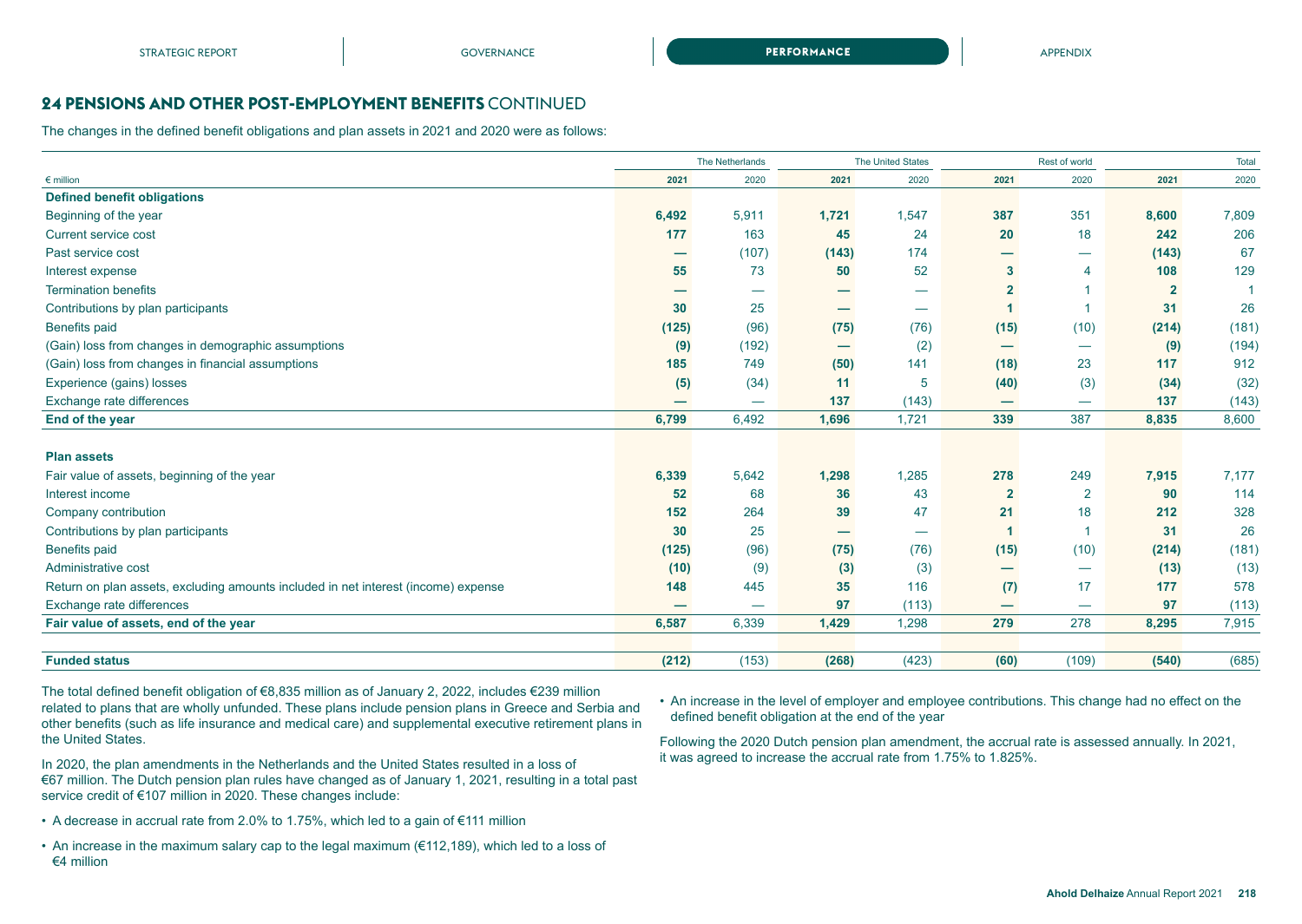The changes in the defined benefit obligations and plan assets in 2021 and 2020 were as follows:

|                                                                                    |       | The Netherlands |                          | <b>The United States</b> |                          | Rest of world  |              | Total |
|------------------------------------------------------------------------------------|-------|-----------------|--------------------------|--------------------------|--------------------------|----------------|--------------|-------|
| $\epsilon$ million                                                                 | 2021  | 2020            | 2021                     | 2020                     | 2021                     | 2020           | 2021         | 2020  |
| <b>Defined benefit obligations</b>                                                 |       |                 |                          |                          |                          |                |              |       |
| Beginning of the year                                                              | 6,492 | 5,911           | 1,721                    | 1,547                    | 387                      | 351            | 8,600        | 7,809 |
| Current service cost                                                               | 177   | 163             | 45                       | 24                       | 20                       | 18             | 242          | 206   |
| Past service cost                                                                  |       | (107)           | (143)                    | 174                      |                          |                | (143)        | 67    |
| Interest expense                                                                   | 55    | 73              | 50                       | 52                       | $\mathbf{3}$             | $\overline{4}$ | 108          | 129   |
| <b>Termination benefits</b>                                                        |       |                 |                          |                          | $\overline{2}$           |                | $\mathbf{2}$ |       |
| Contributions by plan participants                                                 | 30    | 25              | $\overline{\phantom{0}}$ |                          |                          |                | 31           | 26    |
| Benefits paid                                                                      | (125) | (96)            | (75)                     | (76)                     | (15)                     | (10)           | (214)        | (181) |
| (Gain) loss from changes in demographic assumptions                                | (9)   | (192)           | $\overline{\phantom{0}}$ | (2)                      | -                        |                | (9)          | (194) |
| (Gain) loss from changes in financial assumptions                                  | 185   | 749             | (50)                     | 141                      | (18)                     | 23             | 117          | 912   |
| Experience (gains) losses                                                          | (5)   | (34)            | 11                       | 5                        | (40)                     | (3)            | (34)         | (32)  |
| Exchange rate differences                                                          |       |                 | 137                      | (143)                    |                          |                | 137          | (143) |
| End of the year                                                                    | 6,799 | 6,492           | 1,696                    | 1,721                    | 339                      | 387            | 8,835        | 8,600 |
|                                                                                    |       |                 |                          |                          |                          |                |              |       |
| <b>Plan assets</b>                                                                 |       |                 |                          |                          |                          |                |              |       |
| Fair value of assets, beginning of the year                                        | 6,339 | 5,642           | 1,298                    | 1,285                    | 278                      | 249            | 7,915        | 7,177 |
| Interest income                                                                    | 52    | 68              | 36                       | 43                       | $\overline{2}$           | $\overline{2}$ | 90           | 114   |
| Company contribution                                                               | 152   | 264             | 39                       | 47                       | 21                       | 18             | 212          | 328   |
| Contributions by plan participants                                                 | 30    | 25              | $\overline{\phantom{0}}$ |                          |                          |                | 31           | 26    |
| <b>Benefits paid</b>                                                               | (125) | (96)            | (75)                     | (76)                     | (15)                     | (10)           | (214)        | (181) |
| Administrative cost                                                                | (10)  | (9)             | (3)                      | (3)                      |                          |                | (13)         | (13)  |
| Return on plan assets, excluding amounts included in net interest (income) expense | 148   | 445             | 35                       | 116                      | (7)                      | 17             | 177          | 578   |
| Exchange rate differences                                                          |       |                 | 97                       | (113)                    | $\overline{\phantom{0}}$ |                | 97           | (113) |
| Fair value of assets, end of the year                                              | 6,587 | 6,339           | 1,429                    | 1,298                    | 279                      | 278            | 8,295        | 7,915 |
|                                                                                    |       |                 |                          |                          |                          |                |              |       |
| <b>Funded status</b>                                                               | (212) | (153)           | (268)                    | (423)                    | (60)                     | (109)          | (540)        | (685) |

The total defined benefit obligation of €8,835 million as of January 2, 2022, includes €239 million related to plans that are wholly unfunded. These plans include pension plans in Greece and Serbia and other benefits (such as life insurance and medical care) and supplemental executive retirement plans in the United States.

In 2020, the plan amendments in the Netherlands and the United States resulted in a loss of €67 million. The Dutch pension plan rules have changed as of January 1, 2021, resulting in a total past service credit of €107 million in 2020. These changes include:

- A decrease in accrual rate from 2.0% to 1.75%, which led to a gain of  $\epsilon$ 111 million
- An increase in the maximum salary cap to the legal maximum (€112,189), which led to a loss of €4 million

• An increase in the level of employer and employee contributions. This change had no effect on the defined benefit obligation at the end of the year

Following the 2020 Dutch pension plan amendment, the accrual rate is assessed annually. In 2021, it was agreed to increase the accrual rate from 1.75% to 1.825%.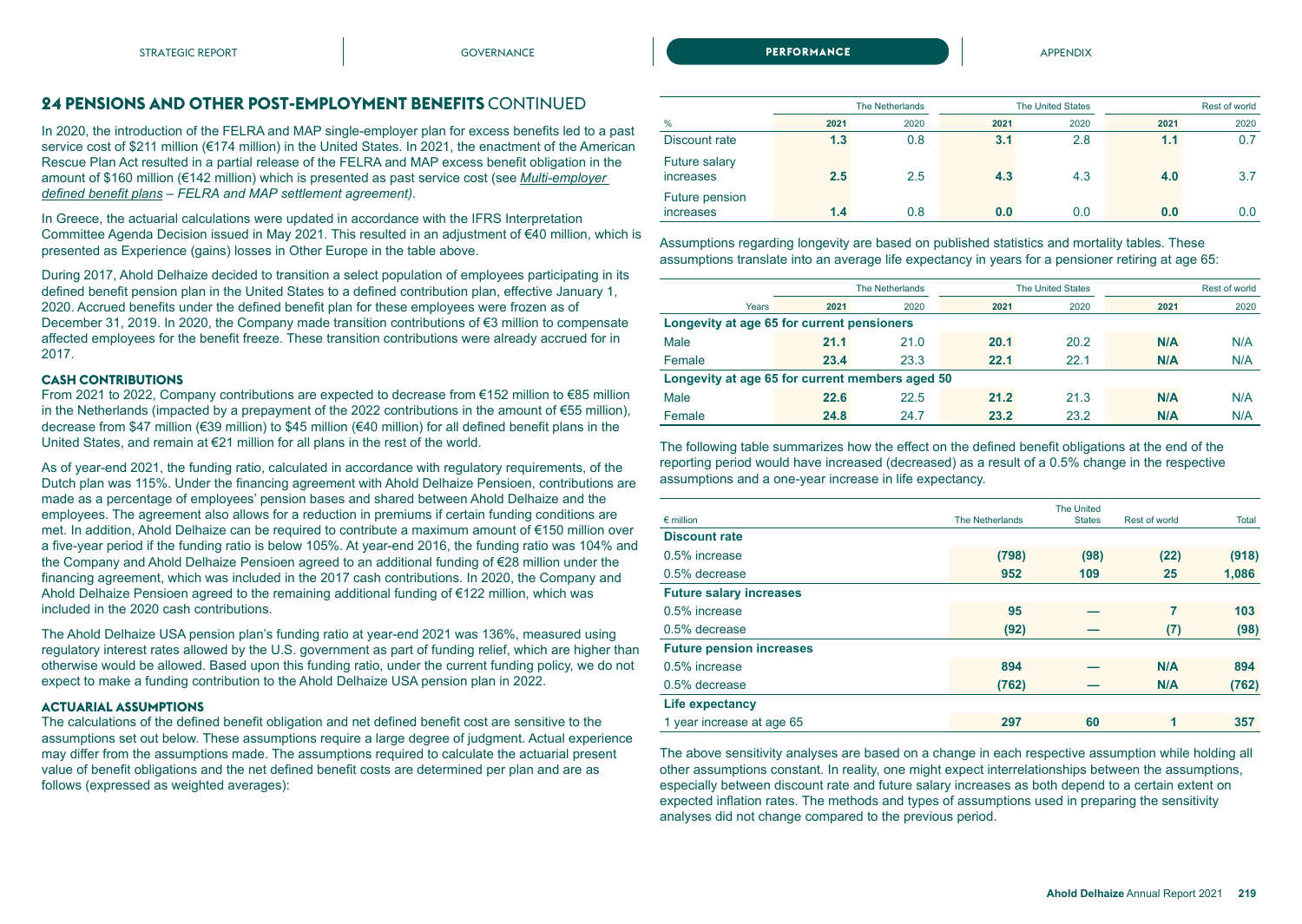In 2020, the introduction of the FELRA and MAP single-employer plan for excess benefits led to a past service cost of \$211 million (€174 million) in the United States. In 2021, the enactment of the American Rescue Plan Act resulted in a partial release of the FELRA and MAP excess benefit obligation in the amount of \$160 million (€142 million) which is presented as past service cost (see *[Multi-employer](#page-43-0)  [defined benefit plans](#page-43-0) – FELRA and MAP settlement agreement)*.

In Greece, the actuarial calculations were updated in accordance with the IFRS Interpretation Committee Agenda Decision issued in May 2021. This resulted in an adjustment of €40 million, which is presented as Experience (gains) losses in Other Europe in the table above.

During 2017, Ahold Delhaize decided to transition a select population of employees participating in its defined benefit pension plan in the United States to a defined contribution plan, effective January 1, 2020. Accrued benefits under the defined benefit plan for these employees were frozen as of December 31, 2019. In 2020, the Company made transition contributions of €3 million to compensate affected employees for the benefit freeze. These transition contributions were already accrued for in 2017.

### **CASH CONTRIBUTIONS**

From 2021 to 2022, Company contributions are expected to decrease from €152 million to €85 million in the Netherlands (impacted by a prepayment of the 2022 contributions in the amount of  $\epsilon$ 55 million), decrease from \$47 million (€39 million) to \$45 million (€40 million) for all defined benefit plans in the United States, and remain at €21 million for all plans in the rest of the world.

As of year-end 2021, the funding ratio, calculated in accordance with regulatory requirements, of the Dutch plan was 115%. Under the financing agreement with Ahold Delhaize Pensioen, contributions are made as a percentage of employees' pension bases and shared between Ahold Delhaize and the employees. The agreement also allows for a reduction in premiums if certain funding conditions are met. In addition, Ahold Delhaize can be required to contribute a maximum amount of €150 million over a five-year period if the funding ratio is below 105%. At year-end 2016, the funding ratio was 104% and the Company and Ahold Delhaize Pensioen agreed to an additional funding of €28 million under the financing agreement, which was included in the 2017 cash contributions. In 2020, the Company and Ahold Delhaize Pensioen agreed to the remaining additional funding of €122 million, which was included in the 2020 cash contributions.

The Ahold Delhaize USA pension plan's funding ratio at year-end 2021 was 136%, measured using regulatory interest rates allowed by the U.S. government as part of funding relief, which are higher than otherwise would be allowed. Based upon this funding ratio, under the current funding policy, we do not expect to make a funding contribution to the Ahold Delhaize USA pension plan in 2022.

#### **ACTUARIAL ASSUMPTIONS**

The calculations of the defined benefit obligation and net defined benefit cost are sensitive to the assumptions set out below. These assumptions require a large degree of judgment. Actual experience may differ from the assumptions made. The assumptions required to calculate the actuarial present value of benefit obligations and the net defined benefit costs are determined per plan and are as follows (expressed as weighted averages):

|                             |      | The Netherlands<br><b>The United States</b> |      |      |      | Rest of world |
|-----------------------------|------|---------------------------------------------|------|------|------|---------------|
| $\%$                        | 2021 | 2020                                        | 2021 | 2020 | 2021 | 2020          |
| Discount rate               | 1.3  | 0.8                                         | 3.1  | 2.8  | 1.1  | 0.7           |
| Future salary<br>increases  | 2.5  | 2.5                                         | 4.3  | 4.3  | 4.0  | 3.7           |
| Future pension<br>increases | 1.4  | 0.8                                         | 0.0  | 0.0  | 0.0  | 0.0           |

Assumptions regarding longevity are based on published statistics and mortality tables. These assumptions translate into an average life expectancy in years for a pensioner retiring at age 65:

|                                                 |      | The Netherlands | <b>The United States</b> |      |      | Rest of world |  |  |
|-------------------------------------------------|------|-----------------|--------------------------|------|------|---------------|--|--|
| Years                                           | 2021 | 2020            | 2021                     | 2020 | 2021 | 2020          |  |  |
| Longevity at age 65 for current pensioners      |      |                 |                          |      |      |               |  |  |
| Male                                            | 21.1 | 21.0            | 20.1                     | 20.2 | N/A  | N/A           |  |  |
| Female                                          | 23.4 | 23.3            | 22.1                     | 22.1 | N/A  | N/A           |  |  |
| Longevity at age 65 for current members aged 50 |      |                 |                          |      |      |               |  |  |
| Male                                            | 22.6 | 22.5            | 21.2                     | 21.3 | N/A  | N/A           |  |  |
| Female                                          | 24.8 | 24.7            | 23.2                     | 23.2 | N/A  | N/A           |  |  |

The following table summarizes how the effect on the defined benefit obligations at the end of the reporting period would have increased (decreased) as a result of a 0.5% change in the respective assumptions and a one-year increase in life expectancy.

| $\epsilon$ million              | The Netherlands | The United<br><b>States</b> | Rest of world | Total |
|---------------------------------|-----------------|-----------------------------|---------------|-------|
| <b>Discount rate</b>            |                 |                             |               |       |
| 0.5% increase                   | (798)           | (98)                        | (22)          | (918) |
| 0.5% decrease                   | 952             | 109                         | 25            | 1,086 |
| <b>Future salary increases</b>  |                 |                             |               |       |
| 0.5% increase                   | 95              |                             | 7             | 103   |
| 0.5% decrease                   | (92)            |                             | (7)           | (98)  |
| <b>Future pension increases</b> |                 |                             |               |       |
| 0.5% increase                   | 894             |                             | N/A           | 894   |
| 0.5% decrease                   | (762)           |                             | N/A           | (762) |
| Life expectancy                 |                 |                             |               |       |
| 1 year increase at age 65       | 297             | 60                          |               | 357   |

The above sensitivity analyses are based on a change in each respective assumption while holding all other assumptions constant. In reality, one might expect interrelationships between the assumptions, especially between discount rate and future salary increases as both depend to a certain extent on expected inflation rates. The methods and types of assumptions used in preparing the sensitivity analyses did not change compared to the previous period.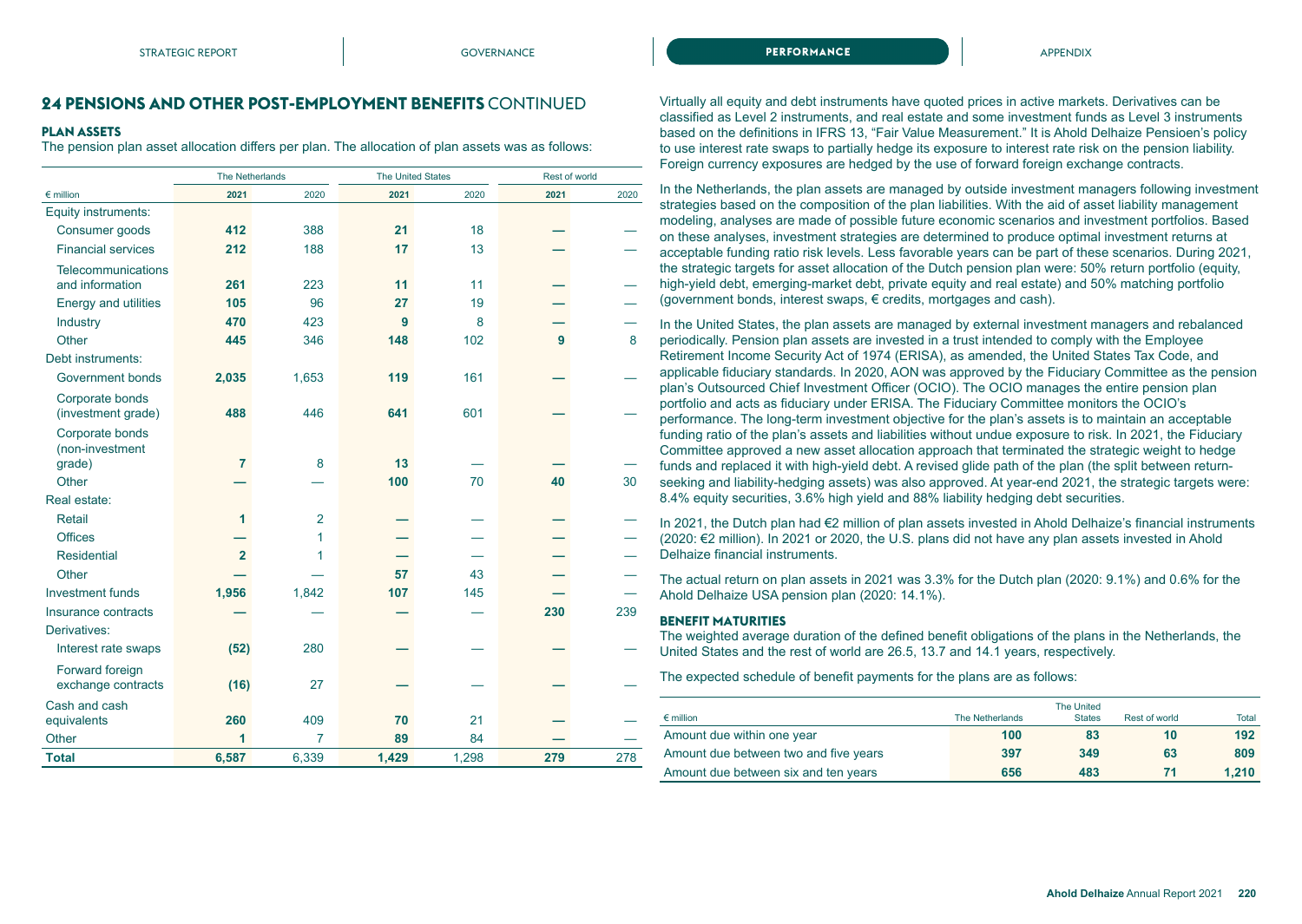### **PLAN ASSETS**

The pension plan asset allocation differs per plan. The allocation of plan assets was as follows:

|                           | <b>The Netherlands</b> |                | <b>The United States</b> |       | Rest of world |      |
|---------------------------|------------------------|----------------|--------------------------|-------|---------------|------|
| $\epsilon$ million        | 2021                   | 2020           | 2021                     | 2020  | 2021          | 2020 |
| Equity instruments:       |                        |                |                          |       |               |      |
| Consumer goods            | 412                    | 388            | 21                       | 18    |               |      |
| <b>Financial services</b> | 212                    | 188            | 17                       | 13    |               |      |
| Telecommunications        |                        |                |                          |       |               |      |
| and information           | 261                    | 223            | 11                       | 11    |               |      |
| Energy and utilities      | 105                    | 96             | 27                       | 19    |               |      |
| Industry                  | 470                    | 423            | $\overline{9}$           | 8     |               |      |
| Other                     | 445                    | 346            | 148                      | 102   | 9             | 8    |
| Debt instruments:         |                        |                |                          |       |               |      |
| Government bonds          | 2,035                  | 1,653          | 119                      | 161   |               |      |
| Corporate bonds           |                        |                |                          |       |               |      |
| (investment grade)        | 488                    | 446            | 641                      | 601   |               |      |
| Corporate bonds           |                        |                |                          |       |               |      |
| (non-investment           |                        |                |                          |       |               |      |
| grade)                    | $\overline{7}$         | 8              | 13                       |       |               |      |
| Other                     |                        |                | 100                      | 70    | 40            | 30   |
| Real estate:              |                        |                |                          |       |               |      |
| Retail                    | 1                      | $\overline{2}$ |                          |       |               |      |
| <b>Offices</b>            |                        | 1              |                          |       |               |      |
| <b>Residential</b>        | $\overline{2}$         | 1              |                          |       |               |      |
| Other                     |                        |                | 57                       | 43    |               |      |
| <b>Investment funds</b>   | 1,956                  | 1,842          | 107                      | 145   |               |      |
| Insurance contracts       |                        |                |                          |       | 230           | 239  |
| Derivatives:              |                        |                |                          |       |               |      |
| Interest rate swaps       | (52)                   | 280            |                          |       |               |      |
| Forward foreign           |                        |                |                          |       |               |      |
| exchange contracts        | (16)                   | 27             |                          |       |               |      |
| Cash and cash             |                        |                |                          |       |               |      |
| equivalents               | 260                    | 409            | 70                       | 21    |               |      |
| Other                     | 1                      | 7              | 89                       | 84    |               |      |
| <b>Total</b>              | 6,587                  | 6,339          | 1,429                    | 1,298 | 279           | 278  |

Virtually all equity and debt instruments have quoted prices in active markets. Derivatives can be classified as Level 2 instruments, and real estate and some investment funds as Level 3 instruments based on the definitions in IFRS 13, "Fair Value Measurement." It is Ahold Delhaize Pensioen's policy to use interest rate swaps to partially hedge its exposure to interest rate risk on the pension liability. Foreign currency exposures are hedged by the use of forward foreign exchange contracts.

In the Netherlands, the plan assets are managed by outside investment managers following investment strategies based on the composition of the plan liabilities. With the aid of asset liability management modeling, analyses are made of possible future economic scenarios and investment portfolios. Based on these analyses, investment strategies are determined to produce optimal investment returns at acceptable funding ratio risk levels. Less favorable years can be part of these scenarios. During 2021, the strategic targets for asset allocation of the Dutch pension plan were: 50% return portfolio (equity, high-yield debt, emerging-market debt, private equity and real estate) and 50% matching portfolio (government bonds, interest swaps, € credits, mortgages and cash).

In the United States, the plan assets are managed by external investment managers and rebalanced periodically. Pension plan assets are invested in a trust intended to comply with the Employee Retirement Income Security Act of 1974 (ERISA), as amended, the United States Tax Code, and applicable fiduciary standards. In 2020, AON was approved by the Fiduciary Committee as the pension plan's Outsourced Chief Investment Officer (OCIO). The OCIO manages the entire pension plan portfolio and acts as fiduciary under ERISA. The Fiduciary Committee monitors the OCIO's performance. The long-term investment objective for the plan's assets is to maintain an acceptable funding ratio of the plan's assets and liabilities without undue exposure to risk. In 2021, the Fiduciary Committee approved a new asset allocation approach that terminated the strategic weight to hedge funds and replaced it with high-yield debt. A revised glide path of the plan (the split between returnseeking and liability-hedging assets) was also approved. At year-end 2021, the strategic targets were: 8.4% equity securities, 3.6% high yield and 88% liability hedging debt securities.

In 2021, the Dutch plan had €2 million of plan assets invested in Ahold Delhaize's financial instruments (2020: €2 million). In 2021 or 2020, the U.S. plans did not have any plan assets invested in Ahold Delhaize financial instruments.

The actual return on plan assets in 2021 was 3.3% for the Dutch plan (2020: 9.1%) and 0.6% for the Ahold Delhaize USA pension plan (2020: 14.1%).

#### **BENEFIT MATURITIES**

The weighted average duration of the defined benefit obligations of the plans in the Netherlands, the United States and the rest of world are 26.5, 13.7 and 14.1 years, respectively.

The expected schedule of benefit payments for the plans are as follows:

|                                       |                 | The United    |               |       |
|---------------------------------------|-----------------|---------------|---------------|-------|
| $\epsilon$ million                    | The Netherlands | <b>States</b> | Rest of world | Total |
| Amount due within one year            | 100             | 83            | 10            | 192   |
| Amount due between two and five years | 397             | 349           | 63            | 809   |
| Amount due between six and ten years  | 656             | 483           | 71            | 1.210 |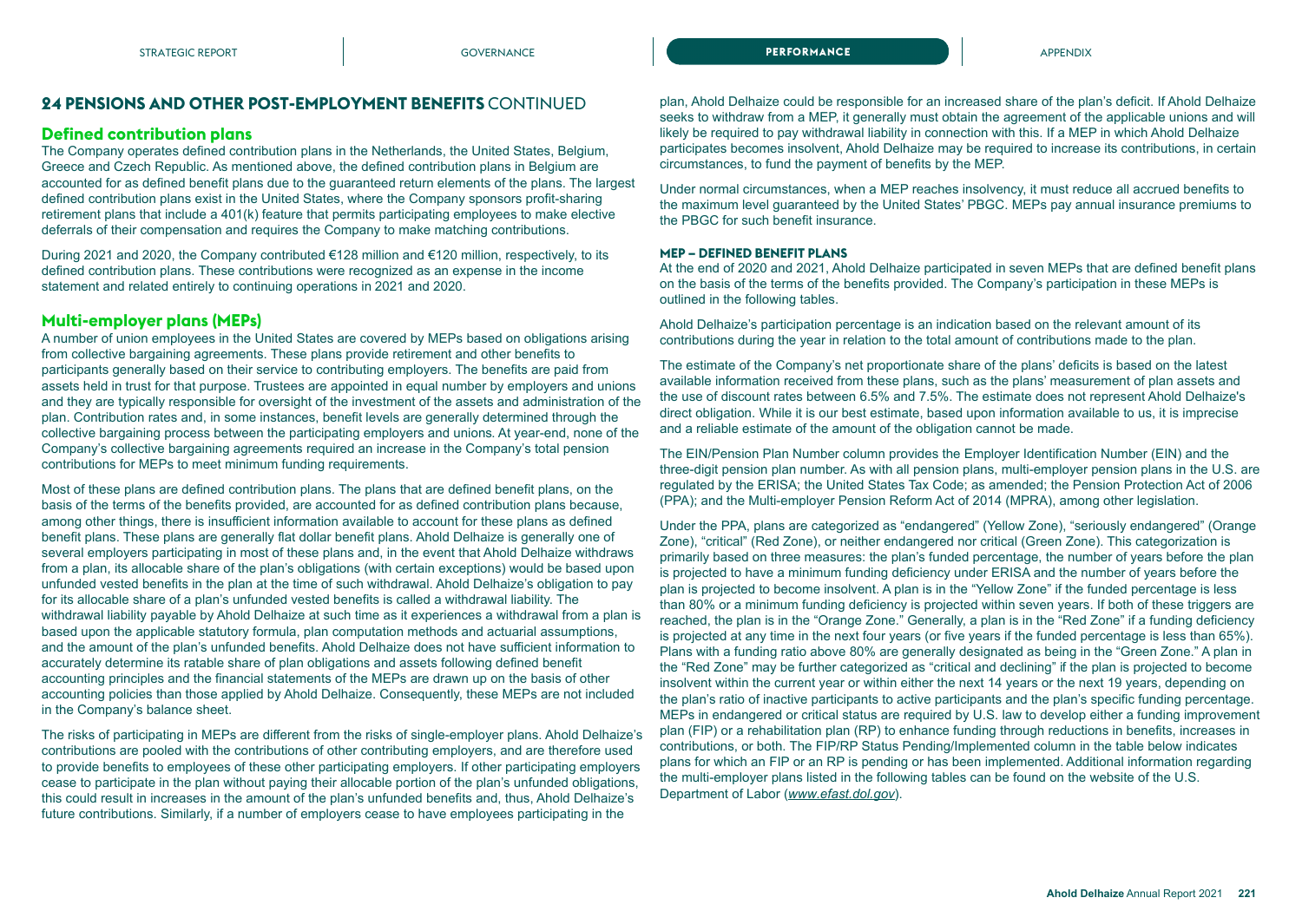### <span id="page-43-0"></span>**Defined contribution plans**

The Company operates defined contribution plans in the Netherlands, the United States, Belgium, Greece and Czech Republic. As mentioned above, the defined contribution plans in Belgium are accounted for as defined benefit plans due to the guaranteed return elements of the plans. The largest defined contribution plans exist in the United States, where the Company sponsors profit-sharing retirement plans that include a 401(k) feature that permits participating employees to make elective deferrals of their compensation and requires the Company to make matching contributions.

During 2021 and 2020, the Company contributed €128 million and €120 million, respectively, to its defined contribution plans. These contributions were recognized as an expense in the income statement and related entirely to continuing operations in 2021 and 2020.

### **Multi-employer plans (MEPs)**

A number of union employees in the United States are covered by MEPs based on obligations arising from collective bargaining agreements. These plans provide retirement and other benefits to participants generally based on their service to contributing employers. The benefits are paid from assets held in trust for that purpose. Trustees are appointed in equal number by employers and unions and they are typically responsible for oversight of the investment of the assets and administration of the plan. Contribution rates and, in some instances, benefit levels are generally determined through the collective bargaining process between the participating employers and unions. At year-end, none of the Company's collective bargaining agreements required an increase in the Company's total pension contributions for MEPs to meet minimum funding requirements.

Most of these plans are defined contribution plans. The plans that are defined benefit plans, on the basis of the terms of the benefits provided, are accounted for as defined contribution plans because, among other things, there is insufficient information available to account for these plans as defined benefit plans. These plans are generally flat dollar benefit plans. Ahold Delhaize is generally one of several employers participating in most of these plans and, in the event that Ahold Delhaize withdraws from a plan, its allocable share of the plan's obligations (with certain exceptions) would be based upon unfunded vested benefits in the plan at the time of such withdrawal. Ahold Delhaize's obligation to pay for its allocable share of a plan's unfunded vested benefits is called a withdrawal liability. The withdrawal liability payable by Ahold Delhaize at such time as it experiences a withdrawal from a plan is based upon the applicable statutory formula, plan computation methods and actuarial assumptions, and the amount of the plan's unfunded benefits. Ahold Delhaize does not have sufficient information to accurately determine its ratable share of plan obligations and assets following defined benefit accounting principles and the financial statements of the MEPs are drawn up on the basis of other accounting policies than those applied by Ahold Delhaize. Consequently, these MEPs are not included in the Company's balance sheet.

The risks of participating in MEPs are different from the risks of single-employer plans. Ahold Delhaize's contributions are pooled with the contributions of other contributing employers, and are therefore used to provide benefits to employees of these other participating employers. If other participating employers cease to participate in the plan without paying their allocable portion of the plan's unfunded obligations, this could result in increases in the amount of the plan's unfunded benefits and, thus, Ahold Delhaize's future contributions. Similarly, if a number of employers cease to have employees participating in the

plan, Ahold Delhaize could be responsible for an increased share of the plan's deficit. If Ahold Delhaize seeks to withdraw from a MEP, it generally must obtain the agreement of the applicable unions and will likely be required to pay withdrawal liability in connection with this. If a MEP in which Ahold Delhaize participates becomes insolvent, Ahold Delhaize may be required to increase its contributions, in certain circumstances, to fund the payment of benefits by the MEP.

Under normal circumstances, when a MEP reaches insolvency, it must reduce all accrued benefits to the maximum level guaranteed by the United States' PBGC. MEPs pay annual insurance premiums to the PBGC for such benefit insurance.

### **MEP – DEFINED BENEFIT PLANS**

At the end of 2020 and 2021, Ahold Delhaize participated in seven MEPs that are defined benefit plans on the basis of the terms of the benefits provided. The Company's participation in these MEPs is outlined in the following tables.

Ahold Delhaize's participation percentage is an indication based on the relevant amount of its contributions during the year in relation to the total amount of contributions made to the plan.

The estimate of the Company's net proportionate share of the plans' deficits is based on the latest available information received from these plans, such as the plans' measurement of plan assets and the use of discount rates between 6.5% and 7.5%. The estimate does not represent Ahold Delhaize's direct obligation. While it is our best estimate, based upon information available to us, it is imprecise and a reliable estimate of the amount of the obligation cannot be made.

The EIN/Pension Plan Number column provides the Employer Identification Number (EIN) and the three-digit pension plan number. As with all pension plans, multi-employer pension plans in the U.S. are regulated by the ERISA; the United States Tax Code; as amended; the Pension Protection Act of 2006 (PPA); and the Multi-employer Pension Reform Act of 2014 (MPRA), among other legislation.

Under the PPA, plans are categorized as "endangered" (Yellow Zone), "seriously endangered" (Orange Zone), "critical" (Red Zone), or neither endangered nor critical (Green Zone). This categorization is primarily based on three measures: the plan's funded percentage, the number of years before the plan is projected to have a minimum funding deficiency under ERISA and the number of years before the plan is projected to become insolvent. A plan is in the "Yellow Zone" if the funded percentage is less than 80% or a minimum funding deficiency is projected within seven years. If both of these triggers are reached, the plan is in the "Orange Zone." Generally, a plan is in the "Red Zone" if a funding deficiency is projected at any time in the next four years (or five years if the funded percentage is less than 65%). Plans with a funding ratio above 80% are generally designated as being in the "Green Zone." A plan in the "Red Zone" may be further categorized as "critical and declining" if the plan is projected to become insolvent within the current year or within either the next 14 years or the next 19 years, depending on the plan's ratio of inactive participants to active participants and the plan's specific funding percentage. MEPs in endangered or critical status are required by U.S. law to develop either a funding improvement plan (FIP) or a rehabilitation plan (RP) to enhance funding through reductions in benefits, increases in contributions, or both. The FIP/RP Status Pending/Implemented column in the table below indicates plans for which an FIP or an RP is pending or has been implemented. Additional information regarding the multi-employer plans listed in the following tables can be found on the website of the U.S. Department of Labor (*<www.efast.dol.gov>*).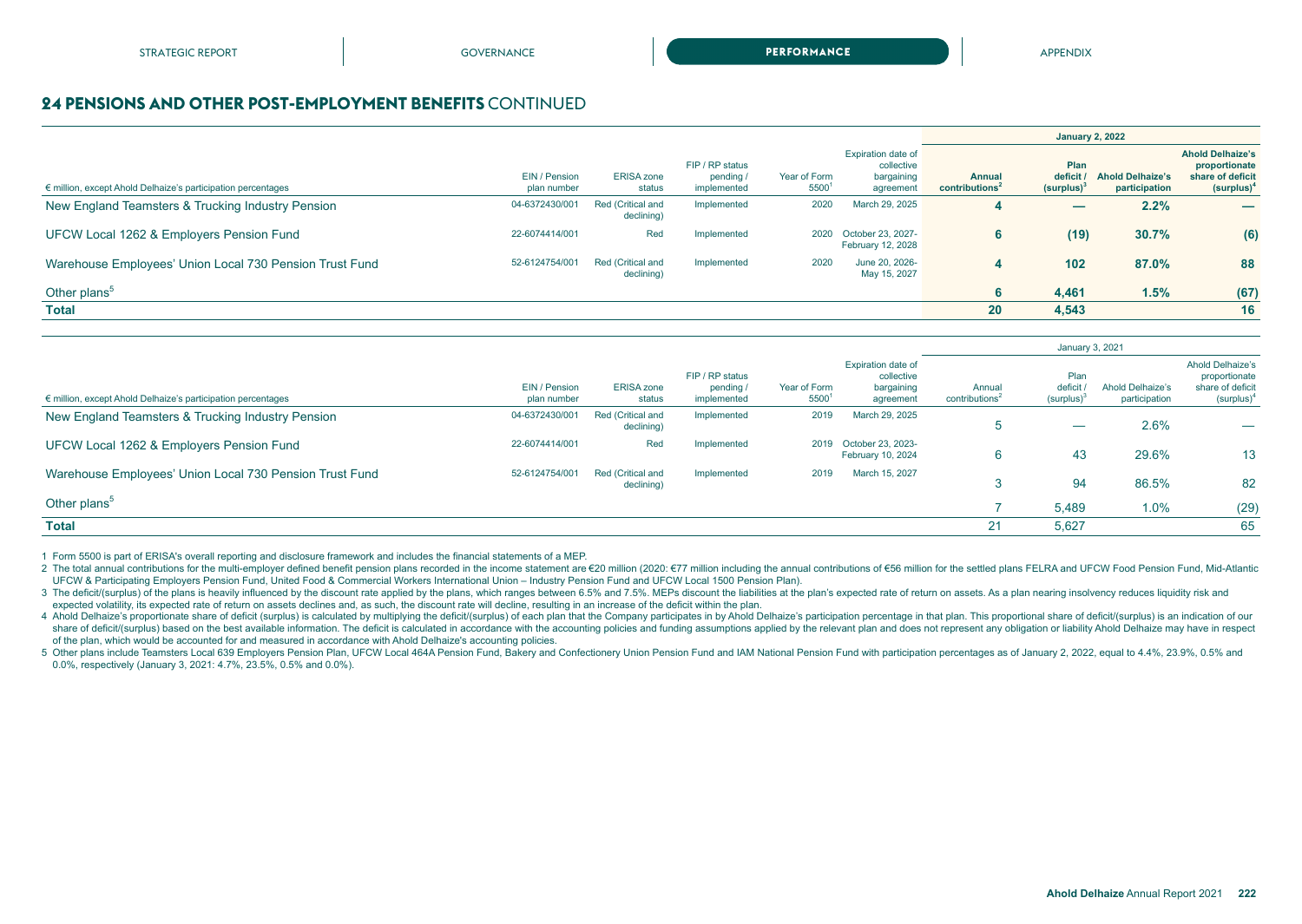|                                                              |                              |                                 |                                             |                      |                                                             |                                             | <b>January 2, 2022</b>           |                                          |                                                                               |
|--------------------------------------------------------------|------------------------------|---------------------------------|---------------------------------------------|----------------------|-------------------------------------------------------------|---------------------------------------------|----------------------------------|------------------------------------------|-------------------------------------------------------------------------------|
| € million, except Ahold Delhaize's participation percentages | EIN / Pension<br>plan number | <b>ERISA</b> zone<br>status     | FIP / RP status<br>pending /<br>implemented | Year of Form<br>5500 | Expiration date of<br>collective<br>bargaining<br>agreement | <b>Annual</b><br>contributions <sup>2</sup> | Plan<br>deficit<br>$(surplus)^3$ | <b>Ahold Delhaize's</b><br>participation | <b>Ahold Delhaize's</b><br>proportionate<br>share of deficit<br>$(surplus)^4$ |
| New England Teamsters & Trucking Industry Pension            | 04-6372430/001               | Red (Critical and<br>declining) | Implemented                                 | 2020                 | March 29, 2025                                              |                                             | $\overline{\phantom{0}}$         | 2.2%                                     | $\overline{\phantom{a}}$                                                      |
| UFCW Local 1262 & Employers Pension Fund                     | 22-6074414/001               | Red                             | Implemented                                 |                      | 2020 October 23, 2027-<br>February 12, 2028                 | 6                                           | (19)                             | 30.7%                                    | (6)                                                                           |
| Warehouse Employees' Union Local 730 Pension Trust Fund      | 52-6124754/001               | Red (Critical and<br>declining) | Implemented                                 | 2020                 | June 20, 2026-<br>May 15, 2027                              | 4                                           | 102                              | 87.0%                                    | 88                                                                            |
| Other plans <sup>5</sup>                                     |                              |                                 |                                             |                      |                                                             |                                             | 4,461                            | $1.5\%$                                  | (67)                                                                          |
| <b>Total</b>                                                 |                              |                                 |                                             |                      |                                                             | 20                                          | 4,543                            |                                          | 16                                                                            |

|                                                              |                              |                                 |                                             |                      |                                                             |                                      | January 3, 2021               |                                   |                                                                        |
|--------------------------------------------------------------|------------------------------|---------------------------------|---------------------------------------------|----------------------|-------------------------------------------------------------|--------------------------------------|-------------------------------|-----------------------------------|------------------------------------------------------------------------|
| € million, except Ahold Delhaize's participation percentages | EIN / Pension<br>plan number | <b>ERISA</b> zone<br>status     | FIP / RP status<br>pending /<br>implemented | Year of Form<br>5500 | Expiration date of<br>collective<br>bargaining<br>agreement | Annual<br>contributions <sup>2</sup> | Plan<br>deficit.<br>(surplus) | Ahold Delhaize's<br>participation | Ahold Delhaize's<br>proportionate<br>share of deficit<br>$(surplus)^4$ |
| New England Teamsters & Trucking Industry Pension            | 04-6372430/001               | Red (Critical and<br>declining) | Implemented                                 | 2019                 | March 29, 2025                                              | -5                                   |                               | 2.6%                              |                                                                        |
| UFCW Local 1262 & Employers Pension Fund                     | 22-6074414/001               | Red                             | Implemented                                 |                      | 2019 October 23, 2023-<br>February 10, 2024                 | 6                                    | 43                            | 29.6%                             | 13 <sup>°</sup>                                                        |
| Warehouse Employees' Union Local 730 Pension Trust Fund      | 52-6124754/001               | Red (Critical and<br>declining) | Implemented                                 | 2019                 | March 15, 2027                                              | -3                                   | 94                            | 86.5%                             | 82                                                                     |
| Other plans <sup>5</sup>                                     |                              |                                 |                                             |                      |                                                             |                                      | 5,489                         | 1.0%                              | (29)                                                                   |
| <b>Total</b>                                                 |                              |                                 |                                             |                      |                                                             | 21                                   | 5,627                         |                                   | 65                                                                     |

1 Form 5500 is part of ERISA's overall reporting and disclosure framework and includes the financial statements of a MEP.

2 The total annual contributions for the multi-employer defined benefit pension plans recorded in the income statement are €20 million (2020: €77 million including the annual contributions of €56 million for the settled p UFCW & Participating Employers Pension Fund, United Food & Commercial Workers International Union – Industry Pension Fund and UFCW Local 1500 Pension Plan).

3 The deficit/(surplus) of the plans is heavily influenced by the discount rate applied by the plans, which ranges between 6.5% and 7.5%. MEPs discount the liabilities at the plan's expected rate of return on assets. As a expected volatility, its expected rate of return on assets declines and, as such, the discount rate will decline, resulting in an increase of the deficit within the plan.

4 Ahold Delhaize's proportionate share of deficit (surplus) is calculated by multiplying the deficit/(surplus) of each plan that the Company participates in by Ahold Delhaize's participation percentage in that plan. This p share of deficit/(surplus) based on the best available information. The deficit is calculated in accordance with the accounting policies and funding assumptions applied by the relevant plan and does not represent any oblig of the plan, which would be accounted for and measured in accordance with Ahold Delhaize's accounting policies.

50 Other plans include Teamsters Local 639 Employers Pension Plan, UFCW Local 464A Pension Fund, Bakery and Confectionery Union Pension Fund and IAM National Pension Fund with participation percentages as of January 2, 202 0.0%, respectively (January 3, 2021: 4.7%, 23.5%, 0.5% and 0.0%).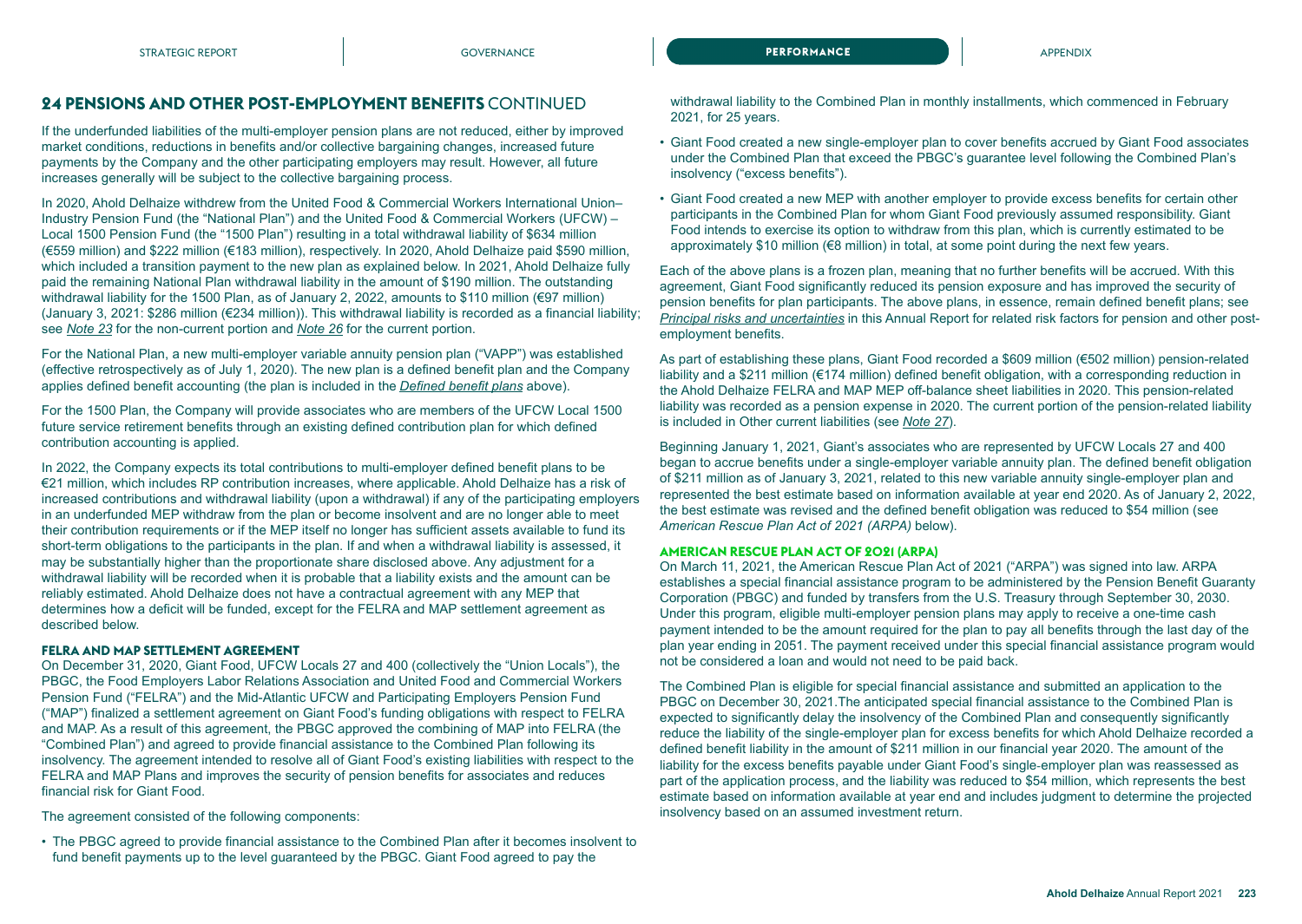If the underfunded liabilities of the multi-employer pension plans are not reduced, either by improved market conditions, reductions in benefits and/or collective bargaining changes, increased future payments by the Company and the other participating employers may result. However, all future increases generally will be subject to the collective bargaining process.

In 2020, Ahold Delhaize withdrew from the United Food & Commercial Workers International Union– Industry Pension Fund (the "National Plan") and the United Food & Commercial Workers (UFCW) – Local 1500 Pension Fund (the "1500 Plan") resulting in a total withdrawal liability of \$634 million (€559 million) and \$222 million (€183 million), respectively. In 2020, Ahold Delhaize paid \$590 million, which included a transition payment to the new plan as explained below. In 2021, Ahold Delhaize fully paid the remaining National Plan withdrawal liability in the amount of \$190 million. The outstanding withdrawal liability for the 1500 Plan, as of January 2, 2022, amounts to \$110 million (€97 million) (January 3, 2021: \$286 million (€234 million)). This withdrawal liability is recorded as a financial liability; see *[Note 23](#page-37-0)* for the non-current portion and *[Note 26](#page-48-0)* for the current portion.

For the National Plan, a new multi-employer variable annuity pension plan ("VAPP") was established (effective retrospectively as of July 1, 2020). The new plan is a defined benefit plan and the Company applies defined benefit accounting (the plan is included in the *[Defined benefit plans](#page-38-0)* above).

For the 1500 Plan, the Company will provide associates who are members of the UFCW Local 1500 future service retirement benefits through an existing defined contribution plan for which defined contribution accounting is applied.

In 2022, the Company expects its total contributions to multi-employer defined benefit plans to be €21 million, which includes RP contribution increases, where applicable. Ahold Delhaize has a risk of increased contributions and withdrawal liability (upon a withdrawal) if any of the participating employers in an underfunded MEP withdraw from the plan or become insolvent and are no longer able to meet their contribution requirements or if the MEP itself no longer has sufficient assets available to fund its short-term obligations to the participants in the plan. If and when a withdrawal liability is assessed, it may be substantially higher than the proportionate share disclosed above. Any adjustment for a withdrawal liability will be recorded when it is probable that a liability exists and the amount can be reliably estimated. Ahold Delhaize does not have a contractual agreement with any MEP that determines how a deficit will be funded, except for the FELRA and MAP settlement agreement as described below.

### **FELRA AND MAP SETTLEMENT AGREEMENT**

On December 31, 2020, Giant Food, UFCW Locals 27 and 400 (collectively the "Union Locals"), the PBGC, the Food Employers Labor Relations Association and United Food and Commercial Workers Pension Fund ("FELRA") and the Mid-Atlantic UFCW and Participating Employers Pension Fund ("MAP") finalized a settlement agreement on Giant Food's funding obligations with respect to FELRA and MAP. As a result of this agreement, the PBGC approved the combining of MAP into FELRA (the "Combined Plan") and agreed to provide financial assistance to the Combined Plan following its insolvency. The agreement intended to resolve all of Giant Food's existing liabilities with respect to the FELRA and MAP Plans and improves the security of pension benefits for associates and reduces financial risk for Giant Food.

The agreement consisted of the following components:

• The PBGC agreed to provide financial assistance to the Combined Plan after it becomes insolvent to fund benefit payments up to the level guaranteed by the PBGC. Giant Food agreed to pay the

withdrawal liability to the Combined Plan in monthly installments, which commenced in February 2021, for 25 years.

- Giant Food created a new single-employer plan to cover benefits accrued by Giant Food associates under the Combined Plan that exceed the PBGC's guarantee level following the Combined Plan's insolvency ("excess benefits").
- Giant Food created a new MEP with another employer to provide excess benefits for certain other participants in the Combined Plan for whom Giant Food previously assumed responsibility. Giant Food intends to exercise its option to withdraw from this plan, which is currently estimated to be approximately \$10 million (€8 million) in total, at some point during the next few years.

Each of the above plans is a frozen plan, meaning that no further benefits will be accrued. With this agreement, Giant Food significantly reduced its pension exposure and has improved the security of pension benefits for plan participants. The above plans, in essence, remain defined benefit plans; see *Principal risks and uncertainties* in this Annual Report for related risk factors for pension and other postemployment benefits.

As part of establishing these plans, Giant Food recorded a \$609 million (€502 million) pension-related liability and a \$211 million (€174 million) defined benefit obligation, with a corresponding reduction in the Ahold Delhaize FELRA and MAP MEP off-balance sheet liabilities in 2020. This pension-related liability was recorded as a pension expense in 2020. The current portion of the pension-related liability is included in Other current liabilities (see *[Note 27](#page-49-0)*).

Beginning January 1, 2021, Giant's associates who are represented by UFCW Locals 27 and 400 began to accrue benefits under a single-employer variable annuity plan. The defined benefit obligation of \$211 million as of January 3, 2021, related to this new variable annuity single-employer plan and represented the best estimate based on information available at year end 2020. As of January 2, 2022, the best estimate was revised and the defined benefit obligation was reduced to \$54 million (see *American Rescue Plan Act of 2021 (ARPA)* below).

### **AMERICAN RESCUE PLAN ACT OF 2021 (ARPA)**

On March 11, 2021, the American Rescue Plan Act of 2021 ("ARPA") was signed into law. ARPA establishes a special financial assistance program to be administered by the Pension Benefit Guaranty Corporation (PBGC) and funded by transfers from the U.S. Treasury through September 30, 2030. Under this program, eligible multi-employer pension plans may apply to receive a one-time cash payment intended to be the amount required for the plan to pay all benefits through the last day of the plan year ending in 2051. The payment received under this special financial assistance program would not be considered a loan and would not need to be paid back.

The Combined Plan is eligible for special financial assistance and submitted an application to the PBGC on December 30, 2021.The anticipated special financial assistance to the Combined Plan is expected to significantly delay the insolvency of the Combined Plan and consequently significantly reduce the liability of the single-employer plan for excess benefits for which Ahold Delhaize recorded a defined benefit liability in the amount of \$211 million in our financial year 2020. The amount of the liability for the excess benefits payable under Giant Food's single‑employer plan was reassessed as part of the application process, and the liability was reduced to \$54 million, which represents the best estimate based on information available at year end and includes judgment to determine the projected insolvency based on an assumed investment return.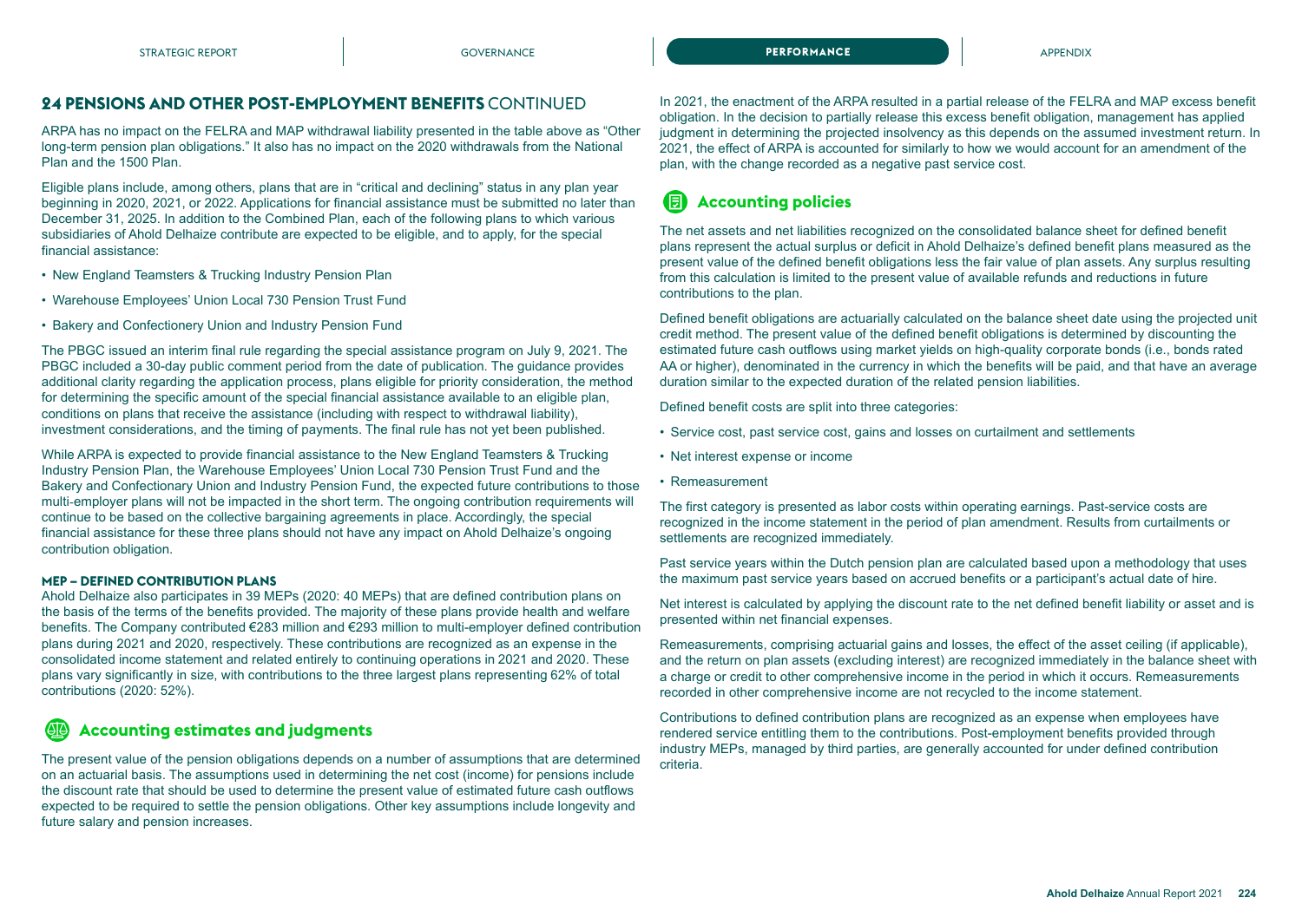ARPA has no impact on the FELRA and MAP withdrawal liability presented in the table above as "Other long-term pension plan obligations." It also has no impact on the 2020 withdrawals from the National Plan and the 1500 Plan.

Eligible plans include, among others, plans that are in "critical and declining" status in any plan year beginning in 2020, 2021, or 2022. Applications for financial assistance must be submitted no later than December 31, 2025. In addition to the Combined Plan, each of the following plans to which various subsidiaries of Ahold Delhaize contribute are expected to be eligible, and to apply, for the special financial assistance:

- New England Teamsters & Trucking Industry Pension Plan
- Warehouse Employees' Union Local 730 Pension Trust Fund
- Bakery and Confectionery Union and Industry Pension Fund

The PBGC issued an interim final rule regarding the special assistance program on July 9, 2021. The PBGC included a 30-day public comment period from the date of publication. The guidance provides additional clarity regarding the application process, plans eligible for priority consideration, the method for determining the specific amount of the special financial assistance available to an eligible plan, conditions on plans that receive the assistance (including with respect to withdrawal liability), investment considerations, and the timing of payments. The final rule has not yet been published.

While ARPA is expected to provide financial assistance to the New England Teamsters & Trucking Industry Pension Plan, the Warehouse Employees' Union Local 730 Pension Trust Fund and the Bakery and Confectionary Union and Industry Pension Fund, the expected future contributions to those multi-employer plans will not be impacted in the short term. The ongoing contribution requirements will continue to be based on the collective bargaining agreements in place. Accordingly, the special financial assistance for these three plans should not have any impact on Ahold Delhaize's ongoing contribution obligation.

### **MEP – DEFINED CONTRIBUTION PLANS**

Ahold Delhaize also participates in 39 MEPs (2020: 40 MEPs) that are defined contribution plans on the basis of the terms of the benefits provided. The majority of these plans provide health and welfare benefits. The Company contributed €283 million and €293 million to multi-employer defined contribution plans during 2021 and 2020, respectively. These contributions are recognized as an expense in the consolidated income statement and related entirely to continuing operations in 2021 and 2020. These plans vary significantly in size, with contributions to the three largest plans representing 62% of total contributions (2020: 52%).

## **Accounting estimates and judgments**

The present value of the pension obligations depends on a number of assumptions that are determined on an actuarial basis. The assumptions used in determining the net cost (income) for pensions include the discount rate that should be used to determine the present value of estimated future cash outflows expected to be required to settle the pension obligations. Other key assumptions include longevity and future salary and pension increases.

In 2021, the enactment of the ARPA resulted in a partial release of the FELRA and MAP excess benefit obligation. In the decision to partially release this excess benefit obligation, management has applied judgment in determining the projected insolvency as this depends on the assumed investment return. In 2021, the effect of ARPA is accounted for similarly to how we would account for an amendment of the plan, with the change recorded as a negative past service cost.

#### 囿 **Accounting policies**

The net assets and net liabilities recognized on the consolidated balance sheet for defined benefit plans represent the actual surplus or deficit in Ahold Delhaize's defined benefit plans measured as the present value of the defined benefit obligations less the fair value of plan assets. Any surplus resulting from this calculation is limited to the present value of available refunds and reductions in future contributions to the plan.

Defined benefit obligations are actuarially calculated on the balance sheet date using the projected unit credit method. The present value of the defined benefit obligations is determined by discounting the estimated future cash outflows using market yields on high-quality corporate bonds (i.e., bonds rated AA or higher), denominated in the currency in which the benefits will be paid, and that have an average duration similar to the expected duration of the related pension liabilities.

Defined benefit costs are split into three categories:

- Service cost, past service cost, gains and losses on curtailment and settlements
- Net interest expense or income
- Remeasurement

The first category is presented as labor costs within operating earnings. Past-service costs are recognized in the income statement in the period of plan amendment. Results from curtailments or settlements are recognized immediately.

Past service years within the Dutch pension plan are calculated based upon a methodology that uses the maximum past service years based on accrued benefits or a participant's actual date of hire.

Net interest is calculated by applying the discount rate to the net defined benefit liability or asset and is presented within net financial expenses.

Remeasurements, comprising actuarial gains and losses, the effect of the asset ceiling (if applicable), and the return on plan assets (excluding interest) are recognized immediately in the balance sheet with a charge or credit to other comprehensive income in the period in which it occurs. Remeasurements recorded in other comprehensive income are not recycled to the income statement.

Contributions to defined contribution plans are recognized as an expense when employees have rendered service entitling them to the contributions. Post-employment benefits provided through industry MEPs, managed by third parties, are generally accounted for under defined contribution criteria.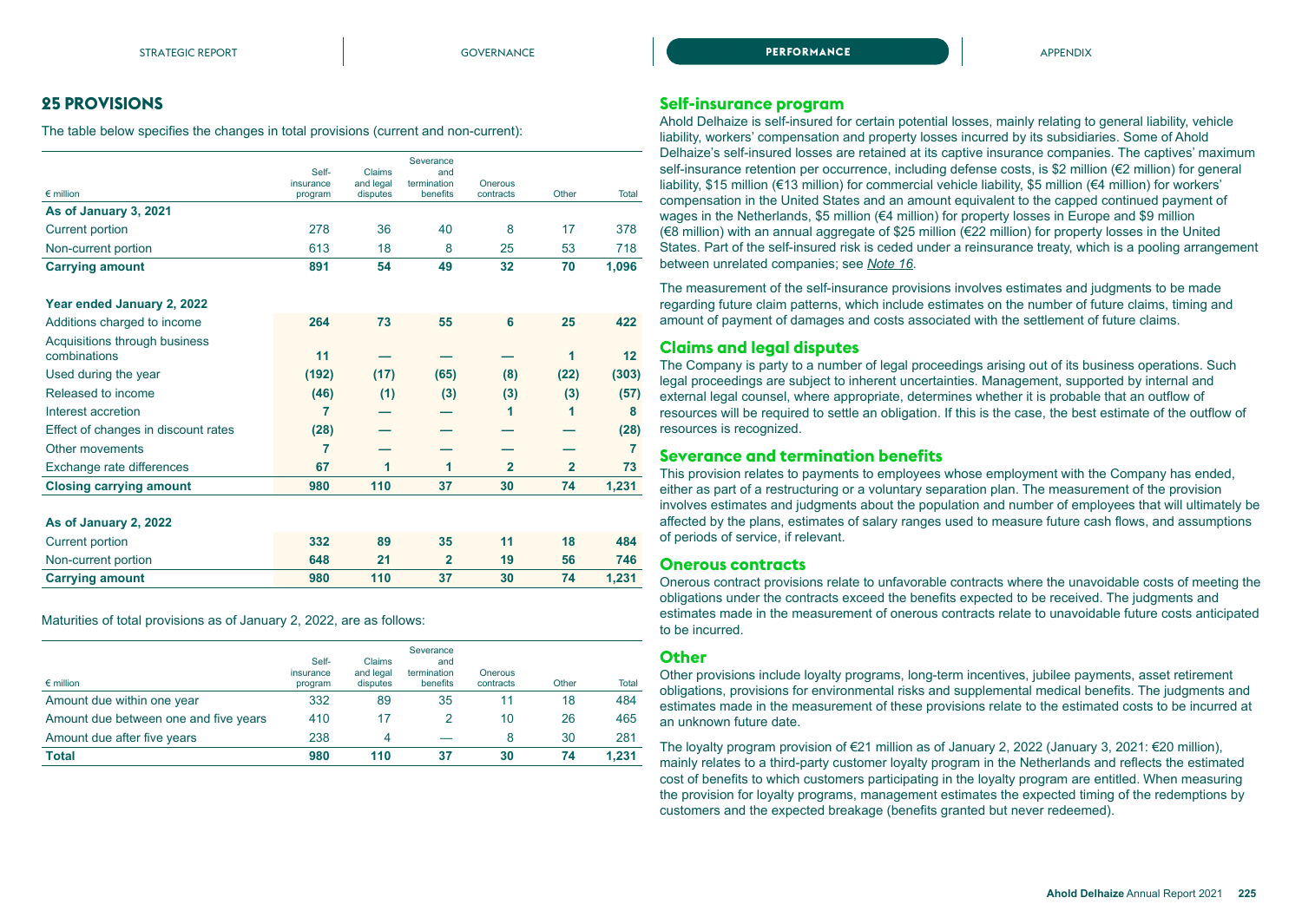### <span id="page-47-0"></span>**25 PROVISIONS**

The table below specifies the changes in total provisions (current and non-current):

| $\epsilon$ million                            | Self-<br>insurance<br>program | Claims<br>and legal<br>disputes | Severance<br>and<br>termination<br>benefits | Onerous<br>contracts | Other          | Total |
|-----------------------------------------------|-------------------------------|---------------------------------|---------------------------------------------|----------------------|----------------|-------|
| As of January 3, 2021                         |                               |                                 |                                             |                      |                |       |
| Current portion                               | 278                           | 36                              | 40                                          | 8                    | 17             | 378   |
| Non-current portion                           | 613                           | 18                              | 8                                           | 25                   | 53             | 718   |
| <b>Carrying amount</b>                        | 891                           | 54                              | 49                                          | 32                   | 70             | 1,096 |
| Year ended January 2, 2022                    |                               |                                 |                                             |                      |                |       |
| Additions charged to income                   | 264                           | 73                              | 55                                          | 6                    | 25             | 422   |
| Acquisitions through business<br>combinations | 11                            |                                 |                                             |                      | 1              | 12    |
| Used during the year                          | (192)                         | (17)                            | (65)                                        | (8)                  | (22)           | (303) |
| Released to income                            | (46)                          | (1)                             | (3)                                         | (3)                  | (3)            | (57)  |
| Interest accretion                            | 7                             |                                 |                                             | 1                    | 1              | 8     |
| Effect of changes in discount rates           | (28)                          |                                 |                                             |                      |                | (28)  |
| Other movements                               | $\overline{7}$                |                                 |                                             |                      |                | 7     |
| Exchange rate differences                     | 67                            | 1                               | 1                                           | $\overline{2}$       | $\overline{2}$ | 73    |
| <b>Closing carrying amount</b>                | 980                           | 110                             | 37                                          | 30                   | 74             | 1,231 |
|                                               |                               |                                 |                                             |                      |                |       |
| As of January 2, 2022                         |                               |                                 |                                             |                      |                |       |
| Current portion                               | 332                           | 89                              | 35                                          | 11                   | 18             | 484   |
| Non-current portion                           | 648                           | 21                              | $\overline{2}$                              | 19                   | 56             | 746   |
| <b>Carrying amount</b>                        | 980                           | 110                             | 37                                          | 30                   | 74             | 1,231 |

Maturities of total provisions as of January 2, 2022, are as follows:

| $\epsilon$ million                    | Self-<br>insurance<br>program | Claims<br>and legal<br>disputes | Severance<br>and<br>termination<br>benefits | Onerous<br>contracts | Other | <b>Total</b> |
|---------------------------------------|-------------------------------|---------------------------------|---------------------------------------------|----------------------|-------|--------------|
| Amount due within one year            | 332                           | 89                              | 35                                          | 11                   | 18    | 484          |
| Amount due between one and five years | 410                           | 17                              |                                             | 10                   | 26    | 465          |
| Amount due after five years           | 238                           | 4                               |                                             | 8                    | 30    | 281          |
| Total                                 | 980                           | 110                             | 37                                          | 30                   | 74    | 1.231        |

### **Self-insurance program**

Ahold Delhaize is self-insured for certain potential losses, mainly relating to general liability, vehicle liability, workers' compensation and property losses incurred by its subsidiaries. Some of Ahold Delhaize's self-insured losses are retained at its captive insurance companies. The captives' maximum self-insurance retention per occurrence, including defense costs, is \$2 million (€2 million) for general liability, \$15 million (€13 million) for commercial vehicle liability, \$5 million (€4 million) for workers' compensation in the United States and an amount equivalent to the capped continued payment of wages in the Netherlands, \$5 million (€4 million) for property losses in Europe and \$9 million (€8 million) with an annual aggregate of \$25 million (€22 million) for property losses in the United States. Part of the self-insured risk is ceded under a reinsurance treaty, which is a pooling arrangement between unrelated companies; see *[Note 16](#page-31-0)*.

The measurement of the self-insurance provisions involves estimates and judgments to be made regarding future claim patterns, which include estimates on the number of future claims, timing and amount of payment of damages and costs associated with the settlement of future claims.

### **Claims and legal disputes**

The Company is party to a number of legal proceedings arising out of its business operations. Such legal proceedings are subject to inherent uncertainties. Management, supported by internal and external legal counsel, where appropriate, determines whether it is probable that an outflow of resources will be required to settle an obligation. If this is the case, the best estimate of the outflow of resources is recognized.

### **Severance and termination benefits**

This provision relates to payments to employees whose employment with the Company has ended, either as part of a restructuring or a voluntary separation plan. The measurement of the provision involves estimates and judgments about the population and number of employees that will ultimately be affected by the plans, estimates of salary ranges used to measure future cash flows, and assumptions of periods of service, if relevant.

### **Onerous contracts**

Onerous contract provisions relate to unfavorable contracts where the unavoidable costs of meeting the obligations under the contracts exceed the benefits expected to be received. The judgments and estimates made in the measurement of onerous contracts relate to unavoidable future costs anticipated to be incurred.

### **Other**

Other provisions include loyalty programs, long-term incentives, jubilee payments, asset retirement obligations, provisions for environmental risks and supplemental medical benefits. The judgments and estimates made in the measurement of these provisions relate to the estimated costs to be incurred at an unknown future date.

The loyalty program provision of  $\epsilon$ 21 million as of January 2, 2022 (January 3, 2021:  $\epsilon$ 20 million), mainly relates to a third-party customer loyalty program in the Netherlands and reflects the estimated cost of benefits to which customers participating in the loyalty program are entitled. When measuring the provision for loyalty programs, management estimates the expected timing of the redemptions by customers and the expected breakage (benefits granted but never redeemed).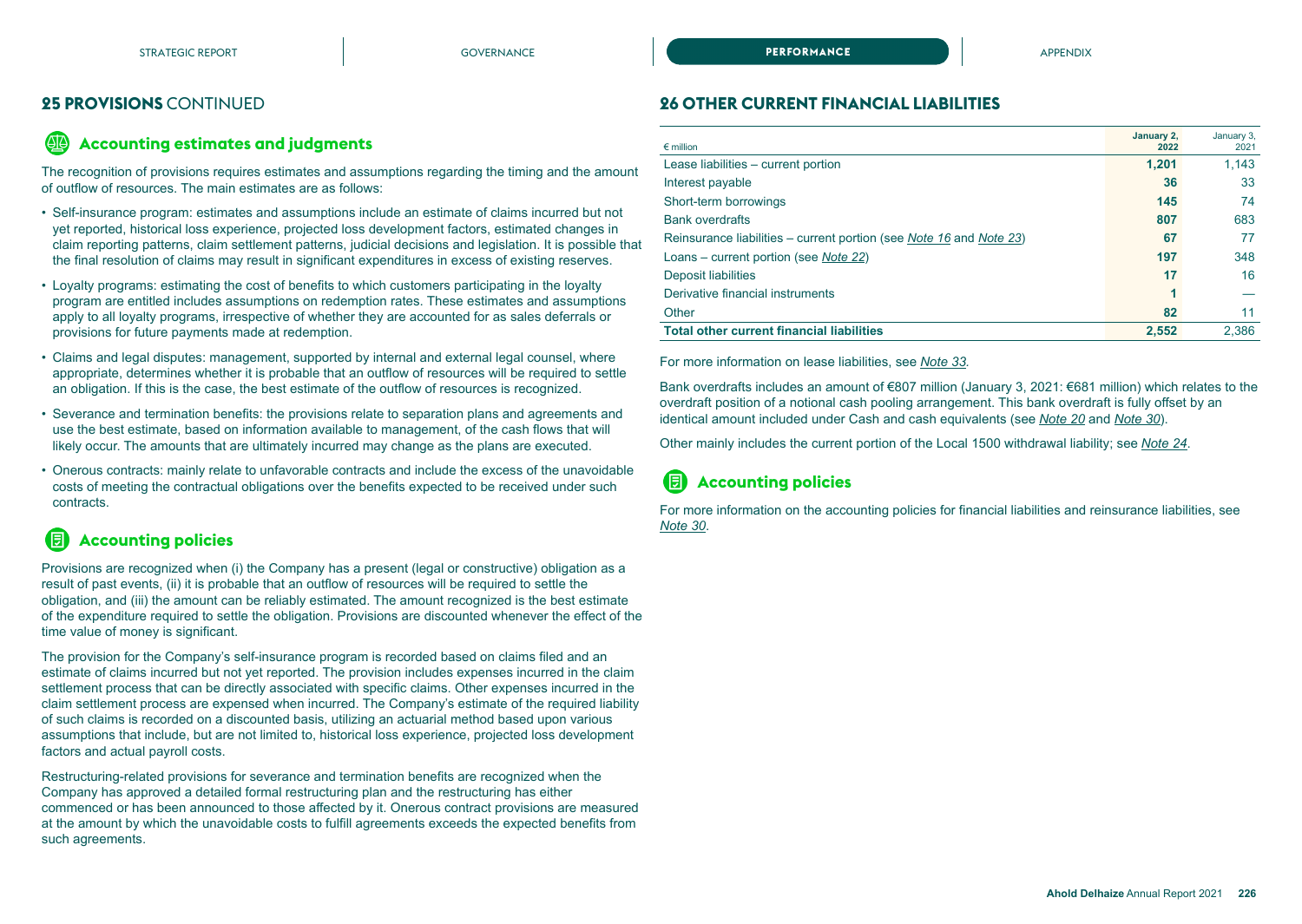### <span id="page-48-0"></span>**25 PROVISIONS** CONTINUED

## **Accounting estimates and judgments**

The recognition of provisions requires estimates and assumptions regarding the timing and the amount of outflow of resources. The main estimates are as follows:

- Self-insurance program: estimates and assumptions include an estimate of claims incurred but not yet reported, historical loss experience, projected loss development factors, estimated changes in claim reporting patterns, claim settlement patterns, judicial decisions and legislation. It is possible that the final resolution of claims may result in significant expenditures in excess of existing reserves.
- Loyalty programs: estimating the cost of benefits to which customers participating in the loyalty program are entitled includes assumptions on redemption rates. These estimates and assumptions apply to all loyalty programs, irrespective of whether they are accounted for as sales deferrals or provisions for future payments made at redemption.
- Claims and legal disputes: management, supported by internal and external legal counsel, where appropriate, determines whether it is probable that an outflow of resources will be required to settle an obligation. If this is the case, the best estimate of the outflow of resources is recognized.
- Severance and termination benefits: the provisions relate to separation plans and agreements and use the best estimate, based on information available to management, of the cash flows that will likely occur. The amounts that are ultimately incurred may change as the plans are executed.
- Onerous contracts: mainly relate to unfavorable contracts and include the excess of the unavoidable costs of meeting the contractual obligations over the benefits expected to be received under such contracts.

#### **Accounting policies** 周

Provisions are recognized when (i) the Company has a present (legal or constructive) obligation as a result of past events, (ii) it is probable that an outflow of resources will be required to settle the obligation, and (iii) the amount can be reliably estimated. The amount recognized is the best estimate of the expenditure required to settle the obligation. Provisions are discounted whenever the effect of the time value of money is significant.

The provision for the Company's self-insurance program is recorded based on claims filed and an estimate of claims incurred but not yet reported. The provision includes expenses incurred in the claim settlement process that can be directly associated with specific claims. Other expenses incurred in the claim settlement process are expensed when incurred. The Company's estimate of the required liability of such claims is recorded on a discounted basis, utilizing an actuarial method based upon various assumptions that include, but are not limited to, historical loss experience, projected loss development factors and actual payroll costs.

Restructuring-related provisions for severance and termination benefits are recognized when the Company has approved a detailed formal restructuring plan and the restructuring has either commenced or has been announced to those affected by it. Onerous contract provisions are measured at the amount by which the unavoidable costs to fulfill agreements exceeds the expected benefits from such agreements.

## **26 OTHER CURRENT FINANCIAL LIABILITIES**

| $\epsilon$ million                                                  | January 2,<br>2022   | January 3,<br>2021 |
|---------------------------------------------------------------------|----------------------|--------------------|
| Lease liabilities – current portion                                 | 1.201                | 1.143              |
| Interest payable                                                    | 36                   | 33                 |
| Short-term borrowings                                               | 145                  | 74                 |
| <b>Bank overdrafts</b>                                              | 807                  | 683                |
| Reinsurance liabilities – current portion (see Note 16 and Note 23) | 67                   | 77                 |
| Loans – current portion (see Note 22)                               | 197                  | 348                |
| Deposit liabilities                                                 | 17                   | 16                 |
| Derivative financial instruments                                    | $\blacktriangleleft$ |                    |
| Other                                                               | 82                   | 11                 |
| <b>Total other current financial liabilities</b>                    | 2.552                | 2.386              |

For more information on lease liabilities, see *[Note 33](#page-62-0).*

Bank overdrafts includes an amount of €807 million (January 3, 2021: €681 million) which relates to the overdraft position of a notional cash pooling arrangement. This bank overdraft is fully offset by an identical amount included under Cash and cash equivalents (see *[Note 20](#page-33-0)* and *[Note 30](#page-52-0)*).

Other mainly includes the current portion of the Local 1500 withdrawal liability; see *[Note 24](#page-38-0)*.

## **B** Accounting policies

For more information on the accounting policies for financial liabilities and reinsurance liabilities, see *[Note 30](#page-52-0)*.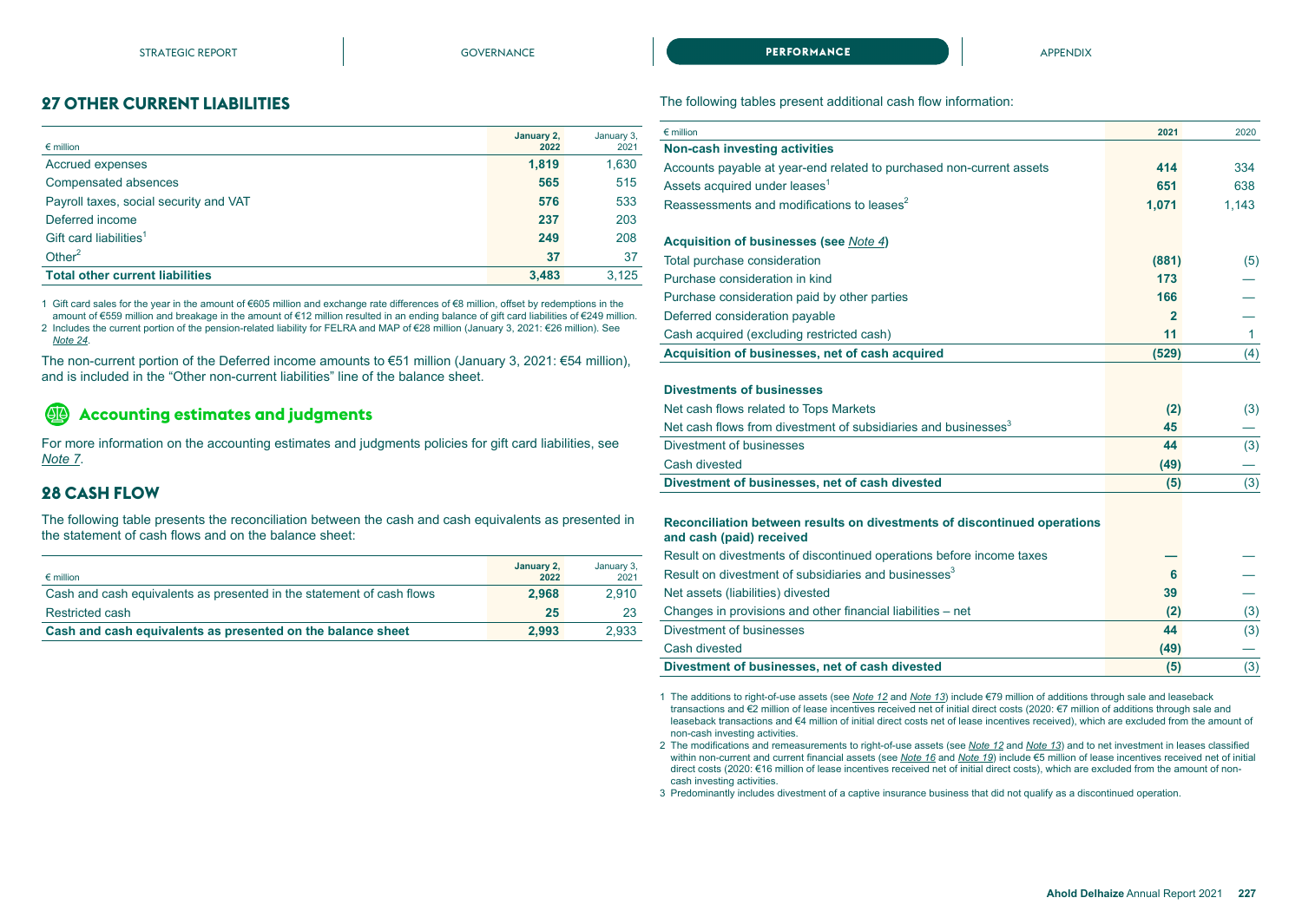### <span id="page-49-0"></span>**27 OTHER CURRENT LIABILITIES**

| $\epsilon$ million                     | January 2,<br>2022 | January 3,<br>2021 |
|----------------------------------------|--------------------|--------------------|
| Accrued expenses                       | 1.819              | 1,630              |
| Compensated absences                   | 565                | 515                |
| Payroll taxes, social security and VAT | 576                | 533                |
| Deferred income                        | 237                | 203                |
| Gift card liabilities <sup>1</sup>     | 249                | 208                |
| Other $^2$                             | 37                 | 37                 |
| <b>Total other current liabilities</b> | 3.483              | 3,125              |

1 Gift card sales for the year in the amount of €605 million and exchange rate differences of €8 million, offset by redemptions in the amount of €559 million and breakage in the amount of €12 million resulted in an ending balance of gift card liabilities of €249 million. 2 Includes the current portion of the pension-related liability for FELRA and MAP of €28 million (January 3, 2021: €26 million). See

*[Note 24](#page-38-0)*.

The non-current portion of the Deferred income amounts to €51 million (January 3, 2021: €54 million), and is included in the "Other non-current liabilities" line of the balance sheet.

## **Accounting estimates and judgments**

For more information on the accounting estimates and judgments policies for gift card liabilities, see *[Note 7](#page-15-0)*.

## **28 CASH FLOW**

The following table presents the reconciliation between the cash and cash equivalents as presented in the statement of cash flows and on the balance sheet:

| $\epsilon$ million                                                    | January 2,<br>2022 | January 3.<br>2021 |
|-----------------------------------------------------------------------|--------------------|--------------------|
| Cash and cash equivalents as presented in the statement of cash flows | 2.968              | 2.910              |
| Restricted cash                                                       | 25                 | 23                 |
| Cash and cash equivalents as presented on the balance sheet           | 2.993              | 2.933              |

The following tables present additional cash flow information:

| $\epsilon$ million                                                                                   | 2021         | 2020         |
|------------------------------------------------------------------------------------------------------|--------------|--------------|
| <b>Non-cash investing activities</b>                                                                 |              |              |
| Accounts payable at year-end related to purchased non-current assets                                 | 414          | 334          |
| Assets acquired under leases <sup>1</sup>                                                            | 651          | 638          |
| Reassessments and modifications to leases <sup>2</sup>                                               | 1,071        | 1,143        |
| Acquisition of businesses (see Note 4)                                                               |              |              |
| Total purchase consideration                                                                         | (881)        | (5)          |
| Purchase consideration in kind                                                                       | 173          |              |
| Purchase consideration paid by other parties                                                         | 166          |              |
| Deferred consideration payable                                                                       | $\mathbf{2}$ |              |
| Cash acquired (excluding restricted cash)                                                            | 11           | $\mathbf{1}$ |
| Acquisition of businesses, net of cash acquired                                                      | (529)        | (4)          |
|                                                                                                      |              |              |
| <b>Divestments of businesses</b>                                                                     |              |              |
| Net cash flows related to Tops Markets                                                               | (2)          | (3)          |
| Net cash flows from divestment of subsidiaries and businesses <sup>3</sup>                           | 45           |              |
| Divestment of businesses                                                                             | 44           | (3)          |
| Cash divested                                                                                        | (49)         |              |
| Divestment of businesses, net of cash divested                                                       | (5)          | (3)          |
|                                                                                                      |              |              |
| Reconciliation between results on divestments of discontinued operations<br>and cash (paid) received |              |              |
| Result on divestments of discontinued operations before income taxes                                 |              |              |
| Result on divestment of subsidiaries and businesses <sup>3</sup>                                     | 6            |              |
| Net assets (liabilities) divested                                                                    | 39           |              |
| Changes in provisions and other financial liabilities - net                                          | (2)          | (3)          |
| Divestment of businesses                                                                             | 44           | (3)          |
| Cash divested                                                                                        | (49)         |              |
| Divestment of businesses, net of cash divested                                                       | (5)          | (3)          |

1 The additions to right-of-use assets (see *[Note 12](#page-24-0)* and *[Note 13](#page-24-0)*) include €79 million of additions through sale and leaseback transactions and €2 million of lease incentives received net of initial direct costs (2020: €7 million of additions through sale and leaseback transactions and €4 million of initial direct costs net of lease incentives received), which are excluded from the amount of non-cash investing activities.

2 The modifications and remeasurements to right-of-use assets (see *[Note 12](#page-24-0)* and *[Note 13](#page-24-0)*) and to net investment in leases classified within non-current and current financial assets (see *[Note 16](#page-31-0)* and *[Note 19](#page-33-0)*) include €5 million of lease incentives received net of initial direct costs (2020: €16 million of lease incentives received net of initial direct costs), which are excluded from the amount of noncash investing activities.

3 Predominantly includes divestment of a captive insurance business that did not qualify as a discontinued operation.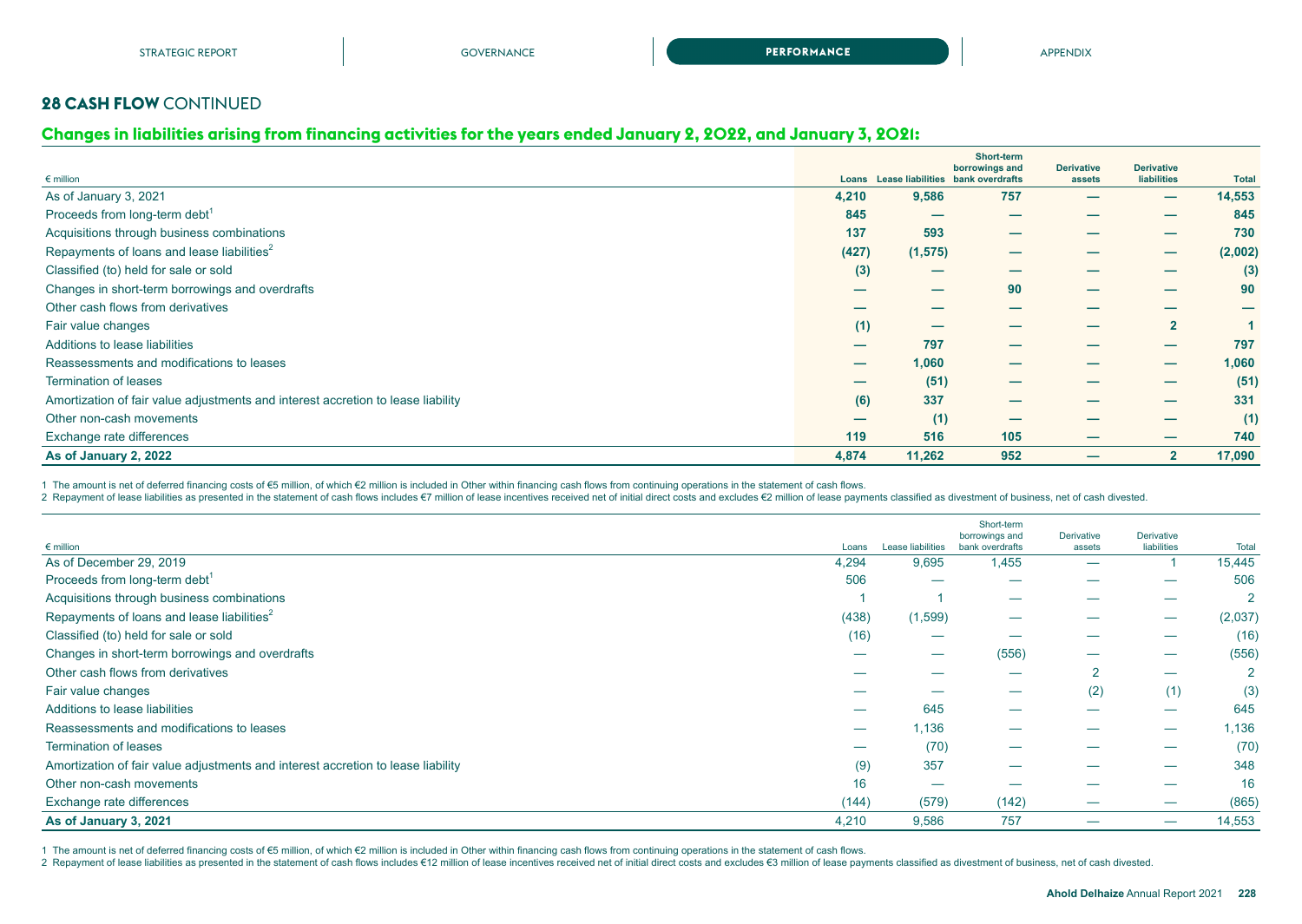### **28 CASH FLOW CONTINUED**

### **Changes in liabilities arising from financing activities for the years ended January 2, 2022, and January 3, 2021:**

|                                                                                  |                          |                          | Short-term<br>borrowings and            | <b>Derivative</b>        | <b>Derivative</b>        |              |
|----------------------------------------------------------------------------------|--------------------------|--------------------------|-----------------------------------------|--------------------------|--------------------------|--------------|
| $\epsilon$ million                                                               |                          |                          | Loans Lease liabilities bank overdrafts | assets                   | liabilities              | <b>Total</b> |
| As of January 3, 2021                                                            | 4,210                    | 9,586                    | 757                                     | _                        | $\overline{\phantom{a}}$ | 14,553       |
| Proceeds from long-term debt <sup>1</sup>                                        | 845                      | -                        |                                         |                          |                          | 845          |
| Acquisitions through business combinations                                       | 137                      | 593                      |                                         |                          |                          | 730          |
| Repayments of loans and lease liabilities <sup>2</sup>                           | (427)                    | (1, 575)                 |                                         | _                        | $\overline{\phantom{a}}$ | (2,002)      |
| Classified (to) held for sale or sold                                            | (3)                      | $\overline{\phantom{0}}$ |                                         |                          | $\overline{\phantom{a}}$ | (3)          |
| Changes in short-term borrowings and overdrafts                                  |                          |                          | 90                                      | $\overline{\phantom{a}}$ |                          | 90           |
| Other cash flows from derivatives                                                |                          |                          |                                         |                          |                          |              |
| Fair value changes                                                               | (1)                      |                          |                                         |                          | $\overline{2}$           |              |
| Additions to lease liabilities                                                   | $\overline{\phantom{a}}$ | 797                      |                                         |                          |                          | 797          |
| Reassessments and modifications to leases                                        | _                        | 1,060                    |                                         |                          |                          | 1,060        |
| <b>Termination of leases</b>                                                     | $\overline{\phantom{0}}$ | (51)                     |                                         |                          | $\overline{\phantom{a}}$ | (51)         |
| Amortization of fair value adjustments and interest accretion to lease liability | (6)                      | 337                      |                                         |                          | $\overline{\phantom{a}}$ | 331          |
| Other non-cash movements                                                         | $\overline{\phantom{0}}$ | (1)                      |                                         |                          |                          | (1)          |
| Exchange rate differences                                                        | 119                      | 516                      | 105                                     |                          |                          | 740          |
| As of January 2, 2022                                                            | 4,874                    | 11,262                   | 952                                     |                          | $\overline{2}$           | 17,090       |

1 The amount is net of deferred financing costs of €5 million, of which €2 million is included in Other within financing cash flows from continuing operations in the statement of cash flows.

2 Repayment of lease liabilities as presented in the statement of cash flows includes €7 million of lease incentives received net of initial direct costs and excludes €2 million of lease payments classified as divestment

| $\epsilon$ million                                                               | Loans | Lease liabilities | Short-term<br>borrowings and<br>bank overdrafts | Derivative<br>assets | Derivative<br>liabilities | <b>Total</b>   |
|----------------------------------------------------------------------------------|-------|-------------------|-------------------------------------------------|----------------------|---------------------------|----------------|
| As of December 29, 2019                                                          | 4,294 | 9,695             | 1,455                                           |                      |                           | 15,445         |
| Proceeds from long-term debt <sup>1</sup>                                        | 506   |                   |                                                 |                      |                           | 506            |
| Acquisitions through business combinations                                       |       |                   |                                                 |                      |                           |                |
| Repayments of loans and lease liabilities <sup>2</sup>                           | (438) | (1,599)           |                                                 |                      |                           | (2,037)        |
| Classified (to) held for sale or sold                                            | (16)  |                   |                                                 |                      |                           | (16)           |
| Changes in short-term borrowings and overdrafts                                  |       |                   | (556)                                           |                      |                           | (556)          |
| Other cash flows from derivatives                                                |       |                   |                                                 | $\overline{2}$       |                           | $\overline{2}$ |
| Fair value changes                                                               |       |                   |                                                 | (2)                  | (1)                       | (3)            |
| Additions to lease liabilities                                                   |       | 645               |                                                 |                      |                           | 645            |
| Reassessments and modifications to leases                                        |       | 1,136             |                                                 |                      |                           | 1,136          |
| <b>Termination of leases</b>                                                     |       | (70)              |                                                 |                      |                           | (70)           |
| Amortization of fair value adjustments and interest accretion to lease liability | (9)   | 357               |                                                 |                      |                           | 348            |
| Other non-cash movements                                                         | 16    |                   |                                                 |                      |                           | 16             |
| Exchange rate differences                                                        | (144) | (579)             | (142)                                           |                      |                           | (865)          |
| As of January 3, 2021                                                            | 4,210 | 9,586             | 757                                             |                      |                           | 14,553         |

1 The amount is net of deferred financing costs of €5 million, of which €2 million is included in Other within financing cash flows from continuing operations in the statement of cash flows.

2 Repayment of lease liabilities as presented in the statement of cash flows includes €12 million of lease incentives received net of initial direct costs and excludes €3 million of lease payments classified as divestment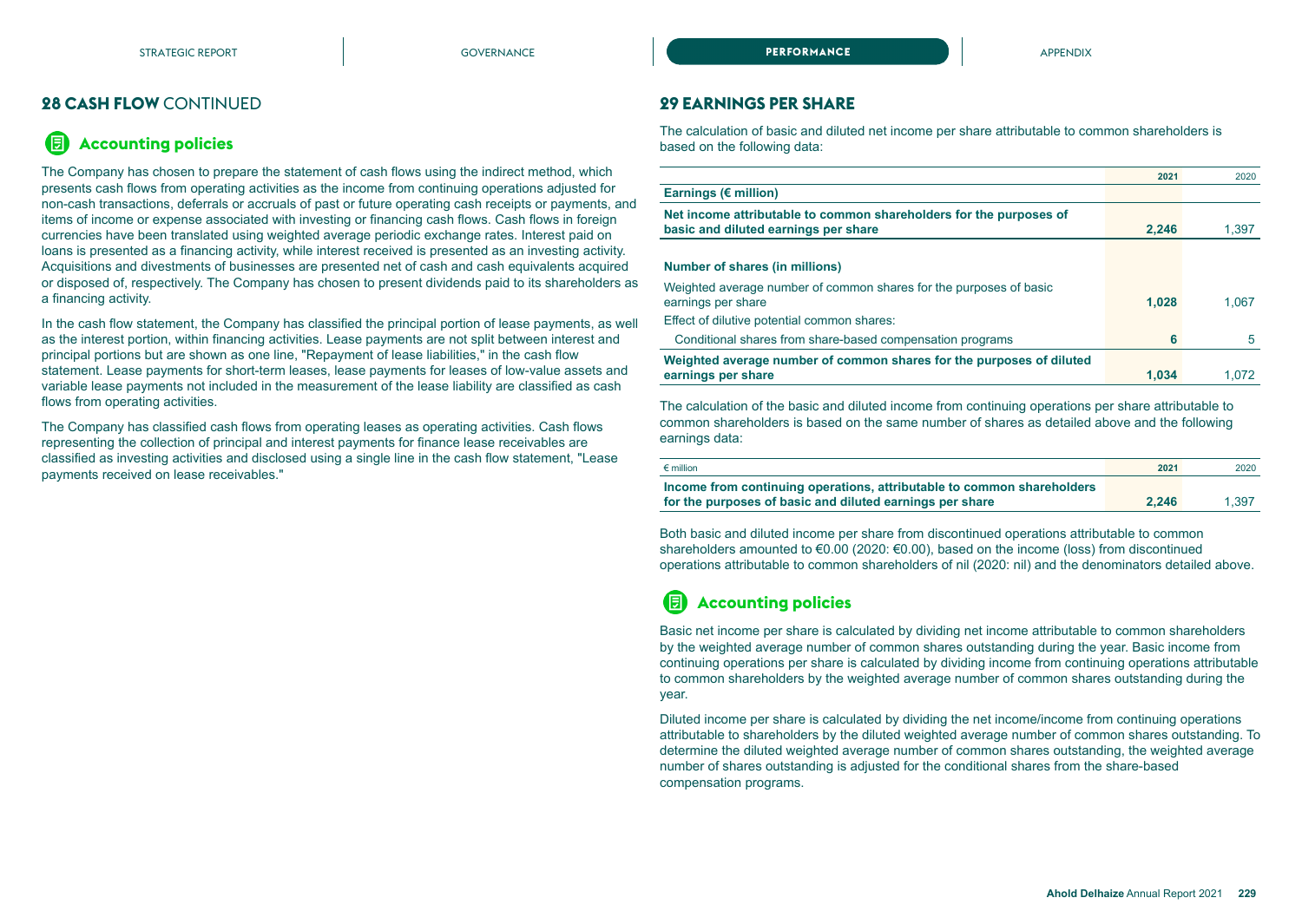#### 侗 **Accounting policies**

The Company has chosen to prepare the statement of cash flows using the indirect method, which presents cash flows from operating activities as the income from continuing operations adjusted for non-cash transactions, deferrals or accruals of past or future operating cash receipts or payments, and items of income or expense associated with investing or financing cash flows. Cash flows in foreign currencies have been translated using weighted average periodic exchange rates. Interest paid on loans is presented as a financing activity, while interest received is presented as an investing activity. Acquisitions and divestments of businesses are presented net of cash and cash equivalents acquired or disposed of, respectively. The Company has chosen to present dividends paid to its shareholders as a financing activity.

In the cash flow statement, the Company has classified the principal portion of lease payments, as well as the interest portion, within financing activities. Lease payments are not split between interest and principal portions but are shown as one line, "Repayment of lease liabilities," in the cash flow statement. Lease payments for short-term leases, lease payments for leases of low-value assets and variable lease payments not included in the measurement of the lease liability are classified as cash flows from operating activities.

The Company has classified cash flows from operating leases as operating activities. Cash flows representing the collection of principal and interest payments for finance lease receivables are classified as investing activities and disclosed using a single line in the cash flow statement, "Lease payments received on lease receivables."

### **29 EARNINGS PER SHARE**

The calculation of basic and diluted net income per share attributable to common shareholders is based on the following data:

|                                                                      | 2021  | 2020  |
|----------------------------------------------------------------------|-------|-------|
| Earnings ( $\notin$ million)                                         |       |       |
| Net income attributable to common shareholders for the purposes of   |       |       |
| basic and diluted earnings per share                                 | 2.246 | 1,397 |
|                                                                      |       |       |
| Number of shares (in millions)                                       |       |       |
| Weighted average number of common shares for the purposes of basic   |       |       |
| earnings per share                                                   | 1.028 | 1.067 |
| Effect of dilutive potential common shares:                          |       |       |
| Conditional shares from share-based compensation programs            | 6     | 5     |
| Weighted average number of common shares for the purposes of diluted |       |       |
| earnings per share                                                   | 1.034 | 1.072 |

The calculation of the basic and diluted income from continuing operations per share attributable to common shareholders is based on the same number of shares as detailed above and the following earnings data:

| $\epsilon$ million                                                     | 2021  | 2020  |
|------------------------------------------------------------------------|-------|-------|
| Income from continuing operations, attributable to common shareholders |       |       |
| for the purposes of basic and diluted earnings per share               | 2.246 | 1.397 |

Both basic and diluted income per share from discontinued operations attributable to common shareholders amounted to €0.00 (2020: €0.00), based on the income (loss) from discontinued operations attributable to common shareholders of nil (2020: nil) and the denominators detailed above.

#### **Accounting policies** (目)

Basic net income per share is calculated by dividing net income attributable to common shareholders by the weighted average number of common shares outstanding during the year. Basic income from continuing operations per share is calculated by dividing income from continuing operations attributable to common shareholders by the weighted average number of common shares outstanding during the year.

Diluted income per share is calculated by dividing the net income/income from continuing operations attributable to shareholders by the diluted weighted average number of common shares outstanding. To determine the diluted weighted average number of common shares outstanding, the weighted average number of shares outstanding is adjusted for the conditional shares from the share-based compensation programs.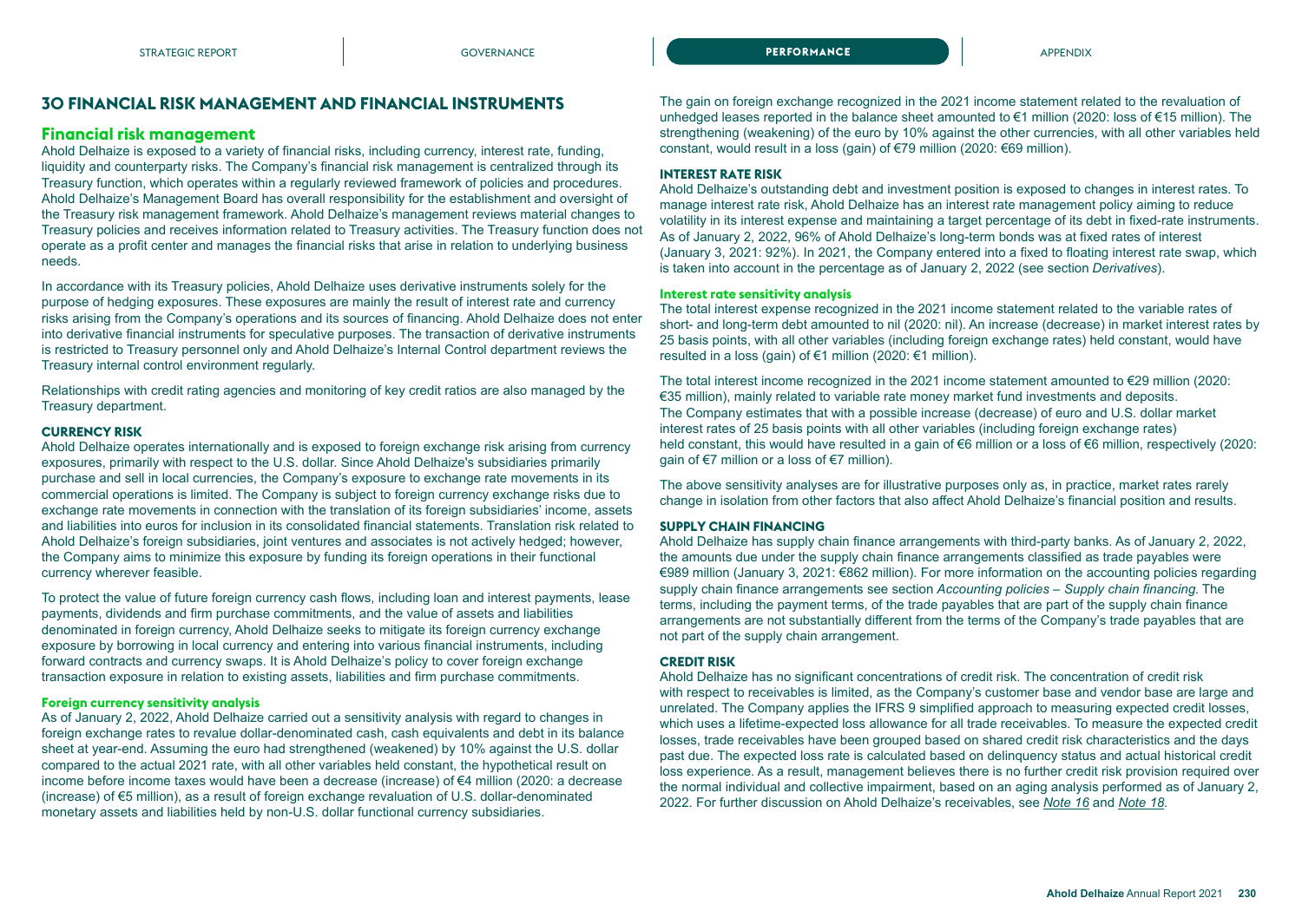### <span id="page-52-0"></span>**Financial risk management**

Ahold Delhaize is exposed to a variety of financial risks, including currency, interest rate, funding, liquidity and counterparty risks. The Company's financial risk management is centralized through its Treasury function, which operates within a regularly reviewed framework of policies and procedures. Ahold Delhaize's Management Board has overall responsibility for the establishment and oversight of the Treasury risk management framework. Ahold Delhaize's management reviews material changes to Treasury policies and receives information related to Treasury activities. The Treasury function does not operate as a profit center and manages the financial risks that arise in relation to underlying business needs.

In accordance with its Treasury policies, Ahold Delhaize uses derivative instruments solely for the purpose of hedging exposures. These exposures are mainly the result of interest rate and currency risks arising from the Company's operations and its sources of financing. Ahold Delhaize does not enter into derivative financial instruments for speculative purposes. The transaction of derivative instruments is restricted to Treasury personnel only and Ahold Delhaize's Internal Control department reviews the Treasury internal control environment regularly.

Relationships with credit rating agencies and monitoring of key credit ratios are also managed by the Treasury department.

### **CURRENCY RISK**

Ahold Delhaize operates internationally and is exposed to foreign exchange risk arising from currency exposures, primarily with respect to the U.S. dollar. Since Ahold Delhaize's subsidiaries primarily purchase and sell in local currencies, the Company's exposure to exchange rate movements in its commercial operations is limited. The Company is subject to foreign currency exchange risks due to exchange rate movements in connection with the translation of its foreign subsidiaries' income, assets and liabilities into euros for inclusion in its consolidated financial statements. Translation risk related to Ahold Delhaize's foreign subsidiaries, joint ventures and associates is not actively hedged; however, the Company aims to minimize this exposure by funding its foreign operations in their functional currency wherever feasible.

To protect the value of future foreign currency cash flows, including loan and interest payments, lease payments, dividends and firm purchase commitments, and the value of assets and liabilities denominated in foreign currency, Ahold Delhaize seeks to mitigate its foreign currency exchange exposure by borrowing in local currency and entering into various financial instruments, including forward contracts and currency swaps. It is Ahold Delhaize's policy to cover foreign exchange transaction exposure in relation to existing assets, liabilities and firm purchase commitments.

#### **Foreign currency sensitivity analysis**

As of January 2, 2022, Ahold Delhaize carried out a sensitivity analysis with regard to changes in foreign exchange rates to revalue dollar-denominated cash, cash equivalents and debt in its balance sheet at year-end. Assuming the euro had strengthened (weakened) by 10% against the U.S. dollar compared to the actual 2021 rate, with all other variables held constant, the hypothetical result on income before income taxes would have been a decrease (increase) of €4 million (2020: a decrease (increase) of €5 million), as a result of foreign exchange revaluation of U.S. dollar-denominated monetary assets and liabilities held by non-U.S. dollar functional currency subsidiaries.

The gain on foreign exchange recognized in the 2021 income statement related to the revaluation of unhedged leases reported in the balance sheet amounted to €1 million (2020: loss of €15 million). The strengthening (weakening) of the euro by 10% against the other currencies, with all other variables held constant, would result in a loss (gain) of €79 million (2020: €69 million).

#### **INTEREST RATE RISK**

Ahold Delhaize's outstanding debt and investment position is exposed to changes in interest rates. To manage interest rate risk, Ahold Delhaize has an interest rate management policy aiming to reduce volatility in its interest expense and maintaining a target percentage of its debt in fixed-rate instruments. As of January 2, 2022, 96% of Ahold Delhaize's long-term bonds was at fixed rates of interest (January 3, 2021: 92%). In 2021, the Company entered into a fixed to floating interest rate swap, which is taken into account in the percentage as of January 2, 2022 (see section *Derivatives*).

#### **Interest rate sensitivity analysis**

The total interest expense recognized in the 2021 income statement related to the variable rates of short- and long-term debt amounted to nil (2020: nil). An increase (decrease) in market interest rates by 25 basis points, with all other variables (including foreign exchange rates) held constant, would have resulted in a loss (gain) of €1 million (2020: €1 million).

The total interest income recognized in the 2021 income statement amounted to €29 million (2020: €35 million), mainly related to variable rate money market fund investments and deposits. The Company estimates that with a possible increase (decrease) of euro and U.S. dollar market interest rates of 25 basis points with all other variables (including foreign exchange rates) held constant, this would have resulted in a gain of €6 million or a loss of €6 million, respectively (2020: gain of €7 million or a loss of €7 million).

The above sensitivity analyses are for illustrative purposes only as, in practice, market rates rarely change in isolation from other factors that also affect Ahold Delhaize's financial position and results.

#### **SUPPLY CHAIN FINANCING**

Ahold Delhaize has supply chain finance arrangements with third-party banks. As of January 2, 2022, the amounts due under the supply chain finance arrangements classified as trade payables were €989 million (January 3, 2021: €862 million). For more information on the accounting policies regarding supply chain finance arrangements see section *Accounting policies – Supply chain financing*. The terms, including the payment terms, of the trade payables that are part of the supply chain finance arrangements are not substantially different from the terms of the Company's trade payables that are not part of the supply chain arrangement.

#### **CREDIT RISK**

Ahold Delhaize has no significant concentrations of credit risk. The concentration of credit risk with respect to receivables is limited, as the Company's customer base and vendor base are large and unrelated. The Company applies the IFRS 9 simplified approach to measuring expected credit losses, which uses a lifetime-expected loss allowance for all trade receivables. To measure the expected credit losses, trade receivables have been grouped based on shared credit risk characteristics and the days past due. The expected loss rate is calculated based on delinquency status and actual historical credit loss experience. As a result, management believes there is no further credit risk provision required over the normal individual and collective impairment, based on an aging analysis performed as of January 2, 2022. For further discussion on Ahold Delhaize's receivables, see *[Note 16](#page-31-0)* and *[Note 18](#page-32-0).*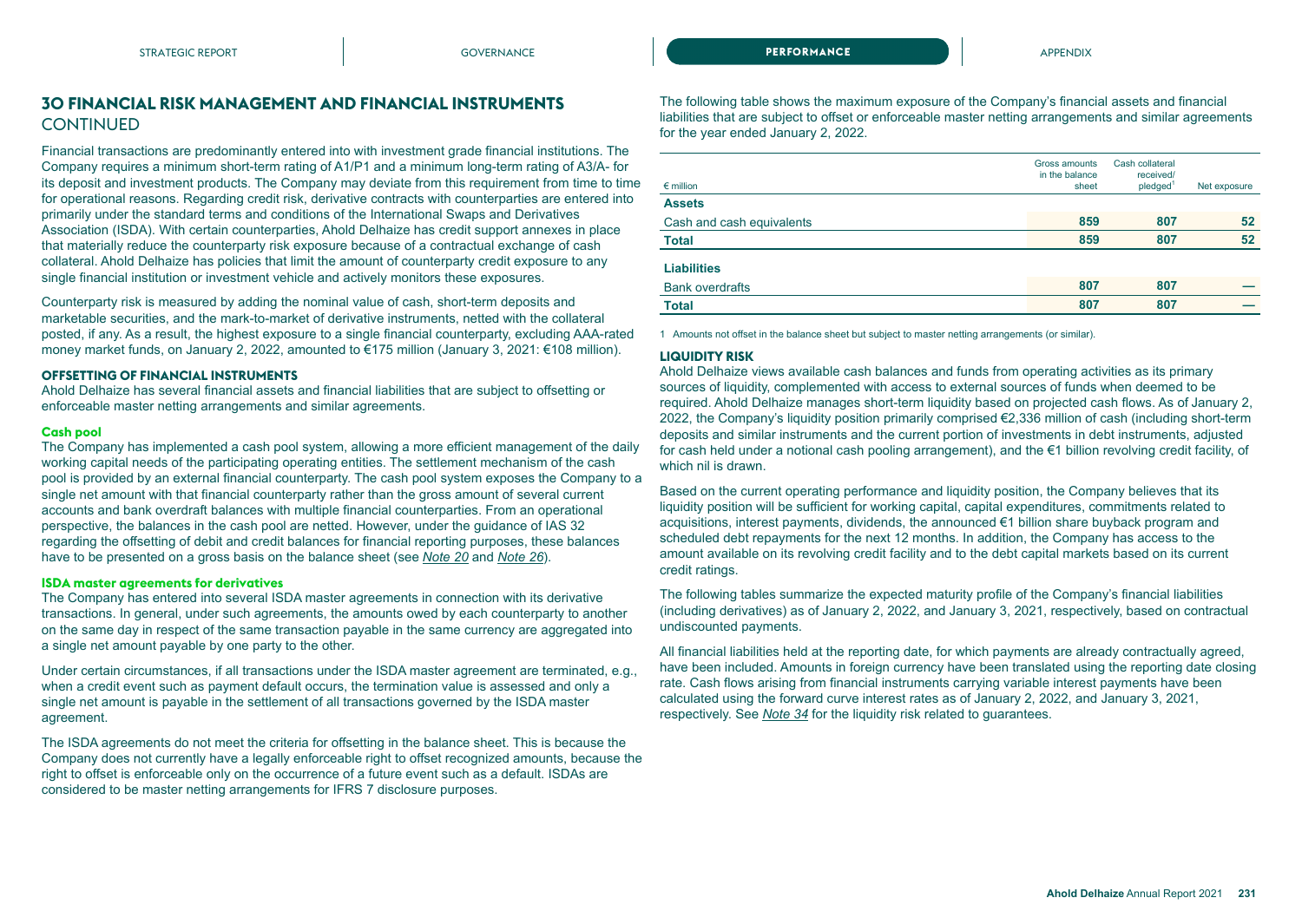Financial transactions are predominantly entered into with investment grade financial institutions. The Company requires a minimum short-term rating of A1/P1 and a minimum long-term rating of A3/A- for its deposit and investment products. The Company may deviate from this requirement from time to time for operational reasons. Regarding credit risk, derivative contracts with counterparties are entered into primarily under the standard terms and conditions of the International Swaps and Derivatives Association (ISDA). With certain counterparties, Ahold Delhaize has credit support annexes in place that materially reduce the counterparty risk exposure because of a contractual exchange of cash collateral. Ahold Delhaize has policies that limit the amount of counterparty credit exposure to any single financial institution or investment vehicle and actively monitors these exposures.

Counterparty risk is measured by adding the nominal value of cash, short-term deposits and marketable securities, and the mark-to-market of derivative instruments, netted with the collateral posted, if any. As a result, the highest exposure to a single financial counterparty, excluding AAA-rated money market funds, on January 2, 2022, amounted to €175 million (January 3, 2021: €108 million).

#### **OFFSETTING OF FINANCIAL INSTRUMENTS**

Ahold Delhaize has several financial assets and financial liabilities that are subject to offsetting or enforceable master netting arrangements and similar agreements.

#### **Cash pool**

The Company has implemented a cash pool system, allowing a more efficient management of the daily working capital needs of the participating operating entities. The settlement mechanism of the cash pool is provided by an external financial counterparty. The cash pool system exposes the Company to a single net amount with that financial counterparty rather than the gross amount of several current accounts and bank overdraft balances with multiple financial counterparties. From an operational perspective, the balances in the cash pool are netted. However, under the guidance of IAS 32 regarding the offsetting of debit and credit balances for financial reporting purposes, these balances have to be presented on a gross basis on the balance sheet (see *[Note 20](#page-33-0)* and *[Note 26](#page-48-0)*).

#### **ISDA master agreements for derivatives**

The Company has entered into several ISDA master agreements in connection with its derivative transactions. In general, under such agreements, the amounts owed by each counterparty to another on the same day in respect of the same transaction payable in the same currency are aggregated into a single net amount payable by one party to the other.

Under certain circumstances, if all transactions under the ISDA master agreement are terminated, e.g., when a credit event such as payment default occurs, the termination value is assessed and only a single net amount is payable in the settlement of all transactions governed by the ISDA master agreement.

The ISDA agreements do not meet the criteria for offsetting in the balance sheet. This is because the Company does not currently have a legally enforceable right to offset recognized amounts, because the right to offset is enforceable only on the occurrence of a future event such as a default. ISDAs are considered to be master netting arrangements for IFRS 7 disclosure purposes.

The following table shows the maximum exposure of the Company's financial assets and financial liabilities that are subject to offset or enforceable master netting arrangements and similar agreements for the year ended January 2, 2022.

| $\epsilon$ million        | Gross amounts<br>in the balance<br>sheet | Cash collateral<br>received/<br>$p$ ledged <sup>1</sup> | Net exposure |
|---------------------------|------------------------------------------|---------------------------------------------------------|--------------|
| <b>Assets</b>             |                                          |                                                         |              |
| Cash and cash equivalents | 859                                      | 807                                                     | 52           |
| <b>Total</b>              | 859                                      | 807                                                     | 52           |
| <b>Liabilities</b>        |                                          |                                                         |              |
| <b>Bank overdrafts</b>    | 807                                      | 807                                                     |              |
| <b>Total</b>              | 807                                      | 807                                                     |              |

1 Amounts not offset in the balance sheet but subject to master netting arrangements (or similar).

#### **LIQUIDITY RISK**

Ahold Delhaize views available cash balances and funds from operating activities as its primary sources of liquidity, complemented with access to external sources of funds when deemed to be required. Ahold Delhaize manages short-term liquidity based on projected cash flows. As of January 2, 2022, the Company's liquidity position primarily comprised €2,336 million of cash (including short-term deposits and similar instruments and the current portion of investments in debt instruments, adjusted for cash held under a notional cash pooling arrangement), and the €1 billion revolving credit facility, of which nil is drawn.

Based on the current operating performance and liquidity position, the Company believes that its liquidity position will be sufficient for working capital, capital expenditures, commitments related to acquisitions, interest payments, dividends, the announced €1 billion share buyback program and scheduled debt repayments for the next 12 months. In addition, the Company has access to the amount available on its revolving credit facility and to the debt capital markets based on its current credit ratings.

The following tables summarize the expected maturity profile of the Company's financial liabilities (including derivatives) as of January 2, 2022, and January 3, 2021, respectively, based on contractual undiscounted payments.

All financial liabilities held at the reporting date, for which payments are already contractually agreed, have been included. Amounts in foreign currency have been translated using the reporting date closing rate. Cash flows arising from financial instruments carrying variable interest payments have been calculated using the forward curve interest rates as of January 2, 2022, and January 3, 2021, respectively. See *[Note 34](#page-66-0)* for the liquidity risk related to guarantees.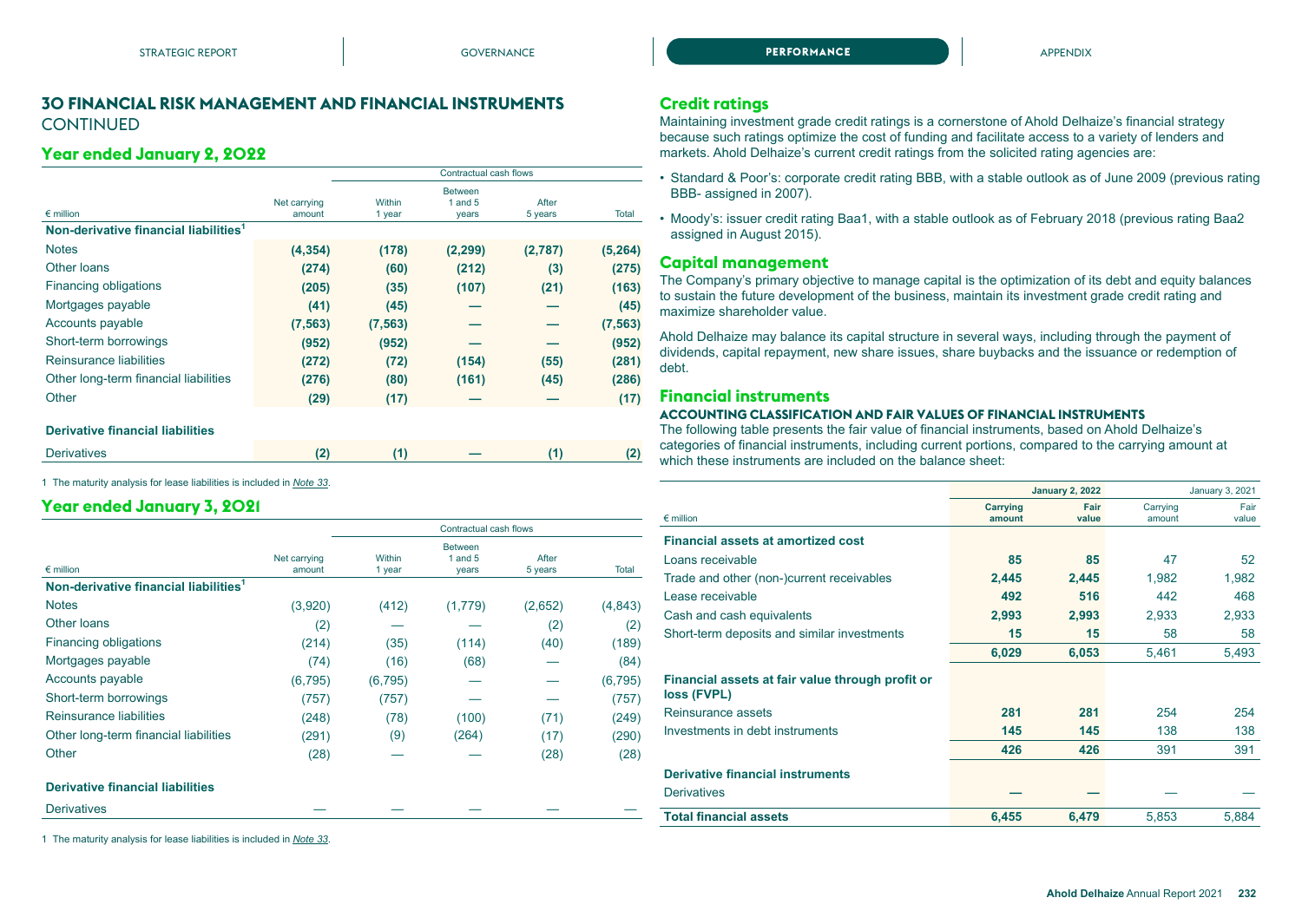### **Year ended January 2, 2022**

|                                                   |                        |                  | Contractual cash flows               |                  |          |
|---------------------------------------------------|------------------------|------------------|--------------------------------------|------------------|----------|
| $\epsilon$ million                                | Net carrying<br>amount | Within<br>1 year | <b>Between</b><br>1 and $5$<br>years | After<br>5 years | Total    |
| Non-derivative financial liabilities <sup>1</sup> |                        |                  |                                      |                  |          |
| <b>Notes</b>                                      | (4, 354)               | (178)            | (2, 299)                             | (2,787)          | (5, 264) |
| Other loans                                       | (274)                  | (60)             | (212)                                | (3)              | (275)    |
| Financing obligations                             | (205)                  | (35)             | (107)                                | (21)             | (163)    |
| Mortgages payable                                 | (41)                   | (45)             |                                      |                  | (45)     |
| Accounts payable                                  | (7, 563)               | (7, 563)         |                                      |                  | (7, 563) |
| Short-term borrowings                             | (952)                  | (952)            |                                      |                  | (952)    |
| Reinsurance liabilities                           | (272)                  | (72)             | (154)                                | (55)             | (281)    |
| Other long-term financial liabilities             | (276)                  | (80)             | (161)                                | (45)             | (286)    |
| Other                                             | (29)                   | (17)             |                                      |                  | (17)     |

#### **Derivative financial liabilities**

| $-$<br>-- |  |  |  |
|-----------|--|--|--|
|           |  |  |  |

1 The maturity analysis for lease liabilities is included in *[Note 33](#page-62-0)*.

### **Year ended January 3, 2021**

| $\epsilon$ million                                | Net carrying<br>amount | Within<br>1 year | <b>Between</b><br>1 and $5$<br>years | After<br>5 years | Total    |
|---------------------------------------------------|------------------------|------------------|--------------------------------------|------------------|----------|
| Non-derivative financial liabilities <sup>1</sup> |                        |                  |                                      |                  |          |
| <b>Notes</b>                                      | (3,920)                | (412)            | (1,779)                              | (2,652)          | (4, 843) |
| Other loans                                       | (2)                    |                  |                                      | (2)              | (2)      |
| Financing obligations                             | (214)                  | (35)             | (114)                                | (40)             | (189)    |
| Mortgages payable                                 | (74)                   | (16)             | (68)                                 |                  | (84)     |
| Accounts payable                                  | (6, 795)               | (6, 795)         |                                      |                  | (6, 795) |
| Short-term borrowings                             | (757)                  | (757)            |                                      |                  | (757)    |
| Reinsurance liabilities                           | (248)                  | (78)             | (100)                                | (71)             | (249)    |
| Other long-term financial liabilities             | (291)                  | (9)              | (264)                                | (17)             | (290)    |
| Other                                             | (28)                   |                  |                                      | (28)             | (28)     |
| <b>Derivative financial liabilities</b>           |                        |                  |                                      |                  |          |
| <b>Derivatives</b>                                |                        |                  |                                      |                  |          |

1 The maturity analysis for lease liabilities is included in *[Note 33](#page-62-0)*.

### **Credit ratings**

Maintaining investment grade credit ratings is a cornerstone of Ahold Delhaize's financial strategy because such ratings optimize the cost of funding and facilitate access to a variety of lenders and markets. Ahold Delhaize's current credit ratings from the solicited rating agencies are:

- Standard & Poor's: corporate credit rating BBB, with a stable outlook as of June 2009 (previous rating BBB- assigned in 2007).
- Moody's: issuer credit rating Baa1, with a stable outlook as of February 2018 (previous rating Baa2 assigned in August 2015).

### **Capital management**

The Company's primary objective to manage capital is the optimization of its debt and equity balances to sustain the future development of the business, maintain its investment grade credit rating and maximize shareholder value.

Ahold Delhaize may balance its capital structure in several ways, including through the payment of dividends, capital repayment, new share issues, share buybacks and the issuance or redemption of debt.

### **Financial instruments**

### **ACCOUNTING CLASSIFICATION AND FAIR VALUES OF FINANCIAL INSTRUMENTS**

The following table presents the fair value of financial instruments, based on Ahold Delhaize's categories of financial instruments, including current portions, compared to the carrying amount at which these instruments are included on the balance sheet:

|                                                                 |                    | <b>January 2, 2022</b> |                    | January 3, 2021 |
|-----------------------------------------------------------------|--------------------|------------------------|--------------------|-----------------|
| $\epsilon$ million                                              | Carrying<br>amount | Fair<br>value          | Carrying<br>amount | Fair<br>value   |
| <b>Financial assets at amortized cost</b>                       |                    |                        |                    |                 |
| Loans receivable                                                | 85                 | 85                     | 47                 | 52              |
| Trade and other (non-)current receivables                       | 2,445              | 2,445                  | 1,982              | 1,982           |
| Lease receivable                                                | 492                | 516                    | 442                | 468             |
| Cash and cash equivalents                                       | 2,993              | 2,993                  | 2,933              | 2,933           |
| Short-term deposits and similar investments                     | 15                 | 15                     | 58                 | 58              |
|                                                                 | 6,029              | 6,053                  | 5,461              | 5,493           |
| Financial assets at fair value through profit or<br>loss (FVPL) |                    |                        |                    |                 |
| Reinsurance assets                                              | 281                | 281                    | 254                | 254             |
| Investments in debt instruments                                 | 145                | 145                    | 138                | 138             |
|                                                                 | 426                | 426                    | 391                | 391             |
| <b>Derivative financial instruments</b>                         |                    |                        |                    |                 |
| <b>Derivatives</b>                                              |                    |                        |                    |                 |
| <b>Total financial assets</b>                                   | 6,455              | 6,479                  | 5,853              | 5,884           |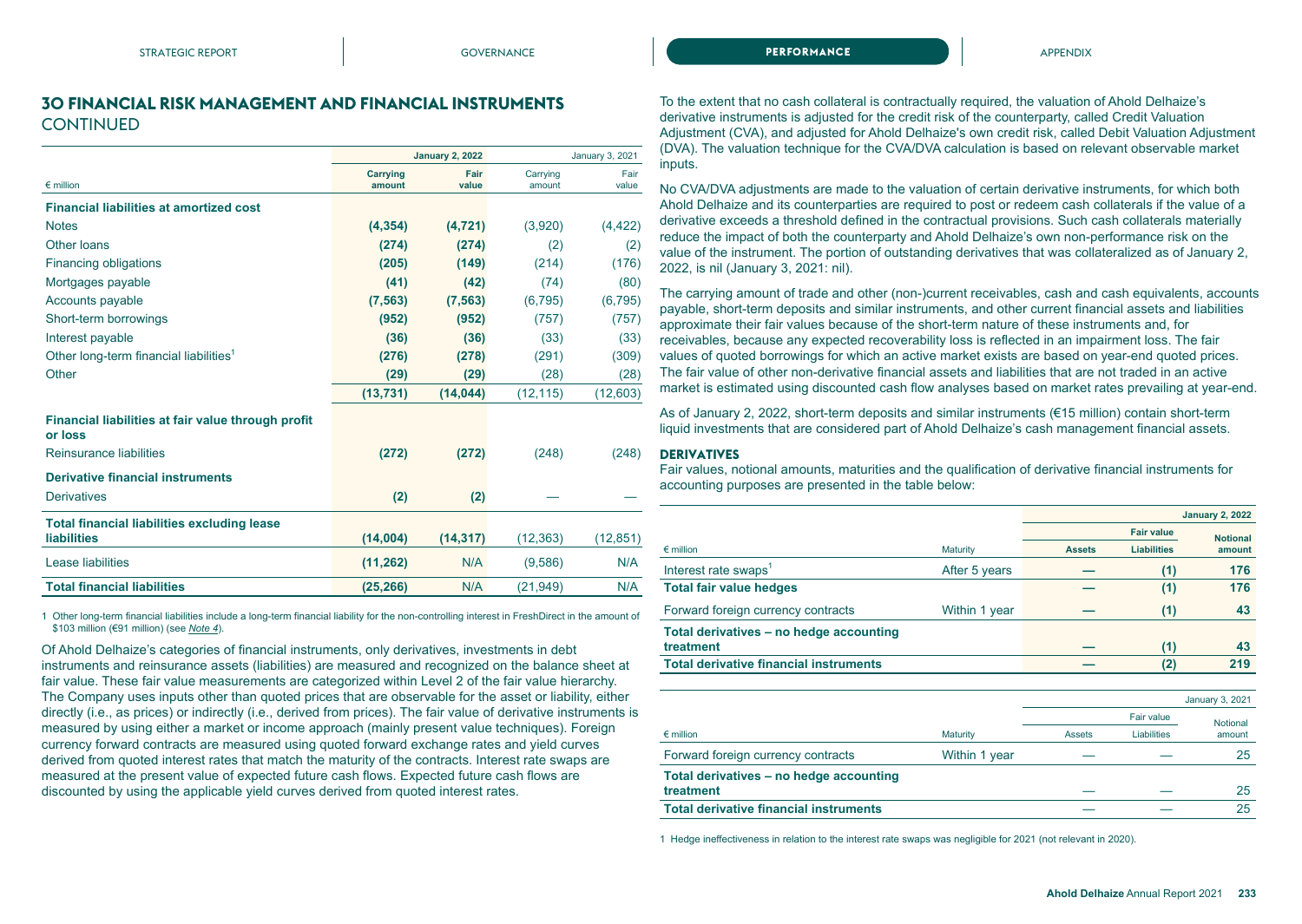|                                                                          |                           | <b>January 2, 2022</b> | January 3, 2021    |               |  |
|--------------------------------------------------------------------------|---------------------------|------------------------|--------------------|---------------|--|
| $\epsilon$ million                                                       | <b>Carrying</b><br>amount | Fair<br>value          | Carrying<br>amount | Fair<br>value |  |
| <b>Financial liabilities at amortized cost</b>                           |                           |                        |                    |               |  |
| <b>Notes</b>                                                             | (4, 354)                  | (4, 721)               | (3,920)            | (4, 422)      |  |
| Other loans                                                              | (274)                     | (274)                  | (2)                | (2)           |  |
| Financing obligations                                                    | (205)                     | (149)                  | (214)              | (176)         |  |
| Mortgages payable                                                        | (41)                      | (42)                   | (74)               | (80)          |  |
| Accounts payable                                                         | (7, 563)                  | (7, 563)               | (6, 795)           | (6,795)       |  |
| Short-term borrowings                                                    | (952)                     | (952)                  | (757)              | (757)         |  |
| Interest payable                                                         | (36)                      | (36)                   | (33)               | (33)          |  |
| Other long-term financial liabilities <sup>1</sup>                       | (276)                     | (278)                  | (291)              | (309)         |  |
| Other                                                                    | (29)                      | (29)                   | (28)               | (28)          |  |
|                                                                          | (13, 731)                 | (14, 044)              | (12, 115)          | (12,603)      |  |
| Financial liabilities at fair value through profit<br>or loss            |                           |                        |                    |               |  |
| Reinsurance liabilities                                                  | (272)                     | (272)                  | (248)              | (248)         |  |
| <b>Derivative financial instruments</b>                                  |                           |                        |                    |               |  |
| <b>Derivatives</b>                                                       | (2)                       | (2)                    |                    |               |  |
| <b>Total financial liabilities excluding lease</b><br><b>liabilities</b> | (14,004)                  | (14, 317)              | (12, 363)          | (12, 851)     |  |
| Lease liabilities                                                        | (11, 262)                 | N/A                    | (9,586)            | N/A           |  |
| <b>Total financial liabilities</b>                                       | (25, 266)                 | N/A                    | (21, 949)          | N/A           |  |

1 Other long-term financial liabilities include a long-term financial liability for the non-controlling interest in FreshDirect in the amount of \$103 million (€91 million) (see *[Note 4](#page-11-0)*).

Of Ahold Delhaize's categories of financial instruments, only derivatives, investments in debt instruments and reinsurance assets (liabilities) are measured and recognized on the balance sheet at fair value. These fair value measurements are categorized within Level 2 of the fair value hierarchy. The Company uses inputs other than quoted prices that are observable for the asset or liability, either directly (i.e., as prices) or indirectly (i.e., derived from prices). The fair value of derivative instruments is measured by using either a market or income approach (mainly present value techniques). Foreign currency forward contracts are measured using quoted forward exchange rates and yield curves derived from quoted interest rates that match the maturity of the contracts. Interest rate swaps are measured at the present value of expected future cash flows. Expected future cash flows are discounted by using the applicable yield curves derived from quoted interest rates.

To the extent that no cash collateral is contractually required, the valuation of Ahold Delhaize's derivative instruments is adjusted for the credit risk of the counterparty, called Credit Valuation Adjustment (CVA), and adjusted for Ahold Delhaize's own credit risk, called Debit Valuation Adjustment (DVA). The valuation technique for the CVA/DVA calculation is based on relevant observable market inputs.

No CVA/DVA adjustments are made to the valuation of certain derivative instruments, for which both Ahold Delhaize and its counterparties are required to post or redeem cash collaterals if the value of a derivative exceeds a threshold defined in the contractual provisions. Such cash collaterals materially reduce the impact of both the counterparty and Ahold Delhaize's own non-performance risk on the value of the instrument. The portion of outstanding derivatives that was collateralized as of January 2, 2022, is nil (January 3, 2021: nil).

The carrying amount of trade and other (non-)current receivables, cash and cash equivalents, accounts payable, short-term deposits and similar instruments, and other current financial assets and liabilities approximate their fair values because of the short-term nature of these instruments and, for receivables, because any expected recoverability loss is reflected in an impairment loss. The fair values of quoted borrowings for which an active market exists are based on year-end quoted prices. The fair value of other non-derivative financial assets and liabilities that are not traded in an active market is estimated using discounted cash flow analyses based on market rates prevailing at year-end.

As of January 2, 2022, short-term deposits and similar instruments (€15 million) contain short-term liquid investments that are considered part of Ahold Delhaize's cash management financial assets.

### **DERIVATIVES**

Fair values, notional amounts, maturities and the qualification of derivative financial instruments for accounting purposes are presented in the table below:

|                                               |               |               |                    | <b>January 2, 2022</b> |
|-----------------------------------------------|---------------|---------------|--------------------|------------------------|
|                                               |               |               | <b>Fair value</b>  | <b>Notional</b>        |
| $\epsilon$ million                            | Maturity      | <b>Assets</b> | <b>Liabilities</b> | amount                 |
| Interest rate swaps <sup>1</sup>              | After 5 years |               | (1)                | 176                    |
| <b>Total fair value hedges</b>                |               |               | (1)                | 176                    |
| Forward foreign currency contracts            | Within 1 year |               | (1)                | 43                     |
| Total derivatives - no hedge accounting       |               |               |                    |                        |
| treatment                                     |               |               | (1)                | 43                     |
| <b>Total derivative financial instruments</b> |               |               | (2)                | 219                    |
|                                               |               |               |                    |                        |
|                                               |               |               |                    | January 3, 2021        |
|                                               |               |               | Fair value         | <b>Notional</b>        |
| $\epsilon$ million                            | Maturity      | <b>Assets</b> | Liabilities        | amount                 |
| Forward foreign currency contracts            | Within 1 year |               |                    | 25                     |
| Total derivatives – no hedge accounting       |               |               |                    |                        |
| treatment                                     |               |               |                    | 25                     |
| <b>Total derivative financial instruments</b> |               |               |                    | 25                     |

1 Hedge ineffectiveness in relation to the interest rate swaps was negligible for 2021 (not relevant in 2020).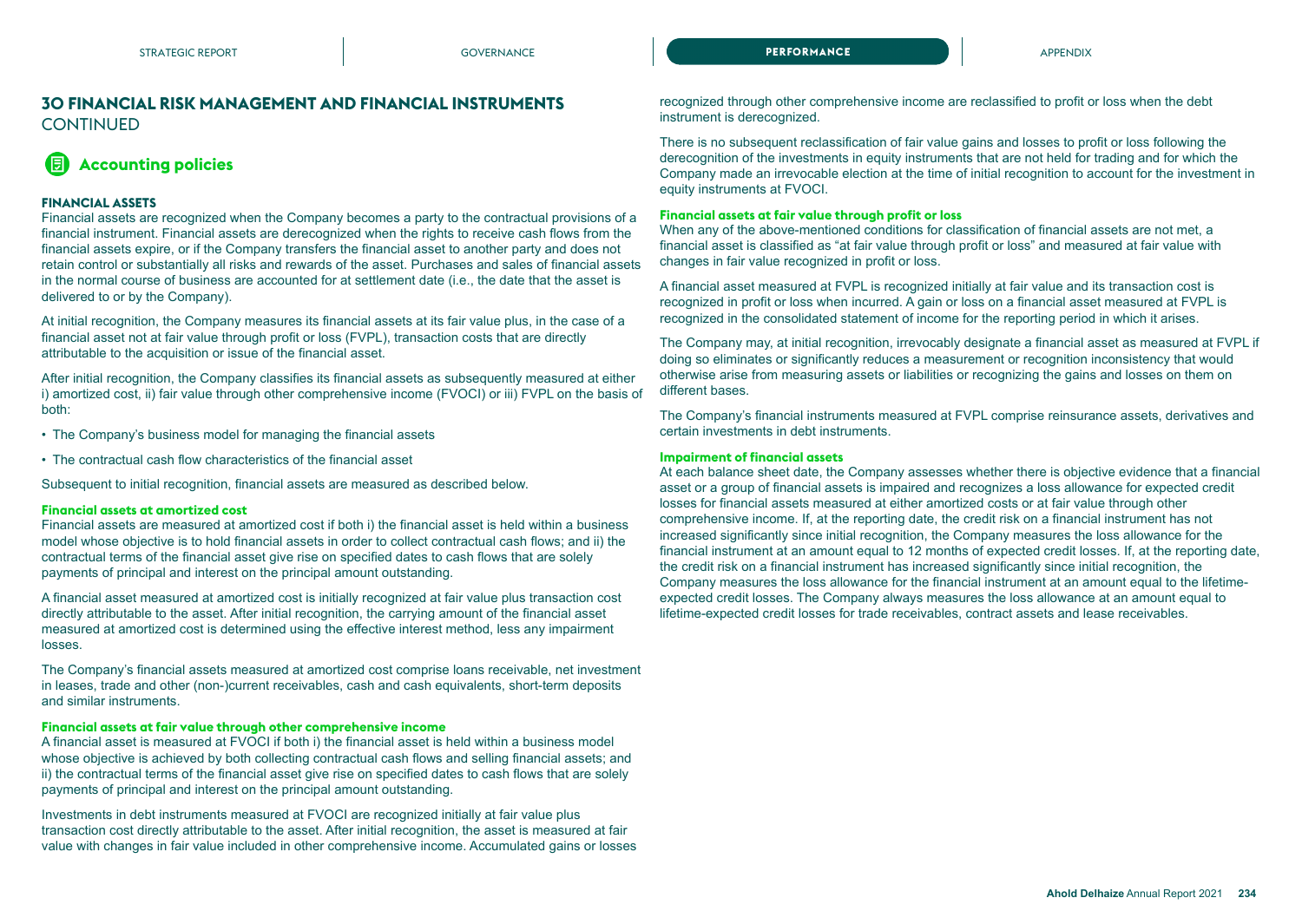## **Accounting policies**

### **FINANCIAL ASSETS**

Financial assets are recognized when the Company becomes a party to the contractual provisions of a financial instrument. Financial assets are derecognized when the rights to receive cash flows from the financial assets expire, or if the Company transfers the financial asset to another party and does not retain control or substantially all risks and rewards of the asset. Purchases and sales of financial assets in the normal course of business are accounted for at settlement date (i.e., the date that the asset is delivered to or by the Company).

At initial recognition, the Company measures its financial assets at its fair value plus, in the case of a financial asset not at fair value through profit or loss (FVPL), transaction costs that are directly attributable to the acquisition or issue of the financial asset.

After initial recognition, the Company classifies its financial assets as subsequently measured at either i) amortized cost, ii) fair value through other comprehensive income (FVOCI) or iii) FVPL on the basis of both:

- The Company's business model for managing the financial assets
- The contractual cash flow characteristics of the financial asset

Subsequent to initial recognition, financial assets are measured as described below.

#### **Financial assets at amortized cost**

Financial assets are measured at amortized cost if both i) the financial asset is held within a business model whose objective is to hold financial assets in order to collect contractual cash flows; and ii) the contractual terms of the financial asset give rise on specified dates to cash flows that are solely payments of principal and interest on the principal amount outstanding.

A financial asset measured at amortized cost is initially recognized at fair value plus transaction cost directly attributable to the asset. After initial recognition, the carrying amount of the financial asset measured at amortized cost is determined using the effective interest method, less any impairment losses.

The Company's financial assets measured at amortized cost comprise loans receivable, net investment in leases, trade and other (non-)current receivables, cash and cash equivalents, short-term deposits and similar instruments.

### **Financial assets at fair value through other comprehensive income**

A financial asset is measured at FVOCI if both i) the financial asset is held within a business model whose objective is achieved by both collecting contractual cash flows and selling financial assets; and ii) the contractual terms of the financial asset give rise on specified dates to cash flows that are solely payments of principal and interest on the principal amount outstanding.

Investments in debt instruments measured at FVOCI are recognized initially at fair value plus transaction cost directly attributable to the asset. After initial recognition, the asset is measured at fair value with changes in fair value included in other comprehensive income. Accumulated gains or losses recognized through other comprehensive income are reclassified to profit or loss when the debt instrument is derecognized.

There is no subsequent reclassification of fair value gains and losses to profit or loss following the derecognition of the investments in equity instruments that are not held for trading and for which the Company made an irrevocable election at the time of initial recognition to account for the investment in equity instruments at FVOCI.

### **Financial assets at fair value through profit or loss**

When any of the above-mentioned conditions for classification of financial assets are not met, a financial asset is classified as "at fair value through profit or loss" and measured at fair value with changes in fair value recognized in profit or loss.

A financial asset measured at FVPL is recognized initially at fair value and its transaction cost is recognized in profit or loss when incurred. A gain or loss on a financial asset measured at FVPL is recognized in the consolidated statement of income for the reporting period in which it arises.

The Company may, at initial recognition, irrevocably designate a financial asset as measured at FVPL if doing so eliminates or significantly reduces a measurement or recognition inconsistency that would otherwise arise from measuring assets or liabilities or recognizing the gains and losses on them on different bases.

The Company's financial instruments measured at FVPL comprise reinsurance assets, derivatives and certain investments in debt instruments.

#### **Impairment of financial assets**

At each balance sheet date, the Company assesses whether there is objective evidence that a financial asset or a group of financial assets is impaired and recognizes a loss allowance for expected credit losses for financial assets measured at either amortized costs or at fair value through other comprehensive income. If, at the reporting date, the credit risk on a financial instrument has not increased significantly since initial recognition, the Company measures the loss allowance for the financial instrument at an amount equal to 12 months of expected credit losses. If, at the reporting date, the credit risk on a financial instrument has increased significantly since initial recognition, the Company measures the loss allowance for the financial instrument at an amount equal to the lifetimeexpected credit losses. The Company always measures the loss allowance at an amount equal to lifetime-expected credit losses for trade receivables, contract assets and lease receivables.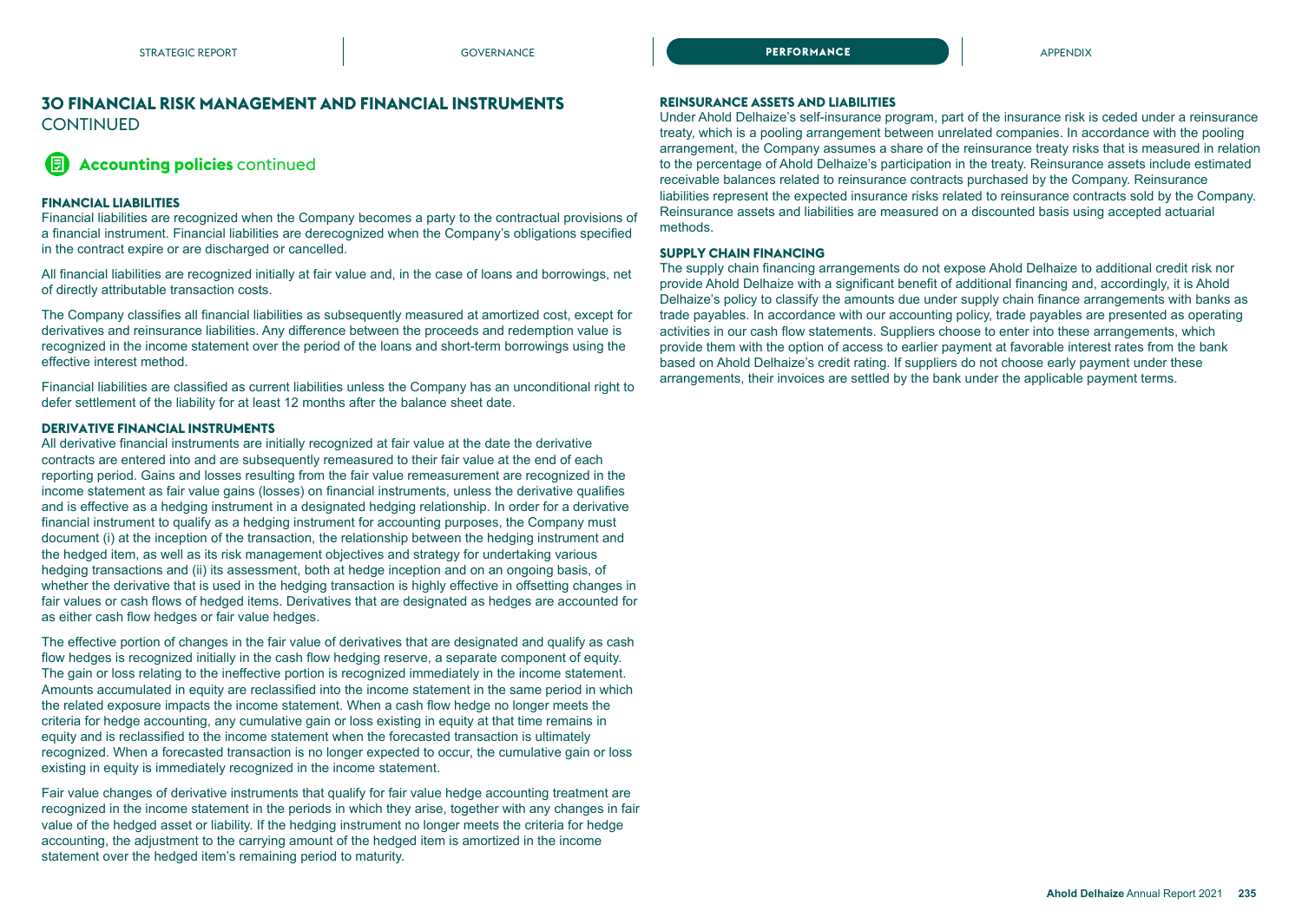## **Accounting policies** continued

#### **FINANCIAL LIABILITIES**

Financial liabilities are recognized when the Company becomes a party to the contractual provisions of a financial instrument. Financial liabilities are derecognized when the Company's obligations specified in the contract expire or are discharged or cancelled.

All financial liabilities are recognized initially at fair value and, in the case of loans and borrowings, net of directly attributable transaction costs.

The Company classifies all financial liabilities as subsequently measured at amortized cost, except for derivatives and reinsurance liabilities. Any difference between the proceeds and redemption value is recognized in the income statement over the period of the loans and short-term borrowings using the effective interest method.

Financial liabilities are classified as current liabilities unless the Company has an unconditional right to defer settlement of the liability for at least 12 months after the balance sheet date.

#### **DERIVATIVE FINANCIAL INSTRUMENTS**

All derivative financial instruments are initially recognized at fair value at the date the derivative contracts are entered into and are subsequently remeasured to their fair value at the end of each reporting period. Gains and losses resulting from the fair value remeasurement are recognized in the income statement as fair value gains (losses) on financial instruments, unless the derivative qualifies and is effective as a hedging instrument in a designated hedging relationship. In order for a derivative financial instrument to qualify as a hedging instrument for accounting purposes, the Company must document (i) at the inception of the transaction, the relationship between the hedging instrument and the hedged item, as well as its risk management objectives and strategy for undertaking various hedging transactions and (ii) its assessment, both at hedge inception and on an ongoing basis, of whether the derivative that is used in the hedging transaction is highly effective in offsetting changes in fair values or cash flows of hedged items. Derivatives that are designated as hedges are accounted for as either cash flow hedges or fair value hedges.

The effective portion of changes in the fair value of derivatives that are designated and qualify as cash flow hedges is recognized initially in the cash flow hedging reserve, a separate component of equity. The gain or loss relating to the ineffective portion is recognized immediately in the income statement. Amounts accumulated in equity are reclassified into the income statement in the same period in which the related exposure impacts the income statement. When a cash flow hedge no longer meets the criteria for hedge accounting, any cumulative gain or loss existing in equity at that time remains in equity and is reclassified to the income statement when the forecasted transaction is ultimately recognized. When a forecasted transaction is no longer expected to occur, the cumulative gain or loss existing in equity is immediately recognized in the income statement.

Fair value changes of derivative instruments that qualify for fair value hedge accounting treatment are recognized in the income statement in the periods in which they arise, together with any changes in fair value of the hedged asset or liability. If the hedging instrument no longer meets the criteria for hedge accounting, the adjustment to the carrying amount of the hedged item is amortized in the income statement over the hedged item's remaining period to maturity.

#### **REINSURANCE ASSETS AND LIABILITIES**

Under Ahold Delhaize's self-insurance program, part of the insurance risk is ceded under a reinsurance treaty, which is a pooling arrangement between unrelated companies. In accordance with the pooling arrangement, the Company assumes a share of the reinsurance treaty risks that is measured in relation to the percentage of Ahold Delhaize's participation in the treaty. Reinsurance assets include estimated receivable balances related to reinsurance contracts purchased by the Company. Reinsurance liabilities represent the expected insurance risks related to reinsurance contracts sold by the Company. Reinsurance assets and liabilities are measured on a discounted basis using accepted actuarial methods.

#### **SUPPLY CHAIN FINANCING**

The supply chain financing arrangements do not expose Ahold Delhaize to additional credit risk nor provide Ahold Delhaize with a significant benefit of additional financing and, accordingly, it is Ahold Delhaize's policy to classify the amounts due under supply chain finance arrangements with banks as trade payables. In accordance with our accounting policy, trade payables are presented as operating activities in our cash flow statements. Suppliers choose to enter into these arrangements, which provide them with the option of access to earlier payment at favorable interest rates from the bank based on Ahold Delhaize's credit rating. If suppliers do not choose early payment under these arrangements, their invoices are settled by the bank under the applicable payment terms.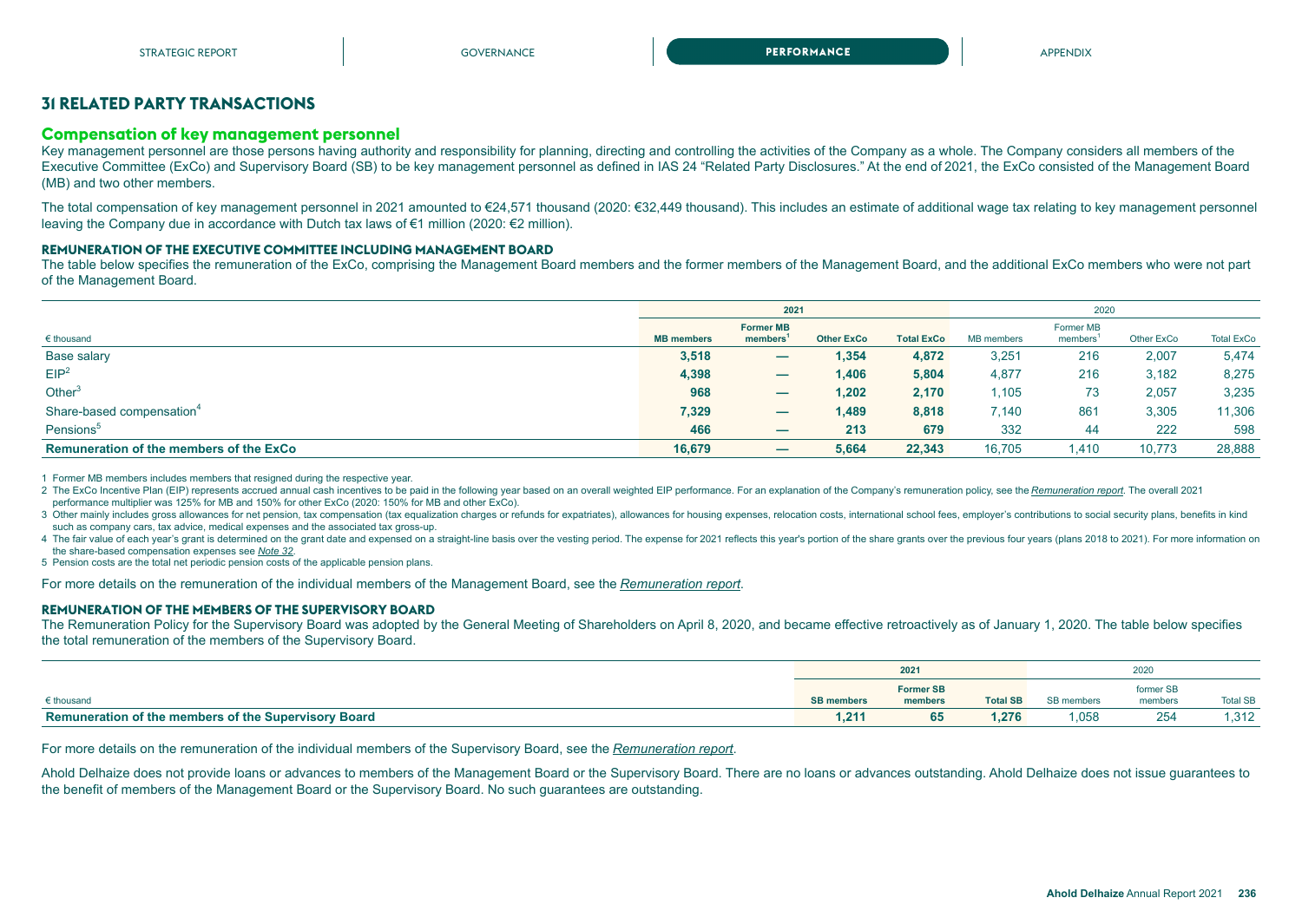### **31 RELATED PARTY TRANSACTIONS**

### **Compensation of key management personnel**

Key management personnel are those persons having authority and responsibility for planning, directing and controlling the activities of the Company as a whole. The Company considers all members of the Executive Committee (ExCo) and Supervisory Board (SB) to be key management personnel as defined in IAS 24 "Related Party Disclosures." At the end of 2021, the ExCo consisted of the Management Board (MB) and two other members.

The total compensation of key management personnel in 2021 amounted to €24,571 thousand (2020: €32,449 thousand). This includes an estimate of additional wage tax relating to key management personnel leaving the Company due in accordance with Dutch tax laws of €1 million (2020: €2 million).

### **REMUNERATION OF THE EXECUTIVE COMMITTEE INCLUDING MANAGEMENT BOARD**

The table below specifies the remuneration of the ExCo, comprising the Management Board members and the former members of the Management Board, and the additional ExCo members who were not part of the Management Board.

|                                                | 2021              |                                          |                   | 2020              |            |                                   |            |                   |
|------------------------------------------------|-------------------|------------------------------------------|-------------------|-------------------|------------|-----------------------------------|------------|-------------------|
| $\epsilon$ thousand                            | <b>MB</b> members | <b>Former MB</b><br>members <sup>1</sup> | <b>Other ExCo</b> | <b>Total ExCo</b> | MB members | Former MB<br>members <sup>1</sup> | Other ExCo | <b>Total ExCo</b> |
| <b>Base salary</b>                             | 3,518             | $\overline{\phantom{0}}$                 | 1,354             | 4,872             | 3,251      | 216                               | 2,007      | 5,474             |
| EIP <sup>2</sup>                               | 4,398             | $\overline{\phantom{m}}$                 | 1,406             | 5,804             | 4,877      | 216                               | 3,182      | 8,275             |
| Other $3$                                      | 968               | $\overline{\phantom{0}}$                 | 1,202             | 2,170             | 1,105      | 73                                | 2,057      | 3,235             |
| Share-based compensation <sup>4</sup>          | 7,329             | $\overline{\phantom{0}}$                 | 1,489             | 8,818             | 7,140      | 861                               | 3,305      | 11,306            |
| Pensions <sup>5</sup>                          | 466               | $\overline{\phantom{0}}$                 | 213               | 679               | 332        | 44                                | 222        | 598               |
| <b>Remuneration of the members of the ExCo</b> | 16.679            | $\overline{\phantom{0}}$                 | 5,664             | 22,343            | 16,705     | 1,410                             | 10,773     | 28,888            |

1 Former MB members includes members that resigned during the respective year.

2 The ExCo Incentive Plan (EIP) represents accrued annual cash incentives to be paid in the following year based on an overall weighted EIP performance. For an explanation of the Company's remuneration policy, see the Remu performance multiplier was 125% for MB and 150% for other ExCo (2020: 150% for MB and other ExCo).

3 Other mainly includes gross allowances for net pension, tax compensation (tax equalization charges or refunds for expatriates), allowances for housing expenses, relocation costs, international school fees, employer's con such as company cars, tax advice, medical expenses and the associated tax gross-up.

4 The fair value of each year's grant is determined on the grant date and expensed on a straight-line basis over the vesting period. The expense for 2021 reflects this year's portion of the share grants over the previous f the share-based compensation expenses see *[Note 32](#page-60-0)*.

5 Pension costs are the total net periodic pension costs of the applicable pension plans.

For more details on the remuneration of the individual members of the Management Board, see the *Remuneration report*.

### **REMUNERATION OF THE MEMBERS OF THE SUPERVISORY BOARD**

The Remuneration Policy for the Supervisory Board was adopted by the General Meeting of Shareholders on April 8, 2020, and became effective retroactively as of January 1, 2020. The table below specifies the total remuneration of the members of the Supervisory Board.

|                                                             | 2021              |                             |                 | 2020       |                      |                 |
|-------------------------------------------------------------|-------------------|-----------------------------|-----------------|------------|----------------------|-----------------|
| € thousand                                                  | <b>SB</b> members | <b>Former SB</b><br>members | <b>Total SB</b> | SB members | former SB<br>members | <b>Total SB</b> |
| <b>Remuneration of the members of the Supervisory Board</b> | $1.21^{\circ}$    |                             | ,276            | 058, ا     | 254                  | 1,312           |

For more details on the remuneration of the individual members of the Supervisory Board, see the *Remuneration report*.

Ahold Delhaize does not provide loans or advances to members of the Management Board or the Supervisory Board. There are no loans or advances outstanding. Ahold Delhaize does not issue guarantees to the benefit of members of the Management Board or the Supervisory Board. No such guarantees are outstanding.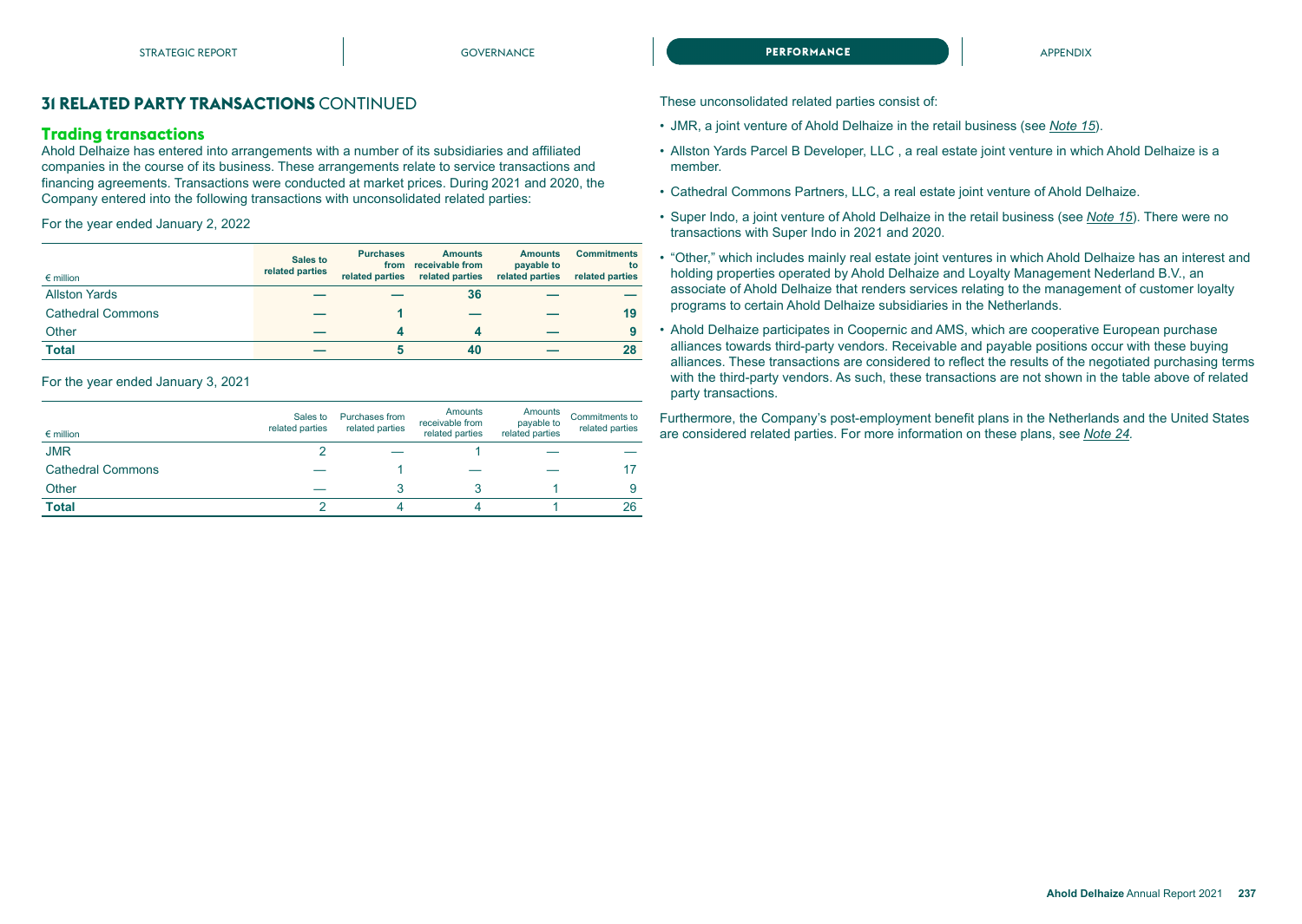### **31 RELATED PARTY TRANSACTIONS** CONTINUED

### **Trading transactions**

Ahold Delhaize has entered into arrangements with a number of its subsidiaries and affiliated companies in the course of its business. These arrangements relate to service transactions and financing agreements. Transactions were conducted at market prices. During 2021 and 2020, the Company entered into the following transactions with unconsolidated related parties:

For the year ended January 2, 2022

| $\epsilon$ million       | <b>Sales to</b><br>related parties | <b>Purchases</b><br>from<br>related parties | <b>Amounts</b><br>receivable from<br>related parties | <b>Amounts</b><br>payable to<br>related parties | <b>Commitments</b><br>to<br>related parties |
|--------------------------|------------------------------------|---------------------------------------------|------------------------------------------------------|-------------------------------------------------|---------------------------------------------|
| <b>Allston Yards</b>     |                                    |                                             | 36                                                   |                                                 |                                             |
| <b>Cathedral Commons</b> |                                    |                                             |                                                      |                                                 | 19                                          |
| Other                    |                                    | 4                                           |                                                      |                                                 | $\mathbf o$                                 |
| <b>Total</b>             |                                    |                                             | 40                                                   |                                                 | 28                                          |

For the year ended January 3, 2021

| $\epsilon$ million       | Sales to<br>related parties | Purchases from<br>related parties | Amounts<br>receivable from<br>related parties | Amounts<br>payable to<br>related parties | Commitments to<br>related parties |
|--------------------------|-----------------------------|-----------------------------------|-----------------------------------------------|------------------------------------------|-----------------------------------|
| <b>JMR</b>               |                             |                                   |                                               |                                          |                                   |
| <b>Cathedral Commons</b> |                             |                                   |                                               |                                          |                                   |
| Other                    |                             |                                   |                                               |                                          |                                   |
| <b>Total</b>             |                             |                                   |                                               |                                          | 26                                |

These unconsolidated related parties consist of:

- JMR, a joint venture of Ahold Delhaize in the retail business (see *[Note 15](#page-29-0)*).
- Allston Yards Parcel B Developer, LLC , a real estate joint venture in which Ahold Delhaize is a member.
- Cathedral Commons Partners, LLC, a real estate joint venture of Ahold Delhaize.
- Super Indo, a joint venture of Ahold Delhaize in the retail business (see *[Note 15](#page-29-0)*). There were no transactions with Super Indo in 2021 and 2020.
- "Other," which includes mainly real estate joint ventures in which Ahold Delhaize has an interest and holding properties operated by Ahold Delhaize and Loyalty Management Nederland B.V., an associate of Ahold Delhaize that renders services relating to the management of customer loyalty programs to certain Ahold Delhaize subsidiaries in the Netherlands.
- Ahold Delhaize participates in Coopernic and AMS, which are cooperative European purchase alliances towards third-party vendors. Receivable and payable positions occur with these buying alliances. These transactions are considered to reflect the results of the negotiated purchasing terms with the third-party vendors. As such, these transactions are not shown in the table above of related party transactions.

Furthermore, the Company's post-employment benefit plans in the Netherlands and the United States are considered related parties. For more information on these plans, see *[Note 24.](#page-38-0)*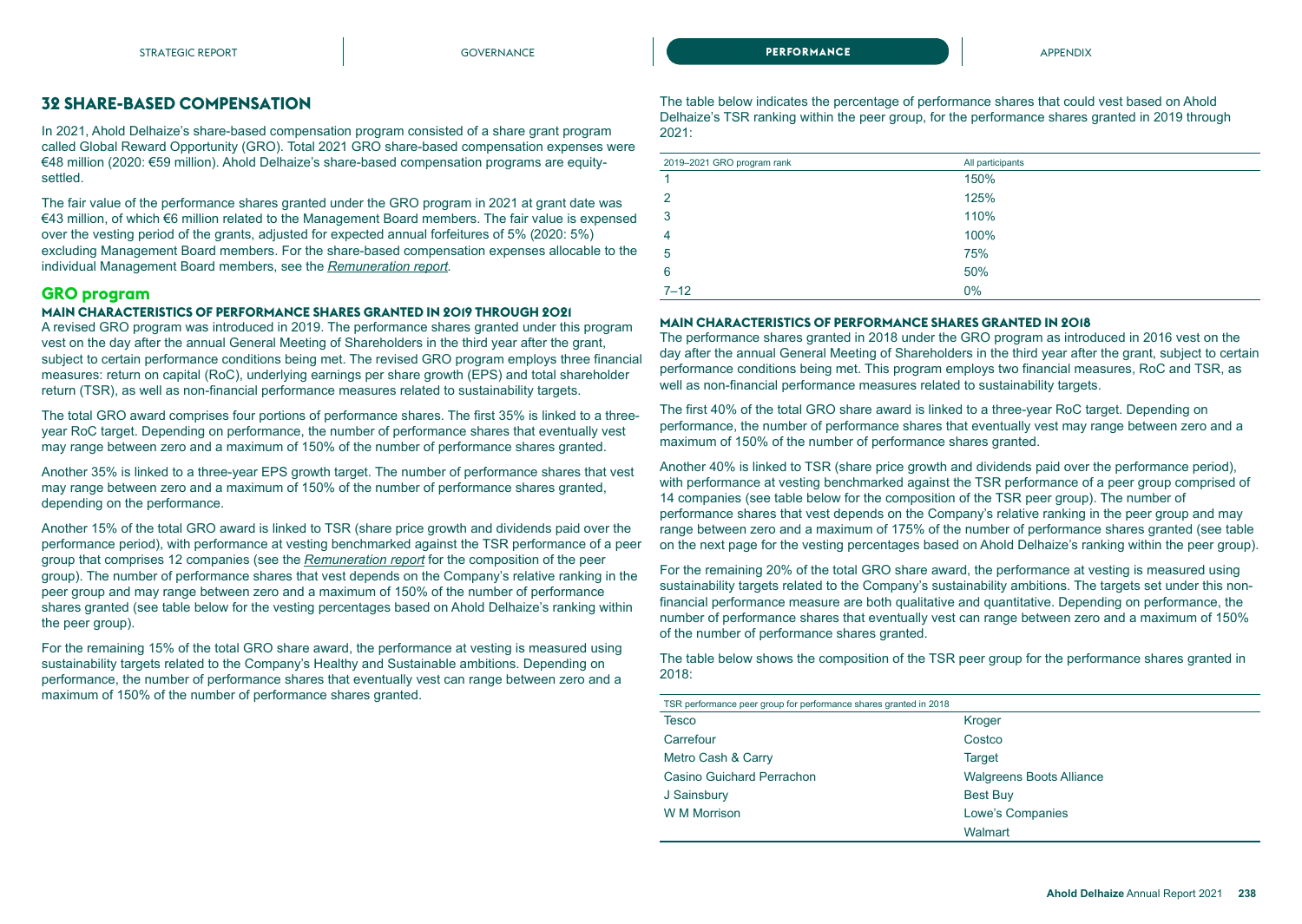### <span id="page-60-0"></span>**32 SHARE-BASED COMPENSATION**

In 2021, Ahold Delhaize's share-based compensation program consisted of a share grant program called Global Reward Opportunity (GRO). Total 2021 GRO share-based compensation expenses were €48 million (2020: €59 million). Ahold Delhaize's share-based compensation programs are equitysettled.

The fair value of the performance shares granted under the GRO program in 2021 at grant date was €43 million, of which €6 million related to the Management Board members. The fair value is expensed over the vesting period of the grants, adjusted for expected annual forfeitures of 5% (2020: 5%) excluding Management Board members. For the share-based compensation expenses allocable to the individual Management Board members, see the *Remuneration report.* 

### **GRO program**

### **MAIN CHARACTERISTICS OF PERFORMANCE SHARES GRANTED IN 2019 THROUGH 2021**

A revised GRO program was introduced in 2019. The performance shares granted under this program vest on the day after the annual General Meeting of Shareholders in the third year after the grant, subject to certain performance conditions being met. The revised GRO program employs three financial measures: return on capital (RoC), underlying earnings per share growth (EPS) and total shareholder return (TSR), as well as non-financial performance measures related to sustainability targets.

The total GRO award comprises four portions of performance shares. The first 35% is linked to a threeyear RoC target. Depending on performance, the number of performance shares that eventually vest may range between zero and a maximum of 150% of the number of performance shares granted.

Another 35% is linked to a three-year EPS growth target. The number of performance shares that vest may range between zero and a maximum of 150% of the number of performance shares granted, depending on the performance.

Another 15% of the total GRO award is linked to TSR (share price growth and dividends paid over the performance period), with performance at vesting benchmarked against the TSR performance of a peer group that comprises 12 companies (see the *Remuneration report* for the composition of the peer group). The number of performance shares that vest depends on the Company's relative ranking in the peer group and may range between zero and a maximum of 150% of the number of performance shares granted (see table below for the vesting percentages based on Ahold Delhaize's ranking within the peer group).

For the remaining 15% of the total GRO share award, the performance at vesting is measured using sustainability targets related to the Company's Healthy and Sustainable ambitions. Depending on performance, the number of performance shares that eventually vest can range between zero and a maximum of 150% of the number of performance shares granted.

|  | <b>STRATEGIC REPORT</b> | <b>GOVERNANCE</b> | <b>PERFORMANCE</b> | <b>APPENDIX</b> |
|--|-------------------------|-------------------|--------------------|-----------------|
|--|-------------------------|-------------------|--------------------|-----------------|

The table below indicates the percentage of performance shares that could vest based on Ahold Delhaize's TSR ranking within the peer group, for the performance shares granted in 2019 through 2021:

| 2019-2021 GRO program rank | All participants |
|----------------------------|------------------|
|                            | 150%             |
| $\mathcal{P}$              | 125%             |
| 3                          | 110%             |
| 4                          | 100%             |
| 5                          | 75%              |
| 6                          | 50%              |
| $7 - 12$                   | 0%               |

#### **MAIN CHARACTERISTICS OF PERFORMANCE SHARES GRANTED IN 2018**

The performance shares granted in 2018 under the GRO program as introduced in 2016 vest on the day after the annual General Meeting of Shareholders in the third year after the grant, subject to certain performance conditions being met. This program employs two financial measures, RoC and TSR, as well as non-financial performance measures related to sustainability targets.

The first 40% of the total GRO share award is linked to a three-year RoC target. Depending on performance, the number of performance shares that eventually vest may range between zero and a maximum of 150% of the number of performance shares granted.

Another 40% is linked to TSR (share price growth and dividends paid over the performance period), with performance at vesting benchmarked against the TSR performance of a peer group comprised of 14 companies (see table below for the composition of the TSR peer group). The number of performance shares that vest depends on the Company's relative ranking in the peer group and may range between zero and a maximum of 175% of the number of performance shares granted (see table on the next page for the vesting percentages based on Ahold Delhaize's ranking within the peer group).

For the remaining 20% of the total GRO share award, the performance at vesting is measured using sustainability targets related to the Company's sustainability ambitions. The targets set under this nonfinancial performance measure are both qualitative and quantitative. Depending on performance, the number of performance shares that eventually vest can range between zero and a maximum of 150% of the number of performance shares granted.

The table below shows the composition of the TSR peer group for the performance shares granted in 2018:

| TSR performance peer group for performance shares granted in 2018 |                                 |
|-------------------------------------------------------------------|---------------------------------|
| <b>Tesco</b>                                                      | Kroger                          |
| Carrefour                                                         | Costco                          |
| Metro Cash & Carry                                                | Target                          |
| Casino Guichard Perrachon                                         | <b>Walgreens Boots Alliance</b> |
| J Sainsbury                                                       | <b>Best Buy</b>                 |
| <b>W</b> M Morrison                                               | Lowe's Companies                |
|                                                                   | Walmart                         |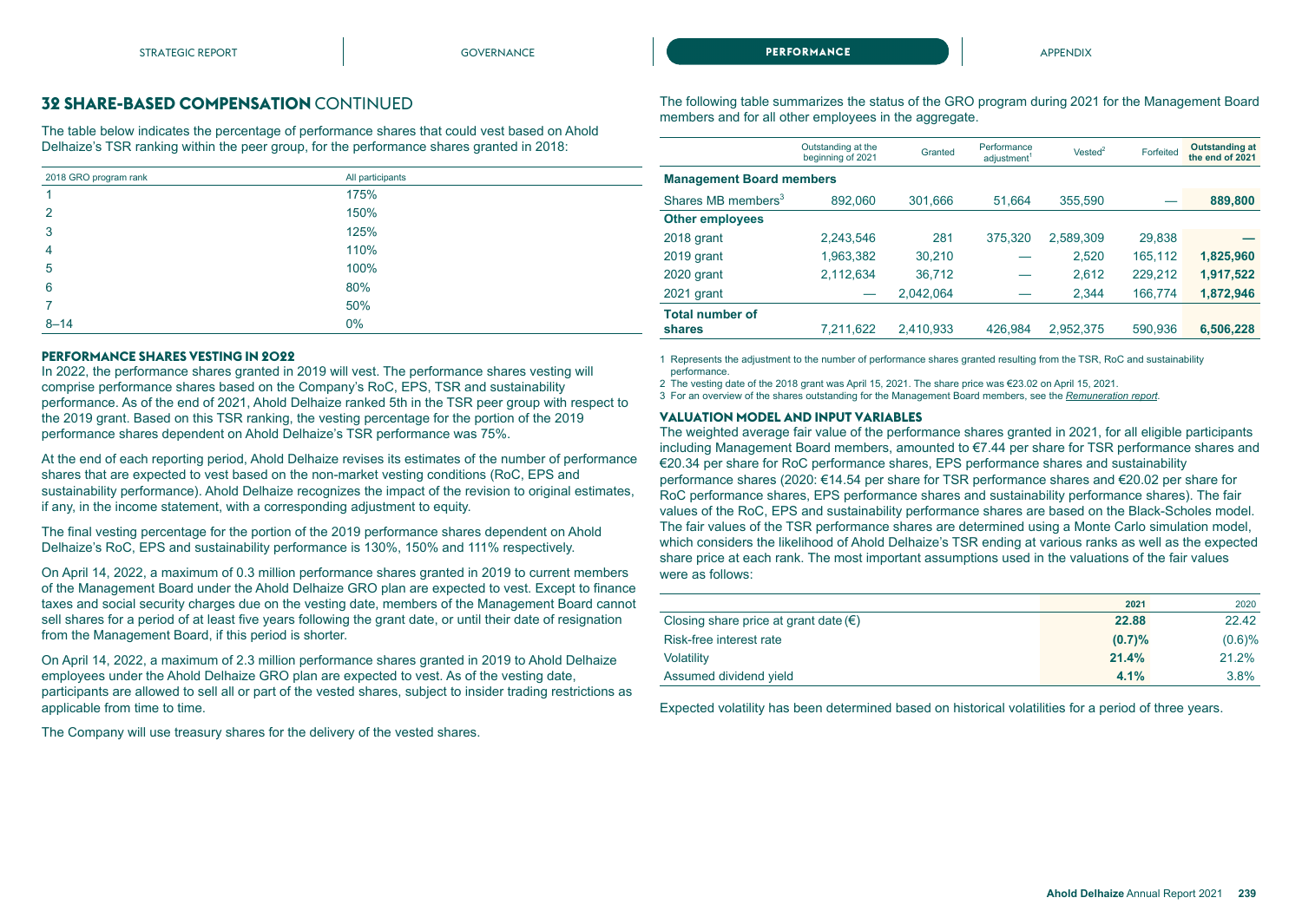### **32 SHARE-BASED COMPENSATION** CONTINUED

The table below indicates the percentage of performance shares that could vest based on Ahold Delhaize's TSR ranking within the peer group, for the performance shares granted in 2018:

| 2018 GRO program rank | All participants |
|-----------------------|------------------|
|                       | 175%             |
| 2                     | 150%             |
| 3                     | 125%             |
| 4                     | 110%             |
| 5                     | 100%             |
| 6                     | 80%              |
|                       | 50%              |
| $8 - 14$              | 0%               |

### **PERFORMANCE SHARES VESTING IN 2022**

In 2022, the performance shares granted in 2019 will vest. The performance shares vesting will comprise performance shares based on the Company's RoC, EPS, TSR and sustainability performance. As of the end of 2021, Ahold Delhaize ranked 5th in the TSR peer group with respect to the 2019 grant. Based on this TSR ranking, the vesting percentage for the portion of the 2019 performance shares dependent on Ahold Delhaize's TSR performance was 75%.

At the end of each reporting period, Ahold Delhaize revises its estimates of the number of performance shares that are expected to vest based on the non-market vesting conditions (RoC, EPS and sustainability performance). Ahold Delhaize recognizes the impact of the revision to original estimates, if any, in the income statement, with a corresponding adjustment to equity.

The final vesting percentage for the portion of the 2019 performance shares dependent on Ahold Delhaize's RoC, EPS and sustainability performance is 130%, 150% and 111% respectively.

On April 14, 2022, a maximum of 0.3 million performance shares granted in 2019 to current members of the Management Board under the Ahold Delhaize GRO plan are expected to vest. Except to finance taxes and social security charges due on the vesting date, members of the Management Board cannot sell shares for a period of at least five years following the grant date, or until their date of resignation from the Management Board, if this period is shorter.

On April 14, 2022, a maximum of 2.3 million performance shares granted in 2019 to Ahold Delhaize employees under the Ahold Delhaize GRO plan are expected to vest. As of the vesting date, participants are allowed to sell all or part of the vested shares, subject to insider trading restrictions as applicable from time to time.

The Company will use treasury shares for the delivery of the vested shares.

The following table summarizes the status of the GRO program during 2021 for the Management Board members and for all other employees in the aggregate.

|                                 | Outstanding at the<br>beginning of 2021 | Granted   | Performance<br>adjustment <sup>1</sup> | Vested <sup>2</sup> | Forfeited | <b>Outstanding at</b><br>the end of 2021 |
|---------------------------------|-----------------------------------------|-----------|----------------------------------------|---------------------|-----------|------------------------------------------|
| <b>Management Board members</b> |                                         |           |                                        |                     |           |                                          |
| Shares MB members <sup>3</sup>  | 892,060                                 | 301,666   | 51.664                                 | 355,590             |           | 889,800                                  |
| <b>Other employees</b>          |                                         |           |                                        |                     |           |                                          |
| 2018 grant                      | 2,243,546                               | 281       | 375.320                                | 2,589,309           | 29,838    |                                          |
| 2019 grant                      | 1,963,382                               | 30,210    |                                        | 2,520               | 165,112   | 1,825,960                                |
| 2020 grant                      | 2,112,634                               | 36,712    |                                        | 2,612               | 229,212   | 1,917,522                                |
| 2021 grant                      |                                         | 2,042,064 |                                        | 2,344               | 166,774   | 1,872,946                                |
| <b>Total number of</b>          |                                         |           |                                        |                     |           |                                          |
| shares                          | 7,211,622                               | 2,410,933 | 426.984                                | 2,952,375           | 590.936   | 6,506,228                                |

1 Represents the adjustment to the number of performance shares granted resulting from the TSR, RoC and sustainability performance.

2 The vesting date of the 2018 grant was April 15, 2021. The share price was €23.02 on April 15, 2021.

3 For an overview of the shares outstanding for the Management Board members, see the *Remuneration report*.

#### **VALUATION MODEL AND INPUT VARIABLES**

The weighted average fair value of the performance shares granted in 2021, for all eligible participants including Management Board members, amounted to €7.44 per share for TSR performance shares and €20.34 per share for RoC performance shares, EPS performance shares and sustainability performance shares (2020: €14.54 per share for TSR performance shares and €20.02 per share for RoC performance shares, EPS performance shares and sustainability performance shares). The fair values of the RoC, EPS and sustainability performance shares are based on the Black-Scholes model. The fair values of the TSR performance shares are determined using a Monte Carlo simulation model, which considers the likelihood of Ahold Delhaize's TSR ending at various ranks as well as the expected share price at each rank. The most important assumptions used in the valuations of the fair values were as follows:

|                                                | 2021   | 2020   |
|------------------------------------------------|--------|--------|
| Closing share price at grant date $(\epsilon)$ | 22.88  | 22.42  |
| Risk-free interest rate                        | (0.7)% | (0.6)% |
| Volatility                                     | 21.4%  | 21.2%  |
| Assumed dividend yield                         | 4.1%   | 3.8%   |

Expected volatility has been determined based on historical volatilities for a period of three years.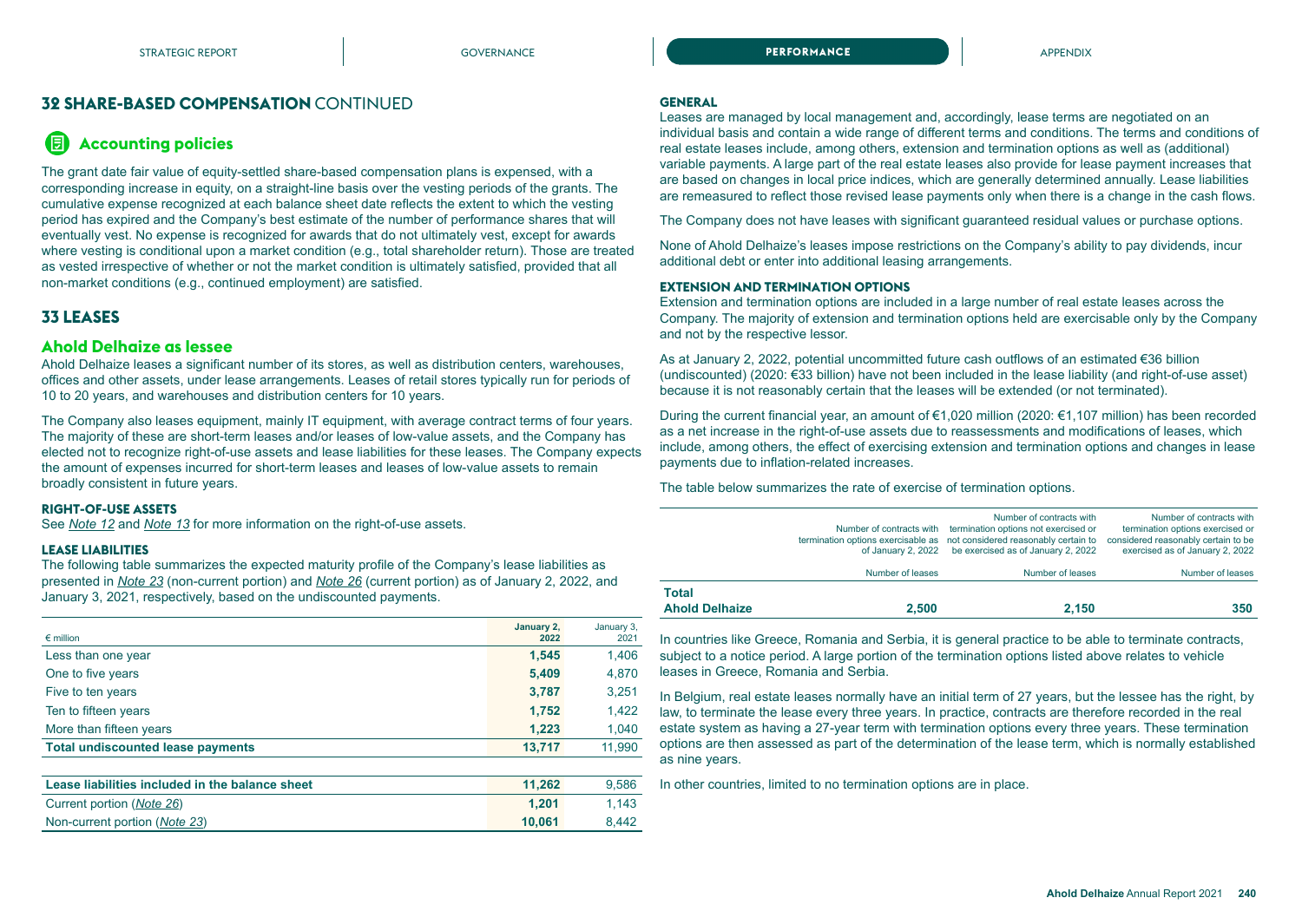#### <span id="page-62-0"></span>偏 **Accounting policies**

The grant date fair value of equity-settled share-based compensation plans is expensed, with a corresponding increase in equity, on a straight-line basis over the vesting periods of the grants. The cumulative expense recognized at each balance sheet date reflects the extent to which the vesting period has expired and the Company's best estimate of the number of performance shares that will eventually vest. No expense is recognized for awards that do not ultimately vest, except for awards where vesting is conditional upon a market condition (e.g., total shareholder return). Those are treated as vested irrespective of whether or not the market condition is ultimately satisfied, provided that all non-market conditions (e.g., continued employment) are satisfied.

### **33 LEASES**

### **Ahold Delhaize as lessee**

Ahold Delhaize leases a significant number of its stores, as well as distribution centers, warehouses, offices and other assets, under lease arrangements. Leases of retail stores typically run for periods of 10 to 20 years, and warehouses and distribution centers for 10 years.

The Company also leases equipment, mainly IT equipment, with average contract terms of four years. The majority of these are short-term leases and/or leases of low-value assets, and the Company has elected not to recognize right-of-use assets and lease liabilities for these leases. The Company expects the amount of expenses incurred for short-term leases and leases of low-value assets to remain broadly consistent in future years.

### **RIGHT-OF-USE ASSETS**

See *[Note 12](#page-24-0)* and *[Note 13](#page-24-0)* for more information on the right-of-use assets.

### **LEASE LIABILITIES**

The following table summarizes the expected maturity profile of the Company's lease liabilities as presented in *[Note 23](#page-37-0)* (non-current portion) and *[Note 26](#page-48-0)* (current portion) as of January 2, 2022, and January 3, 2021, respectively, based on the undiscounted payments.

| $\epsilon$ million                              | January 2,<br>2022 | January 3,<br>2021 |
|-------------------------------------------------|--------------------|--------------------|
| Less than one year                              | 1,545              | 1,406              |
| One to five years                               | 5,409              | 4,870              |
| Five to ten years                               | 3,787              | 3,251              |
| Ten to fifteen years                            | 1,752              | 1,422              |
| More than fifteen years                         | 1,223              | 1,040              |
| <b>Total undiscounted lease payments</b>        | 13,717             | 11,990             |
|                                                 |                    |                    |
| Lease liabilities included in the balance sheet | 11,262             | 9,586              |
| Current portion (Note 26)                       | 1.201              | 1.143              |

**Non-current portion (***[Note 23](#page-37-0)***) 10,061 <b>10,061** 8,442

#### **GENERAL**

Leases are managed by local management and, accordingly, lease terms are negotiated on an individual basis and contain a wide range of different terms and conditions. The terms and conditions of real estate leases include, among others, extension and termination options as well as (additional) variable payments. A large part of the real estate leases also provide for lease payment increases that are based on changes in local price indices, which are generally determined annually. Lease liabilities are remeasured to reflect those revised lease payments only when there is a change in the cash flows.

The Company does not have leases with significant guaranteed residual values or purchase options.

None of Ahold Delhaize's leases impose restrictions on the Company's ability to pay dividends, incur additional debt or enter into additional leasing arrangements.

#### **EXTENSION AND TERMINATION OPTIONS**

Extension and termination options are included in a large number of real estate leases across the Company. The majority of extension and termination options held are exercisable only by the Company and not by the respective lessor.

As at January 2, 2022, potential uncommitted future cash outflows of an estimated €36 billion (undiscounted) (2020: €33 billion) have not been included in the lease liability (and right-of-use asset) because it is not reasonably certain that the leases will be extended (or not terminated).

During the current financial year, an amount of €1,020 million (2020: €1,107 million) has been recorded as a net increase in the right-of-use assets due to reassessments and modifications of leases, which include, among others, the effect of exercising extension and termination options and changes in lease payments due to inflation-related increases.

#### The table below summarizes the rate of exercise of termination options.

| <b>Total</b><br><b>Ahold Delhaize</b> | 2.500                    | 2.150                                                                                                                                       | 350                                                                                                 |
|---------------------------------------|--------------------------|---------------------------------------------------------------------------------------------------------------------------------------------|-----------------------------------------------------------------------------------------------------|
|                                       | Number of leases         | of January 2, 2022 be exercised as of January 2, 2022<br>Number of leases                                                                   | exercised as of January 2, 2022<br>Number of leases                                                 |
|                                       | Number of contracts with | Number of contracts with<br>termination options not exercised or<br>termination options exercisable as not considered reasonably certain to | Number of contracts with<br>termination options exercised or<br>considered reasonably certain to be |

In countries like Greece, Romania and Serbia, it is general practice to be able to terminate contracts, subject to a notice period. A large portion of the termination options listed above relates to vehicle leases in Greece, Romania and Serbia.

In Belgium, real estate leases normally have an initial term of 27 years, but the lessee has the right, by law, to terminate the lease every three years. In practice, contracts are therefore recorded in the real estate system as having a 27-year term with termination options every three years. These termination options are then assessed as part of the determination of the lease term, which is normally established as nine years.

In other countries, limited to no termination options are in place.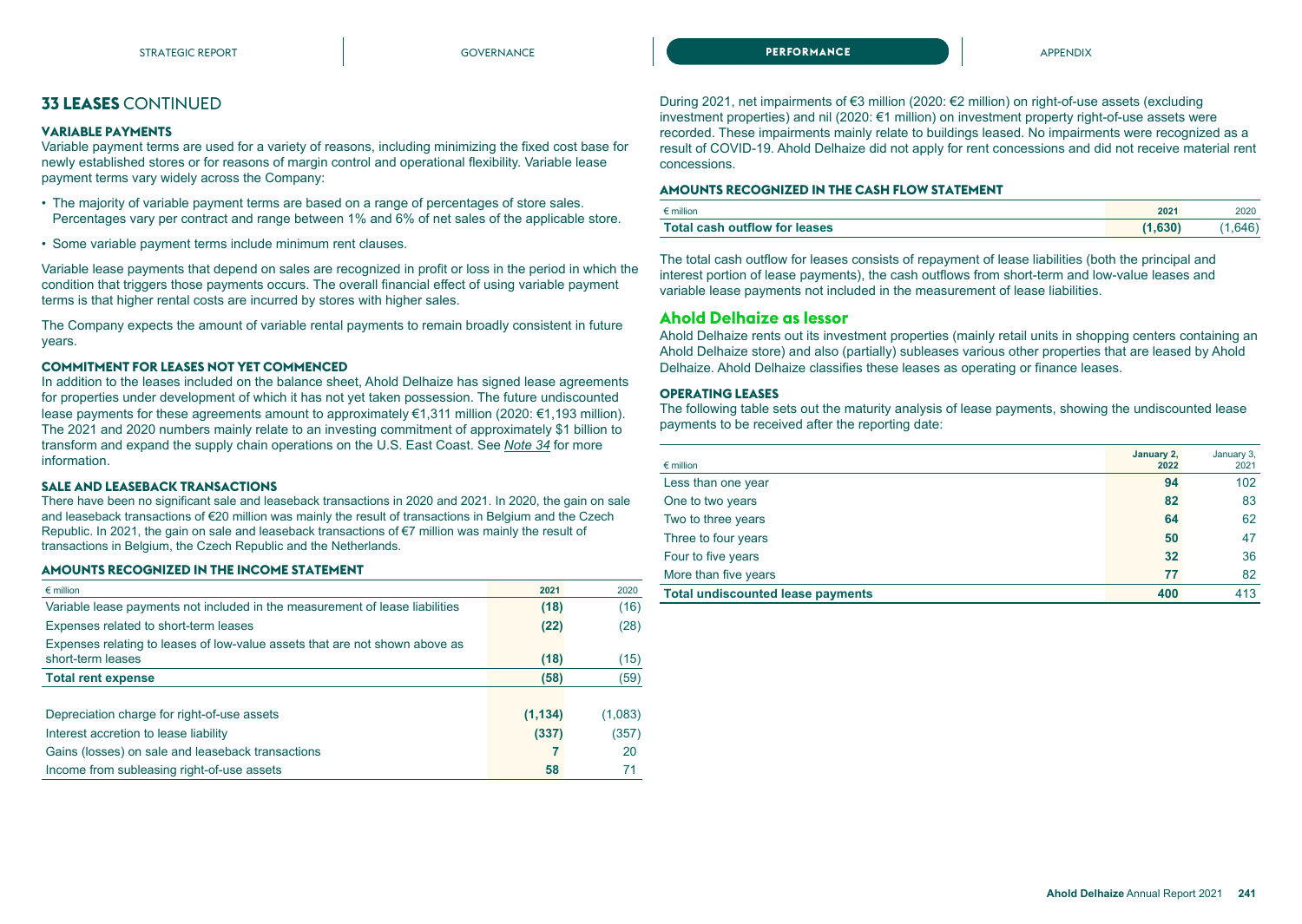### **VARIABLE PAYMENTS**

Variable payment terms are used for a variety of reasons, including minimizing the fixed cost base for newly established stores or for reasons of margin control and operational flexibility. Variable lease payment terms vary widely across the Company:

- The majority of variable payment terms are based on a range of percentages of store sales. Percentages vary per contract and range between 1% and 6% of net sales of the applicable store.
- Some variable payment terms include minimum rent clauses.

Variable lease payments that depend on sales are recognized in profit or loss in the period in which the condition that triggers those payments occurs. The overall financial effect of using variable payment terms is that higher rental costs are incurred by stores with higher sales.

The Company expects the amount of variable rental payments to remain broadly consistent in future years.

### **COMMITMENT FOR LEASES NOT YET COMMENCED**

In addition to the leases included on the balance sheet, Ahold Delhaize has signed lease agreements for properties under development of which it has not yet taken possession. The future undiscounted lease payments for these agreements amount to approximately €1,311 million (2020: €1,193 million). The 2021 and 2020 numbers mainly relate to an investing commitment of approximately \$1 billion to transform and expand the supply chain operations on the U.S. East Coast. See *[Note 34](#page-66-0)* for more information.

#### **SALE AND LEASEBACK TRANSACTIONS**

There have been no significant sale and leaseback transactions in 2020 and 2021. In 2020, the gain on sale and leaseback transactions of €20 million was mainly the result of transactions in Belgium and the Czech Republic. In 2021, the gain on sale and leaseback transactions of €7 million was mainly the result of transactions in Belgium, the Czech Republic and the Netherlands.

#### **AMOUNTS RECOGNIZED IN THE INCOME STATEMENT**

| $\epsilon$ million                                                           | 2021     | 2020    |
|------------------------------------------------------------------------------|----------|---------|
| Variable lease payments not included in the measurement of lease liabilities | (18)     | (16)    |
| Expenses related to short-term leases                                        | (22)     | (28)    |
| Expenses relating to leases of low-value assets that are not shown above as  |          |         |
| short-term leases                                                            | (18)     | (15)    |
| <b>Total rent expense</b>                                                    | (58)     | (59)    |
|                                                                              |          |         |
| Depreciation charge for right-of-use assets                                  | (1, 134) | (1,083) |
| Interest accretion to lease liability                                        | (337)    | (357)   |
| Gains (losses) on sale and leaseback transactions                            |          | 20      |
| Income from subleasing right-of-use assets                                   | 58       | 71      |

During 2021, net impairments of €3 million (2020: €2 million) on right-of-use assets (excluding investment properties) and nil (2020: €1 million) on investment property right-of-use assets were recorded. These impairments mainly relate to buildings leased. No impairments were recognized as a result of COVID-19. Ahold Delhaize did not apply for rent concessions and did not receive material rent concessions.

#### **AMOUNTS RECOGNIZED IN THE CASH FLOW STATEMENT**

| $\epsilon$ million            | 2021 | 2020 |
|-------------------------------|------|------|
| Total cash outflow for leases | .630 | .646 |

The total cash outflow for leases consists of repayment of lease liabilities (both the principal and interest portion of lease payments), the cash outflows from short-term and low-value leases and variable lease payments not included in the measurement of lease liabilities.

### **Ahold Delhaize as lessor**

Ahold Delhaize rents out its investment properties (mainly retail units in shopping centers containing an Ahold Delhaize store) and also (partially) subleases various other properties that are leased by Ahold Delhaize. Ahold Delhaize classifies these leases as operating or finance leases.

#### **OPERATING LEASES**

The following table sets out the maturity analysis of lease payments, showing the undiscounted lease payments to be received after the reporting date:

| $\epsilon$ million                       | January 2,<br>2022 | January 3,<br>2021 |
|------------------------------------------|--------------------|--------------------|
| Less than one year                       | 94                 | 102                |
| One to two years                         | 82                 | 83                 |
| Two to three years                       | 64                 | 62                 |
| Three to four years                      | 50                 | 47                 |
| Four to five years                       | 32                 | 36                 |
| More than five years                     | 77                 | 82                 |
| <b>Total undiscounted lease payments</b> | 400                | 413                |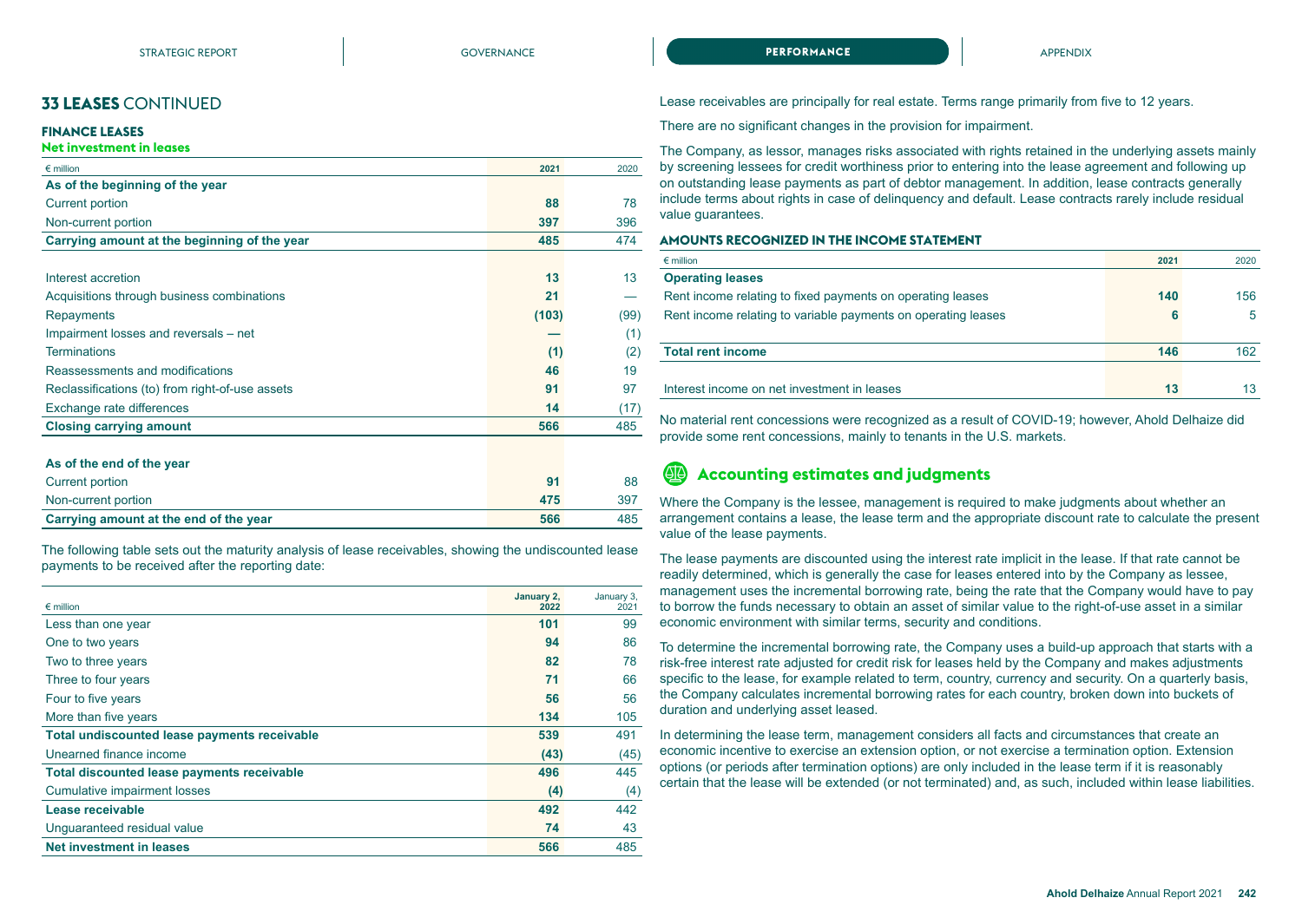### **FINANCE LEASES**

#### **Net investment in leases**

| $\epsilon$ million                              | 2021  | 2020 |
|-------------------------------------------------|-------|------|
| As of the beginning of the year                 |       |      |
| Current portion                                 | 88    | 78   |
| Non-current portion                             | 397   | 396  |
| Carrying amount at the beginning of the year    | 485   | 474  |
|                                                 |       |      |
| Interest accretion                              | 13    | 13   |
| Acquisitions through business combinations      | 21    |      |
| <b>Repayments</b>                               | (103) | (99) |
| Impairment losses and reversals - net           |       | (1)  |
| <b>Terminations</b>                             | (1)   | (2)  |
| Reassessments and modifications                 | 46    | 19   |
| Reclassifications (to) from right-of-use assets | 91    | 97   |
| Exchange rate differences                       | 14    | (17) |
| <b>Closing carrying amount</b>                  | 566   | 485  |

#### **As of the end of the year**

| Non-current portion                    | 475 | 397 |
|----------------------------------------|-----|-----|
| Carrying amount at the end of the year | 566 | 485 |

The following table sets out the maturity analysis of lease receivables, showing the undiscounted lease payments to be received after the reporting date:

| $\epsilon$ million                                  | January 2,<br>2022 | January 3,<br>2021 |
|-----------------------------------------------------|--------------------|--------------------|
| Less than one year                                  | 101                | 99                 |
| One to two years                                    | 94                 | 86                 |
| Two to three years                                  | 82                 | 78                 |
| Three to four years                                 | 71                 | 66                 |
| Four to five years                                  | 56                 | 56                 |
| More than five years                                | 134                | 105                |
| <b>Total undiscounted lease payments receivable</b> | 539                | 491                |
| Unearned finance income                             | (43)               | (45)               |
| <b>Total discounted lease payments receivable</b>   | 496                | 445                |
| Cumulative impairment losses                        | (4)                | (4)                |
| Lease receivable                                    | 492                | 442                |
| Unguaranteed residual value                         | 74                 | 43                 |
| Net investment in leases                            | 566                | 485                |

Lease receivables are principally for real estate. Terms range primarily from five to 12 years.

There are no significant changes in the provision for impairment.

The Company, as lessor, manages risks associated with rights retained in the underlying assets mainly by screening lessees for credit worthiness prior to entering into the lease agreement and following up on outstanding lease payments as part of debtor management. In addition, lease contracts generally include terms about rights in case of delinquency and default. Lease contracts rarely include residual value quarantees.

#### **AMOUNTS RECOGNIZED IN THE INCOME STATEMENT**

| $\epsilon$ million                                            | 2021 | 2020 |
|---------------------------------------------------------------|------|------|
| <b>Operating leases</b>                                       |      |      |
| Rent income relating to fixed payments on operating leases    | 140  | 156  |
| Rent income relating to variable payments on operating leases | 6    | 5    |
|                                                               |      |      |
| <b>Total rent income</b>                                      | 146  | 162  |
|                                                               |      |      |
| Interest income on net investment in leases                   | 13   | 13   |
|                                                               |      |      |

No material rent concessions were recognized as a result of COVID-19; however, Ahold Delhaize did provide some rent concessions, mainly to tenants in the U.S. markets.

## **Accounting estimates and judgments**

Where the Company is the lessee, management is required to make judgments about whether an arrangement contains a lease, the lease term and the appropriate discount rate to calculate the present value of the lease payments.

The lease payments are discounted using the interest rate implicit in the lease. If that rate cannot be readily determined, which is generally the case for leases entered into by the Company as lessee, management uses the incremental borrowing rate, being the rate that the Company would have to pay to borrow the funds necessary to obtain an asset of similar value to the right-of-use asset in a similar economic environment with similar terms, security and conditions.

To determine the incremental borrowing rate, the Company uses a build-up approach that starts with a risk-free interest rate adjusted for credit risk for leases held by the Company and makes adjustments specific to the lease, for example related to term, country, currency and security. On a quarterly basis, the Company calculates incremental borrowing rates for each country, broken down into buckets of duration and underlying asset leased.

In determining the lease term, management considers all facts and circumstances that create an economic incentive to exercise an extension option, or not exercise a termination option. Extension options (or periods after termination options) are only included in the lease term if it is reasonably certain that the lease will be extended (or not terminated) and, as such, included within lease liabilities.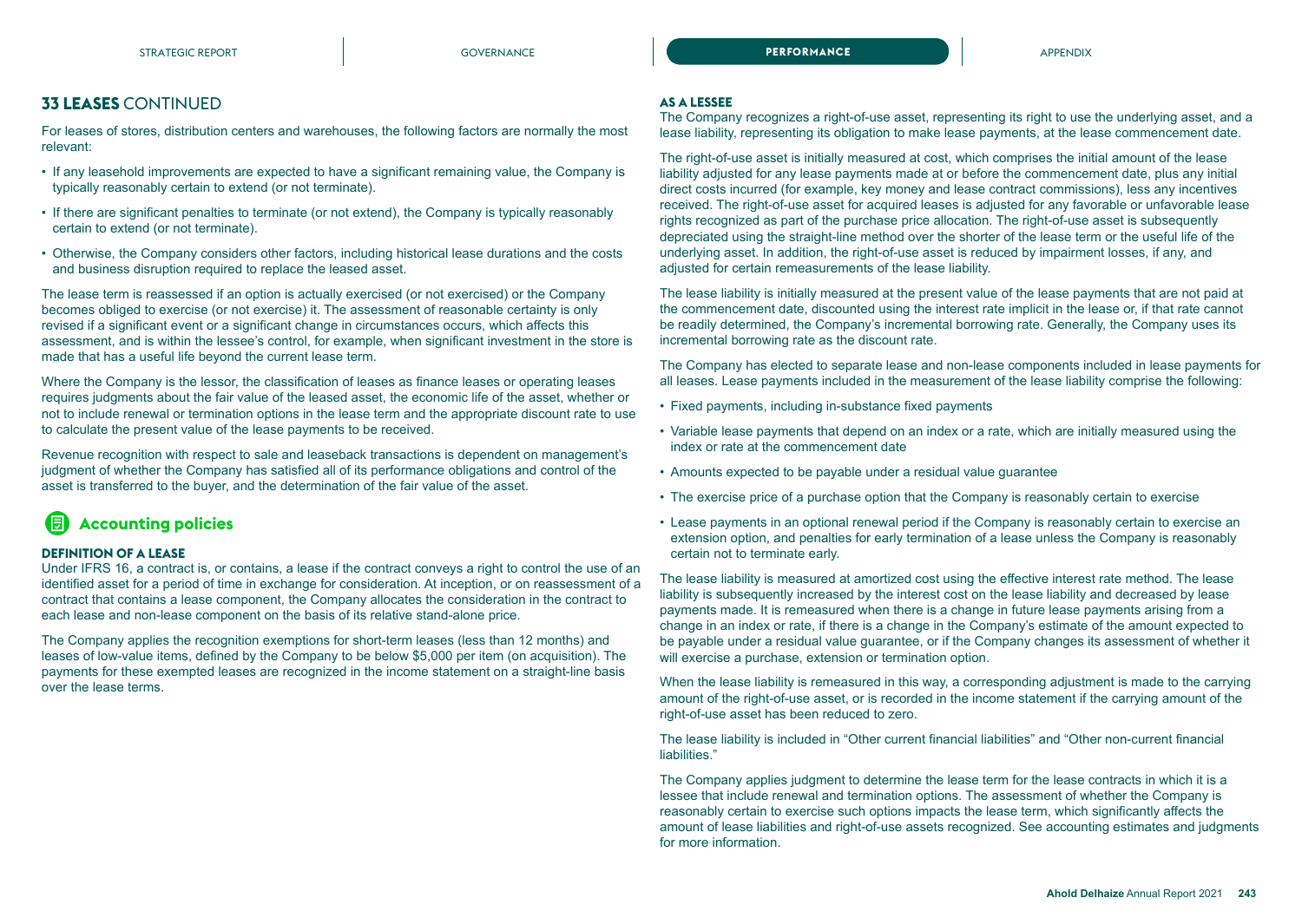For leases of stores, distribution centers and warehouses, the following factors are normally the most relevant:

- If any leasehold improvements are expected to have a significant remaining value, the Company is typically reasonably certain to extend (or not terminate).
- If there are significant penalties to terminate (or not extend), the Company is typically reasonably certain to extend (or not terminate).
- Otherwise, the Company considers other factors, including historical lease durations and the costs and business disruption required to replace the leased asset.

The lease term is reassessed if an option is actually exercised (or not exercised) or the Company becomes obliged to exercise (or not exercise) it. The assessment of reasonable certainty is only revised if a significant event or a significant change in circumstances occurs, which affects this assessment, and is within the lessee's control, for example, when significant investment in the store is made that has a useful life beyond the current lease term.

Where the Company is the lessor, the classification of leases as finance leases or operating leases requires judgments about the fair value of the leased asset, the economic life of the asset, whether or not to include renewal or termination options in the lease term and the appropriate discount rate to use to calculate the present value of the lease payments to be received.

Revenue recognition with respect to sale and leaseback transactions is dependent on management's judgment of whether the Company has satisfied all of its performance obligations and control of the asset is transferred to the buyer, and the determination of the fair value of the asset.

## **Accounting policies**

### **DEFINITION OF A LEASE**

Under IFRS 16, a contract is, or contains, a lease if the contract conveys a right to control the use of an identified asset for a period of time in exchange for consideration. At inception, or on reassessment of a contract that contains a lease component, the Company allocates the consideration in the contract to each lease and non-lease component on the basis of its relative stand-alone price.

The Company applies the recognition exemptions for short-term leases (less than 12 months) and leases of low-value items, defined by the Company to be below \$5,000 per item (on acquisition). The payments for these exempted leases are recognized in the income statement on a straight-line basis over the lease terms.

#### **AS A LESSEE**

The Company recognizes a right-of-use asset, representing its right to use the underlying asset, and a lease liability, representing its obligation to make lease payments, at the lease commencement date.

The right-of-use asset is initially measured at cost, which comprises the initial amount of the lease liability adjusted for any lease payments made at or before the commencement date, plus any initial direct costs incurred (for example, key money and lease contract commissions), less any incentives received. The right-of-use asset for acquired leases is adjusted for any favorable or unfavorable lease rights recognized as part of the purchase price allocation. The right-of-use asset is subsequently depreciated using the straight-line method over the shorter of the lease term or the useful life of the underlying asset. In addition, the right-of-use asset is reduced by impairment losses, if any, and adjusted for certain remeasurements of the lease liability.

The lease liability is initially measured at the present value of the lease payments that are not paid at the commencement date, discounted using the interest rate implicit in the lease or, if that rate cannot be readily determined, the Company's incremental borrowing rate. Generally, the Company uses its incremental borrowing rate as the discount rate.

The Company has elected to separate lease and non-lease components included in lease payments for all leases. Lease payments included in the measurement of the lease liability comprise the following:

- Fixed payments, including in-substance fixed payments
- Variable lease payments that depend on an index or a rate, which are initially measured using the index or rate at the commencement date
- Amounts expected to be payable under a residual value guarantee
- The exercise price of a purchase option that the Company is reasonably certain to exercise
- Lease payments in an optional renewal period if the Company is reasonably certain to exercise an extension option, and penalties for early termination of a lease unless the Company is reasonably certain not to terminate early.

The lease liability is measured at amortized cost using the effective interest rate method. The lease liability is subsequently increased by the interest cost on the lease liability and decreased by lease payments made. It is remeasured when there is a change in future lease payments arising from a change in an index or rate, if there is a change in the Company's estimate of the amount expected to be payable under a residual value guarantee, or if the Company changes its assessment of whether it will exercise a purchase, extension or termination option.

When the lease liability is remeasured in this way, a corresponding adjustment is made to the carrying amount of the right-of-use asset, or is recorded in the income statement if the carrying amount of the right-of-use asset has been reduced to zero.

The lease liability is included in "Other current financial liabilities" and "Other non-current financial liabilities."

The Company applies judgment to determine the lease term for the lease contracts in which it is a lessee that include renewal and termination options. The assessment of whether the Company is reasonably certain to exercise such options impacts the lease term, which significantly affects the amount of lease liabilities and right-of-use assets recognized. See accounting estimates and judgments for more information.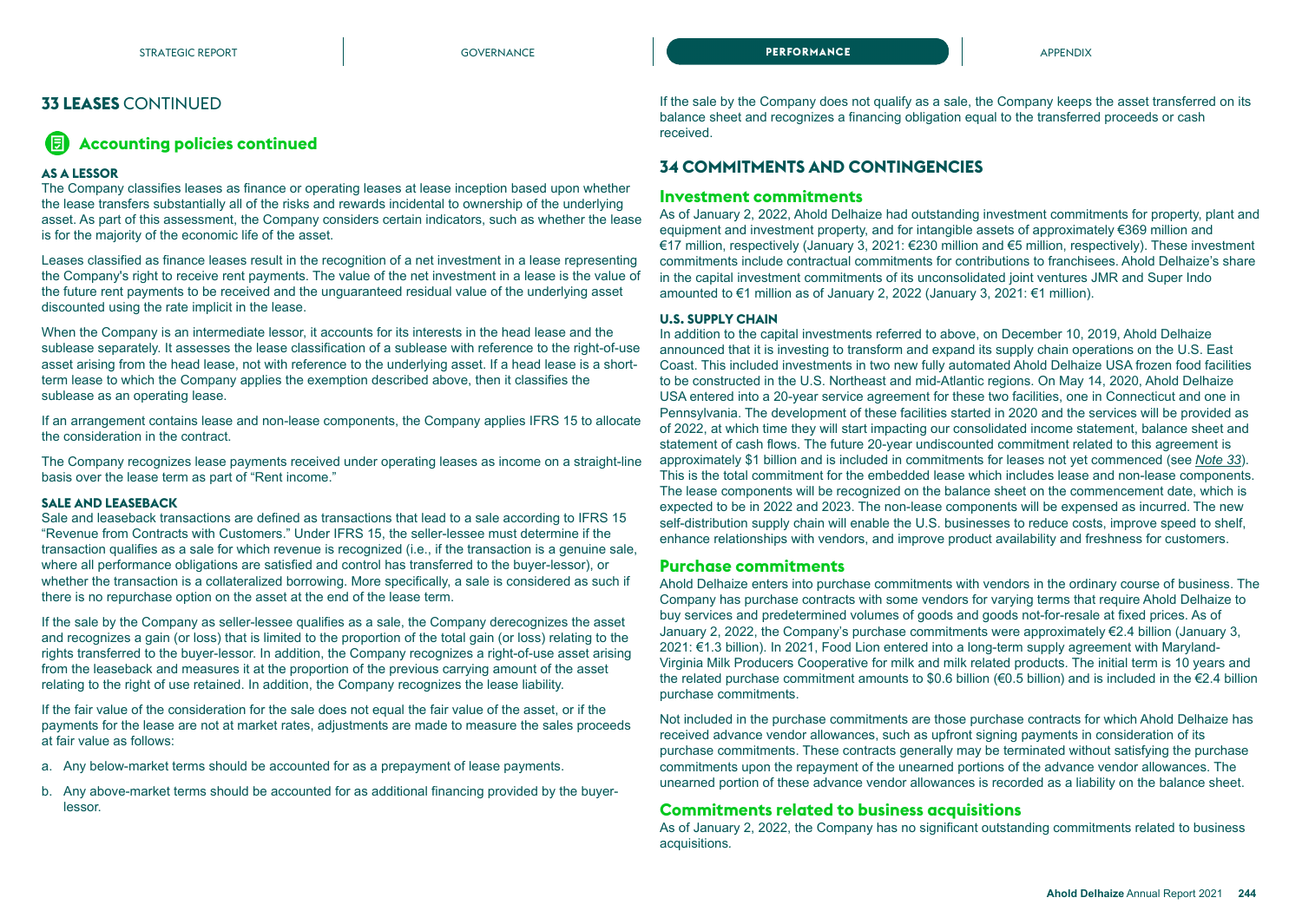#### <span id="page-66-0"></span>侗 **Accounting policies continued**

### **AS A LESSOR**

The Company classifies leases as finance or operating leases at lease inception based upon whether the lease transfers substantially all of the risks and rewards incidental to ownership of the underlying asset. As part of this assessment, the Company considers certain indicators, such as whether the lease is for the majority of the economic life of the asset.

Leases classified as finance leases result in the recognition of a net investment in a lease representing the Company's right to receive rent payments. The value of the net investment in a lease is the value of the future rent payments to be received and the unguaranteed residual value of the underlying asset discounted using the rate implicit in the lease.

When the Company is an intermediate lessor, it accounts for its interests in the head lease and the sublease separately. It assesses the lease classification of a sublease with reference to the right-of-use asset arising from the head lease, not with reference to the underlying asset. If a head lease is a shortterm lease to which the Company applies the exemption described above, then it classifies the sublease as an operating lease.

If an arrangement contains lease and non-lease components, the Company applies IFRS 15 to allocate the consideration in the contract.

The Company recognizes lease payments received under operating leases as income on a straight-line basis over the lease term as part of "Rent income."

### **SALE AND LEASEBACK**

Sale and leaseback transactions are defined as transactions that lead to a sale according to IFRS 15 "Revenue from Contracts with Customers." Under IFRS 15, the seller-lessee must determine if the transaction qualifies as a sale for which revenue is recognized (i.e., if the transaction is a genuine sale, where all performance obligations are satisfied and control has transferred to the buyer-lessor), or whether the transaction is a collateralized borrowing. More specifically, a sale is considered as such if there is no repurchase option on the asset at the end of the lease term.

If the sale by the Company as seller-lessee qualifies as a sale, the Company derecognizes the asset and recognizes a gain (or loss) that is limited to the proportion of the total gain (or loss) relating to the rights transferred to the buyer-lessor. In addition, the Company recognizes a right-of-use asset arising from the leaseback and measures it at the proportion of the previous carrying amount of the asset relating to the right of use retained. In addition, the Company recognizes the lease liability.

If the fair value of the consideration for the sale does not equal the fair value of the asset, or if the payments for the lease are not at market rates, adjustments are made to measure the sales proceeds at fair value as follows:

- a. Any below-market terms should be accounted for as a prepayment of lease payments.
- b. Any above-market terms should be accounted for as additional financing provided by the buyerlessor.

If the sale by the Company does not qualify as a sale, the Company keeps the asset transferred on its balance sheet and recognizes a financing obligation equal to the transferred proceeds or cash received.

### **34 COMMITMENTS AND CONTINGENCIES**

### **Investment commitments**

As of January 2, 2022, Ahold Delhaize had outstanding investment commitments for property, plant and equipment and investment property, and for intangible assets of approximately €369 million and €17 million, respectively (January 3, 2021: €230 million and €5 million, respectively). These investment commitments include contractual commitments for contributions to franchisees. Ahold Delhaize's share in the capital investment commitments of its unconsolidated joint ventures JMR and Super Indo amounted to €1 million as of January 2, 2022 (January 3, 2021: €1 million).

### **U.S. SUPPLY CHAIN**

In addition to the capital investments referred to above, on December 10, 2019, Ahold Delhaize announced that it is investing to transform and expand its supply chain operations on the U.S. East Coast. This included investments in two new fully automated Ahold Delhaize USA frozen food facilities to be constructed in the U.S. Northeast and mid-Atlantic regions. On May 14, 2020, Ahold Delhaize USA entered into a 20-year service agreement for these two facilities, one in Connecticut and one in Pennsylvania. The development of these facilities started in 2020 and the services will be provided as of 2022, at which time they will start impacting our consolidated income statement, balance sheet and statement of cash flows. The future 20-year undiscounted commitment related to this agreement is approximately \$1 billion and is included in commitments for leases not yet commenced (see *[Note 33](#page-62-0)*). This is the total commitment for the embedded lease which includes lease and non-lease components. The lease components will be recognized on the balance sheet on the commencement date, which is expected to be in 2022 and 2023. The non-lease components will be expensed as incurred. The new self-distribution supply chain will enable the U.S. businesses to reduce costs, improve speed to shelf, enhance relationships with vendors, and improve product availability and freshness for customers.

### **Purchase commitments**

Ahold Delhaize enters into purchase commitments with vendors in the ordinary course of business. The Company has purchase contracts with some vendors for varying terms that require Ahold Delhaize to buy services and predetermined volumes of goods and goods not-for-resale at fixed prices. As of January 2, 2022, the Company's purchase commitments were approximately €2.4 billion (January 3, 2021: €1.3 billion). In 2021, Food Lion entered into a long-term supply agreement with Maryland-Virginia Milk Producers Cooperative for milk and milk related products. The initial term is 10 years and the related purchase commitment amounts to \$0.6 billion ( $\epsilon$ 0.5 billion) and is included in the  $\epsilon$ 2.4 billion purchase commitments.

Not included in the purchase commitments are those purchase contracts for which Ahold Delhaize has received advance vendor allowances, such as upfront signing payments in consideration of its purchase commitments. These contracts generally may be terminated without satisfying the purchase commitments upon the repayment of the unearned portions of the advance vendor allowances. The unearned portion of these advance vendor allowances is recorded as a liability on the balance sheet.

### **Commitments related to business acquisitions**

As of January 2, 2022, the Company has no significant outstanding commitments related to business acquisitions*.*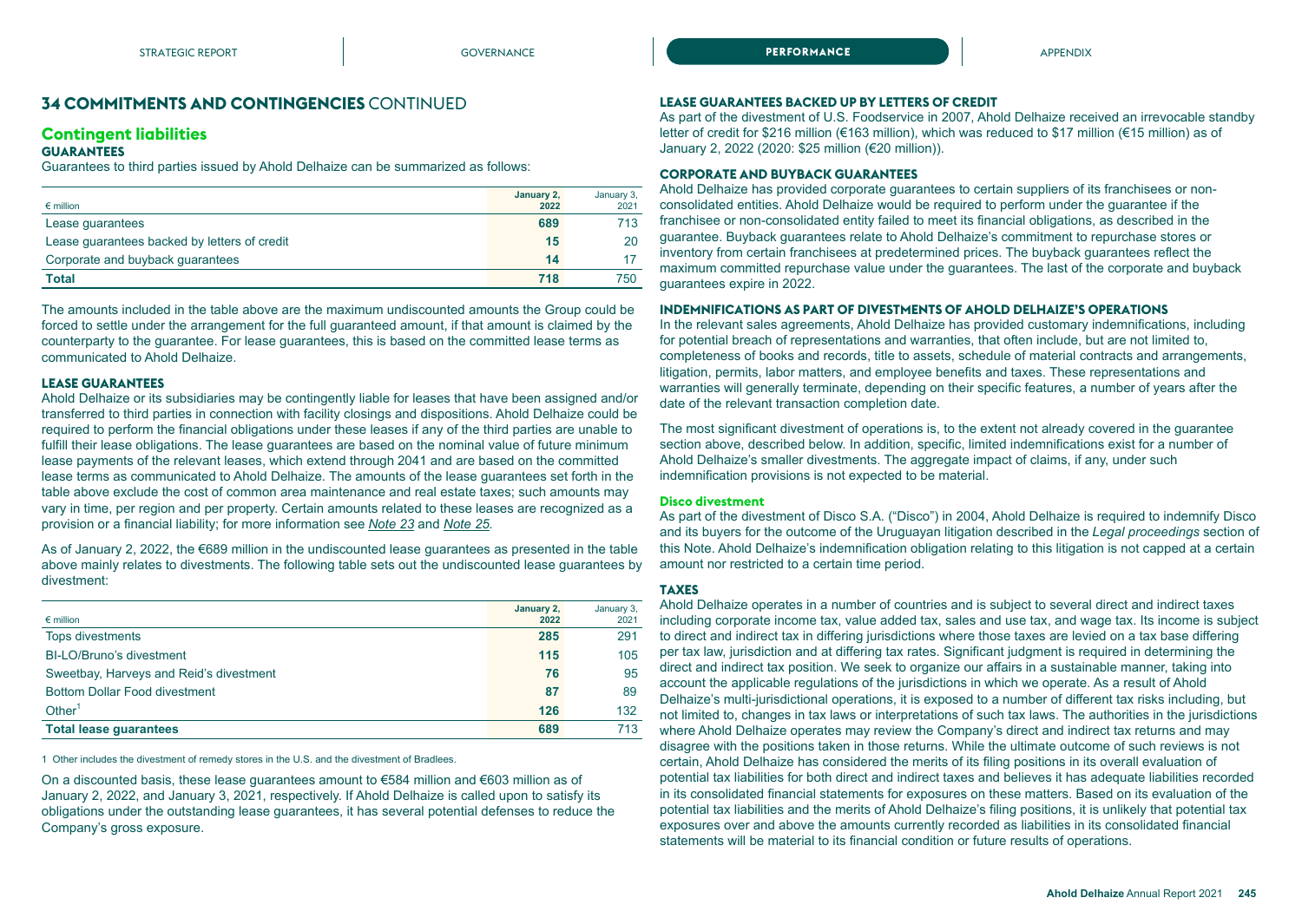### **34 COMMITMENTS AND CONTINGENCIES** CONTINUED

### **Contingent liabilities**

### **GUARANTEES**

Guarantees to third parties issued by Ahold Delhaize can be summarized as follows:

| $\epsilon$ million                           | January 2,<br>2022 | January 3,<br>2021 |
|----------------------------------------------|--------------------|--------------------|
| Lease guarantees                             | 689                | 713                |
| Lease quarantees backed by letters of credit | 15                 | 20                 |
| Corporate and buyback guarantees             | 14                 |                    |
| Total                                        | 718                | 750                |

The amounts included in the table above are the maximum undiscounted amounts the Group could be forced to settle under the arrangement for the full guaranteed amount, if that amount is claimed by the counterparty to the guarantee. For lease guarantees, this is based on the committed lease terms as communicated to Ahold Delhaize.

#### **LEASE GUARANTEES**

Ahold Delhaize or its subsidiaries may be contingently liable for leases that have been assigned and/or transferred to third parties in connection with facility closings and dispositions. Ahold Delhaize could be required to perform the financial obligations under these leases if any of the third parties are unable to fulfill their lease obligations. The lease guarantees are based on the nominal value of future minimum lease payments of the relevant leases, which extend through 2041 and are based on the committed lease terms as communicated to Ahold Delhaize. The amounts of the lease guarantees set forth in the table above exclude the cost of common area maintenance and real estate taxes; such amounts may vary in time, per region and per property. Certain amounts related to these leases are recognized as a provision or a financial liability; for more information see *[Note 23](#page-37-0)* and *[Note 25.](#page-47-0)*

As of January 2, 2022, the €689 million in the undiscounted lease guarantees as presented in the table above mainly relates to divestments. The following table sets out the undiscounted lease guarantees by divestment:

| $\epsilon$ million                      | January 2,<br>2022 | January 3,<br>2021 |
|-----------------------------------------|--------------------|--------------------|
| <b>Tops divestments</b>                 | 285                | 291                |
| BI-LO/Bruno's divestment                | 115                | 105                |
| Sweetbay, Harveys and Reid's divestment | 76                 | 95                 |
| Bottom Dollar Food divestment           | 87                 | 89                 |
| Other <sup>1</sup>                      | 126                | 132                |
| <b>Total lease guarantees</b>           | 689                | 713                |

1 Other includes the divestment of remedy stores in the U.S. and the divestment of Bradlees.

On a discounted basis, these lease quarantees amount to  $\epsilon$ 584 million and  $\epsilon$ 603 million as of January 2, 2022, and January 3, 2021, respectively. If Ahold Delhaize is called upon to satisfy its obligations under the outstanding lease guarantees, it has several potential defenses to reduce the Company's gross exposure.

#### **LEASE GUARANTEES BACKED UP BY LETTERS OF CREDIT**

As part of the divestment of U.S. Foodservice in 2007, Ahold Delhaize received an irrevocable standby letter of credit for \$216 million (€163 million), which was reduced to \$17 million (€15 million) as of January 2, 2022 (2020: \$25 million (€20 million)).

#### **CORPORATE AND BUYBACK GUARANTEES**

Ahold Delhaize has provided corporate guarantees to certain suppliers of its franchisees or nonconsolidated entities. Ahold Delhaize would be required to perform under the guarantee if the franchisee or non-consolidated entity failed to meet its financial obligations, as described in the guarantee. Buyback guarantees relate to Ahold Delhaize's commitment to repurchase stores or inventory from certain franchisees at predetermined prices. The buyback guarantees reflect the maximum committed repurchase value under the guarantees. The last of the corporate and buyback guarantees expire in 2022.

#### **INDEMNIFICATIONS AS PART OF DIVESTMENTS OF AHOLD DELHAIZE'S OPERATIONS**

In the relevant sales agreements, Ahold Delhaize has provided customary indemnifications, including for potential breach of representations and warranties, that often include, but are not limited to, completeness of books and records, title to assets, schedule of material contracts and arrangements, litigation, permits, labor matters, and employee benefits and taxes. These representations and warranties will generally terminate, depending on their specific features, a number of years after the date of the relevant transaction completion date.

The most significant divestment of operations is, to the extent not already covered in the guarantee section above, described below. In addition, specific, limited indemnifications exist for a number of Ahold Delhaize's smaller divestments. The aggregate impact of claims, if any, under such indemnification provisions is not expected to be material.

#### **Disco divestment**

As part of the divestment of Disco S.A. ("Disco") in 2004, Ahold Delhaize is required to indemnify Disco and its buyers for the outcome of the Uruguayan litigation described in the *Legal proceedings* section of this Note. Ahold Delhaize's indemnification obligation relating to this litigation is not capped at a certain amount nor restricted to a certain time period.

#### **TAXES**

Ahold Delhaize operates in a number of countries and is subject to several direct and indirect taxes including corporate income tax, value added tax, sales and use tax, and wage tax. Its income is subject to direct and indirect tax in differing jurisdictions where those taxes are levied on a tax base differing per tax law, jurisdiction and at differing tax rates. Significant judgment is required in determining the direct and indirect tax position. We seek to organize our affairs in a sustainable manner, taking into account the applicable regulations of the jurisdictions in which we operate. As a result of Ahold Delhaize's multi-jurisdictional operations, it is exposed to a number of different tax risks including, but not limited to, changes in tax laws or interpretations of such tax laws. The authorities in the jurisdictions where Ahold Delhaize operates may review the Company's direct and indirect tax returns and may disagree with the positions taken in those returns. While the ultimate outcome of such reviews is not certain, Ahold Delhaize has considered the merits of its filing positions in its overall evaluation of potential tax liabilities for both direct and indirect taxes and believes it has adequate liabilities recorded in its consolidated financial statements for exposures on these matters. Based on its evaluation of the potential tax liabilities and the merits of Ahold Delhaize's filing positions, it is unlikely that potential tax exposures over and above the amounts currently recorded as liabilities in its consolidated financial statements will be material to its financial condition or future results of operations.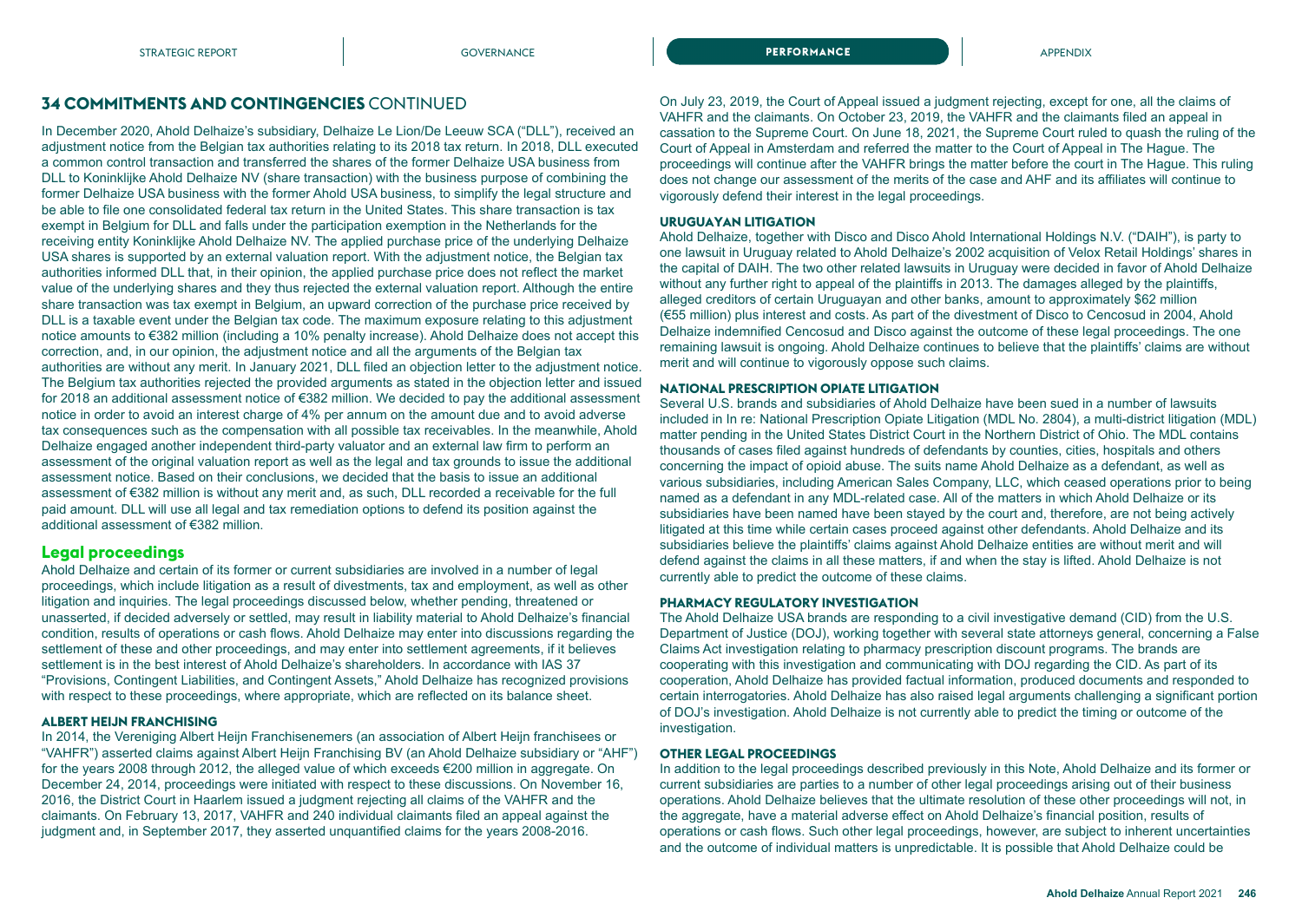### **34 COMMITMENTS AND CONTINGENCIES** CONTINUED

In December 2020, Ahold Delhaize's subsidiary, Delhaize Le Lion/De Leeuw SCA ("DLL"), received an adjustment notice from the Belgian tax authorities relating to its 2018 tax return. In 2018, DLL executed a common control transaction and transferred the shares of the former Delhaize USA business from DLL to Koninklijke Ahold Delhaize NV (share transaction) with the business purpose of combining the former Delhaize USA business with the former Ahold USA business, to simplify the legal structure and be able to file one consolidated federal tax return in the United States. This share transaction is tax exempt in Belgium for DLL and falls under the participation exemption in the Netherlands for the receiving entity Koninklijke Ahold Delhaize NV. The applied purchase price of the underlying Delhaize USA shares is supported by an external valuation report. With the adjustment notice, the Belgian tax authorities informed DLL that, in their opinion, the applied purchase price does not reflect the market value of the underlying shares and they thus rejected the external valuation report. Although the entire share transaction was tax exempt in Belgium, an upward correction of the purchase price received by DLL is a taxable event under the Belgian tax code. The maximum exposure relating to this adjustment notice amounts to €382 million (including a 10% penalty increase). Ahold Delhaize does not accept this correction, and, in our opinion, the adjustment notice and all the arguments of the Belgian tax authorities are without any merit. In January 2021, DLL filed an objection letter to the adjustment notice. The Belgium tax authorities rejected the provided arguments as stated in the objection letter and issued for 2018 an additional assessment notice of €382 million. We decided to pay the additional assessment notice in order to avoid an interest charge of 4% per annum on the amount due and to avoid adverse tax consequences such as the compensation with all possible tax receivables. In the meanwhile, Ahold Delhaize engaged another independent third-party valuator and an external law firm to perform an assessment of the original valuation report as well as the legal and tax grounds to issue the additional assessment notice. Based on their conclusions, we decided that the basis to issue an additional assessment of €382 million is without any merit and, as such, DLL recorded a receivable for the full paid amount. DLL will use all legal and tax remediation options to defend its position against the additional assessment of €382 million.

### **Legal proceedings**

Ahold Delhaize and certain of its former or current subsidiaries are involved in a number of legal proceedings, which include litigation as a result of divestments, tax and employment, as well as other litigation and inquiries. The legal proceedings discussed below, whether pending, threatened or unasserted, if decided adversely or settled, may result in liability material to Ahold Delhaize's financial condition, results of operations or cash flows. Ahold Delhaize may enter into discussions regarding the settlement of these and other proceedings, and may enter into settlement agreements, if it believes settlement is in the best interest of Ahold Delhaize's shareholders. In accordance with IAS 37 "Provisions, Contingent Liabilities, and Contingent Assets," Ahold Delhaize has recognized provisions with respect to these proceedings, where appropriate, which are reflected on its balance sheet.

#### **ALBERT HEIJN FRANCHISING**

In 2014, the Vereniging Albert Heijn Franchisenemers (an association of Albert Heijn franchisees or "VAHFR") asserted claims against Albert Heijn Franchising BV (an Ahold Delhaize subsidiary or "AHF") for the years 2008 through 2012, the alleged value of which exceeds €200 million in aggregate. On December 24, 2014, proceedings were initiated with respect to these discussions. On November 16, 2016, the District Court in Haarlem issued a judgment rejecting all claims of the VAHFR and the claimants. On February 13, 2017, VAHFR and 240 individual claimants filed an appeal against the judgment and, in September 2017, they asserted unquantified claims for the years 2008-2016.

On July 23, 2019, the Court of Appeal issued a judgment rejecting, except for one, all the claims of VAHFR and the claimants. On October 23, 2019, the VAHFR and the claimants filed an appeal in cassation to the Supreme Court. On June 18, 2021, the Supreme Court ruled to quash the ruling of the Court of Appeal in Amsterdam and referred the matter to the Court of Appeal in The Hague. The proceedings will continue after the VAHFR brings the matter before the court in The Hague. This ruling does not change our assessment of the merits of the case and AHF and its affiliates will continue to vigorously defend their interest in the legal proceedings.

### **URUGUAYAN LITIGATION**

Ahold Delhaize, together with Disco and Disco Ahold International Holdings N.V. ("DAIH"), is party to one lawsuit in Uruguay related to Ahold Delhaize's 2002 acquisition of Velox Retail Holdings' shares in the capital of DAIH. The two other related lawsuits in Uruguay were decided in favor of Ahold Delhaize without any further right to appeal of the plaintiffs in 2013. The damages alleged by the plaintiffs, alleged creditors of certain Uruguayan and other banks, amount to approximately \$62 million (€55 million) plus interest and costs. As part of the divestment of Disco to Cencosud in 2004, Ahold Delhaize indemnified Cencosud and Disco against the outcome of these legal proceedings. The one remaining lawsuit is ongoing. Ahold Delhaize continues to believe that the plaintiffs' claims are without merit and will continue to vigorously oppose such claims.

### **NATIONAL PRESCRIPTION OPIATE LITIGATION**

Several U.S. brands and subsidiaries of Ahold Delhaize have been sued in a number of lawsuits included in In re: National Prescription Opiate Litigation (MDL No. 2804), a multi-district litigation (MDL) matter pending in the United States District Court in the Northern District of Ohio. The MDL contains thousands of cases filed against hundreds of defendants by counties, cities, hospitals and others concerning the impact of opioid abuse. The suits name Ahold Delhaize as a defendant, as well as various subsidiaries, including American Sales Company, LLC, which ceased operations prior to being named as a defendant in any MDL-related case. All of the matters in which Ahold Delhaize or its subsidiaries have been named have been stayed by the court and, therefore, are not being actively litigated at this time while certain cases proceed against other defendants. Ahold Delhaize and its subsidiaries believe the plaintiffs' claims against Ahold Delhaize entities are without merit and will defend against the claims in all these matters, if and when the stay is lifted. Ahold Delhaize is not currently able to predict the outcome of these claims.

#### **PHARMACY REGULATORY INVESTIGATION**

The Ahold Delhaize USA brands are responding to a civil investigative demand (CID) from the U.S. Department of Justice (DOJ), working together with several state attorneys general, concerning a False Claims Act investigation relating to pharmacy prescription discount programs. The brands are cooperating with this investigation and communicating with DOJ regarding the CID. As part of its cooperation, Ahold Delhaize has provided factual information, produced documents and responded to certain interrogatories. Ahold Delhaize has also raised legal arguments challenging a significant portion of DOJ's investigation. Ahold Delhaize is not currently able to predict the timing or outcome of the investigation.

#### **OTHER LEGAL PROCEEDINGS**

In addition to the legal proceedings described previously in this Note, Ahold Delhaize and its former or current subsidiaries are parties to a number of other legal proceedings arising out of their business operations. Ahold Delhaize believes that the ultimate resolution of these other proceedings will not, in the aggregate, have a material adverse effect on Ahold Delhaize's financial position, results of operations or cash flows. Such other legal proceedings, however, are subject to inherent uncertainties and the outcome of individual matters is unpredictable. It is possible that Ahold Delhaize could be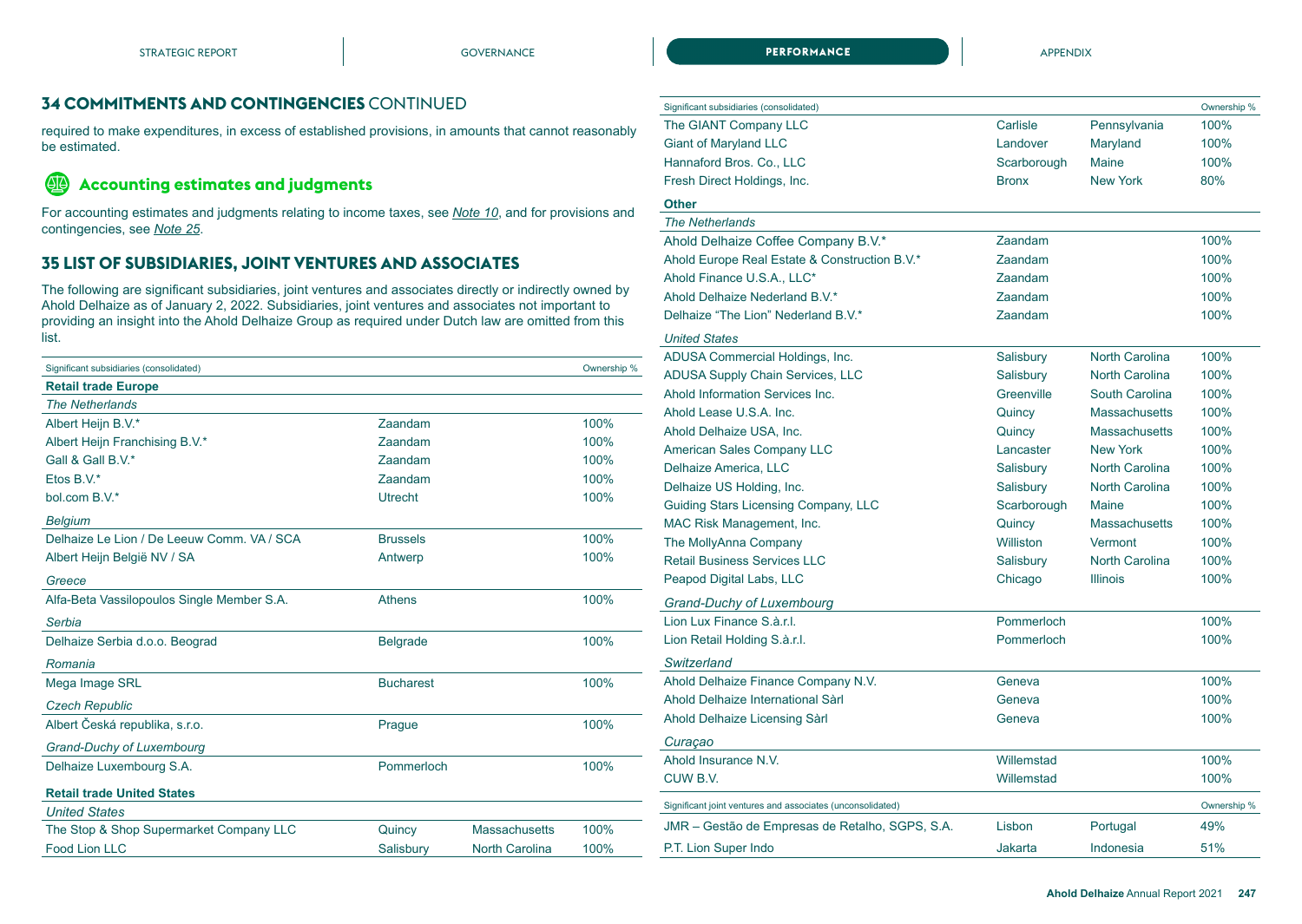### **34 COMMITMENTS AND CONTINGENCIES** CONTINUED

required to make expenditures, in excess of established provisions, in amounts that cannot reasonably be estimated.

#### **AR Accounting estimates and judgments**

For accounting estimates and judgments relating to income taxes, see *[Note 10](#page-18-0)*, and for provisions and contingencies, see *[Note 25](#page-47-0)*.

## **35 LIST OF SUBSIDIARIES, JOINT VENTURES AND ASSOCIATES**

The following are significant subsidiaries, joint ventures and associates directly or indirectly owned by Ahold Delhaize as of January 2, 2022. Subsidiaries, joint ventures and associates not important to providing an insight into the Ahold Delhaize Group as required under Dutch law are omitted from this list.

| Significant subsidiaries (consolidated)    |                  |                       | Ownership % |
|--------------------------------------------|------------------|-----------------------|-------------|
| <b>Retail trade Europe</b>                 |                  |                       |             |
| <b>The Netherlands</b>                     |                  |                       |             |
| Albert Heijn B.V.*                         | Zaandam          |                       | 100%        |
| Albert Heijn Franchising B.V.*             | Zaandam          |                       | 100%        |
| Gall & Gall B.V.*                          | Zaandam          |                       | 100%        |
| Etos B.V.*                                 | <b>Zaandam</b>   |                       | 100%        |
| bol.com B.V.*                              | <b>Utrecht</b>   |                       | 100%        |
| <b>Belgium</b>                             |                  |                       |             |
| Delhaize Le Lion / De Leeuw Comm, VA / SCA | <b>Brussels</b>  |                       |             |
| Albert Heijn België NV / SA                | Antwerp          |                       |             |
| Greece                                     |                  |                       |             |
| Alfa-Beta Vassilopoulos Single Member S.A. | Athens           |                       | 100%        |
| Serbia                                     |                  |                       |             |
| Delhaize Serbia d.o.o. Beograd             | <b>Belgrade</b>  |                       | 100%        |
| Romania                                    |                  |                       |             |
| Mega Image SRL                             | <b>Bucharest</b> |                       | 100%        |
| <b>Czech Republic</b>                      |                  |                       |             |
| Albert Česká republika, s.r.o.             | Prague           |                       | 100%        |
| Grand-Duchy of Luxembourg                  |                  |                       |             |
| Delhaize Luxembourg S.A.                   | Pommerloch       |                       | 100%        |
| <b>Retail trade United States</b>          |                  |                       |             |
| <b>United States</b>                       |                  |                       |             |
| The Stop & Shop Supermarket Company LLC    | Quincy           | <b>Massachusetts</b>  | 100%        |
| <b>Food Lion LLC</b>                       | Salisbury        | <b>North Carolina</b> | 100%        |

| Significant subsidiaries (consolidated)                      |              |                       | Ownership % |
|--------------------------------------------------------------|--------------|-----------------------|-------------|
| The GIANT Company LLC                                        | Carlisle     | Pennsylvania          | 100%        |
| <b>Giant of Maryland LLC</b>                                 | Landover     | Maryland              | 100%        |
| Hannaford Bros. Co., LLC                                     | Scarborough  | <b>Maine</b>          | 100%        |
| Fresh Direct Holdings, Inc.                                  | <b>Bronx</b> | <b>New York</b>       | 80%         |
|                                                              |              |                       |             |
| <b>Other</b><br><b>The Netherlands</b>                       |              |                       |             |
| Ahold Delhaize Coffee Company B.V.*                          | Zaandam      |                       | 100%        |
| Ahold Europe Real Estate & Construction B.V.*                | Zaandam      |                       | 100%        |
|                                                              | Zaandam      |                       | 100%        |
| Ahold Finance U.S.A., LLC*<br>Ahold Delhaize Nederland B.V.* | Zaandam      |                       | 100%        |
| Delhaize "The Lion" Nederland B.V.*                          | Zaandam      |                       |             |
|                                                              |              |                       | 100%        |
| <b>United States</b>                                         |              |                       |             |
| ADUSA Commercial Holdings, Inc.                              | Salisbury    | <b>North Carolina</b> | 100%        |
| <b>ADUSA Supply Chain Services, LLC</b>                      | Salisbury    | <b>North Carolina</b> | 100%        |
| Ahold Information Services Inc.                              | Greenville   | South Carolina        | 100%        |
| Ahold Lease U.S.A. Inc.                                      | Quincy       | <b>Massachusetts</b>  | 100%        |
| Ahold Delhaize USA, Inc.                                     | Quincy       | <b>Massachusetts</b>  | 100%        |
| <b>American Sales Company LLC</b>                            | Lancaster    | <b>New York</b>       | 100%        |
| Delhaize America, LLC                                        | Salisbury    | <b>North Carolina</b> | 100%        |
| Delhaize US Holding, Inc.                                    | Salisbury    | <b>North Carolina</b> | 100%        |
| Guiding Stars Licensing Company, LLC                         | Scarborough  | <b>Maine</b>          | 100%        |
| MAC Risk Management, Inc.                                    | Quincy       | <b>Massachusetts</b>  | 100%        |
| The MollyAnna Company                                        | Williston    | Vermont               | 100%        |
| <b>Retail Business Services LLC</b>                          | Salisbury    | <b>North Carolina</b> | 100%        |
| Peapod Digital Labs, LLC                                     | Chicago      | <b>Illinois</b>       | 100%        |
| <b>Grand-Duchy of Luxembourg</b>                             |              |                       |             |
| Lion Lux Finance S.à.r.l.                                    | Pommerloch   |                       | 100%        |
| Lion Retail Holding S.à.r.l.                                 | Pommerloch   |                       | 100%        |
| Switzerland                                                  |              |                       |             |
| Ahold Delhaize Finance Company N.V.                          | Geneva       |                       | 100%        |
| Ahold Delhaize International Sàrl                            | Geneva       |                       | 100%        |
| Ahold Delhaize Licensing Sàrl                                | Geneva       |                       | 100%        |
| Curaçao                                                      |              |                       |             |
| Ahold Insurance N.V.                                         | Willemstad   |                       | 100%        |
| CUW B.V.                                                     | Willemstad   |                       | 100%        |
| Significant joint ventures and associates (unconsolidated)   |              |                       | Ownership % |
| JMR – Gestão de Empresas de Retalho, SGPS, S.A.              | Lisbon       | Portugal              | 49%         |
| P.T. Lion Super Indo                                         | Jakarta      | Indonesia             | 51%         |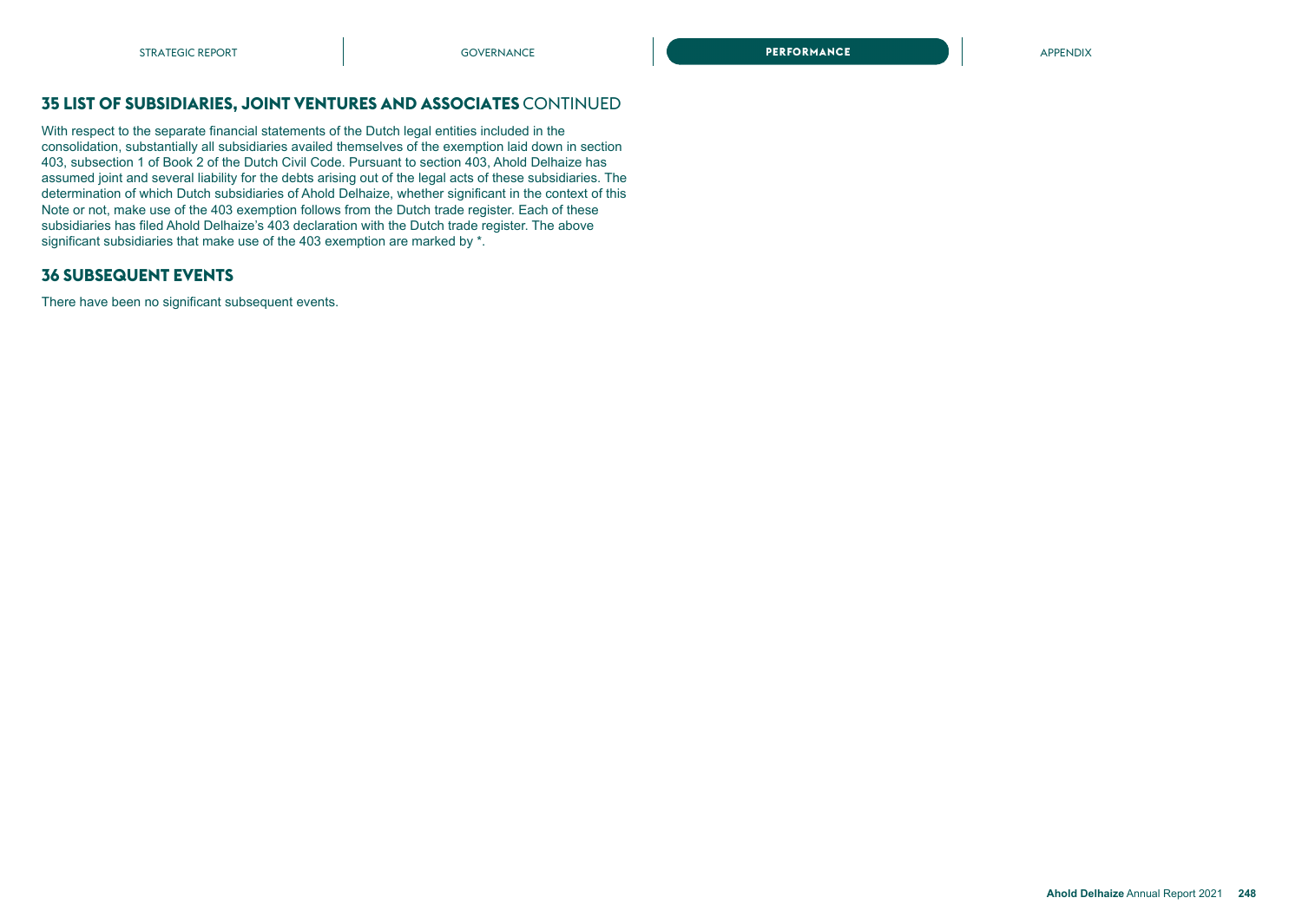### **35 LIST OF SUBSIDIARIES, JOINT VENTURES AND ASSOCIATES** CONTINUED

With respect to the separate financial statements of the Dutch legal entities included in the consolidation, substantially all subsidiaries availed themselves of the exemption laid down in section 403, subsection 1 of Book 2 of the Dutch Civil Code. Pursuant to section 403, Ahold Delhaize has assumed joint and several liability for the debts arising out of the legal acts of these subsidiaries. The determination of which Dutch subsidiaries of Ahold Delhaize, whether significant in the context of this Note or not, make use of the 403 exemption follows from the Dutch trade register. Each of these subsidiaries has filed Ahold Delhaize's 403 declaration with the Dutch trade register. The above significant subsidiaries that make use of the 403 exemption are marked by \*.

### **36 SUBSEQUENT EVENTS**

There have been no significant subsequent events.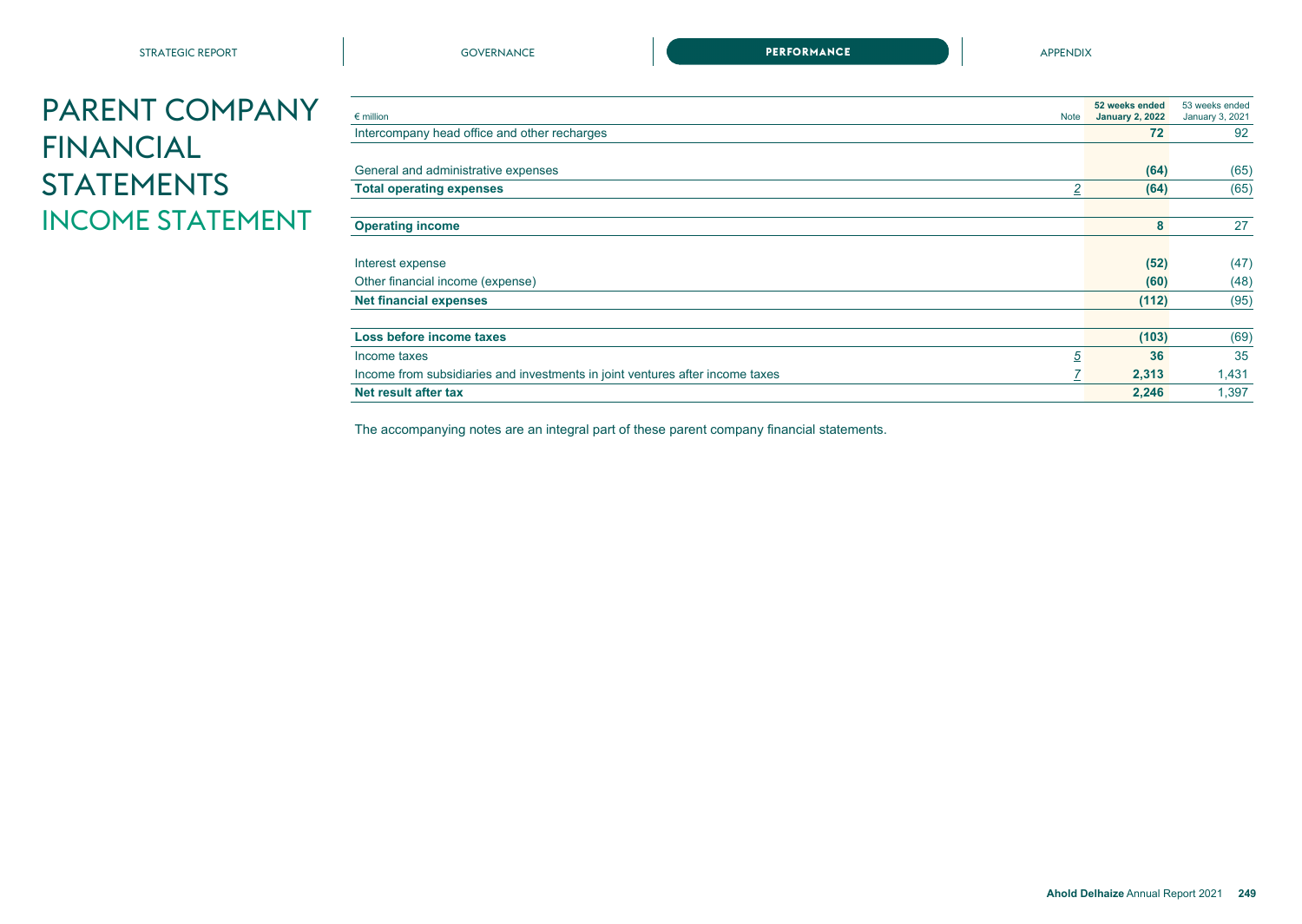# PARENT COMPANY FINANCIAL STATEMENTS INCOME STATEMENT

| $\epsilon$ million                                                            | Note           | 52 weeks ended<br><b>January 2, 2022</b> | 53 weeks ended<br>January 3, 2021 |
|-------------------------------------------------------------------------------|----------------|------------------------------------------|-----------------------------------|
| Intercompany head office and other recharges                                  |                | 72                                       | 92                                |
|                                                                               |                |                                          |                                   |
| General and administrative expenses                                           |                | (64)                                     | (65)                              |
| <b>Total operating expenses</b>                                               | $\overline{2}$ | (64)                                     | (65)                              |
|                                                                               |                |                                          |                                   |
| <b>Operating income</b>                                                       |                | 8                                        | 27                                |
|                                                                               |                |                                          |                                   |
| Interest expense                                                              |                | (52)                                     | (47)                              |
| Other financial income (expense)                                              |                | (60)                                     | (48)                              |
| <b>Net financial expenses</b>                                                 |                | (112)                                    | (95)                              |
|                                                                               |                |                                          |                                   |
| Loss before income taxes                                                      |                | (103)                                    | (69)                              |
| Income taxes                                                                  | $\overline{5}$ | 36                                       | 35                                |
| Income from subsidiaries and investments in joint ventures after income taxes |                | 2,313                                    | 1,431                             |
| Net result after tax                                                          |                | 2,246                                    | 1,397                             |

The accompanying notes are an integral part of these parent company financial statements.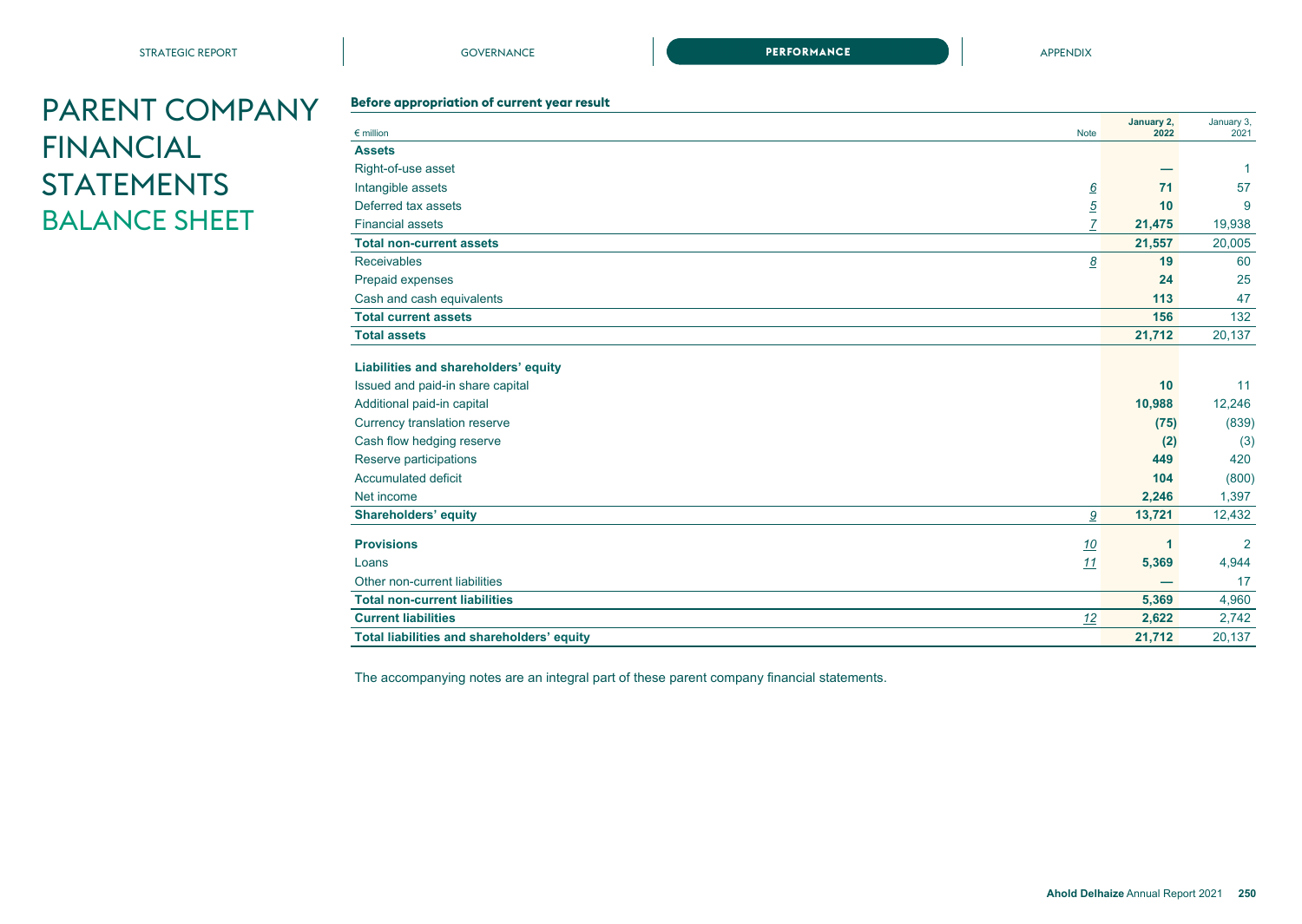**Before appropriation of current year result**

# PARENT COMPANY FINANCIAL STATEMENTS BALANCE SHEET

| $\epsilon$ million<br><b>Note</b>          | January 2,<br>2022 | January 3,<br>2021 |
|--------------------------------------------|--------------------|--------------------|
| <b>Assets</b>                              |                    |                    |
| Right-of-use asset                         |                    |                    |
| Intangible assets<br>$\underline{6}$       | 71                 | 57                 |
| Deferred tax assets<br>$\overline{5}$      | 10                 | 9                  |
| <b>Financial assets</b><br>7               | 21,475             | 19,938             |
| <b>Total non-current assets</b>            | 21,557             | 20,005             |
| <b>Receivables</b><br>8                    | 19                 | 60                 |
| Prepaid expenses                           | 24                 | 25                 |
| Cash and cash equivalents                  | 113                | 47                 |
| <b>Total current assets</b>                | 156                | 132                |
| <b>Total assets</b>                        | 21,712             | 20,137             |
| Liabilities and shareholders' equity       |                    |                    |
| Issued and paid-in share capital           | 10                 | 11                 |
| Additional paid-in capital                 | 10,988             | 12,246             |
| Currency translation reserve               | (75)               | (839)              |
| Cash flow hedging reserve                  | (2)                | (3)                |
| Reserve participations                     | 449                | 420                |
| <b>Accumulated deficit</b>                 | 104                | (800)              |
| Net income                                 | 2,246              | 1,397              |
| <b>Shareholders' equity</b><br>9           | 13,721             | 12,432             |
| <b>Provisions</b><br>10                    | 1                  | $\overline{2}$     |
| 11<br>Loans                                | 5,369              | 4,944              |
| Other non-current liabilities              |                    | 17                 |
| <b>Total non-current liabilities</b>       | 5,369              | 4,960              |
| <b>Current liabilities</b><br>12           | 2,622              | 2,742              |
| Total liabilities and shareholders' equity | 21,712             | 20,137             |

The accompanying notes are an integral part of these parent company financial statements.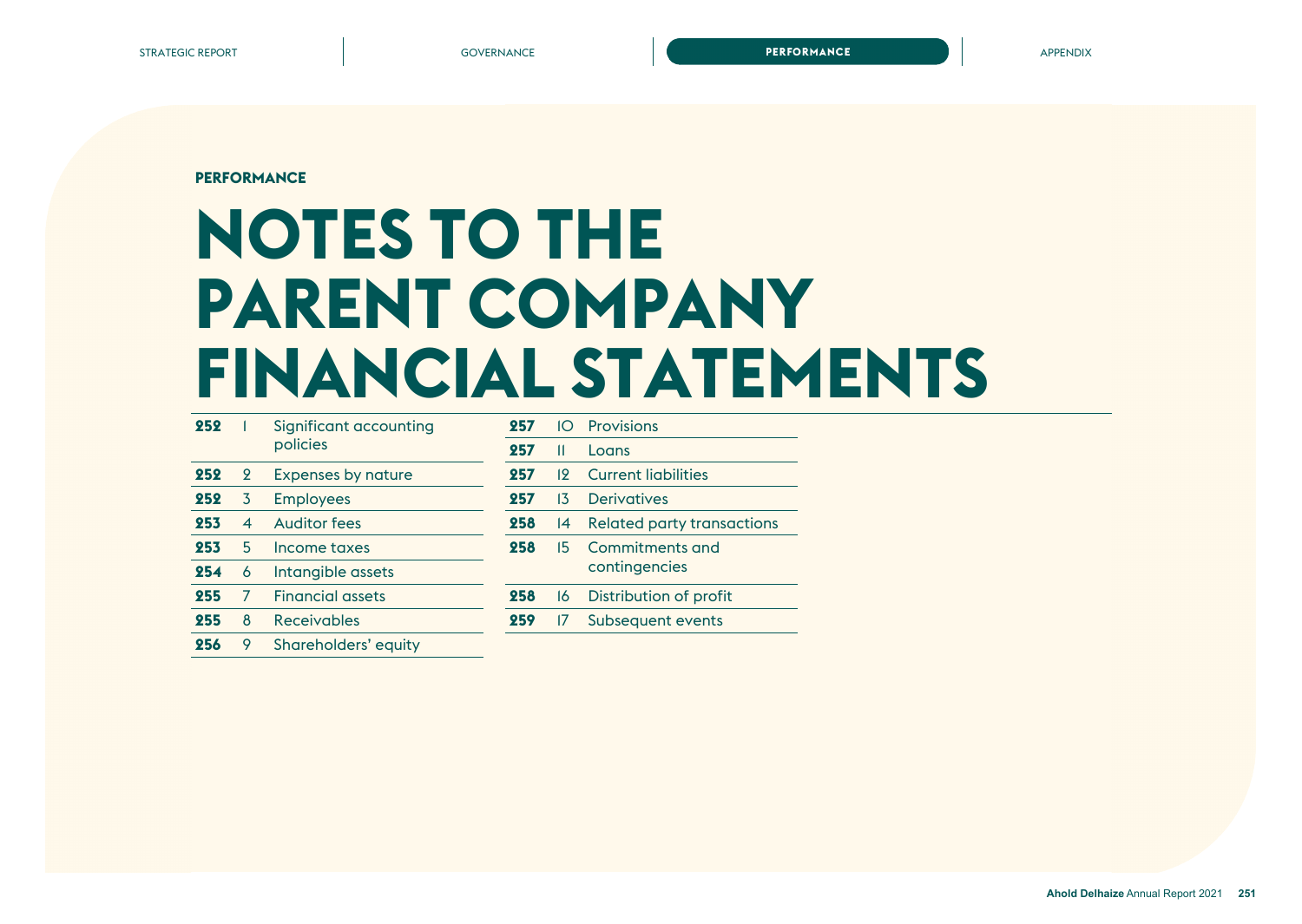### **PERFORMANCE**

# **NOTES TO THE PARENT COMPANY FINANCIAL STATEMENTS**

| 252 |                | Significant accounting  | 257 | IO            | <b>Provisions</b>          |
|-----|----------------|-------------------------|-----|---------------|----------------------------|
|     |                | policies                | 257 | Ш             | Loans                      |
| 252 | $\overline{2}$ | Expenses by nature      | 257 | 12            | <b>Current liabilities</b> |
| 252 | 3              | <b>Employees</b>        | 257 | 13            | <b>Derivatives</b>         |
| 253 | 4              | Auditor fees            | 258 | $\mathsf{I}4$ | Related party transactions |
| 253 | 5              | Income taxes            | 258 | 15            | Commitments and            |
| 254 | 6              | Intangible assets       |     |               | contingencies              |
| 255 |                | <b>Financial assets</b> | 258 | 16            | Distribution of profit     |
| 255 | 8              | <b>Receivables</b>      | 259 | 17            | Subsequent events          |
| 256 | 9              | Shareholders' equity    |     |               |                            |

| <b>Ahold Delhaize Annual Report 2021</b> |  |
|------------------------------------------|--|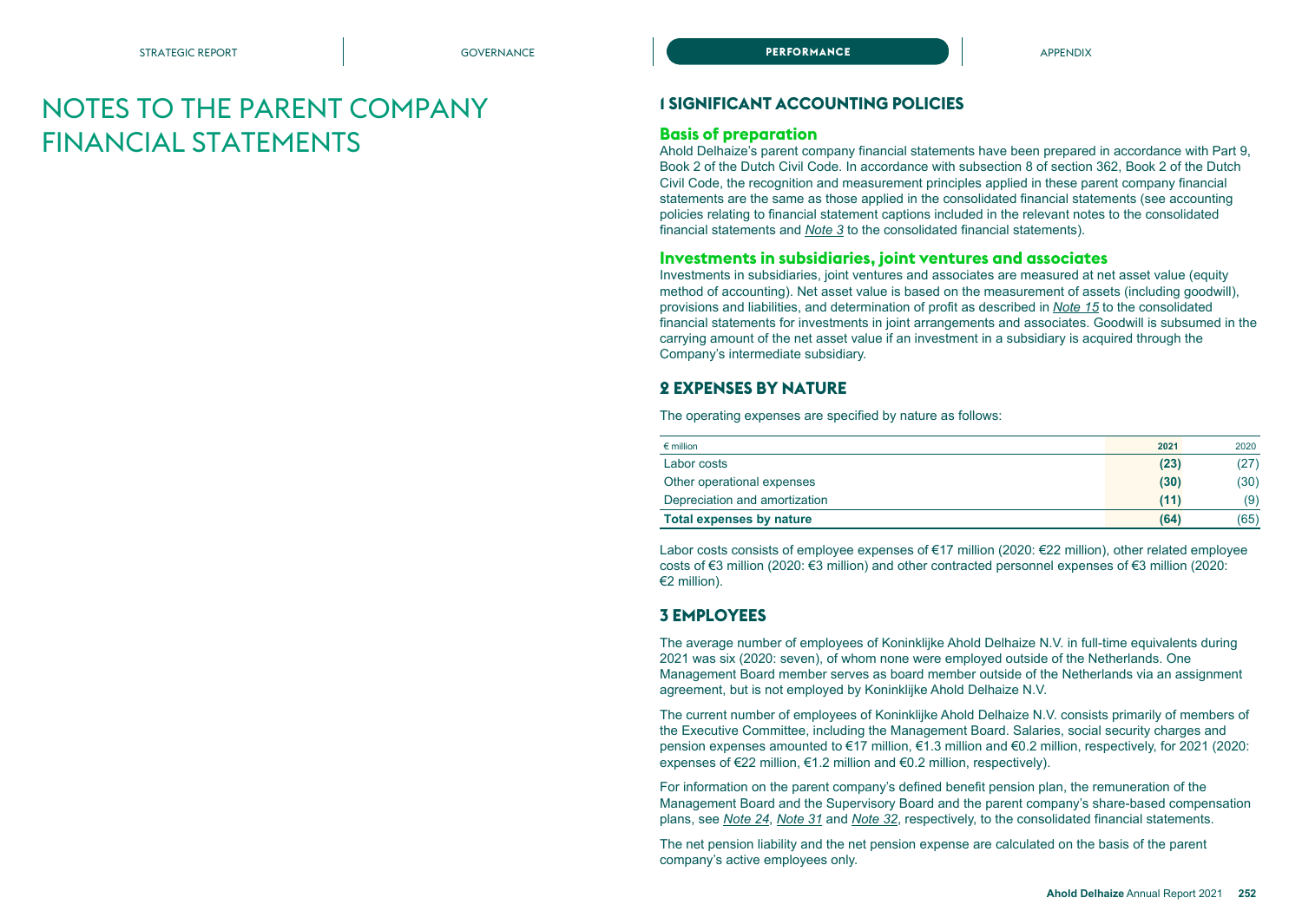# <span id="page-74-0"></span>NOTES TO THE PARENT COMPANY FINANCIAL STATEMENTS

# **1 SIGNIFICANT ACCOUNTING POLICIES**

#### **Basis of preparation**

Ahold Delhaize's parent company financial statements have been prepared in accordance with Part 9, Book 2 of the Dutch Civil Code. In accordance with subsection 8 of section 362, Book 2 of the Dutch Civil Code, the recognition and measurement principles applied in these parent company financial statements are the same as those applied in the consolidated financial statements (see accounting policies relating to financial statement captions included in the relevant notes to the consolidated financial statements and *[Note 3](#page-9-0)* to the consolidated financial statements).

### **Investments in subsidiaries, joint ventures and associates**

Investments in subsidiaries, joint ventures and associates are measured at net asset value (equity method of accounting). Net asset value is based on the measurement of assets (including goodwill), provisions and liabilities, and determination of profit as described in *[Note 15](#page-29-0)* to the consolidated financial statements for investments in joint arrangements and associates. Goodwill is subsumed in the carrying amount of the net asset value if an investment in a subsidiary is acquired through the Company's intermediate subsidiary.

### **2 EXPENSES BY NATURE**

The operating expenses are specified by nature as follows:

| $\epsilon$ million              | 2021 | 2020 |
|---------------------------------|------|------|
| Labor costs                     | (23) | (27) |
| Other operational expenses      | (30) | (30) |
| Depreciation and amortization   | (11) | (9)  |
| <b>Total expenses by nature</b> | (64) | (65) |
|                                 |      |      |

Labor costs consists of employee expenses of €17 million (2020: €22 million), other related employee costs of €3 million (2020: €3 million) and other contracted personnel expenses of €3 million (2020: €2 million).

# **3 EMPLOYEES**

The average number of employees of Koninklijke Ahold Delhaize N.V. in full-time equivalents during 2021 was six (2020: seven), of whom none were employed outside of the Netherlands. One Management Board member serves as board member outside of the Netherlands via an assignment agreement, but is not employed by Koninklijke Ahold Delhaize N.V.

The current number of employees of Koninklijke Ahold Delhaize N.V. consists primarily of members of the Executive Committee, including the Management Board. Salaries, social security charges and pension expenses amounted to €17 million, €1.3 million and €0.2 million, respectively, for 2021 (2020: expenses of  $\epsilon$ 22 million,  $\epsilon$ 1.2 million and  $\epsilon$ 0.2 million, respectively).

For information on the parent company's defined benefit pension plan, the remuneration of the Management Board and the Supervisory Board and the parent company's share-based compensation plans, see *[Note 24](#page-38-0)*, *[Note 31](#page-58-0)* and *[Note 32](#page-60-0)*, respectively, to the consolidated financial statements.

The net pension liability and the net pension expense are calculated on the basis of the parent company's active employees only.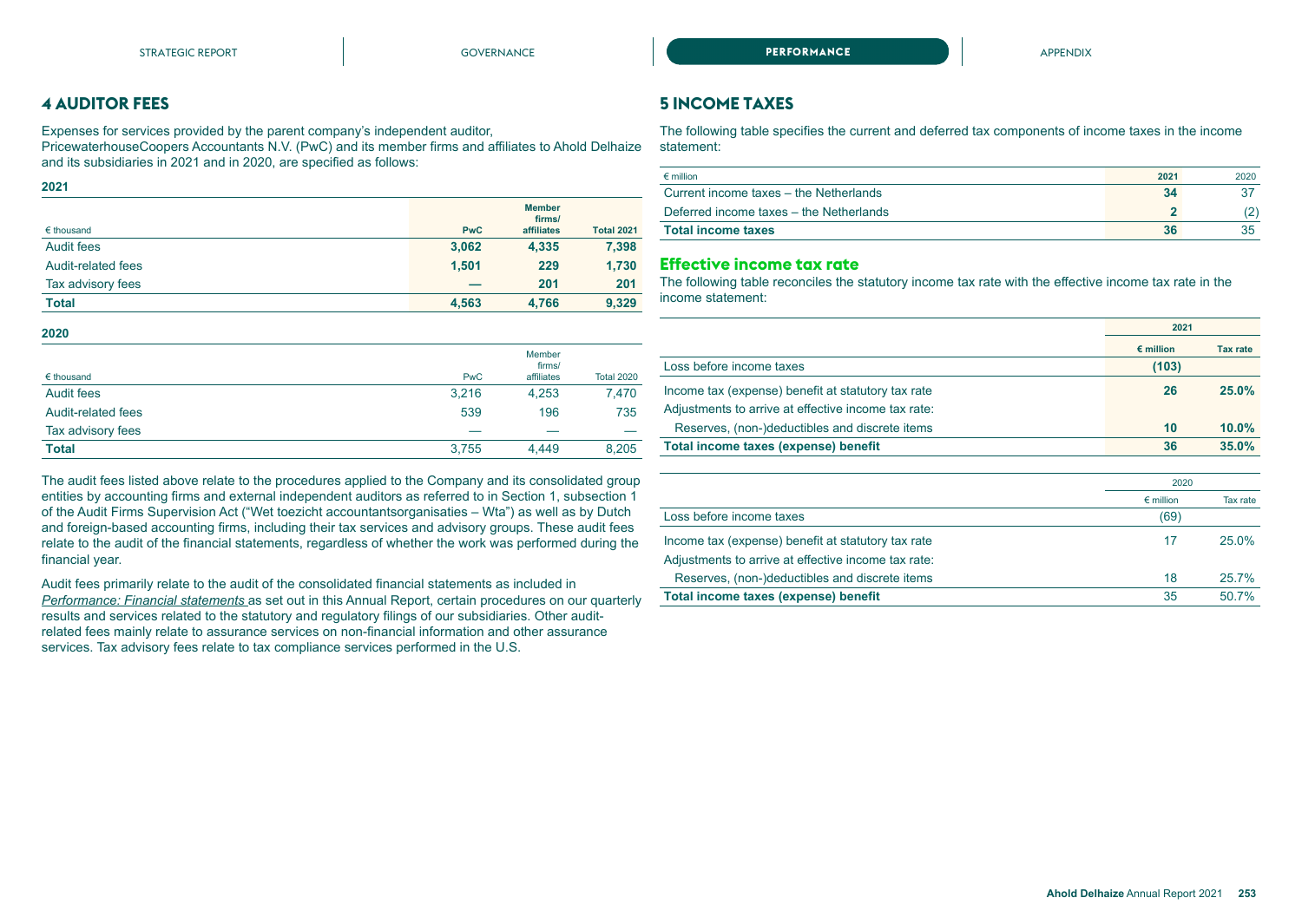### <span id="page-75-0"></span>**4 AUDITOR FEES**

Expenses for services provided by the parent company's independent auditor,

PricewaterhouseCoopers Accountants N.V. (PwC) and its member firms and affiliates to Ahold Delhaize and its subsidiaries in 2021 and in 2020, are specified as follows:

**2021**

| $\epsilon$ thousand | <b>PwC</b> | <b>Member</b><br>firms/<br>affiliates | <b>Total 2021</b> |
|---------------------|------------|---------------------------------------|-------------------|
| Audit fees          | 3,062      | 4,335                                 | 7,398             |
| Audit-related fees  | 1.501      | 229                                   | 1,730             |
| Tax advisory fees   |            | 201                                   | 201               |
| <b>Total</b>        | 4,563      | 4.766                                 | 9,329             |

**2020**

| $\epsilon$ thousand | <b>PwC</b> | Member<br>firms/<br>affiliates | <b>Total 2020</b> |
|---------------------|------------|--------------------------------|-------------------|
| Audit fees          | 3,216      | 4,253                          | 7,470             |
| Audit-related fees  | 539        | 196                            | 735               |
| Tax advisory fees   |            |                                |                   |
| <b>Total</b>        | 3.755      | 4.449                          | 8,205             |

The audit fees listed above relate to the procedures applied to the Company and its consolidated group entities by accounting firms and external independent auditors as referred to in Section 1, subsection 1 of the Audit Firms Supervision Act ("Wet toezicht accountantsorganisaties – Wta") as well as by Dutch and foreign-based accounting firms, including their tax services and advisory groups. These audit fees relate to the audit of the financial statements, regardless of whether the work was performed during the financial year.

Audit fees primarily relate to the audit of the consolidated financial statements as included in *[Performance: Financial statements](#page-0-0)* as set out in this Annual Report, certain procedures on our quarterly results and services related to the statutory and regulatory filings of our subsidiaries. Other auditrelated fees mainly relate to assurance services on non-financial information and other assurance services. Tax advisory fees relate to tax compliance services performed in the U.S.

### **5 INCOME TAXES**

The following table specifies the current and deferred tax components of income taxes in the income statement:

| $\epsilon$ million                      | 2021 | 2020 |
|-----------------------------------------|------|------|
| Current income taxes – the Netherlands  | 34   |      |
| Deferred income taxes – the Netherlands |      |      |
| <b>Total income taxes</b>               | 36   |      |

### **Effective income tax rate**

The following table reconciles the statutory income tax rate with the effective income tax rate in the income statement:

|                                                     | 2021               |                 |
|-----------------------------------------------------|--------------------|-----------------|
|                                                     | $\epsilon$ million | <b>Tax rate</b> |
| Loss before income taxes                            | (103)              |                 |
| Income tax (expense) benefit at statutory tax rate  | 26                 | 25.0%           |
| Adjustments to arrive at effective income tax rate: |                    |                 |
| Reserves, (non-)deductibles and discrete items      | 10                 | 10.0%           |
| Total income taxes (expense) benefit                | 36                 | 35.0%           |
|                                                     |                    |                 |
|                                                     | 2020               |                 |
|                                                     | $\epsilon$ million | Tax rate        |
| Loss before income taxes                            | (69)               |                 |
| Income tax (expense) benefit at statutory tax rate  | 17                 | 25.0%           |
| Adjustments to arrive at effective income tax rate: |                    |                 |
| Reserves, (non-)deductibles and discrete items      | 18                 | 25.7%           |
| Total income taxes (expense) benefit                | 35                 | 50.7%           |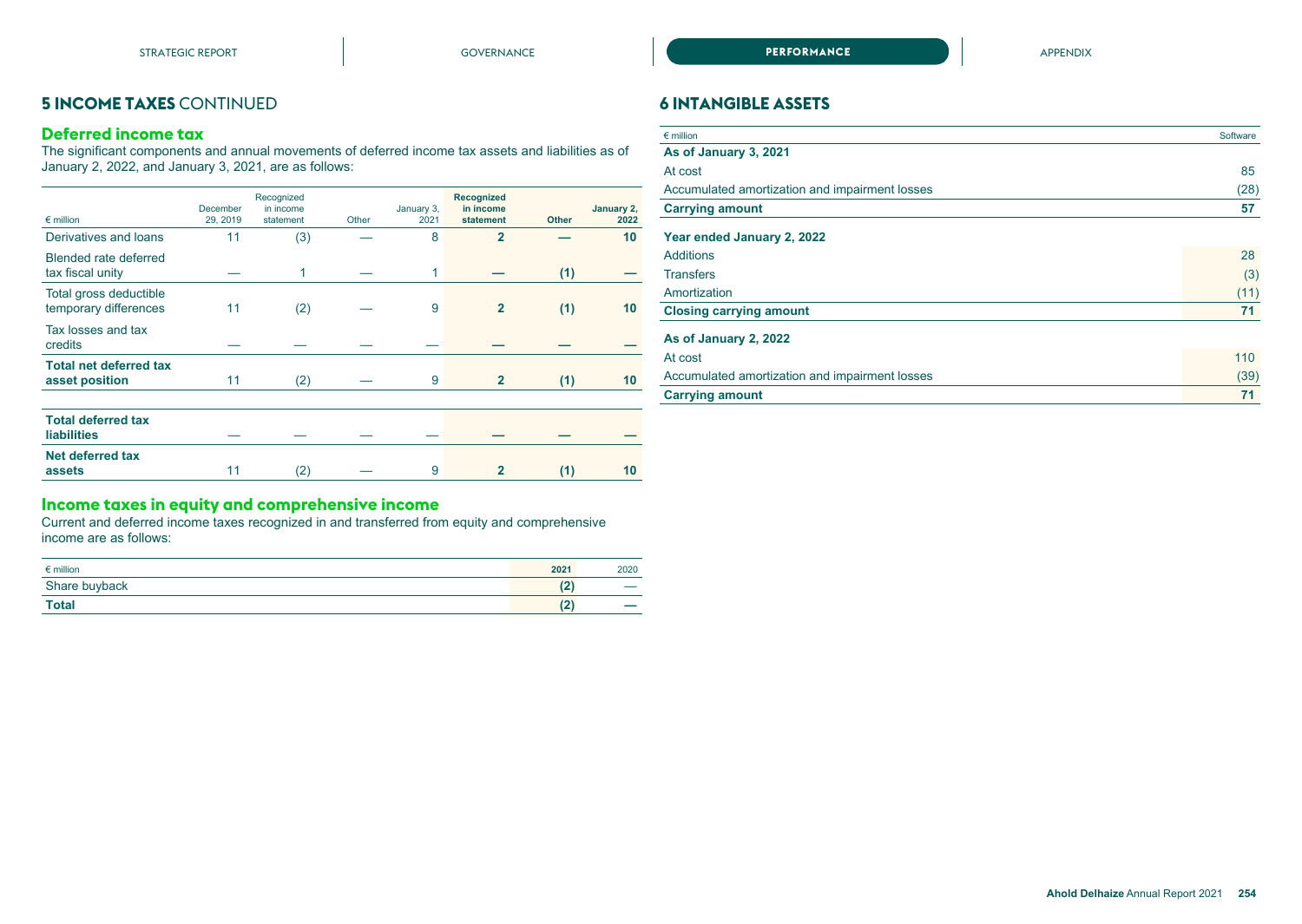# <span id="page-76-0"></span>**5 INCOME TAXES CONTINUED**

# **Deferred income tax**

The significant components and annual movements of deferred income tax assets and liabilities as of January 2, 2022, and January 3, 2021, are as follows:

| $\epsilon$ million                              | December<br>29, 2019 | Recognized<br>in income<br>statement | Other | January 3,<br>2021 | <b>Recognized</b><br>in income<br>statement | <b>Other</b> | January 2,<br>2022 |
|-------------------------------------------------|----------------------|--------------------------------------|-------|--------------------|---------------------------------------------|--------------|--------------------|
| Derivatives and loans                           | 11                   | (3)                                  |       | 8                  | $\overline{2}$                              |              | 10                 |
| Blended rate deferred<br>tax fiscal unity       |                      | 1                                    |       |                    |                                             | (1)          |                    |
| Total gross deductible<br>temporary differences | 11                   | (2)                                  |       | 9                  | $\overline{2}$                              | (1)          | 10                 |
| Tax losses and tax<br>credits                   |                      |                                      |       |                    |                                             |              |                    |
| <b>Total net deferred tax</b><br>asset position | 11                   | (2)                                  |       | 9                  | $\mathbf{2}$                                | (1)          | 10                 |
| <b>Total deferred tax</b><br><b>liabilities</b> |                      |                                      |       |                    |                                             |              |                    |

# **Net deferred tax assets** 11 (2) — 9 **2 (1) 10**

### **Income taxes in equity and comprehensive income**

Current and deferred income taxes recognized in and transferred from equity and comprehensive income are as follows:

| $\epsilon$ million | 2021             | 2020 |
|--------------------|------------------|------|
| Share buyback      | n<br>. .         |      |
| <b>Total</b>       | $\sqrt{2}$<br>៶∸ |      |

# **6 INTANGIBLE ASSETS**

| $\epsilon$ million                             | Software |
|------------------------------------------------|----------|
| As of January 3, 2021                          |          |
| At cost                                        | 85       |
| Accumulated amortization and impairment losses | (28)     |
| <b>Carrying amount</b>                         | 57       |
| Year ended January 2, 2022                     |          |
| <b>Additions</b>                               | 28       |
| <b>Transfers</b>                               | (3)      |
| Amortization                                   | (11)     |
| <b>Closing carrying amount</b>                 | 71       |
| As of January 2, 2022                          |          |
| At cost                                        | 110      |
| Accumulated amortization and impairment losses | (39)     |
| <b>Carrying amount</b>                         | 71       |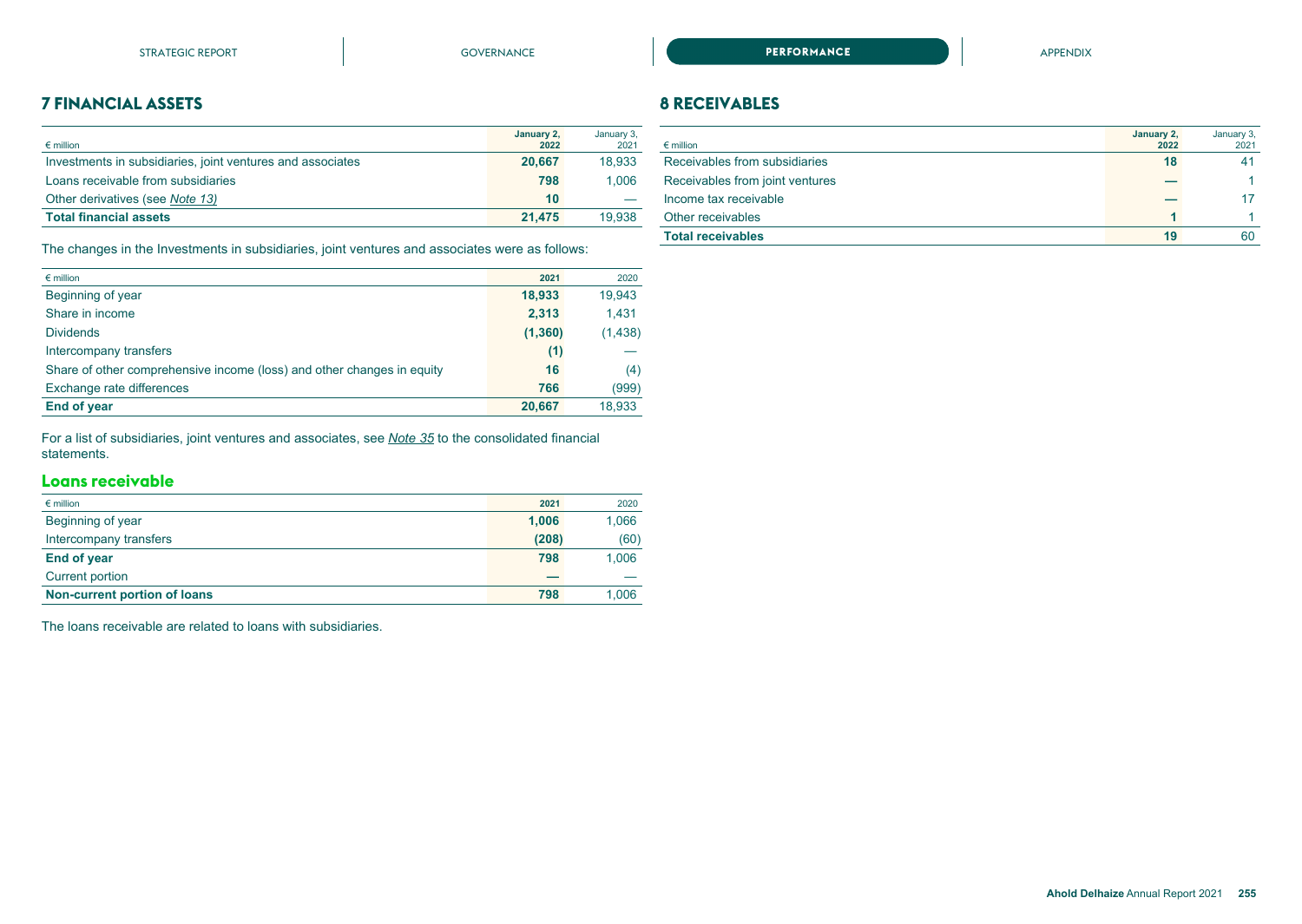# <span id="page-77-0"></span>**7 FINANCIAL ASSETS**

| $\epsilon$ million                                         | January 2,<br>2022 | January 3,<br>2021 |
|------------------------------------------------------------|--------------------|--------------------|
| Investments in subsidiaries, joint ventures and associates | 20.667             | 18.933             |
| Loans receivable from subsidiaries                         | 798                | 1.006              |
| Other derivatives (see Note 13)                            | 10                 |                    |
| <b>Total financial assets</b>                              | 21.475             | 19.938             |

The changes in the Investments in subsidiaries, joint ventures and associates were as follows:

| $\epsilon$ million                                                     | 2021     | 2020     |
|------------------------------------------------------------------------|----------|----------|
| Beginning of year                                                      | 18.933   | 19.943   |
| Share in income                                                        | 2.313    | 1.431    |
| <b>Dividends</b>                                                       | (1, 360) | (1, 438) |
| Intercompany transfers                                                 | (1)      |          |
| Share of other comprehensive income (loss) and other changes in equity | 16       | (4)      |
| Exchange rate differences                                              | 766      | (999)    |
| <b>End of year</b>                                                     | 20.667   | 18,933   |

For a list of subsidiaries, joint ventures and associates, see *[Note 35](#page-69-0)* to the consolidated financial statements.

# **Loans receivable**

| $\epsilon$ million           | 2021  | 2020  |
|------------------------------|-------|-------|
| Beginning of year            | 1.006 | 1.066 |
| Intercompany transfers       | (208) | (60)  |
| <b>End of year</b>           | 798   | 1.006 |
| Current portion              |       |       |
| Non-current portion of loans | 798   | 1.006 |

The loans receivable are related to loans with subsidiaries.

# **8 RECEIVABLES**

| $\epsilon$ million              | January 2,<br>2022 | January 3,<br>2021 |
|---------------------------------|--------------------|--------------------|
| Receivables from subsidiaries   | 18                 | 41                 |
| Receivables from joint ventures |                    |                    |
| Income tax receivable           |                    | 17                 |
| Other receivables               |                    |                    |
| <b>Total receivables</b>        | 19                 | 60                 |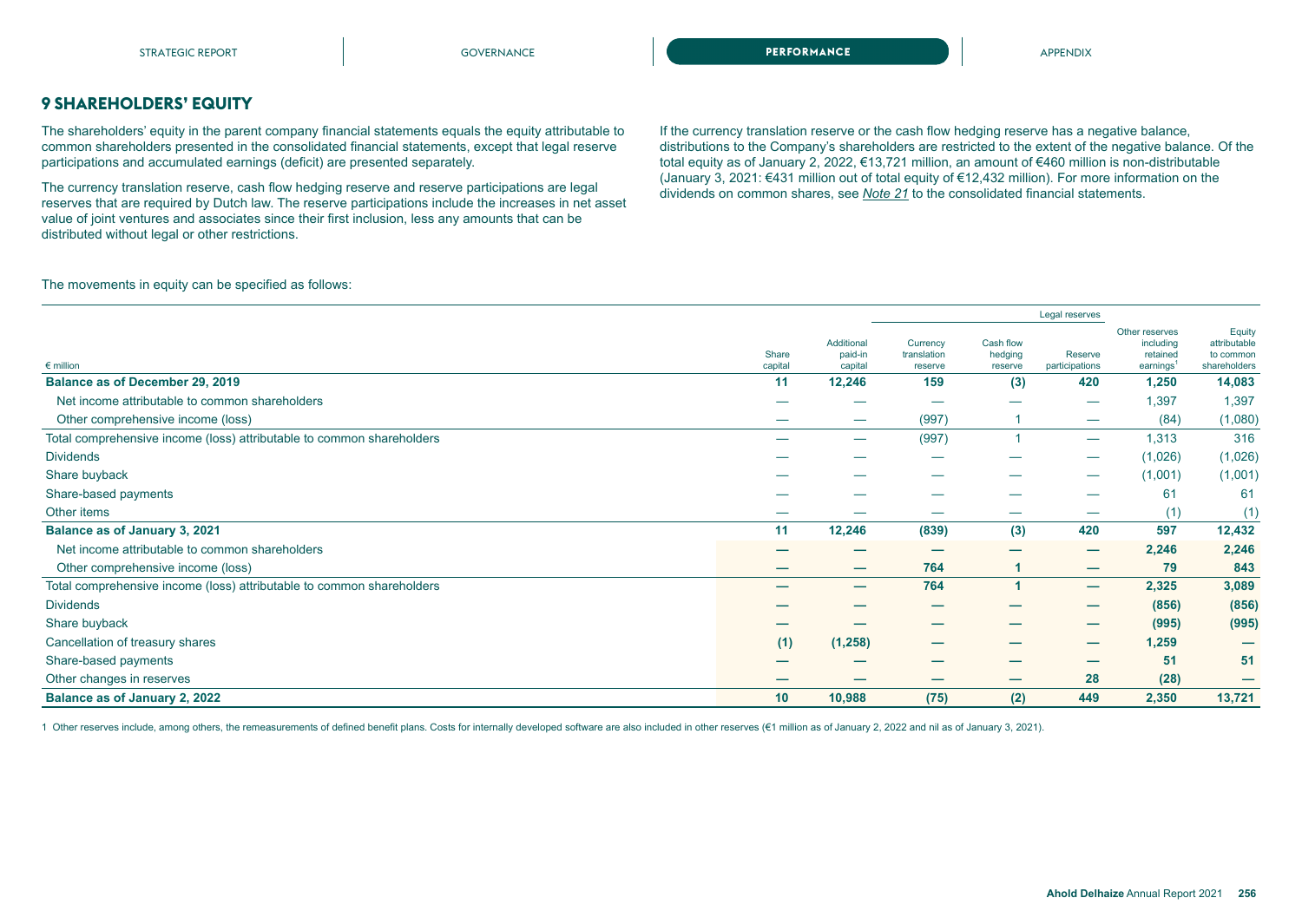### <span id="page-78-0"></span>**9 SHAREHOLDERS' EQUITY**

The shareholders' equity in the parent company financial statements equals the equity attributable to common shareholders presented in the consolidated financial statements, except that legal reserve participations and accumulated earnings (deficit) are presented separately.

The currency translation reserve, cash flow hedging reserve and reserve participations are legal reserves that are required by Dutch law. The reserve participations include the increases in net asset value of joint ventures and associates since their first inclusion, less any amounts that can be distributed without legal or other restrictions.

If the currency translation reserve or the cash flow hedging reserve has a negative balance, distributions to the Company's shareholders are restricted to the extent of the negative balance. Of the total equity as of January 2, 2022, €13,721 million, an amount of €460 million is non-distributable (January 3, 2021: €431 million out of total equity of €12,432 million). For more information on the dividends on common shares, see *[Note 21](#page-34-0)* to the consolidated financial statements.

The movements in equity can be specified as follows:

|                                                                       |                  |                                  |                                    |                                 | Legal reserves            |                                                                  |                                                     |
|-----------------------------------------------------------------------|------------------|----------------------------------|------------------------------------|---------------------------------|---------------------------|------------------------------------------------------------------|-----------------------------------------------------|
| $\epsilon$ million                                                    | Share<br>capital | Additional<br>paid-in<br>capital | Currency<br>translation<br>reserve | Cash flow<br>hedging<br>reserve | Reserve<br>participations | Other reserves<br>including<br>retained<br>earnings <sup>1</sup> | Equity<br>attributable<br>to common<br>shareholders |
| <b>Balance as of December 29, 2019</b>                                | 11               | 12,246                           | 159                                | (3)                             | 420                       | 1,250                                                            | 14,083                                              |
| Net income attributable to common shareholders                        |                  |                                  |                                    |                                 | $\overline{\phantom{m}}$  | 1,397                                                            | 1,397                                               |
| Other comprehensive income (loss)                                     |                  |                                  | (997)                              |                                 | $\overline{\phantom{a}}$  | (84)                                                             | (1,080)                                             |
| Total comprehensive income (loss) attributable to common shareholders |                  |                                  | (997)                              |                                 | $\overline{\phantom{a}}$  | 1,313                                                            | 316                                                 |
| <b>Dividends</b>                                                      |                  |                                  |                                    |                                 |                           | (1,026)                                                          | (1,026)                                             |
| Share buyback                                                         |                  |                                  |                                    |                                 |                           | (1,001)                                                          | (1,001)                                             |
| Share-based payments                                                  |                  |                                  |                                    |                                 |                           | 61                                                               | 61                                                  |
| Other items                                                           |                  |                                  |                                    |                                 |                           | (1)                                                              | (1)                                                 |
| Balance as of January 3, 2021                                         | 11               | 12,246                           | (839)                              | (3)                             | 420                       | 597                                                              | 12,432                                              |
| Net income attributable to common shareholders                        |                  |                                  |                                    |                                 | $\overline{\phantom{0}}$  | 2,246                                                            | 2,246                                               |
| Other comprehensive income (loss)                                     | _                | $\overline{\phantom{a}}$         | 764                                |                                 |                           | 79                                                               | 843                                                 |
| Total comprehensive income (loss) attributable to common shareholders |                  |                                  | 764                                |                                 |                           | 2,325                                                            | 3,089                                               |
| <b>Dividends</b>                                                      |                  |                                  |                                    |                                 | $\overline{\phantom{a}}$  | (856)                                                            | (856)                                               |
| Share buyback                                                         |                  |                                  |                                    |                                 |                           | (995)                                                            | (995)                                               |
| Cancellation of treasury shares                                       | (1)              | (1, 258)                         |                                    |                                 | $\overline{\phantom{a}}$  | 1,259                                                            |                                                     |
| Share-based payments                                                  |                  |                                  |                                    |                                 |                           | 51                                                               | 51                                                  |
| Other changes in reserves                                             |                  |                                  |                                    |                                 | 28                        | (28)                                                             |                                                     |
| Balance as of January 2, 2022                                         | 10 <sup>°</sup>  | 10,988                           | (75)                               | (2)                             | 449                       | 2,350                                                            | 13,721                                              |

1 Other reserves include, among others, the remeasurements of defined benefit plans. Costs for internally developed software are also included in other reserves (€1 million as of January 2, 2022 and nil as of January 3, 20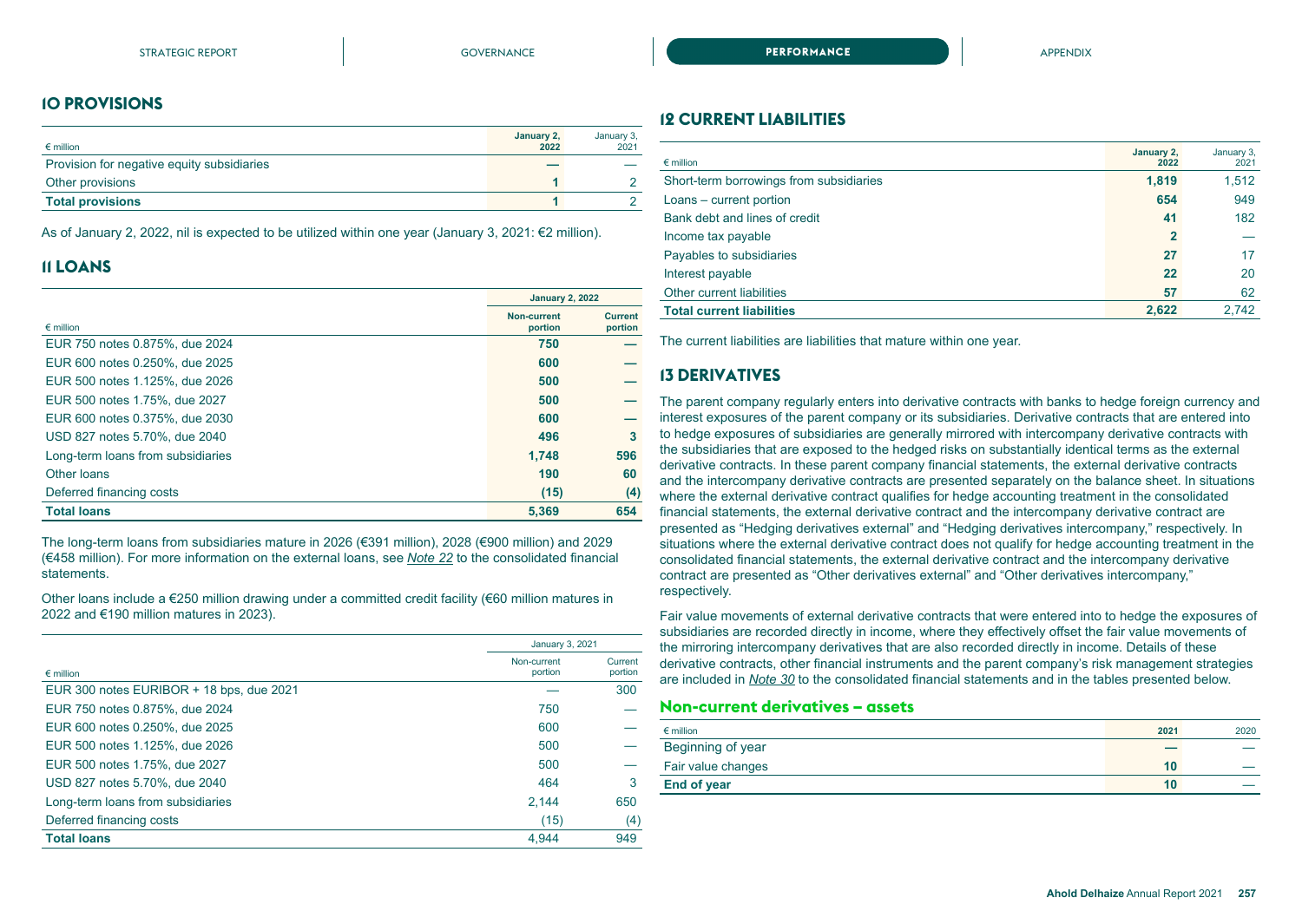### <span id="page-79-0"></span>**10 PROVISIONS**

| $\epsilon$ million                         | January 2,<br>2022 | January 3,<br>2021 |
|--------------------------------------------|--------------------|--------------------|
| Provision for negative equity subsidiaries |                    |                    |
| Other provisions                           |                    |                    |
| <b>Total provisions</b>                    |                    |                    |

As of January 2, 2022, nil is expected to be utilized within one year (January 3, 2021: €2 million).

### **11 LOANS**

|                                   | <b>January 2, 2022</b>        |                           |
|-----------------------------------|-------------------------------|---------------------------|
| $\epsilon$ million                | <b>Non-current</b><br>portion | <b>Current</b><br>portion |
| EUR 750 notes 0.875%, due 2024    | 750                           |                           |
| EUR 600 notes 0.250%, due 2025    | 600                           |                           |
| EUR 500 notes 1.125%, due 2026    | 500                           |                           |
| EUR 500 notes 1.75%, due 2027     | 500                           |                           |
| EUR 600 notes 0.375%, due 2030    | 600                           |                           |
| USD 827 notes 5.70%, due 2040     | 496                           | 3                         |
| Long-term loans from subsidiaries | 1,748                         | 596                       |
| Other loans                       | 190                           | 60                        |
| Deferred financing costs          | (15)                          | (4)                       |
| <b>Total loans</b>                | 5,369                         | 654                       |

The long-term loans from subsidiaries mature in 2026 (€391 million), 2028 (€900 million) and 2029 (€458 million). For more information on the external loans, see *[Note 22](#page-36-0)* to the consolidated financial statements.

Other loans include a €250 million drawing under a committed credit facility (€60 million matures in 2022 and €190 million matures in 2023).

|                                          | January 3, 2021        |                    |
|------------------------------------------|------------------------|--------------------|
| $\epsilon$ million                       | Non-current<br>portion | Current<br>portion |
| EUR 300 notes EURIBOR + 18 bps, due 2021 |                        | 300                |
| EUR 750 notes 0.875%, due 2024           | 750                    |                    |
| EUR 600 notes 0.250%, due 2025           | 600                    |                    |
| EUR 500 notes 1.125%, due 2026           | 500                    |                    |
| EUR 500 notes 1.75%, due 2027            | 500                    |                    |
| USD 827 notes 5.70%, due 2040            | 464                    | 3                  |
| Long-term loans from subsidiaries        | 2.144                  | 650                |
| Deferred financing costs                 | (15)                   | (4)                |
| <b>Total loans</b>                       | 4.944                  | 949                |

### **12 CURRENT LIABILITIES**

| $\epsilon$ million                      | January 2,<br>2022 | January 3,<br>2021 |
|-----------------------------------------|--------------------|--------------------|
| Short-term borrowings from subsidiaries | 1.819              | 1,512              |
| Loans - current portion                 | 654                | 949                |
| Bank debt and lines of credit           | 41                 | 182                |
| Income tax payable                      | $\overline{2}$     |                    |
| Payables to subsidiaries                | 27                 | 17                 |
| Interest payable                        | 22                 | 20                 |
| Other current liabilities               | 57                 | 62                 |
| <b>Total current liabilities</b>        | 2.622              | 2.742              |
|                                         |                    |                    |

The current liabilities are liabilities that mature within one year.

### **13 DERIVATIVES**

The parent company regularly enters into derivative contracts with banks to hedge foreign currency and interest exposures of the parent company or its subsidiaries. Derivative contracts that are entered into to hedge exposures of subsidiaries are generally mirrored with intercompany derivative contracts with the subsidiaries that are exposed to the hedged risks on substantially identical terms as the external derivative contracts. In these parent company financial statements, the external derivative contracts and the intercompany derivative contracts are presented separately on the balance sheet. In situations where the external derivative contract qualifies for hedge accounting treatment in the consolidated financial statements, the external derivative contract and the intercompany derivative contract are presented as "Hedging derivatives external" and "Hedging derivatives intercompany," respectively. In situations where the external derivative contract does not qualify for hedge accounting treatment in the consolidated financial statements, the external derivative contract and the intercompany derivative contract are presented as "Other derivatives external" and "Other derivatives intercompany," respectively.

Fair value movements of external derivative contracts that were entered into to hedge the exposures of subsidiaries are recorded directly in income, where they effectively offset the fair value movements of the mirroring intercompany derivatives that are also recorded directly in income. Details of these derivative contracts, other financial instruments and the parent company's risk management strategies are included in *[Note 30](#page-52-0)* to the consolidated financial statements and in the tables presented below.

### **Non-current derivatives – assets**

| $\epsilon$ million | 2021            | 2020 |
|--------------------|-----------------|------|
| Beginning of year  |                 |      |
| Fair value changes | 10 <sup>1</sup> |      |
| End of year        | 10 <sup>1</sup> |      |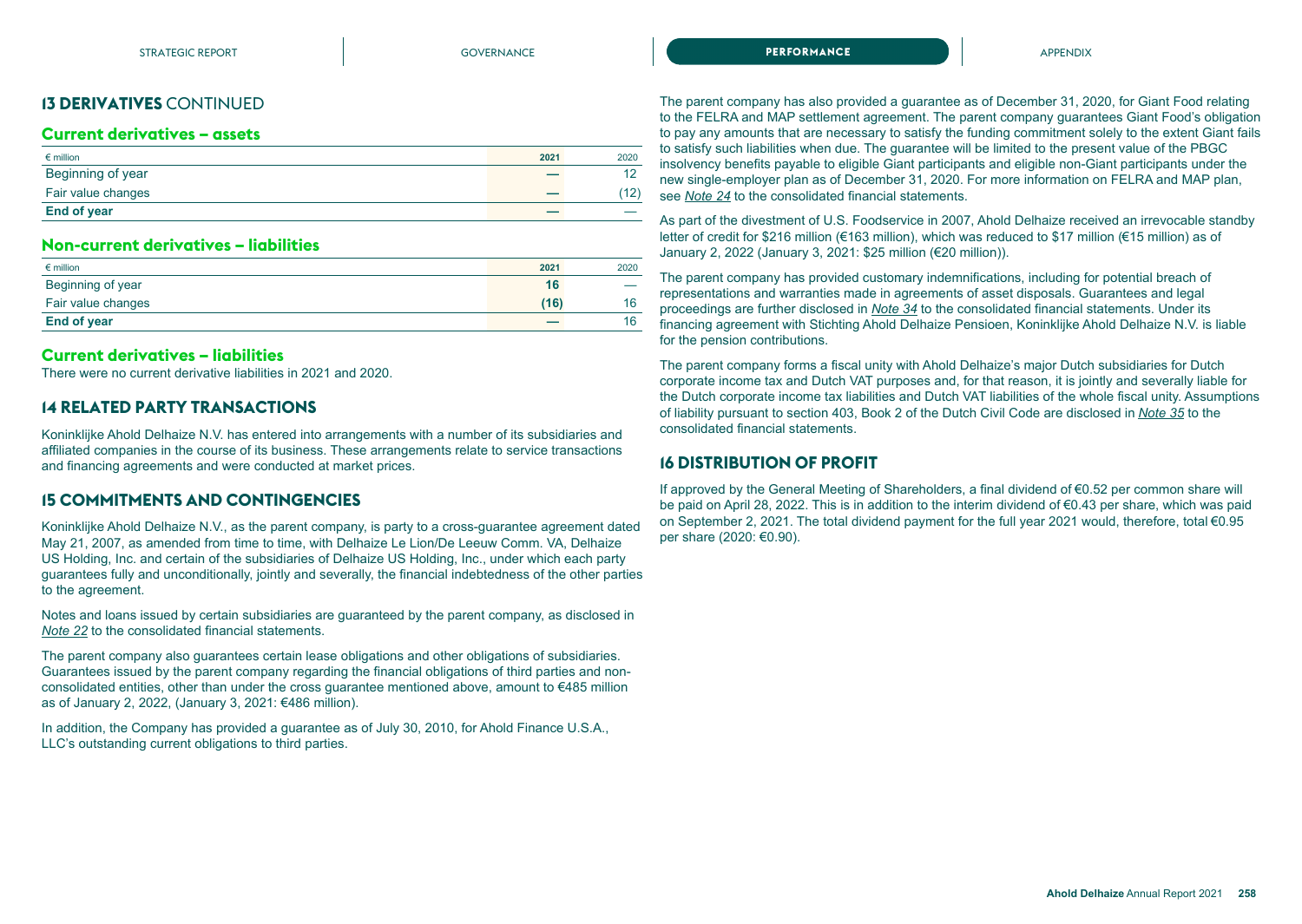### <span id="page-80-0"></span>**13 DERIVATIVES** CONTINUED

### **Current derivatives – assets**

| $\epsilon$ million | 2021 | 2020 |
|--------------------|------|------|
| Beginning of year  |      |      |
| Fair value changes |      | (12) |
| End of year        |      |      |

### **Non-current derivatives – liabilities**

| $\epsilon$ million | 2021 | 2020 |
|--------------------|------|------|
| Beginning of year  | 16   |      |
| Fair value changes | (16) | 16   |
| End of year        |      | 16   |

### **Current derivatives – liabilities**

There were no current derivative liabilities in 2021 and 2020.

### **14 RELATED PARTY TRANSACTIONS**

Koninklijke Ahold Delhaize N.V. has entered into arrangements with a number of its subsidiaries and affiliated companies in the course of its business. These arrangements relate to service transactions and financing agreements and were conducted at market prices.

### **15 COMMITMENTS AND CONTINGENCIES**

Koninklijke Ahold Delhaize N.V., as the parent company, is party to a cross-guarantee agreement dated May 21, 2007, as amended from time to time, with Delhaize Le Lion/De Leeuw Comm. VA, Delhaize US Holding, Inc. and certain of the subsidiaries of Delhaize US Holding, Inc., under which each party guarantees fully and unconditionally, jointly and severally, the financial indebtedness of the other parties to the agreement.

Notes and loans issued by certain subsidiaries are guaranteed by the parent company, as disclosed in *[Note 22](#page-36-0)* to the consolidated financial statements.

The parent company also guarantees certain lease obligations and other obligations of subsidiaries. Guarantees issued by the parent company regarding the financial obligations of third parties and nonconsolidated entities, other than under the cross guarantee mentioned above, amount to €485 million as of January 2, 2022, (January 3, 2021: €486 million).

In addition, the Company has provided a guarantee as of July 30, 2010, for Ahold Finance U.S.A., LLC's outstanding current obligations to third parties.

| <b>PERFORMANCE</b> |  |  |
|--------------------|--|--|
|                    |  |  |

The parent company has also provided a guarantee as of December 31, 2020, for Giant Food relating to the FELRA and MAP settlement agreement. The parent company guarantees Giant Food's obligation to pay any amounts that are necessary to satisfy the funding commitment solely to the extent Giant fails to satisfy such liabilities when due. The guarantee will be limited to the present value of the PBGC insolvency benefits payable to eligible Giant participants and eligible non-Giant participants under the new single-employer plan as of December 31, 2020. For more information on FELRA and MAP plan, see *[Note 24](#page-38-0)* to the consolidated financial statements.

As part of the divestment of U.S. Foodservice in 2007, Ahold Delhaize received an irrevocable standby letter of credit for \$216 million (€163 million), which was reduced to \$17 million (€15 million) as of January 2, 2022 (January 3, 2021: \$25 million (€20 million)).

The parent company has provided customary indemnifications, including for potential breach of representations and warranties made in agreements of asset disposals. Guarantees and legal proceedings are further disclosed in *[Note 34](#page-66-0)* to the consolidated financial statements. Under its financing agreement with Stichting Ahold Delhaize Pensioen, Koninklijke Ahold Delhaize N.V. is liable for the pension contributions.

The parent company forms a fiscal unity with Ahold Delhaize's major Dutch subsidiaries for Dutch corporate income tax and Dutch VAT purposes and, for that reason, it is jointly and severally liable for the Dutch corporate income tax liabilities and Dutch VAT liabilities of the whole fiscal unity. Assumptions of liability pursuant to section 403, Book 2 of the Dutch Civil Code are disclosed in *[Note 35](#page-69-0)* to the consolidated financial statements.

### **16 DISTRIBUTION OF PROFIT**

If approved by the General Meeting of Shareholders, a final dividend of €0.52 per common share will be paid on April 28, 2022. This is in addition to the interim dividend of €0.43 per share, which was paid on September 2, 2021. The total dividend payment for the full year 2021 would, therefore, total €0.95 per share (2020: €0.90).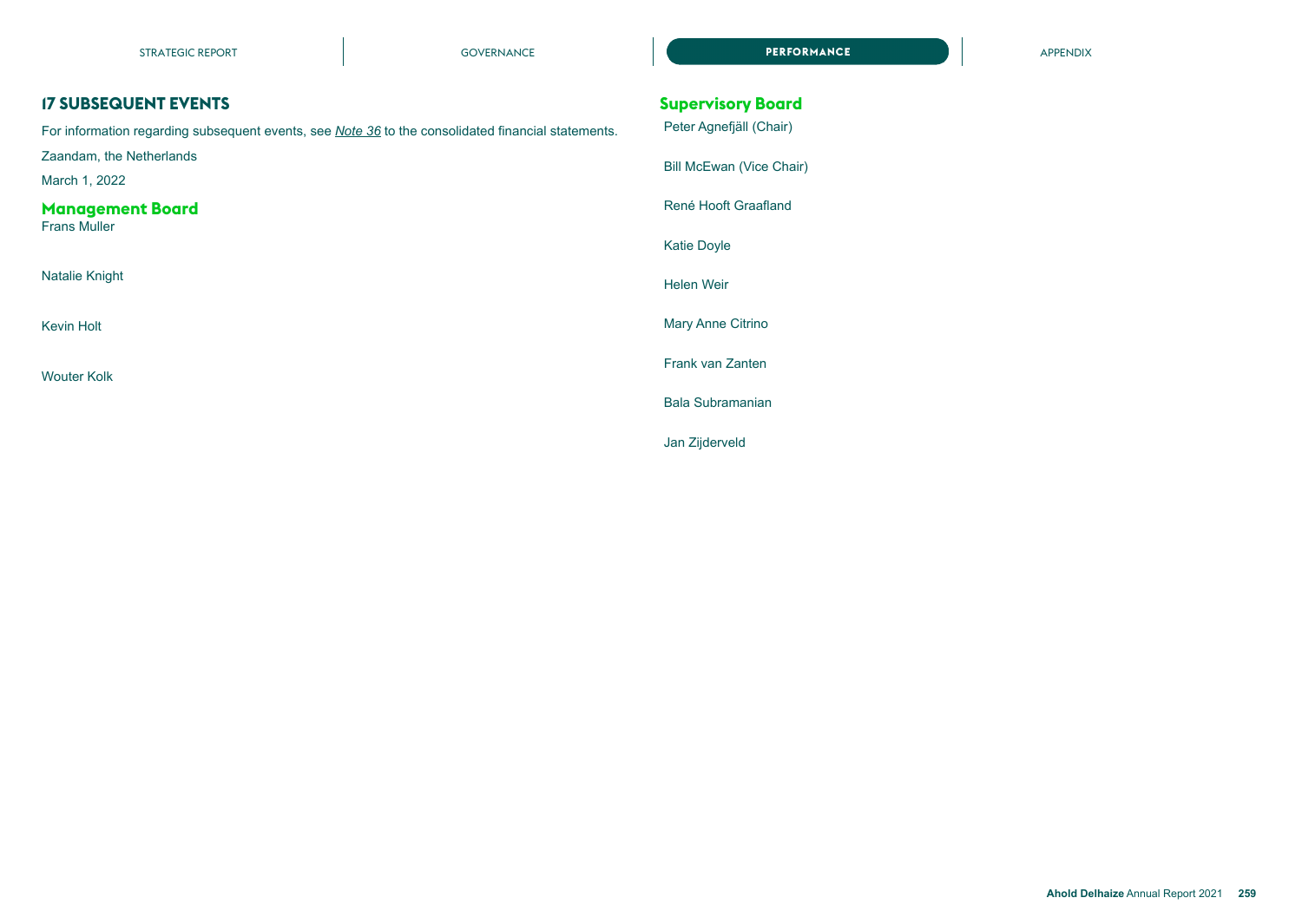<span id="page-81-0"></span>

| <b>17 SUBSEQUENT EVENTS</b>                                                                        | <b>Supervisory Board</b>        |
|----------------------------------------------------------------------------------------------------|---------------------------------|
| For information regarding subsequent events, see Note 36 to the consolidated financial statements. | Peter Agnefjäll (Chair)         |
| Zaandam, the Netherlands                                                                           | <b>Bill McEwan (Vice Chair)</b> |
| March 1, 2022                                                                                      |                                 |
| <b>Management Board</b><br><b>Frans Muller</b>                                                     | René Hooft Graafland            |
|                                                                                                    | <b>Katie Doyle</b>              |
| Natalie Knight                                                                                     | <b>Helen Weir</b>               |
| <b>Kevin Holt</b>                                                                                  | Mary Anne Citrino               |
| <b>Wouter Kolk</b>                                                                                 | Frank van Zanten                |
|                                                                                                    | <b>Bala Subramanian</b>         |
|                                                                                                    | Jan Zijderveld                  |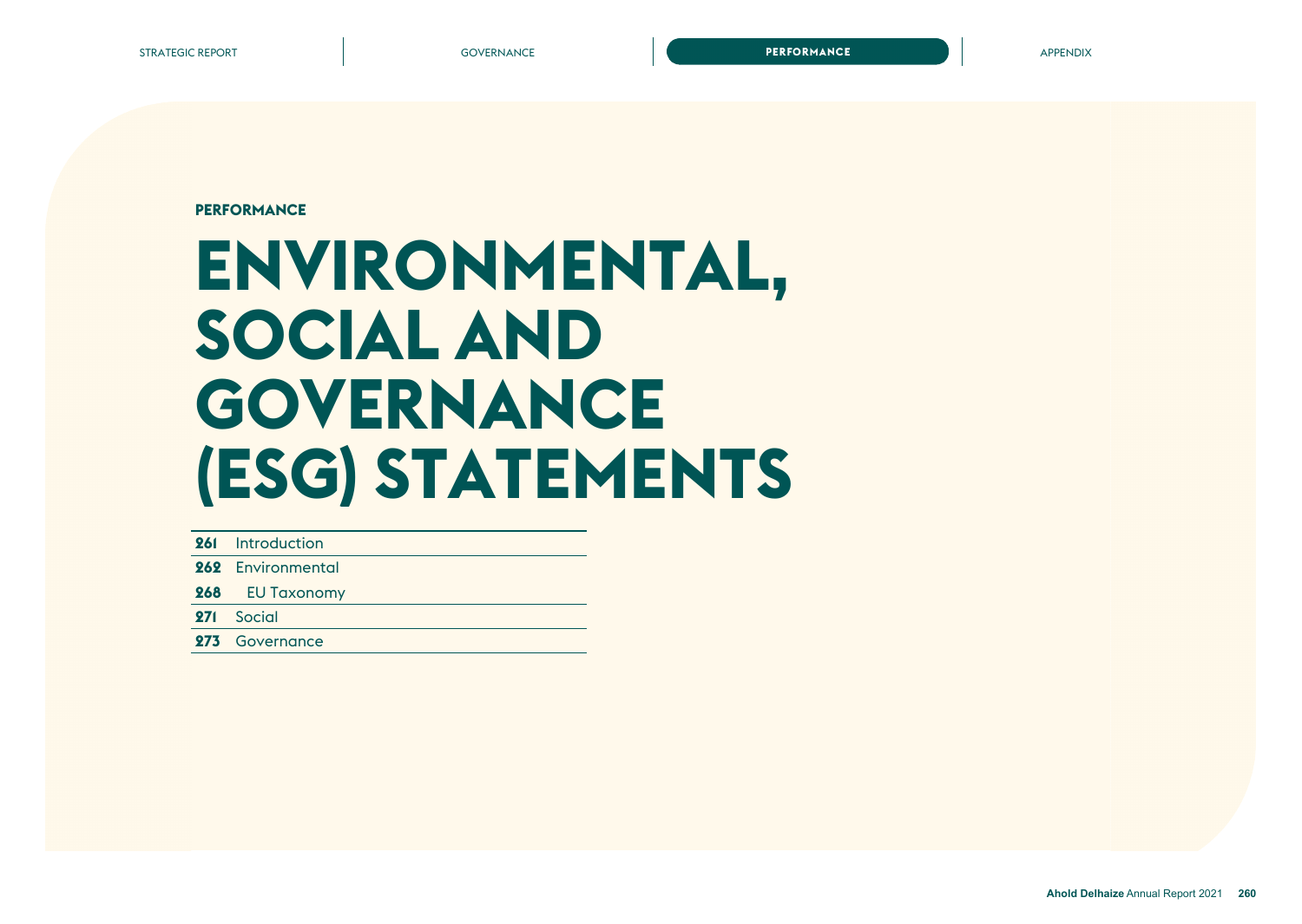**PERFORMANCE**

# **ENVIRONMENTAL, SOCIAL AND GOVERNANCE (ESG) STATEMENTS**

| <b>261</b> Introduction  |
|--------------------------|
| <b>262</b> Environmental |
| 268 EU Taxonomy          |

**[271](#page-93-0)** [Social](#page-93-0)

**[273](#page-95-0)** [Governance](#page-95-0)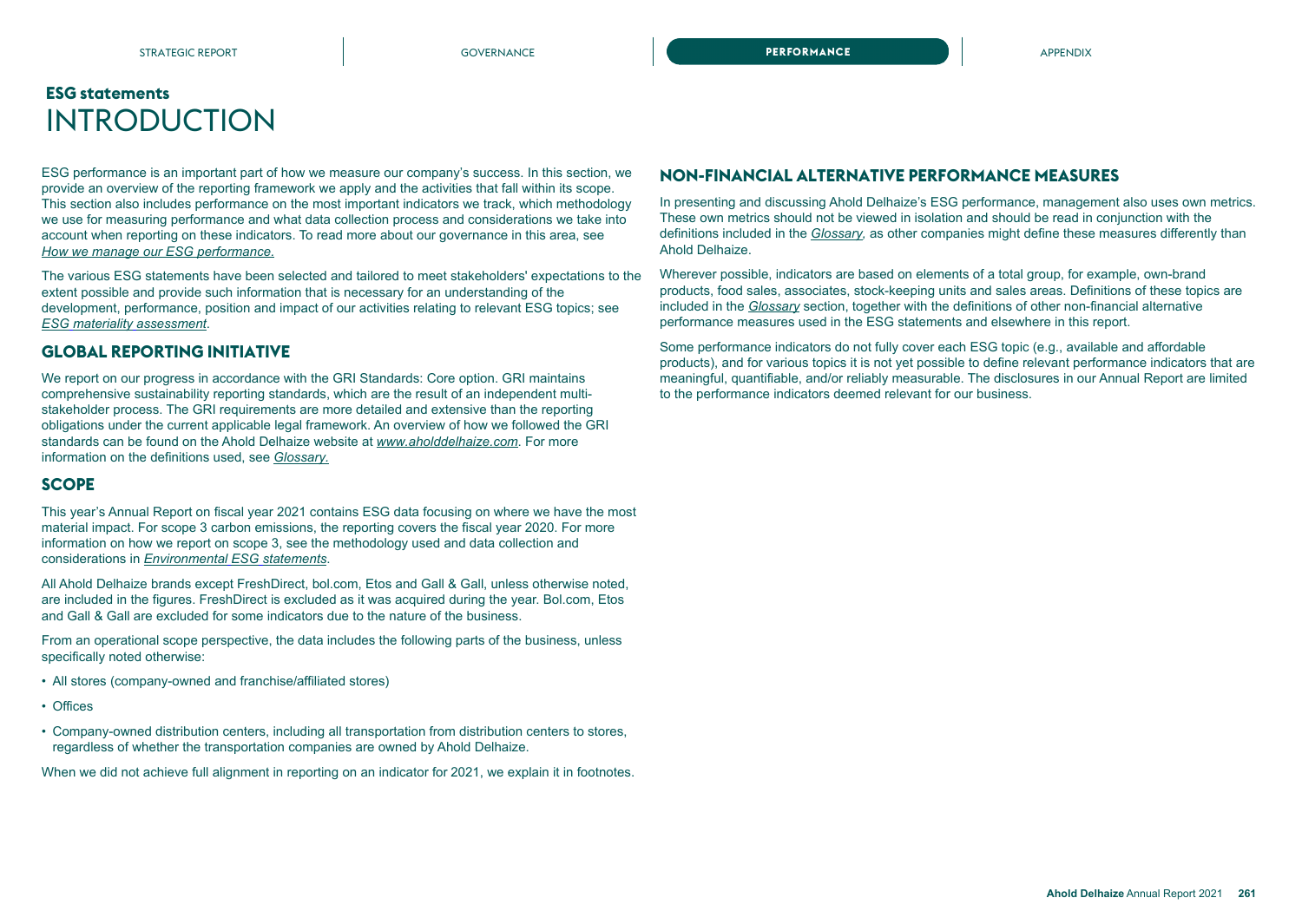# <span id="page-83-0"></span>**ESG statements** INTRODUCTION

ESG performance is an important part of how we measure our company's success. In this section, we provide an overview of the reporting framework we apply and the activities that fall within its scope. This section also includes performance on the most important indicators we track, which methodology we use for measuring performance and what data collection process and considerations we take into account when reporting on these indicators. To read more about our governance in this area, see *How we manage our ESG performance.*

The various ESG statements have been selected and tailored to meet stakeholders' expectations to the extent possible and provide such information that is necessary for an understanding of the development, performance, position and impact of our activities relating to relevant ESG topics; see *ESG materiality assessment*.

### **GLOBAL REPORTING INITIATIVE**

We report on our progress in accordance with the GRI Standards: Core option. GRI maintains comprehensive sustainability reporting standards, which are the result of an independent multistakeholder process. The GRI requirements are more detailed and extensive than the reporting obligations under the current applicable legal framework. [A](https://www.aholddelhaize.com/en/investors/annual-reports/2021/)n overview of how we followed the GRI standards can be found on the Ahold Delhaize website at *[www.aholddelhaize.com](https://www.aholddelhaize.com/en/investors/annual-reports/2021/)*. For more information on the definitions used, see *Glossary.*

### **SCOPE**

This year's Annual Report on fiscal year 2021 contains ESG data focusing on where we have the most material impact. For scope 3 carbon emissions, the reporting covers the fiscal year 2020. For more information on how we report o[n](#page-84-0) sco[pe](#page-84-0) 3, see the methodology used and data collection and considerations in *[Environmental](#page-84-0) [ESG](#page-84-0) [statements](#page-84-0)*.

All Ahold Delhaize brands except FreshDirect, bol.com, Etos and Gall & Gall, unless otherwise noted, are included in the figures. FreshDirect is excluded as it was acquired during the year. Bol.com, Etos and Gall & Gall are excluded for some indicators due to the nature of the business.

From an operational scope perspective, the data includes the following parts of the business, unless specifically noted otherwise:

- All stores (company-owned and franchise/affiliated stores)
- Offices
- Company-owned distribution centers, including all transportation from distribution centers to stores, regardless of whether the transportation companies are owned by Ahold Delhaize.

When we did not achieve full alignment in reporting on an indicator for 2021, we explain it in footnotes.

### **NON-FINANCIAL ALTERNATIVE PERFORMANCE MEASURES**

In presenting and discussing Ahold Delhaize's ESG performance, management also uses own metrics. These own metrics should not be viewed in isolation and should be read in conjunction with the definitions included in the *Glossary,* as other companies might define these measures differently than Ahold Delhaize.

Wherever possible, indicators are based on elements of a total group, for example, own-brand products, food sales, associates, stock-keeping units and sales areas. Definitions of these topics are included in the *Glossary* section, together with the definitions of other non-financial alternative performance measures used in the ESG statements and elsewhere in this report.

Some performance indicators do not fully cover each ESG topic (e.g., available and affordable products), and for various topics it is not yet possible to define relevant performance indicators that are meaningful, quantifiable, and/or reliably measurable. The disclosures in our Annual Report are limited to the performance indicators deemed relevant for our business.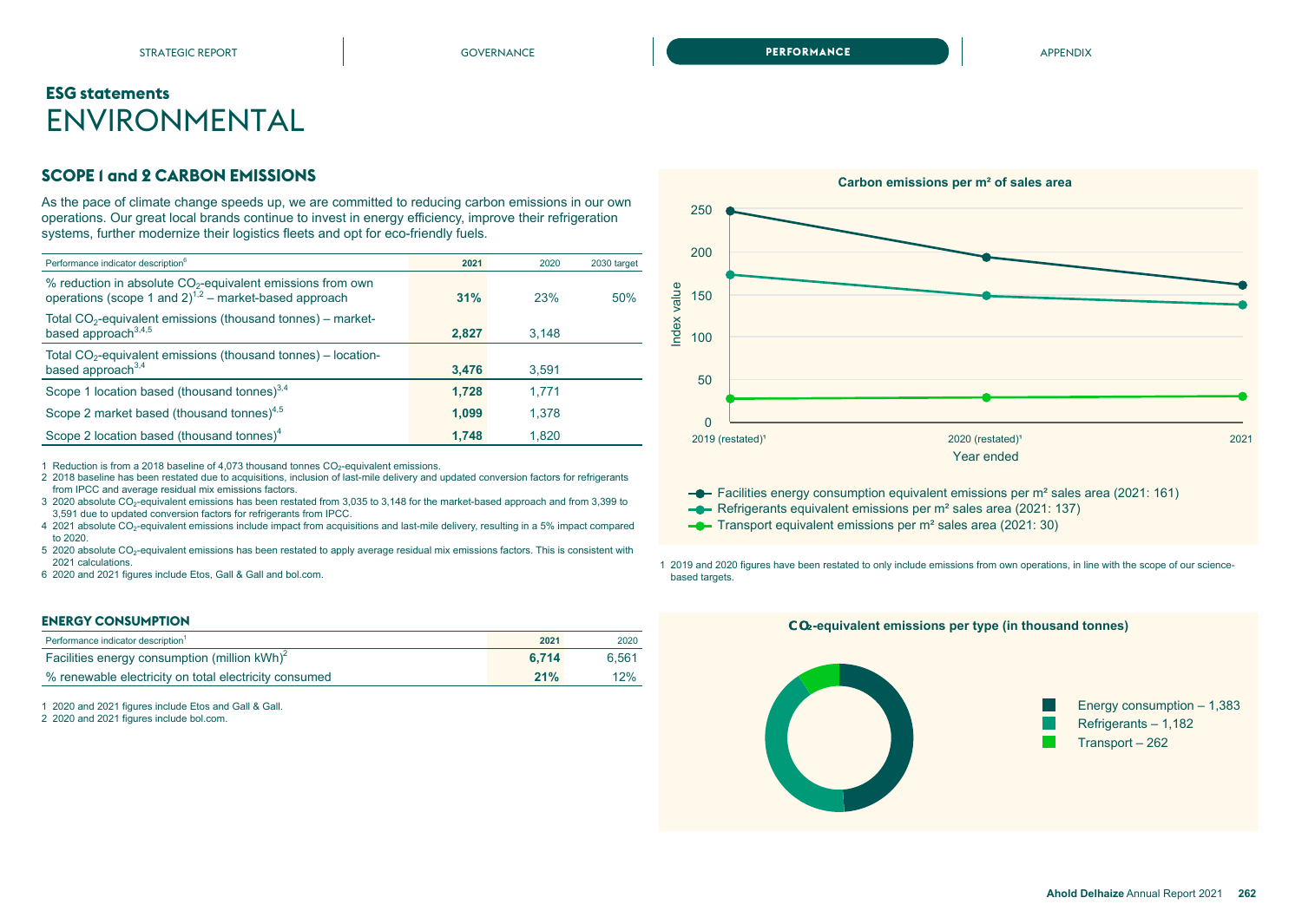### <span id="page-84-0"></span>**SCOPE 1 and 2 CARBON EMISSIONS**

As the pace of climate change speeds up, we are committed to reducing carbon emissions in our own operations. Our great local brands continue to invest in energy efficiency, improve their refrigeration systems, further modernize their logistics fleets and opt for eco-friendly fuels.

| Performance indicator description <sup>6</sup>                                                                             | 2021  | 2020  | 2030 target |
|----------------------------------------------------------------------------------------------------------------------------|-------|-------|-------------|
| % reduction in absolute $CO2$ -equivalent emissions from own<br>operations (scope 1 and $2)^{1,2}$ – market-based approach | 31%   | 23%   | 50%         |
| Total $CO_2$ -equivalent emissions (thousand tonnes) – market-<br>based approach $3,4,5$                                   | 2.827 | 3.148 |             |
| Total $CO_2$ -equivalent emissions (thousand tonnes) – location-<br>based approach <sup>3,4</sup>                          | 3,476 | 3,591 |             |
| Scope 1 location based (thousand tonnes) <sup>3,4</sup>                                                                    | 1,728 | 1.771 |             |
| Scope 2 market based (thousand tonnes) <sup>4,5</sup>                                                                      | 1,099 | 1.378 |             |
| Scope 2 location based (thousand tonnes) <sup>4</sup>                                                                      | 1.748 | 1,820 |             |

1 Reduction is from a 2018 baseline of 4,073 thousand tonnes  $CO<sub>2</sub>$ -equivalent emissions.

2 2018 baseline has been restated due to acquisitions, inclusion of last-mile delivery and updated conversion factors for refrigerants from IPCC and average residual mix emissions factors.

3 2020 absolute CO<sub>2</sub>-equivalent emissions has been restated from 3,035 to 3,148 for the market-based approach and from 3,399 to 3,591 due to updated conversion factors for refrigerants from IPCC.

4 2021 absolute CO<sub>2</sub>-equivalent emissions include impact from acquisitions and last-mile delivery, resulting in a 5% impact compared to 2020.

5 2020 absolute CO<sub>2</sub>-equivalent emissions has been restated to apply average residual mix emissions factors. This is consistent with 2021 calculations

6 2020 and 2021 figures include Etos, Gall & Gall and bol.com.

#### **ENERGY CONSUMPTION**

| Performance indicator description <sup>1</sup>              | 2021  | 2020  |
|-------------------------------------------------------------|-------|-------|
| Facilities energy consumption (million $kWh$ ) <sup>2</sup> | 6.714 | 6.561 |
| % renewable electricity on total electricity consumed       | 21%   | 12%   |

1 2020 and 2021 figures include Etos and Gall & Gall.

2 2020 and 2021 figures include bol.com.



- ← Facilities energy consumption equivalent emissions per m<sup>2</sup> sales area (2021: 161)
- Refrigerants equivalent emissions per m<sup>2</sup> sales area (2021: 137)
- $\rightarrow$  Transport equivalent emissions per m<sup>2</sup> sales area (2021: 30)

1 2019 and 2020 figures have been restated to only include emissions from own operations, in line with the scope of our sciencebased targets.

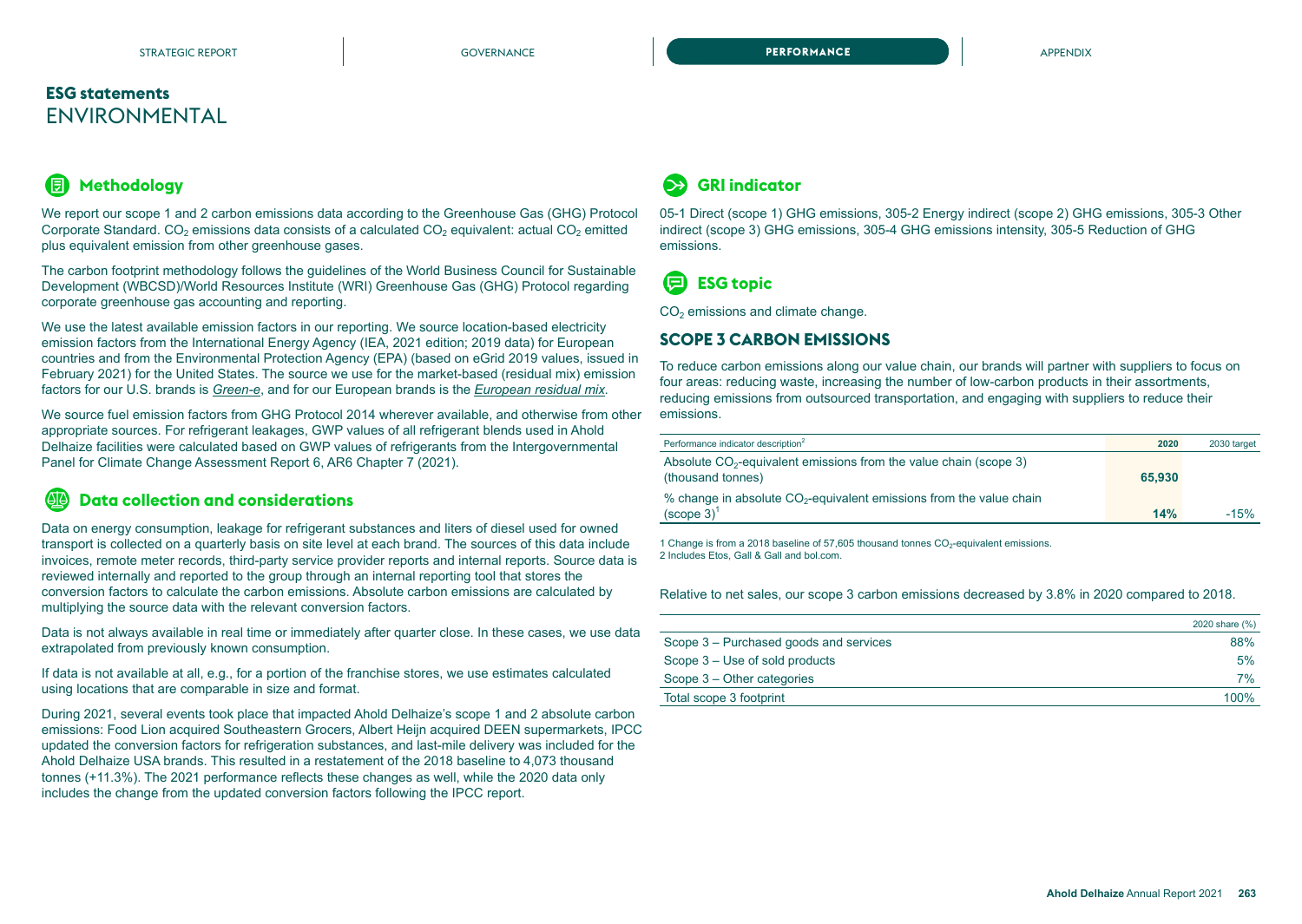#### **Methodology** 侗

We report our scope 1 and 2 carbon emissions data according to the Greenhouse Gas (GHG) Protocol Corporate Standard. CO<sub>2</sub> emissions data consists of a calculated CO<sub>2</sub> equivalent: actual CO<sub>2</sub> emitted plus equivalent emission from other greenhouse gases.

The carbon footprint methodology follows the guidelines of the World Business Council for Sustainable Development (WBCSD)/World Resources Institute (WRI) Greenhouse Gas (GHG) Protocol regarding corporate greenhouse gas accounting and reporting.

We use the latest available emission factors in our reporting. We source location-based electricity emission factors from the International Energy Agency (IEA, 2021 edition; 2019 data) for European countries and from the Environmental Protection Agency (EPA) (based on eGrid 2019 values, issued in February 2021) for the United States. The source we use for the market-based (residual mix) emission factors for our U.S. brands is *[Green-e](https://www.green-e.org/2020-residual-mix)*, and for our European brands is the *[European residual mix](https://www.aib-net.org/facts/european-residual-mix)*.

We source fuel emission factors from GHG Protocol 2014 wherever available, and otherwise from other appropriate sources. For refrigerant leakages, GWP values of all refrigerant blends used in Ahold Delhaize facilities were calculated based on GWP values of refrigerants from the Intergovernmental Panel for Climate Change Assessment Report 6, AR6 Chapter 7 (2021).

# **Data collection and considerations**

Data on energy consumption, leakage for refrigerant substances and liters of diesel used for owned transport is collected on a quarterly basis on site level at each brand. The sources of this data include invoices, remote meter records, third-party service provider reports and internal reports. Source data is reviewed internally and reported to the group through an internal reporting tool that stores the conversion factors to calculate the carbon emissions. Absolute carbon emissions are calculated by multiplying the source data with the relevant conversion factors.

Data is not always available in real time or immediately after quarter close. In these cases, we use data extrapolated from previously known consumption.

If data is not available at all, e.g., for a portion of the franchise stores, we use estimates calculated using locations that are comparable in size and format.

During 2021, several events took place that impacted Ahold Delhaize's scope 1 and 2 absolute carbon emissions: Food Lion acquired Southeastern Grocers, Albert Heijn acquired DEEN supermarkets, IPCC updated the conversion factors for refrigeration substances, and last-mile delivery was included for the Ahold Delhaize USA brands. This resulted in a restatement of the 2018 baseline to 4,073 thousand tonnes (+11.3%). The 2021 performance reflects these changes as well, while the 2020 data only includes the change from the updated conversion factors following the IPCC report.

# **GRI indicator**

05-1 Direct (scope 1) GHG emissions, 305-2 Energy indirect (scope 2) GHG emissions, 305-3 Other indirect (scope 3) GHG emissions, 305-4 GHG emissions intensity, 305-5 Reduction of GHG emissions.

#### 曰 **ESG topic**

 $CO<sub>2</sub>$  emissions and climate change.

# **SCOPE 3 CARBON EMISSIONS**

To reduce carbon emissions along our value chain, our brands will partner with suppliers to focus on four areas: reducing waste, increasing the number of low-carbon products in their assortments, reducing emissions from outsourced transportation, and engaging with suppliers to reduce their emissions.

| Performance indicator description <sup>2</sup>                                                   | 2020   | 2030 target |
|--------------------------------------------------------------------------------------------------|--------|-------------|
| Absolute $CO_2$ -equivalent emissions from the value chain (scope 3)<br>(thousand tonnes)        | 65,930 |             |
| % change in absolute CO <sub>2</sub> -equivalent emissions from the value chain<br>$(scope 3)^1$ | 14%    | $-15%$      |
|                                                                                                  |        |             |

1 Change is from a 2018 baseline of 57,605 thousand tonnes  $CO<sub>2</sub>$ -equivalent emissions. 2 Includes Etos, Gall & Gall and bol.com.

Relative to net sales, our scope 3 carbon emissions decreased by 3.8% in 2020 compared to 2018.

|                                        | 2020 share (%) |
|----------------------------------------|----------------|
| Scope 3 – Purchased goods and services | 88%            |
| Scope 3 – Use of sold products         | 5%             |
| Scope 3 – Other categories             | 7%             |
| Total scope 3 footprint                | 100%           |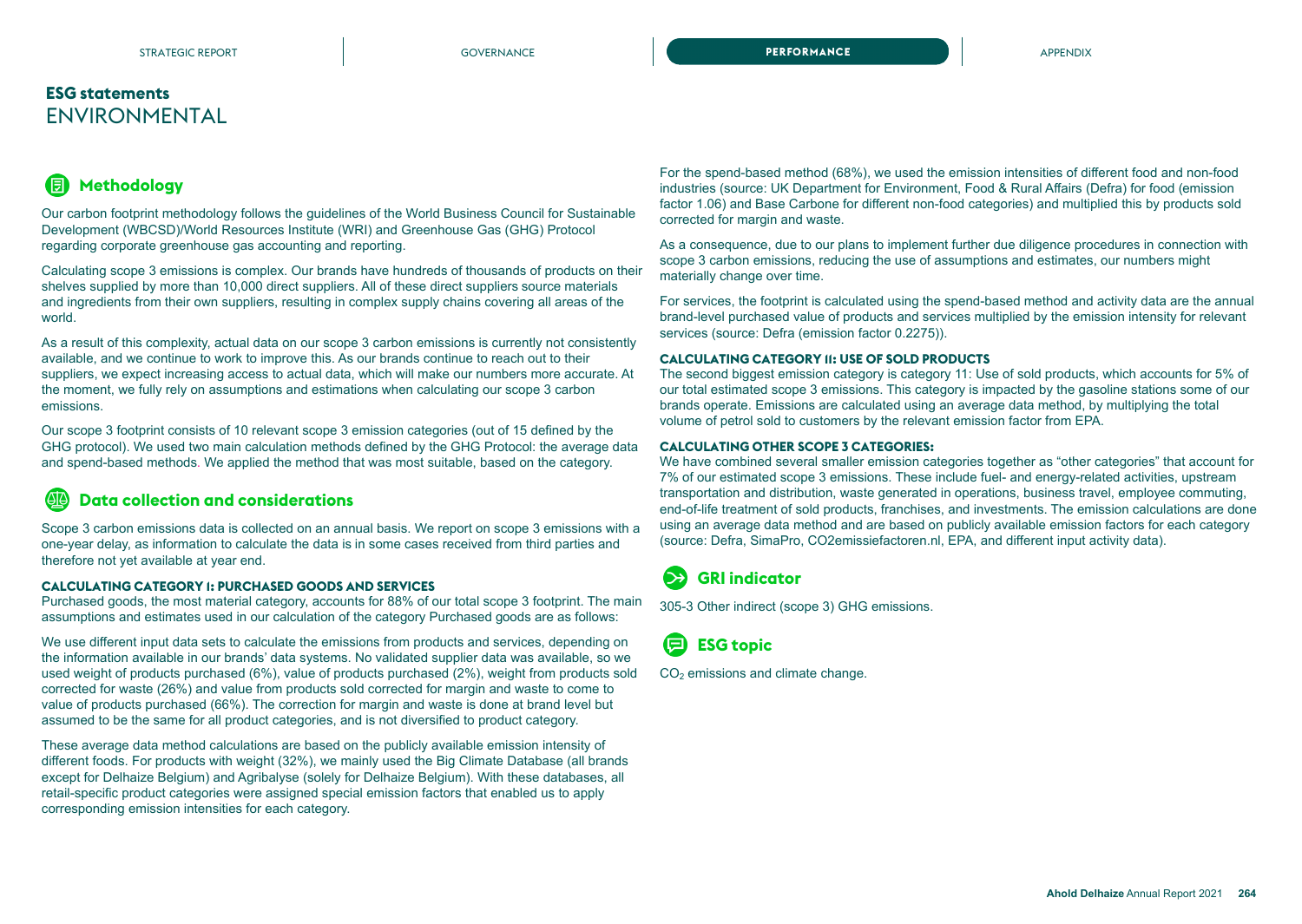#### **Methodology** 侗

Our carbon footprint methodology follows the guidelines of the World Business Council for Sustainable Development (WBCSD)/World Resources Institute (WRI) and Greenhouse Gas (GHG) Protocol regarding corporate greenhouse gas accounting and reporting.

Calculating scope 3 emissions is complex. Our brands have hundreds of thousands of products on their shelves supplied by more than 10,000 direct suppliers. All of these direct suppliers source materials and ingredients from their own suppliers, resulting in complex supply chains covering all areas of the world.

As a result of this complexity, actual data on our scope 3 carbon emissions is currently not consistently available, and we continue to work to improve this. As our brands continue to reach out to their suppliers, we expect increasing access to actual data, which will make our numbers more accurate. At the moment, we fully rely on assumptions and estimations when calculating our scope 3 carbon emissions.

Our scope 3 footprint consists of 10 relevant scope 3 emission categories (out of 15 defined by the GHG protocol). We used two main calculation methods defined by the GHG Protocol: the average data and spend-based methods. We applied the method that was most suitable, based on the category.

# **Data collection and considerations**

Scope 3 carbon emissions data is collected on an annual basis. We report on scope 3 emissions with a one-year delay, as information to calculate the data is in some cases received from third parties and therefore not yet available at year end.

#### **CALCULATING CATEGORY 1: PURCHASED GOODS AND SERVICES**

Purchased goods, the most material category, accounts for 88% of our total scope 3 footprint. The main assumptions and estimates used in our calculation of the category Purchased goods are as follows:

We use different input data sets to calculate the emissions from products and services, depending on the information available in our brands' data systems. No validated supplier data was available, so we used weight of products purchased (6%), value of products purchased (2%), weight from products sold corrected for waste (26%) and value from products sold corrected for margin and waste to come to value of products purchased (66%). The correction for margin and waste is done at brand level but assumed to be the same for all product categories, and is not diversified to product category.

These average data method calculations are based on the publicly available emission intensity of different foods. For products with weight (32%), we mainly used the Big Climate Database (all brands except for Delhaize Belgium) and Agribalyse (solely for Delhaize Belgium). With these databases, all retail-specific product categories were assigned special emission factors that enabled us to apply corresponding emission intensities for each category.

For the spend-based method (68%), we used the emission intensities of different food and non-food industries (source: UK Department for Environment, Food & Rural Affairs (Defra) for food (emission factor 1.06) and Base Carbone for different non-food categories) and multiplied this by products sold corrected for margin and waste.

As a consequence, due to our plans to implement further due diligence procedures in connection with scope 3 carbon emissions, reducing the use of assumptions and estimates, our numbers might materially change over time.

For services, the footprint is calculated using the spend-based method and activity data are the annual brand-level purchased value of products and services multiplied by the emission intensity for relevant services (source: Defra (emission factor 0.2275)).

#### **CALCULATING CATEGORY 11: USE OF SOLD PRODUCTS**

The second biggest emission category is category 11: Use of sold products, which accounts for 5% of our total estimated scope 3 emissions. This category is impacted by the gasoline stations some of our brands operate. Emissions are calculated using an average data method, by multiplying the total volume of petrol sold to customers by the relevant emission factor from EPA.

#### **CALCULATING OTHER SCOPE 3 CATEGORIES:**

We have combined several smaller emission categories together as "other categories" that account for 7% of our estimated scope 3 emissions. These include fuel- and energy-related activities, upstream transportation and distribution, waste generated in operations, business travel, employee commuting, end-of-life treatment of sold products, franchises, and investments. The emission calculations are done using an average data method and are based on publicly available emission factors for each category (source: Defra, SimaPro, CO2emissiefactoren.nl, EPA, and different input activity data).

# **GRI indicator**

305-3 Other indirect (scope 3) GHG emissions.

**ESG topic** Θ

 $CO<sub>2</sub>$  emissions and climate change.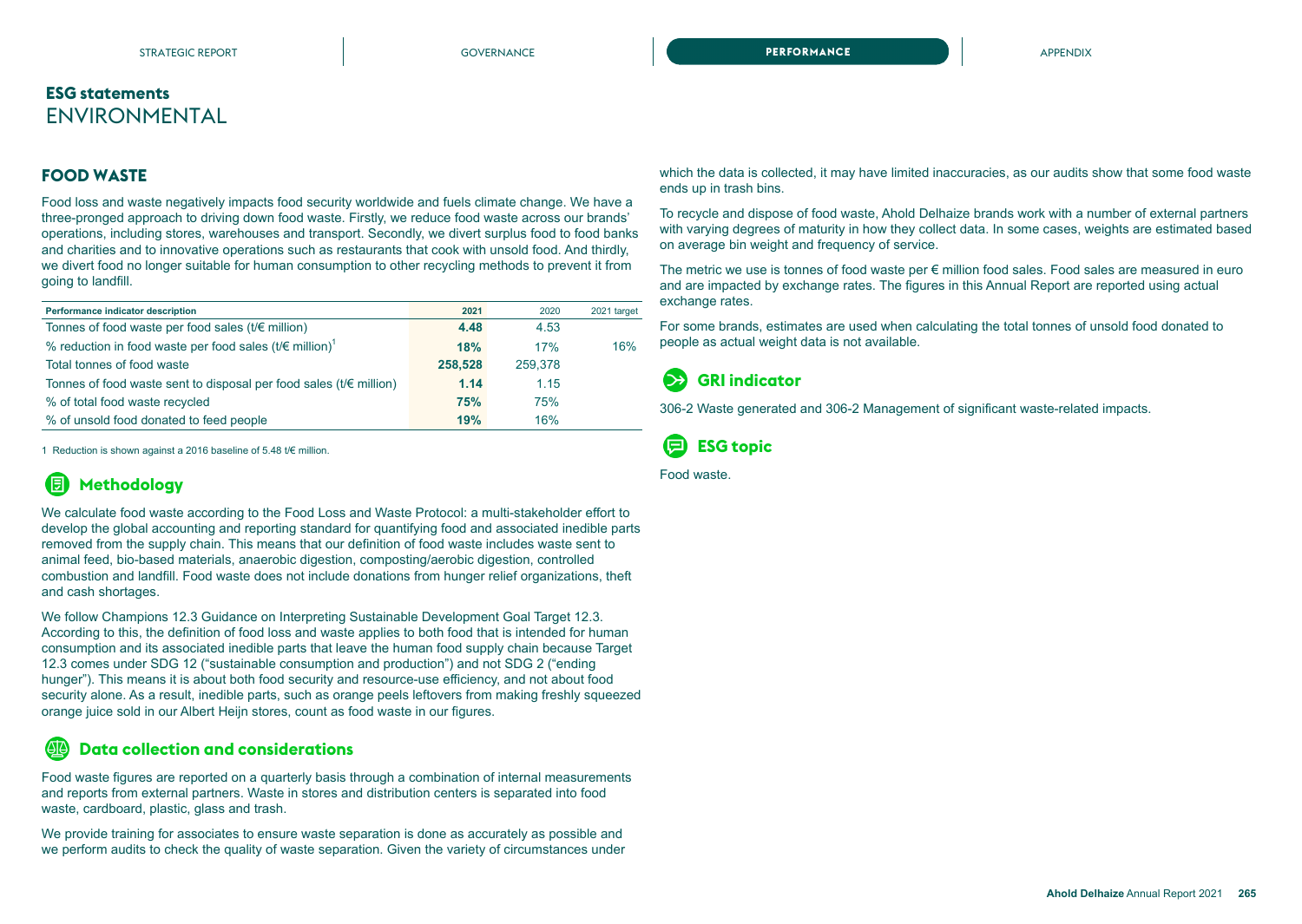# **FOOD WASTE**

Food loss and waste negatively impacts food security worldwide and fuels climate change. We have a three-pronged approach to driving down food waste. Firstly, we reduce food waste across our brands' operations, including stores, warehouses and transport. Secondly, we divert surplus food to food banks and charities and to innovative operations such as restaurants that cook with unsold food. And thirdly, we divert food no longer suitable for human consumption to other recycling methods to prevent it from going to landfill.

| Performance indicator description                                               | 2021       | 2020    | 2021 target |
|---------------------------------------------------------------------------------|------------|---------|-------------|
| Tonnes of food waste per food sales ( $t \notin$ million)                       | 4.48       | 4.53    |             |
| % reduction in food waste per food sales $(t/\epsilon \text{ million})^1$       | 18%        | 17%     | 16%         |
| Total tonnes of food waste                                                      | 258,528    | 259,378 |             |
| Tonnes of food waste sent to disposal per food sales ( $t \in \text{million}$ ) | 1.14       | 1.15    |             |
| % of total food waste recycled                                                  | <b>75%</b> | 75%     |             |
| % of unsold food donated to feed people                                         | 19%        | 16%     |             |
|                                                                                 |            |         |             |

1 Reduction is shown against a 2016 baseline of 5.48 t/€ million.

#### 偏 **Methodology**

We calculate food waste according to the Food Loss and Waste Protocol: a multi-stakeholder effort to develop the global accounting and reporting standard for quantifying food and associated inedible parts removed from the supply chain. This means that our definition of food waste includes waste sent to animal feed, bio-based materials, anaerobic digestion, composting/aerobic digestion, controlled combustion and landfill. Food waste does not include donations from hunger relief organizations, theft and cash shortages.

We follow Champions 12.3 Guidance on Interpreting Sustainable Development Goal Target 12.3. According to this, the definition of food loss and waste applies to both food that is intended for human consumption and its associated inedible parts that leave the human food supply chain because Target 12.3 comes under SDG 12 ("sustainable consumption and production") and not SDG 2 ("ending hunger"). This means it is about both food security and resource-use efficiency, and not about food security alone. As a result, inedible parts, such as orange peels leftovers from making freshly squeezed orange juice sold in our Albert Heijn stores, count as food waste in our figures.

# **Data collection and considerations**

Food waste figures are reported on a quarterly basis through a combination of internal measurements and reports from external partners. Waste in stores and distribution centers is separated into food waste, cardboard, plastic, glass and trash.

We provide training for associates to ensure waste separation is done as accurately as possible and we perform audits to check the quality of waste separation. Given the variety of circumstances under which the data is collected, it may have limited inaccuracies, as our audits show that some food waste ends up in trash bins.

To recycle and dispose of food waste, Ahold Delhaize brands work with a number of external partners with varying degrees of maturity in how they collect data. In some cases, weights are estimated based on average bin weight and frequency of service.

The metric we use is tonnes of food waste per € million food sales. Food sales are measured in euro and are impacted by exchange rates. The figures in this Annual Report are reported using actual exchange rates.

For some brands, estimates are used when calculating the total tonnes of unsold food donated to people as actual weight data is not available.

# **GRI indicator**

306-2 Waste generated and 306-2 Management of significant waste-related impacts.

**ESG topic**

Food waste.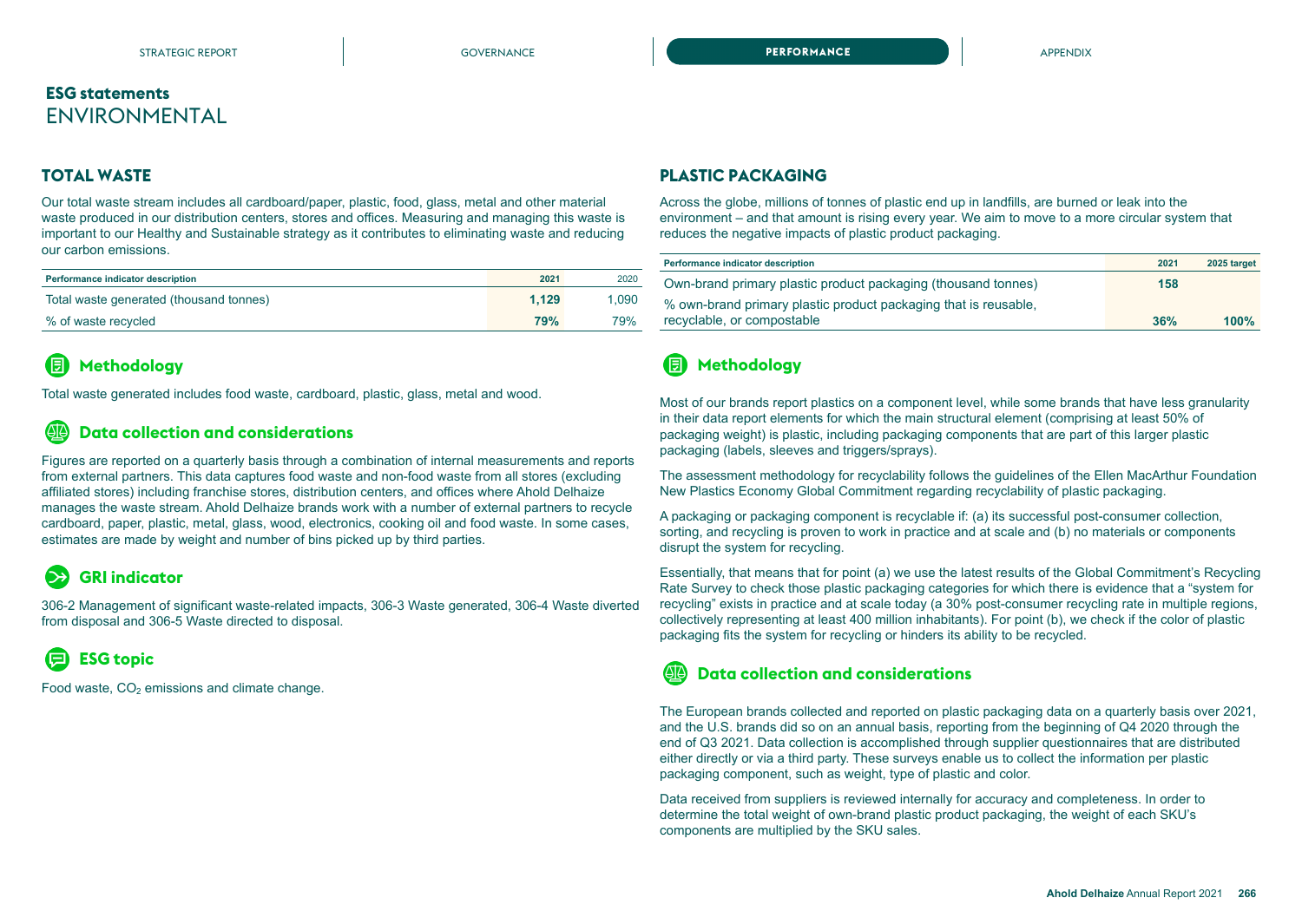### **TOTAL WASTE**

Our total waste stream includes all cardboard/paper, plastic, food, glass, metal and other material waste produced in our distribution centers, stores and offices. Measuring and managing this waste is important to our Healthy and Sustainable strategy as it contributes to eliminating waste and reducing our carbon emissions.

| <b>Performance indicator description</b> | 2021       | 2020  |
|------------------------------------------|------------|-------|
| Total waste generated (thousand tonnes)  |            | 1.090 |
| % of waste recycled                      | <b>79%</b> | 79%   |

#### **Methodology** ( 15 1

Total waste generated includes food waste, cardboard, plastic, glass, metal and wood.

# **Data collection and considerations**

Figures are reported on a quarterly basis through a combination of internal measurements and reports from external partners. This data captures food waste and non-food waste from all stores (excluding affiliated stores) including franchise stores, distribution centers, and offices where Ahold Delhaize manages the waste stream. Ahold Delhaize brands work with a number of external partners to recycle cardboard, paper, plastic, metal, glass, wood, electronics, cooking oil and food waste. In some cases, estimates are made by weight and number of bins picked up by third parties.

# **GRI indicator**

306-2 Management of significant waste-related impacts, 306-3 Waste generated, 306-4 Waste diverted from disposal and 306-5 Waste directed to disposal.

# **ESG topic**

Food waste,  $CO<sub>2</sub>$  emissions and climate change.

# **PLASTIC PACKAGING**

Across the globe, millions of tonnes of plastic end up in landfills, are burned or leak into the environment – and that amount is rising every year. We aim to move to a more circular system that reduces the negative impacts of plastic product packaging.

| Performance indicator description                               | 2021 | 2025 target |
|-----------------------------------------------------------------|------|-------------|
| Own-brand primary plastic product packaging (thousand tonnes)   | 158  |             |
| % own-brand primary plastic product packaging that is reusable, |      |             |
| recyclable, or compostable                                      | 36%  | 100%        |

# **ED** Methodology

Most of our brands report plastics on a component level, while some brands that have less granularity in their data report elements for which the main structural element (comprising at least 50% of packaging weight) is plastic, including packaging components that are part of this larger plastic packaging (labels, sleeves and triggers/sprays).

The assessment methodology for recyclability follows the guidelines of the Ellen MacArthur Foundation New Plastics Economy Global Commitment regarding recyclability of plastic packaging.

A packaging or packaging component is recyclable if: (a) its successful post-consumer collection, sorting, and recycling is proven to work in practice and at scale and (b) no materials or components disrupt the system for recycling.

Essentially, that means that for point (a) we use the latest results of the Global Commitment's Recycling Rate Survey to check those plastic packaging categories for which there is evidence that a "system for recycling" exists in practice and at scale today (a 30% post-consumer recycling rate in multiple regions, collectively representing at least 400 million inhabitants). For point (b), we check if the color of plastic packaging fits the system for recycling or hinders its ability to be recycled.

# **Data collection and considerations**

The European brands collected and reported on plastic packaging data on a quarterly basis over 2021, and the U.S. brands did so on an annual basis, reporting from the beginning of Q4 2020 through the end of Q3 2021. Data collection is accomplished through supplier questionnaires that are distributed either directly or via a third party. These surveys enable us to collect the information per plastic packaging component, such as weight, type of plastic and color.

Data received from suppliers is reviewed internally for accuracy and completeness. In order to determine the total weight of own-brand plastic product packaging, the weight of each SKU's components are multiplied by the SKU sales.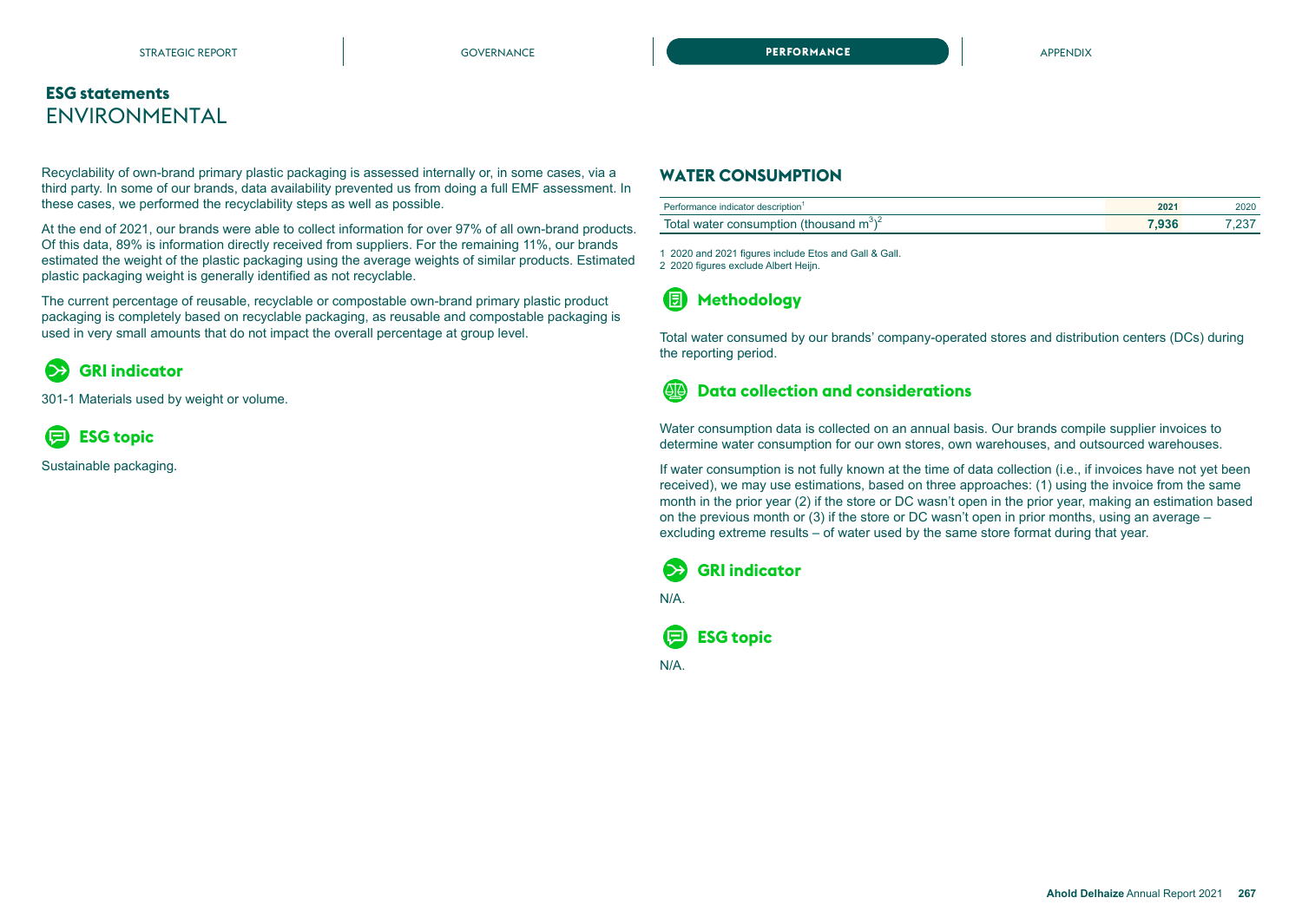Recyclability of own-brand primary plastic packaging is assessed internally or, in some cases, via a third party. In some of our brands, data availability prevented us from doing a full EMF assessment. In these cases, we performed the recyclability steps as well as possible.

At the end of 2021, our brands were able to collect information for over 97% of all own-brand products. Of this data, 89% is information directly received from suppliers. For the remaining 11%, our brands estimated the weight of the plastic packaging using the average weights of similar products. Estimated plastic packaging weight is generally identified as not recyclable.

The current percentage of reusable, recyclable or compostable own-brand primary plastic product packaging is completely based on recyclable packaging, as reusable and compostable packaging is used in very small amounts that do not impact the overall percentage at group level.

# **GRI indicator**

301-1 Materials used by weight or volume.

# **ESG topic**

Sustainable packaging.

# **WATER CONSUMPTION**

| Performance indicator description <sup>1</sup>                | $202 -$ |  |
|---------------------------------------------------------------|---------|--|
| Total water consumption (thousand $\text{m}^3$ ) <sup>2</sup> |         |  |

1 2020 and 2021 figures include Etos and Gall & Gall.

2 2020 figures exclude Albert Heijn.

#### 侗 **Methodology**

Total water consumed by our brands' company-operated stores and distribution centers (DCs) during the reporting period.

# **Data collection and considerations**

Water consumption data is collected on an annual basis. Our brands compile supplier invoices to determine water consumption for our own stores, own warehouses, and outsourced warehouses.

If water consumption is not fully known at the time of data collection (i.e., if invoices have not yet been received), we may use estimations, based on three approaches: (1) using the invoice from the same month in the prior year (2) if the store or DC wasn't open in the prior year, making an estimation based on the previous month or (3) if the store or DC wasn't open in prior months, using an average – excluding extreme results – of water used by the same store format during that year.



N/A.



N/A.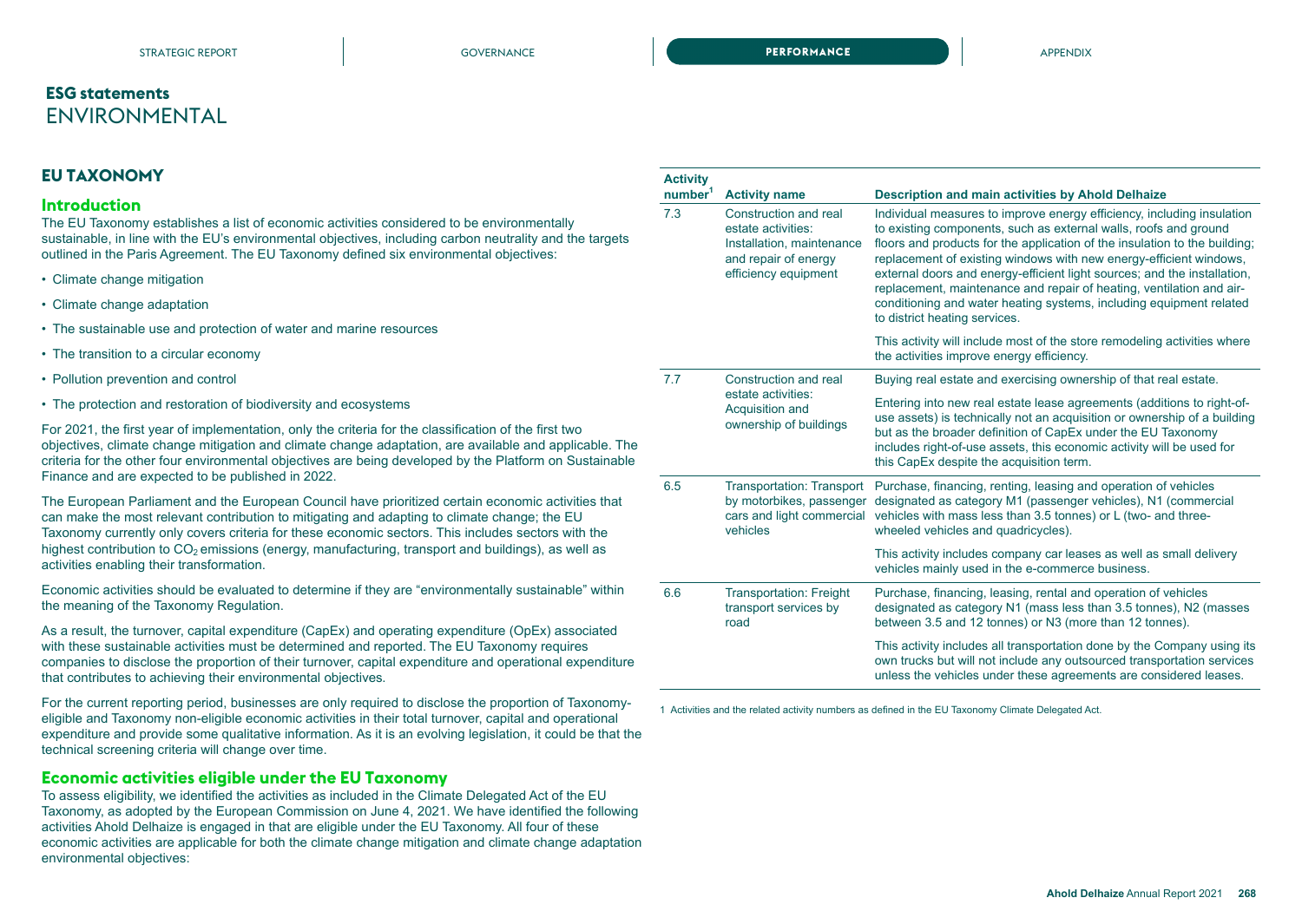### <span id="page-90-0"></span>**EU TAXONOMY**

#### **Introduction**

The EU Taxonomy establishes a list of economic activities considered to be environmentally sustainable, in line with the EU's environmental objectives, including carbon neutrality and the targets outlined in the Paris Agreement. The EU Taxonomy defined six environmental objectives:

- Climate change mitigation
- Climate change adaptation
- The sustainable use and protection of water and marine resources
- The transition to a circular economy
- Pollution prevention and control
- The protection and restoration of biodiversity and ecosystems

For 2021, the first year of implementation, only the criteria for the classification of the first two objectives, climate change mitigation and climate change adaptation, are available and applicable. The criteria for the other four environmental objectives are being developed by the Platform on Sustainable Finance and are expected to be published in 2022.

The European Parliament and the European Council have prioritized certain economic activities that can make the most relevant contribution to mitigating and adapting to climate change; the EU Taxonomy currently only covers criteria for these economic sectors. This includes sectors with the highest contribution to  $CO<sub>2</sub>$  emissions (energy, manufacturing, transport and buildings), as well as activities enabling their transformation.

Economic activities should be evaluated to determine if they are "environmentally sustainable" within the meaning of the Taxonomy Regulation.

As a result, the turnover, capital expenditure (CapEx) and operating expenditure (OpEx) associated with these sustainable activities must be determined and reported. The EU Taxonomy requires companies to disclose the proportion of their turnover, capital expenditure and operational expenditure that contributes to achieving their environmental objectives.

For the current reporting period, businesses are only required to disclose the proportion of Taxonomyeligible and Taxonomy non-eligible economic activities in their total turnover, capital and operational expenditure and provide some qualitative information. As it is an evolving legislation, it could be that the technical screening criteria will change over time.

### **Economic activities eligible under the EU Taxonomy**

To assess eligibility, we identified the activities as included in the Climate Delegated Act of the EU Taxonomy, as adopted by the European Commission on June 4, 2021. We have identified the following activities Ahold Delhaize is engaged in that are eligible under the EU Taxonomy. All four of these economic activities are applicable for both the climate change mitigation and climate change adaptation environmental objectives:

| <b>Activity</b><br>number <sup>1</sup>                          | <b>Activity name</b>                                                                                                     | <b>Description and main activities by Ahold Delhaize</b>                                                                                                                                                                                                                                                                                                                                                                                                                                                                                                   |
|-----------------------------------------------------------------|--------------------------------------------------------------------------------------------------------------------------|------------------------------------------------------------------------------------------------------------------------------------------------------------------------------------------------------------------------------------------------------------------------------------------------------------------------------------------------------------------------------------------------------------------------------------------------------------------------------------------------------------------------------------------------------------|
| 7.3                                                             | Construction and real<br>estate activities:<br>Installation, maintenance<br>and repair of energy<br>efficiency equipment | Individual measures to improve energy efficiency, including insulation<br>to existing components, such as external walls, roofs and ground<br>floors and products for the application of the insulation to the building;<br>replacement of existing windows with new energy-efficient windows,<br>external doors and energy-efficient light sources; and the installation,<br>replacement, maintenance and repair of heating, ventilation and air-<br>conditioning and water heating systems, including equipment related<br>to district heating services. |
|                                                                 |                                                                                                                          | This activity will include most of the store remodeling activities where<br>the activities improve energy efficiency.                                                                                                                                                                                                                                                                                                                                                                                                                                      |
| 7.7                                                             | Construction and real                                                                                                    | Buying real estate and exercising ownership of that real estate.                                                                                                                                                                                                                                                                                                                                                                                                                                                                                           |
| estate activities:<br>Acquisition and<br>ownership of buildings |                                                                                                                          | Entering into new real estate lease agreements (additions to right-of-<br>use assets) is technically not an acquisition or ownership of a building<br>but as the broader definition of CapEx under the EU Taxonomy<br>includes right-of-use assets, this economic activity will be used for<br>this CapEx despite the acquisition term.                                                                                                                                                                                                                    |
| 6.5                                                             | <b>Transportation: Transport</b><br>by motorbikes, passenger<br>cars and light commercial<br>vehicles                    | Purchase, financing, renting, leasing and operation of vehicles<br>designated as category M1 (passenger vehicles), N1 (commercial<br>vehicles with mass less than 3.5 tonnes) or L (two- and three-<br>wheeled vehicles and quadricycles).                                                                                                                                                                                                                                                                                                                 |
|                                                                 |                                                                                                                          | This activity includes company car leases as well as small delivery<br>vehicles mainly used in the e-commerce business.                                                                                                                                                                                                                                                                                                                                                                                                                                    |
| 6.6                                                             | <b>Transportation: Freight</b><br>transport services by<br>road                                                          | Purchase, financing, leasing, rental and operation of vehicles<br>designated as category N1 (mass less than 3.5 tonnes), N2 (masses<br>between 3.5 and 12 tonnes) or N3 (more than 12 tonnes).                                                                                                                                                                                                                                                                                                                                                             |
|                                                                 |                                                                                                                          | This activity includes all transportation done by the Company using its<br>own trucks but will not include any outsourced transportation services<br>unless the vehicles under these agreements are considered leases.                                                                                                                                                                                                                                                                                                                                     |

1 Activities and the related activity numbers as defined in the EU Taxonomy Climate Delegated Act.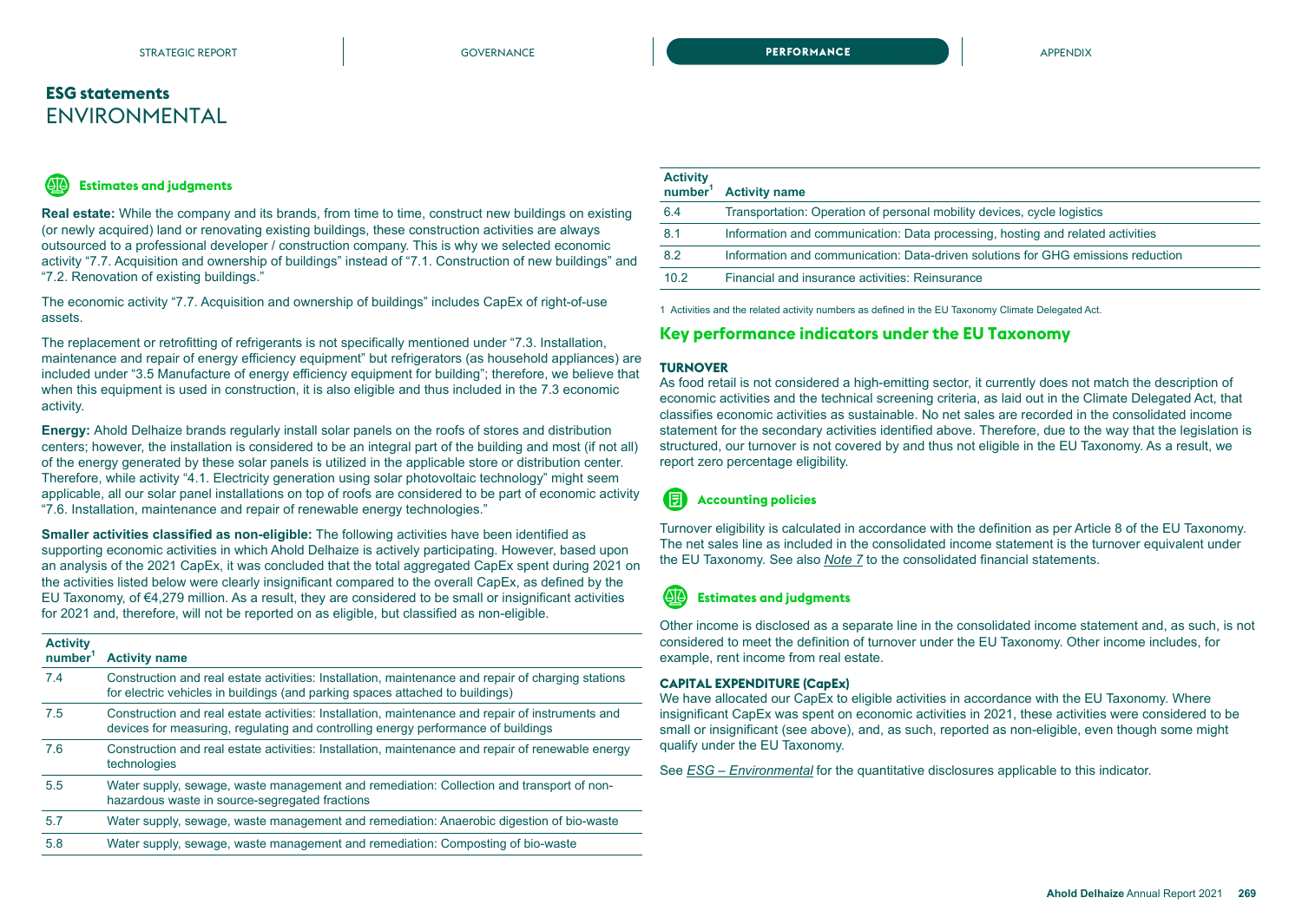# **Estimates and judgments**

**Real estate:** While the company and its brands, from time to time, construct new buildings on existing (or newly acquired) land or renovating existing buildings, these construction activities are always outsourced to a professional developer / construction company. This is why we selected economic activity "7.7. Acquisition and ownership of buildings" instead of "7.1. Construction of new buildings" and "7.2. Renovation of existing buildings."

The economic activity "7.7. Acquisition and ownership of buildings" includes CapEx of right-of-use assets.

The replacement or retrofitting of refrigerants is not specifically mentioned under "7.3. Installation, maintenance and repair of energy efficiency equipment" but refrigerators (as household appliances) are included under "3.5 Manufacture of energy efficiency equipment for building"; therefore, we believe that when this equipment is used in construction, it is also eligible and thus included in the 7.3 economic activity.

**Energy:** Ahold Delhaize brands regularly install solar panels on the roofs of stores and distribution centers; however, the installation is considered to be an integral part of the building and most (if not all) of the energy generated by these solar panels is utilized in the applicable store or distribution center. Therefore, while activity "4.1. Electricity generation using solar photovoltaic technology" might seem applicable, all our solar panel installations on top of roofs are considered to be part of economic activity "7.6. Installation, maintenance and repair of renewable energy technologies."

**Smaller activities classified as non-eligible:** The following activities have been identified as supporting economic activities in which Ahold Delhaize is actively participating. However, based upon an analysis of the 2021 CapEx, it was concluded that the total aggregated CapEx spent during 2021 on the activities listed below were clearly insignificant compared to the overall CapEx, as defined by the EU Taxonomy, of €4,279 million. As a result, they are considered to be small or insignificant activities for 2021 and, therefore, will not be reported on as eligible, but classified as non-eligible.

| <b>Activity</b><br>number <sup>1</sup> | <b>Activity name</b>                                                                                                                                                                  |
|----------------------------------------|---------------------------------------------------------------------------------------------------------------------------------------------------------------------------------------|
| 7.4                                    | Construction and real estate activities: Installation, maintenance and repair of charging stations<br>for electric vehicles in buildings (and parking spaces attached to buildings)   |
| 7.5                                    | Construction and real estate activities: Installation, maintenance and repair of instruments and<br>devices for measuring, regulating and controlling energy performance of buildings |
| 7.6                                    | Construction and real estate activities: Installation, maintenance and repair of renewable energy<br>technologies                                                                     |
| 5.5                                    | Water supply, sewage, waste management and remediation: Collection and transport of non-<br>hazardous waste in source-segregated fractions                                            |
| 5.7                                    | Water supply, sewage, waste management and remediation: Anaerobic digestion of bio-waste                                                                                              |
| 5.8                                    | Water supply, sewage, waste management and remediation: Composting of bio-waste                                                                                                       |
|                                        |                                                                                                                                                                                       |

| <b>Activity</b><br>number <sup>1</sup> | <b>Activity name</b>                                                             |
|----------------------------------------|----------------------------------------------------------------------------------|
| 6.4                                    | Transportation: Operation of personal mobility devices, cycle logistics          |
| 8.1                                    | Information and communication: Data processing, hosting and related activities   |
| 8.2                                    | Information and communication: Data-driven solutions for GHG emissions reduction |
| 10.2 <sup>2</sup>                      | Financial and insurance activities: Reinsurance                                  |

1 Activities and the related activity numbers as defined in the EU Taxonomy Climate Delegated Act.

### **Key performance indicators under the EU Taxonomy**

#### **TURNOVER**

As food retail is not considered a high-emitting sector, it currently does not match the description of economic activities and the technical screening criteria, as laid out in the Climate Delegated Act, that classifies economic activities as sustainable. No net sales are recorded in the consolidated income statement for the secondary activities identified above. Therefore, due to the way that the legislation is structured, our turnover is not covered by and thus not eligible in the EU Taxonomy. As a result, we report zero percentage eligibility.

#### 同 **Accounting policies**

Turnover eligibility is calculated in accordance with the definition as per Article 8 of the EU Taxonomy. The net sales line as included in the consolidated income statement is the turnover equivalent under the EU Taxonomy. See also *[Note 7](#page-15-0)* to the consolidated financial statements.

#### **AD Estimates and judgments**

Other income is disclosed as a separate line in the consolidated income statement and, as such, is not considered to meet the definition of turnover under the EU Taxonomy. Other income includes, for example, rent income from real estate.

#### **CAPITAL EXPENDITURE (CapEx)**

We have allocated our CapEx to eligible activities in accordance with the EU Taxonomy. Where insignificant CapEx was spent on economic activities in 2021, these activities were considered to be small or insignificant (see above), and, as such, reported as non-eligible, even though some might qualify under the EU Taxonomy.

See *ESG – Environmental* for the quantitative disclosures applicable to this indicator.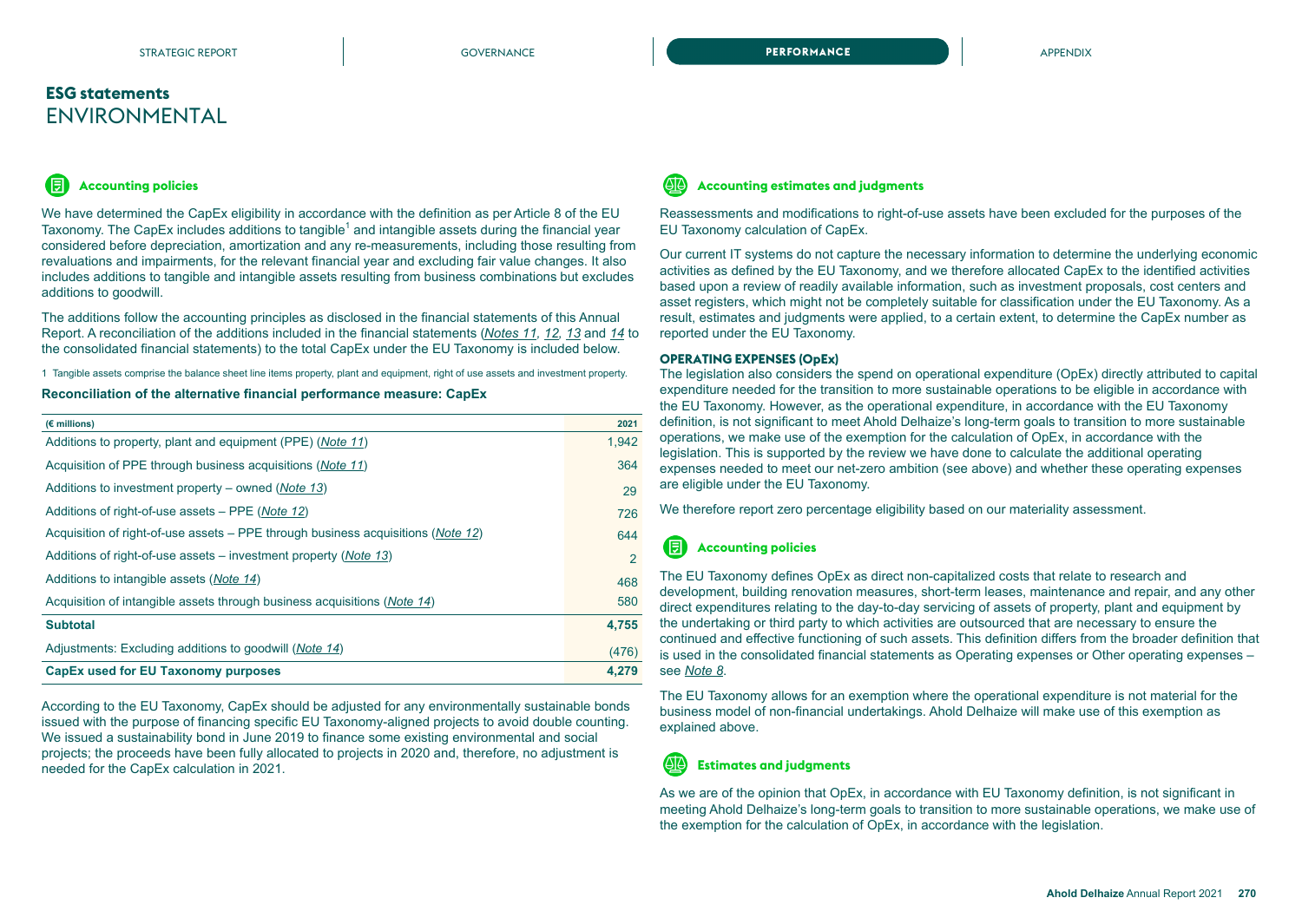#### (同 **Accounting policies**

We have determined the CapEx eligibility in accordance with the definition as per Article 8 of the EU Taxonomy. The CapEx includes additions to tangible<sup>1</sup> and intangible assets during the financial year considered before depreciation, amortization and any re-measurements, including those resulting from revaluations and impairments, for the relevant financial year and excluding fair value changes. It also includes additions to tangible and intangible assets resulting from business combinations but excludes additions to goodwill.

The additions follow the accounting principles as disclosed in the financial statements of this Annual Report. A reconciliation of the additions included in the financial statements (*[Notes 11](#page-22-0), [12, 13](#page-24-0)* and *[14](#page-26-0)* to the consolidated financial statements) to the total CapEx under the EU Taxonomy is included below.

1 Tangible assets comprise the balance sheet line items property, plant and equipment, right of use assets and investment property.

#### **Reconciliation of the alternative financial performance measure: CapEx**

| $(E$ millions)                                                                   | 2021  |
|----------------------------------------------------------------------------------|-------|
| Additions to property, plant and equipment (PPE) ( <i>Note 11</i> )              | 1,942 |
| Acquisition of PPE through business acquisitions (Note 11)                       | 364   |
| Additions to investment property – owned ( <i>Note 13</i> )                      | 29    |
| Additions of right-of-use assets – PPE (Note 12)                                 | 726   |
| Acquisition of right-of-use assets – PPE through business acquisitions (Note 12) | 644   |
| Additions of right-of-use assets – investment property ( <i>Note 13</i> )        | 2     |
| Additions to intangible assets ( <i>Note 14</i> )                                | 468   |
| Acquisition of intangible assets through business acquisitions (Note 14)         | 580   |
| <b>Subtotal</b>                                                                  | 4,755 |
| Adjustments: Excluding additions to goodwill ( <i>Note 14</i> )                  |       |
| <b>CapEx used for EU Taxonomy purposes</b>                                       | 4,279 |

According to the EU Taxonomy, CapEx should be adjusted for any environmentally sustainable bonds issued with the purpose of financing specific EU Taxonomy-aligned projects to avoid double counting. We issued a sustainability bond in June 2019 to finance some existing environmental and social projects; the proceeds have been fully allocated to projects in 2020 and, therefore, no adjustment is needed for the CapEx calculation in 2021.

### **Accounting estimates and judgments**

Reassessments and modifications to right-of-use assets have been excluded for the purposes of the EU Taxonomy calculation of CapEx.

Our current IT systems do not capture the necessary information to determine the underlying economic activities as defined by the EU Taxonomy, and we therefore allocated CapEx to the identified activities based upon a review of readily available information, such as investment proposals, cost centers and asset registers, which might not be completely suitable for classification under the EU Taxonomy. As a result, estimates and judgments were applied, to a certain extent, to determine the CapEx number as reported under the EU Taxonomy.

#### **OPERATING EXPENSES (OpEx)**

The legislation also considers the spend on operational expenditure (OpEx) directly attributed to capital expenditure needed for the transition to more sustainable operations to be eligible in accordance with the EU Taxonomy. However, as the operational expenditure, in accordance with the EU Taxonomy definition, is not significant to meet Ahold Delhaize's long-term goals to transition to more sustainable operations, we make use of the exemption for the calculation of OpEx, in accordance with the legislation. This is supported by the review we have done to calculate the additional operating expenses needed to meet our net-zero ambition (see above) and whether these operating expenses are eligible under the EU Taxonomy.

We therefore report zero percentage eligibility based on our materiality assessment.

# **Accounting policies**

The EU Taxonomy defines OpEx as direct non-capitalized costs that relate to research and development, building renovation measures, short-term leases, maintenance and repair, and any other direct expenditures relating to the day-to-day servicing of assets of property, plant and equipment by the undertaking or third party to which activities are outsourced that are necessary to ensure the continued and effective functioning of such assets. This definition differs from the broader definition that is used in the consolidated financial statements as Operating expenses or Other operating expenses see *[Note 8](#page-16-0)*.

The EU Taxonomy allows for an exemption where the operational expenditure is not material for the business model of non-financial undertakings. Ahold Delhaize will make use of this exemption as explained above.

# **Estimates and judgments**

As we are of the opinion that OpEx, in accordance with EU Taxonomy definition, is not significant in meeting Ahold Delhaize's long-term goals to transition to more sustainable operations, we make use of the exemption for the calculation of OpEx, in accordance with the legislation.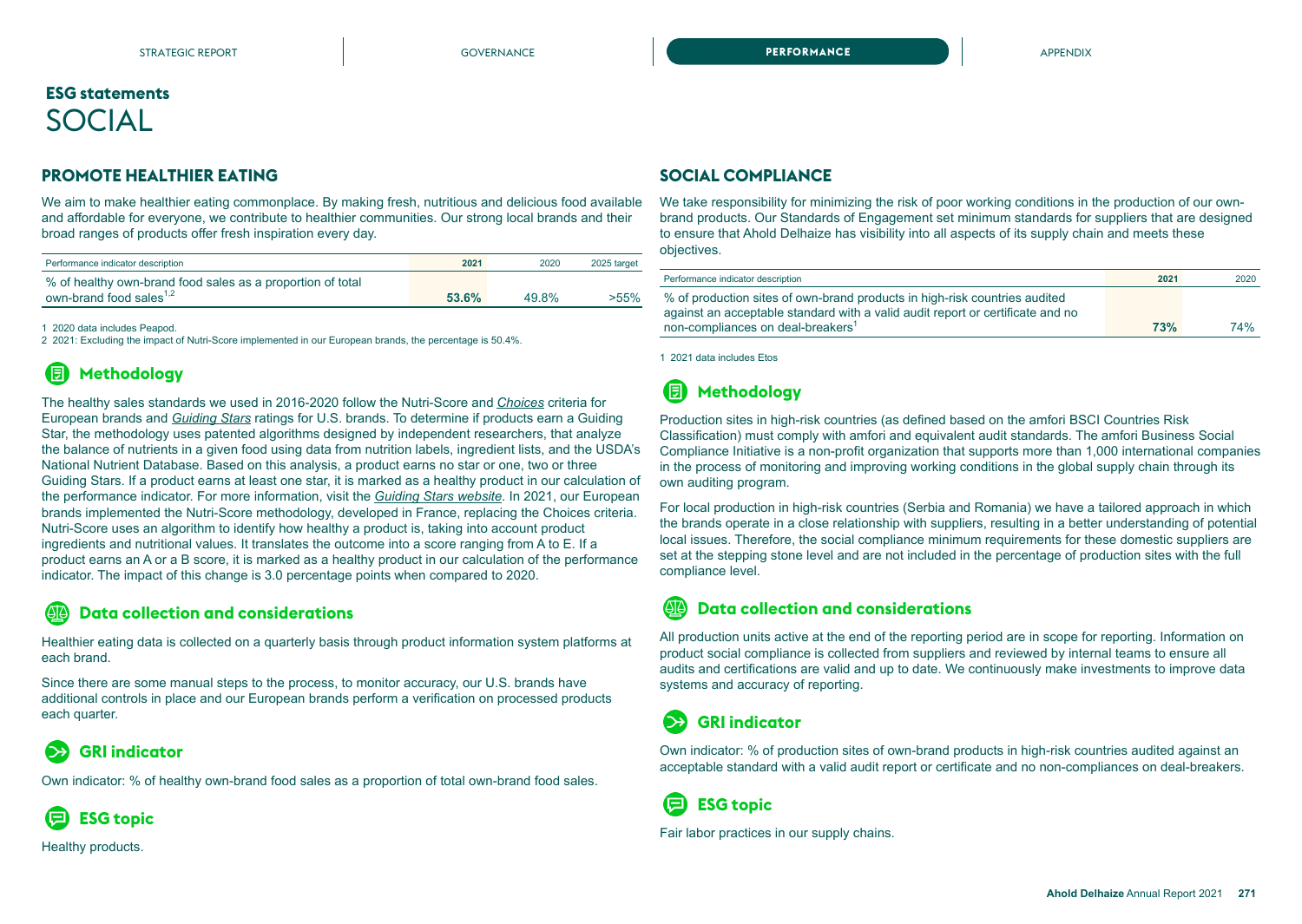# <span id="page-93-0"></span>**ESG statements** SOCIAL

# **PROMOTE HEALTHIER EATING**

We aim to make healthier eating commonplace. By making fresh, nutritious and delicious food available and affordable for everyone, we contribute to healthier communities. Our strong local brands and their broad ranges of products offer fresh inspiration every day.

| Performance indicator description                          | 2021  | 2020  | 2025 target |
|------------------------------------------------------------|-------|-------|-------------|
| % of healthy own-brand food sales as a proportion of total |       |       |             |
| own-brand food sales <sup>1,2</sup>                        | 53.6% | 49.8% | $>55\%$     |

1 2020 data includes Peapod.

2 2021: Excluding the impact of Nutri-Score implemented in our European brands, the percentage is 50.4%.

#### (同 **Methodology**

The healthy sales standards we used in 2016-2020 follow the Nutri-Score and *[Choices](www.choicesprogramme.org)* criteria for European brands and *[Guiding Stars](www.guidingstars.com)* ratings for U.S. brands. To determine if products earn a Guiding Star, the methodology uses patented algorithms designed by independent researchers, that analyze the balance of nutrients in a given food using data from nutrition labels, ingredient lists, and the USDA's National Nutrient Database. Based on this analysis, a product earns no star or one, two or three Guiding Stars. If a product earns at least one star, it is marked as a healthy product in our calculation of the performance indicator. For more information, visit the *[Guiding Stars website](https://guidingstars.com/what-is-guiding-stars/our-algorithms/)*. In 2021, our European brands implemented the Nutri-Score methodology, developed in France, replacing the Choices criteria. Nutri-Score uses an algorithm to identify how healthy a product is, taking into account product ingredients and nutritional values. It translates the outcome into a score ranging from A to E. If a product earns an A or a B score, it is marked as a healthy product in our calculation of the performance indicator. The impact of this change is 3.0 percentage points when compared to 2020.

# **Data collection and considerations**

Healthier eating data is collected on a quarterly basis through product information system platforms at each brand.

Since there are some manual steps to the process, to monitor accuracy, our U.S. brands have additional controls in place and our European brands perform a verification on processed products each quarter.

# **GRI indicator**

Own indicator: % of healthy own-brand food sales as a proportion of total own-brand food sales.



Healthy products.

# **SOCIAL COMPLIANCE**

We take responsibility for minimizing the risk of poor working conditions in the production of our ownbrand products. Our Standards of Engagement set minimum standards for suppliers that are designed to ensure that Ahold Delhaize has visibility into all aspects of its supply chain and meets these objectives.

| Performance indicator description                                                                                                                                                                             | 2021       | 2020       |
|---------------------------------------------------------------------------------------------------------------------------------------------------------------------------------------------------------------|------------|------------|
| % of production sites of own-brand products in high-risk countries audited<br>against an acceptable standard with a valid audit report or certificate and no<br>non-compliances on deal-breakers <sup>1</sup> | <b>73%</b> | <b>74%</b> |

1 2021 data includes Etos

#### **Methodology** 偏

Production sites in high-risk countries (as defined based on the amfori BSCI Countries Risk Classification) must comply with amfori and equivalent audit standards. The amfori Business Social Compliance Initiative is a non-profit organization that supports more than 1,000 international companies in the process of monitoring and improving working conditions in the global supply chain through its own auditing program.

For local production in high-risk countries (Serbia and Romania) we have a tailored approach in which the brands operate in a close relationship with suppliers, resulting in a better understanding of potential local issues. Therefore, the social compliance minimum requirements for these domestic suppliers are set at the stepping stone level and are not included in the percentage of production sites with the full compliance level.

# **Data collection and considerations**

All production units active at the end of the reporting period are in scope for reporting. Information on product social compliance is collected from suppliers and reviewed by internal teams to ensure all audits and certifications are valid and up to date. We continuously make investments to improve data systems and accuracy of reporting.

# **GRI indicator**

Own indicator: % of production sites of own-brand products in high-risk countries audited against an acceptable standard with a valid audit report or certificate and no non-compliances on deal-breakers.

# **ESG topic**

Fair labor practices in our supply chains.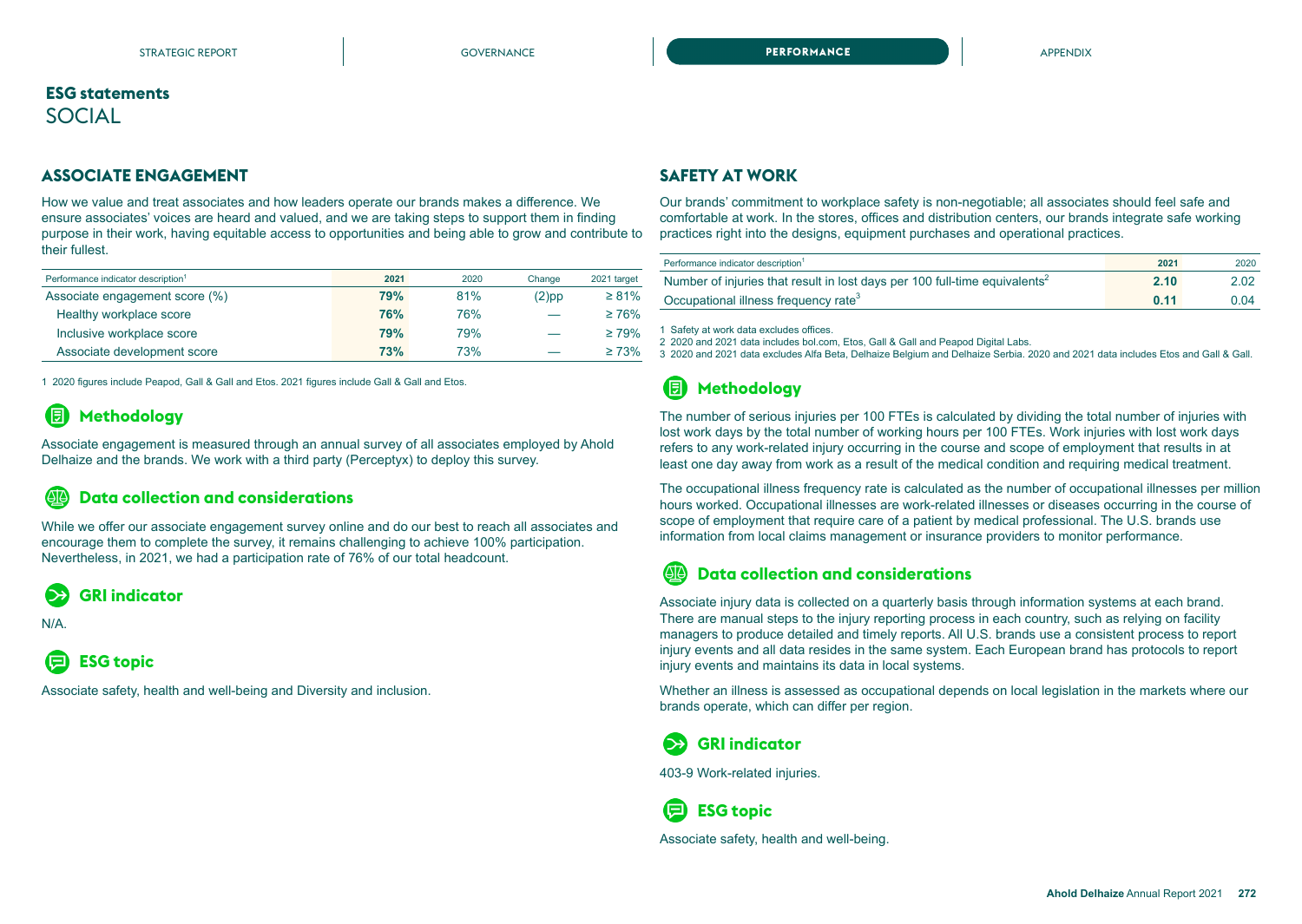# **ESG statements** SOCIAL

# **ASSOCIATE ENGAGEMENT**

How we value and treat associates and how leaders operate our brands makes a difference. We ensure associates' voices are heard and valued, and we are taking steps to support them in finding purpose in their work, having equitable access to opportunities and being able to grow and contribute to their fullest.

| Performance indicator description <sup>1</sup> | 2021 | 2020 | Change   | 2021 target |
|------------------------------------------------|------|------|----------|-------------|
| Associate engagement score (%)                 | 79%  | 81%  | $(2)$ pp | $\geq 81\%$ |
| Healthy workplace score                        | 76%  | 76%  |          | $\geq 76\%$ |
| Inclusive workplace score                      | 79%  | 79%  |          | $\geq 79\%$ |
| Associate development score                    | 73%  | 73%  |          | $\geq 73\%$ |

1 2020 figures include Peapod, Gall & Gall and Etos. 2021 figures include Gall & Gall and Etos.

#### 偏 **Methodology**

Associate engagement is measured through an annual survey of all associates employed by Ahold Delhaize and the brands. We work with a third party (Perceptyx) to deploy this survey.

# **Data collection and considerations**

While we offer our associate engagement survey online and do our best to reach all associates and encourage them to complete the survey, it remains challenging to achieve 100% participation. Nevertheless, in 2021, we had a participation rate of 76% of our total headcount.

# **GRI indicator**

N/A.

# **ESG topic**

Associate safety, health and well-being and Diversity and inclusion.

# **SAFETY AT WORK**

Our brands' commitment to workplace safety is non-negotiable; all associates should feel safe and comfortable at work. In the stores, offices and distribution centers, our brands integrate safe working practices right into the designs, equipment purchases and operational practices.

| Performance indicator description <sup>1</sup>                                         | 2021 | 2020 |
|----------------------------------------------------------------------------------------|------|------|
| Number of injuries that result in lost days per 100 full-time equivalents <sup>2</sup> | 2.10 | 2.02 |
| Occupational illness frequency rate <sup>3</sup>                                       | 0.11 | 0.04 |

1 Safety at work data excludes offices.

2 2020 and 2021 data includes bol.com, Etos, Gall & Gall and Peapod Digital Labs.

3 2020 and 2021 data excludes Alfa Beta, Delhaize Belgium and Delhaize Serbia. 2020 and 2021 data includes Etos and Gall & Gall.

#### 侗 **Methodology**

The number of serious injuries per 100 FTEs is calculated by dividing the total number of injuries with lost work days by the total number of working hours per 100 FTEs. Work injuries with lost work days refers to any work-related injury occurring in the course and scope of employment that results in at least one day away from work as a result of the medical condition and requiring medical treatment.

The occupational illness frequency rate is calculated as the number of occupational illnesses per million hours worked. Occupational illnesses are work-related illnesses or diseases occurring in the course of scope of employment that require care of a patient by medical professional. The U.S. brands use information from local claims management or insurance providers to monitor performance.

# **Data collection and considerations**

Associate injury data is collected on a quarterly basis through information systems at each brand. There are manual steps to the injury reporting process in each country, such as relying on facility managers to produce detailed and timely reports. All U.S. brands use a consistent process to report injury events and all data resides in the same system. Each European brand has protocols to report injury events and maintains its data in local systems.

Whether an illness is assessed as occupational depends on local legislation in the markets where our brands operate, which can differ per region.



403-9 Work-related injuries.

⊟ **ESG topic** Associate safety, health and well-being.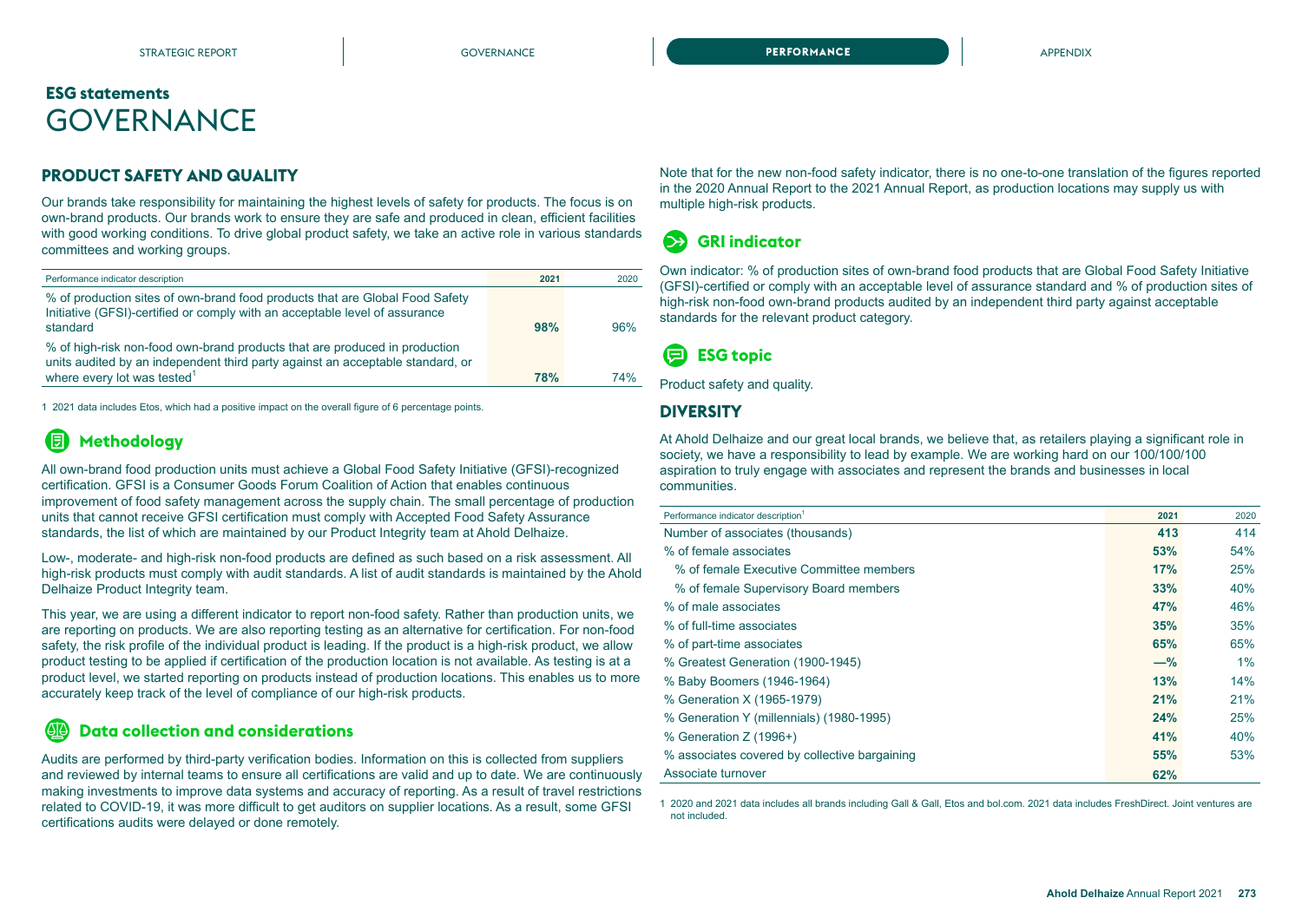# <span id="page-95-0"></span>**ESG statements** GOVERNANCE

# **PRODUCT SAFETY AND QUALITY**

Our brands take responsibility for maintaining the highest levels of safety for products. The focus is on own-brand products. Our brands work to ensure they are safe and produced in clean, efficient facilities with good working conditions. To drive global product safety, we take an active role in various standards committees and working groups.

| Performance indicator description                                                                                                                                                                       | 2021       | 2020 |
|---------------------------------------------------------------------------------------------------------------------------------------------------------------------------------------------------------|------------|------|
| % of production sites of own-brand food products that are Global Food Safety<br>Initiative (GFSI)-certified or comply with an acceptable level of assurance<br>standard                                 | 98%        | 96%  |
| % of high-risk non-food own-brand products that are produced in production<br>units audited by an independent third party against an acceptable standard, or<br>where every lot was tested <sup>1</sup> | <b>78%</b> | 74%  |

1 2021 data includes Etos, which had a positive impact on the overall figure of 6 percentage points.

#### (同) **Methodology**

All own-brand food production units must achieve a Global Food Safety Initiative (GFSI)-recognized certification. GFSI is a Consumer Goods Forum Coalition of Action that enables continuous improvement of food safety management across the supply chain. The small percentage of production units that cannot receive GFSI certification must comply with Accepted Food Safety Assurance standards, the list of which are maintained by our Product Integrity team at Ahold Delhaize.

Low-, moderate- and high-risk non-food products are defined as such based on a risk assessment. All high-risk products must comply with audit standards. A list of audit standards is maintained by the Ahold Delhaize Product Integrity team.

This year, we are using a different indicator to report non-food safety. Rather than production units, we are reporting on products. We are also reporting testing as an alternative for certification. For non-food safety, the risk profile of the individual product is leading. If the product is a high-risk product, we allow product testing to be applied if certification of the production location is not available. As testing is at a product level, we started reporting on products instead of production locations. This enables us to more accurately keep track of the level of compliance of our high-risk products.

# **Data collection and considerations**

Audits are performed by third-party verification bodies. Information on this is collected from suppliers and reviewed by internal teams to ensure all certifications are valid and up to date. We are continuously making investments to improve data systems and accuracy of reporting. As a result of travel restrictions related to COVID-19, it was more difficult to get auditors on supplier locations. As a result, some GFSI certifications audits were delayed or done remotely.

Note that for the new non-food safety indicator, there is no one-to-one translation of the figures reported in the 2020 Annual Report to the 2021 Annual Report, as production locations may supply us with multiple high-risk products.

#### 59 **GRI indicator**

Own indicator: % of production sites of own-brand food products that are Global Food Safety Initiative (GFSI)-certified or comply with an acceptable level of assurance standard and % of production sites of high-risk non-food own-brand products audited by an independent third party against acceptable standards for the relevant product category.

#### 向 **ESG topic**

Product safety and quality.

### **DIVERSITY**

At Ahold Delhaize and our great local brands, we believe that, as retailers playing a significant role in society, we have a responsibility to lead by example. We are working hard on our 100/100/100 aspiration to truly engage with associates and represent the brands and businesses in local communities.

| Performance indicator description <sup>1</sup> |            | 2020 |
|------------------------------------------------|------------|------|
| Number of associates (thousands)               |            | 414  |
| % of female associates                         | 53%        | 54%  |
| % of female Executive Committee members        | 17%        | 25%  |
| % of female Supervisory Board members          | 33%        | 40%  |
| % of male associates                           | <b>47%</b> | 46%  |
| % of full-time associates                      | 35%        | 35%  |
| % of part-time associates                      | 65%        | 65%  |
| % Greatest Generation (1900-1945)              | $-\%$      | 1%   |
| % Baby Boomers (1946-1964)                     | 13%        | 14%  |
| % Generation X (1965-1979)                     | 21%        | 21%  |
| % Generation Y (millennials) (1980-1995)       | 24%        | 25%  |
| % Generation Z (1996+)                         | 41%        | 40%  |
| % associates covered by collective bargaining  | 55%        | 53%  |
| Associate turnover                             | 62%        |      |

1 2020 and 2021 data includes all brands including Gall & Gall, Etos and bol.com. 2021 data includes FreshDirect. Joint ventures are not included.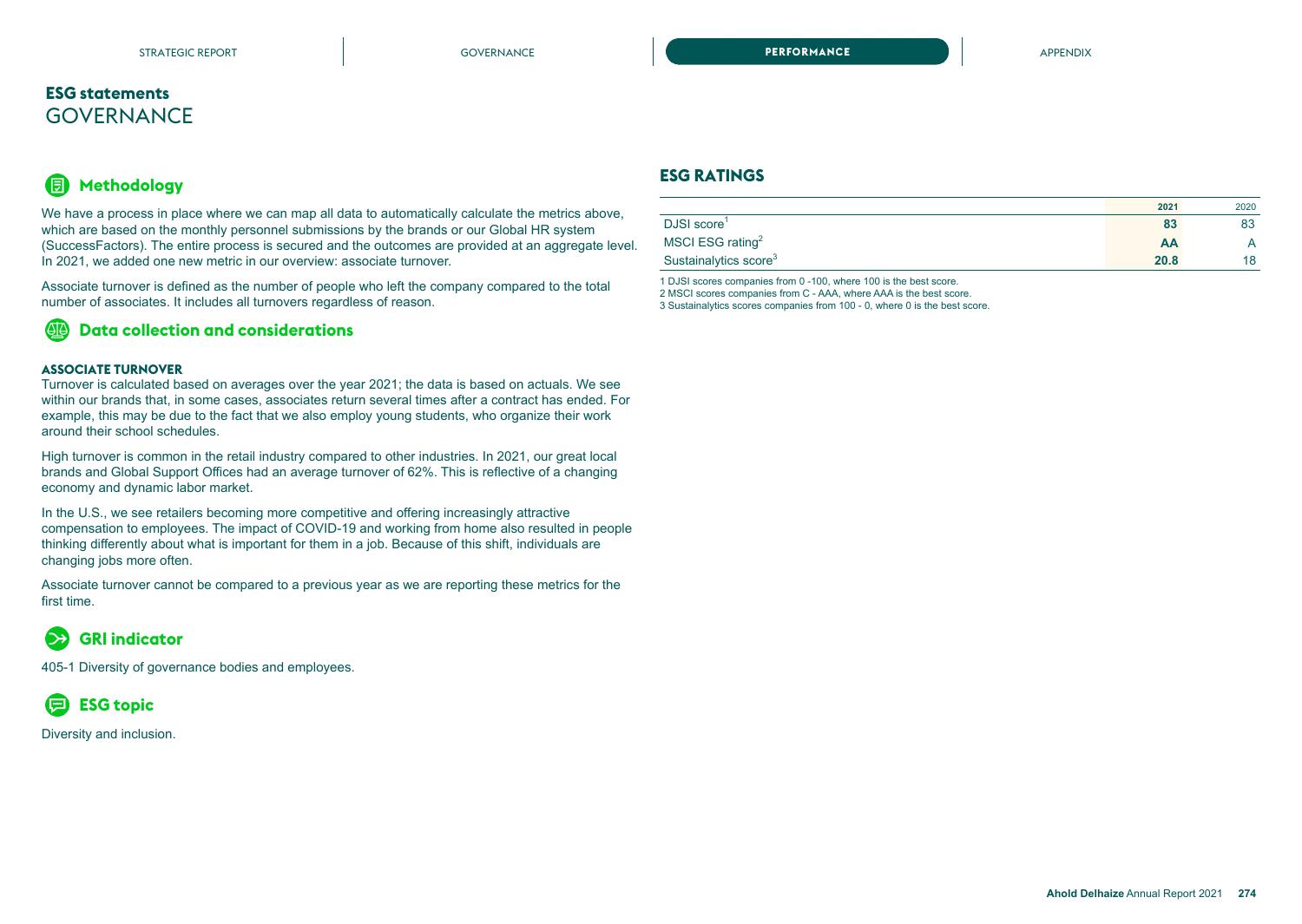# **ESG statements GOVERNANCE**

#### **Methodology** (FI

We have a process in place where we can map all data to automatically calculate the metrics above, which are based on the monthly personnel submissions by the brands or our Global HR system (SuccessFactors). The entire process is secured and the outcomes are provided at an aggregate level. In 2021, we added one new metric in our overview: associate turnover.

Associate turnover is defined as the number of people who left the company compared to the total number of associates. It includes all turnovers regardless of reason.

# **Data collection and considerations**

#### **ASSOCIATE TURNOVER**

Turnover is calculated based on averages over the year 2021; the data is based on actuals. We see within our brands that, in some cases, associates return several times after a contract has ended. For example, this may be due to the fact that we also employ young students, who organize their work around their school schedules.

High turnover is common in the retail industry compared to other industries. In 2021, our great local brands and Global Support Offices had an average turnover of 62%. This is reflective of a changing economy and dynamic labor market.

In the U.S., we see retailers becoming more competitive and offering increasingly attractive compensation to employees. The impact of COVID-19 and working from home also resulted in people thinking differently about what is important for them in a job. Because of this shift, individuals are changing jobs more often.

Associate turnover cannot be compared to a previous year as we are reporting these metrics for the first time.

# **GRI indicator**

405-1 Diversity of governance bodies and employees.



Diversity and inclusion.

### **ESG RATINGS**

|                                   | 2021 | 2020 |
|-----------------------------------|------|------|
| DJSI score <sup>1</sup>           | 83   | 83   |
| MSCI ESG rating <sup>2</sup>      | AA   |      |
| Sustainalytics score <sup>3</sup> | 20.8 | 18   |

1 DJSI scores companies from 0 -100, where 100 is the best score. 2 MSCI scores companies from C - AAA, where AAA is the best score.

3 Sustainalytics scores companies from 100 - 0, where 0 is the best score.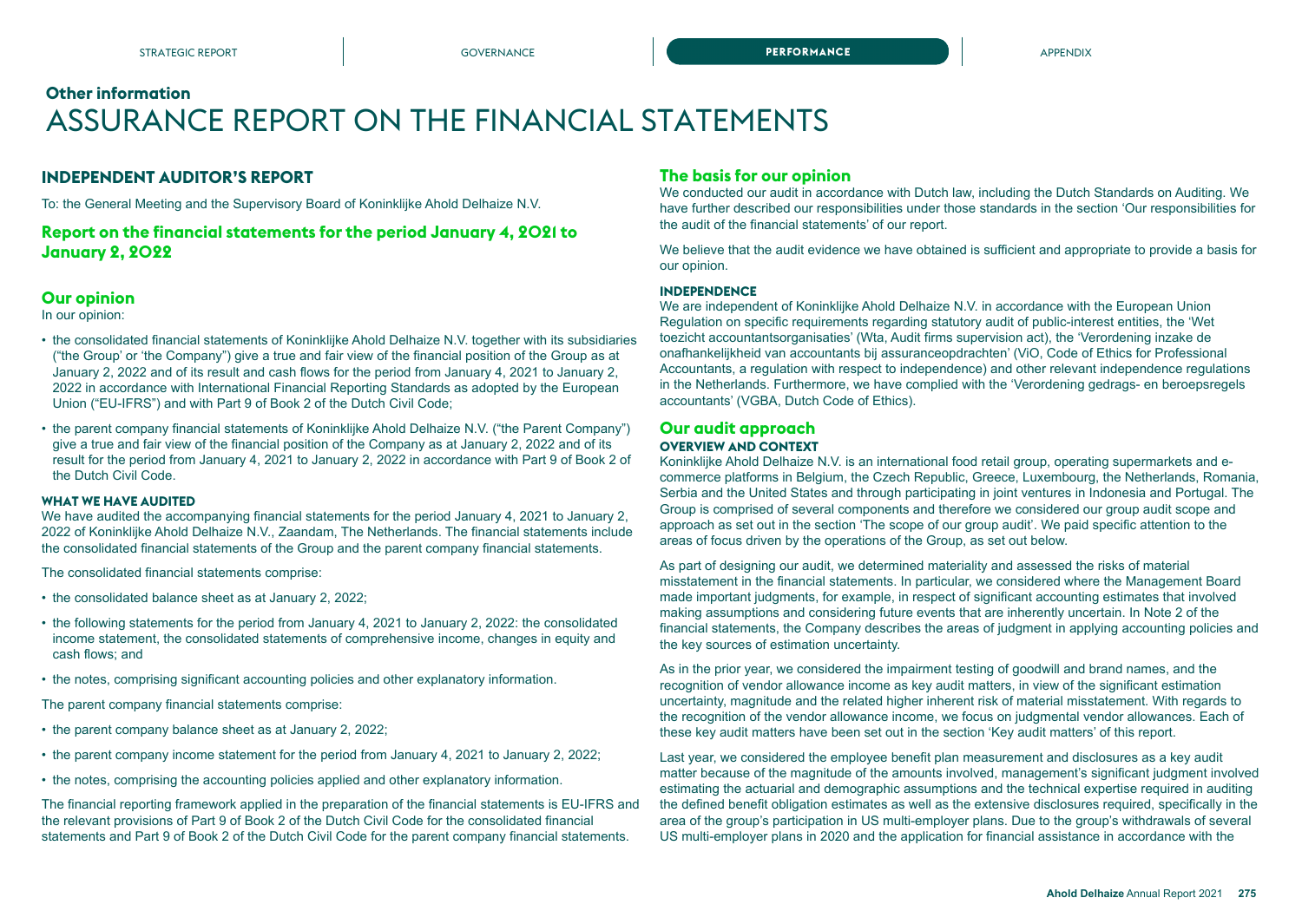### **INDEPENDENT AUDITOR'S REPORT**

To: the General Meeting and the Supervisory Board of Koninklijke Ahold Delhaize N.V.

# **Report on the financial statements for the period January 4, 2021 to January 2, 2022**

### **Our opinion**

In our opinion:

- the consolidated financial statements of Koninklijke Ahold Delhaize N.V. together with its subsidiaries ("the Group' or 'the Company") give a true and fair view of the financial position of the Group as at January 2, 2022 and of its result and cash flows for the period from January 4, 2021 to January 2, 2022 in accordance with International Financial Reporting Standards as adopted by the European Union ("EU-IFRS") and with Part 9 of Book 2 of the Dutch Civil Code;
- the parent company financial statements of Koninklijke Ahold Delhaize N.V. ("the Parent Company") give a true and fair view of the financial position of the Company as at January 2, 2022 and of its result for the period from January 4, 2021 to January 2, 2022 in accordance with Part 9 of Book 2 of the Dutch Civil Code.

#### **WHAT WE HAVE AUDITED**

We have audited the accompanying financial statements for the period January 4, 2021 to January 2, 2022 of Koninklijke Ahold Delhaize N.V., Zaandam, The Netherlands. The financial statements include the consolidated financial statements of the Group and the parent company financial statements.

The consolidated financial statements comprise:

- the consolidated balance sheet as at January 2, 2022;
- the following statements for the period from January 4, 2021 to January 2, 2022: the consolidated income statement, the consolidated statements of comprehensive income, changes in equity and cash flows; and
- the notes, comprising significant accounting policies and other explanatory information.

The parent company financial statements comprise:

- the parent company balance sheet as at January 2, 2022;
- the parent company income statement for the period from January 4, 2021 to January 2, 2022;
- the notes, comprising the accounting policies applied and other explanatory information.

The financial reporting framework applied in the preparation of the financial statements is EU-IFRS and the relevant provisions of Part 9 of Book 2 of the Dutch Civil Code for the consolidated financial statements and Part 9 of Book 2 of the Dutch Civil Code for the parent company financial statements.

### **The basis for our opinion**

We conducted our audit in accordance with Dutch law, including the Dutch Standards on Auditing. We have further described our responsibilities under those standards in the section 'Our responsibilities for the audit of the financial statements' of our report.

We believe that the audit evidence we have obtained is sufficient and appropriate to provide a basis for our opinion.

#### **INDEPENDENCE**

We are independent of Koninklijke Ahold Delhaize N.V. in accordance with the European Union Regulation on specific requirements regarding statutory audit of public-interest entities, the 'Wet toezicht accountantsorganisaties' (Wta, Audit firms supervision act), the 'Verordening inzake de onafhankelijkheid van accountants bij assuranceopdrachten' (ViO, Code of Ethics for Professional Accountants, a regulation with respect to independence) and other relevant independence regulations in the Netherlands. Furthermore, we have complied with the 'Verordening gedrags- en beroepsregels accountants' (VGBA, Dutch Code of Ethics).

### **Our audit approach OVERVIEW AND CONTEXT**

Koninklijke Ahold Delhaize N.V. is an international food retail group, operating supermarkets and ecommerce platforms in Belgium, the Czech Republic, Greece, Luxembourg, the Netherlands, Romania, Serbia and the United States and through participating in joint ventures in Indonesia and Portugal. The Group is comprised of several components and therefore we considered our group audit scope and approach as set out in the section 'The scope of our group audit'. We paid specific attention to the areas of focus driven by the operations of the Group, as set out below.

As part of designing our audit, we determined materiality and assessed the risks of material misstatement in the financial statements. In particular, we considered where the Management Board made important judgments, for example, in respect of significant accounting estimates that involved making assumptions and considering future events that are inherently uncertain. In Note 2 of the financial statements, the Company describes the areas of judgment in applying accounting policies and the key sources of estimation uncertainty.

As in the prior year, we considered the impairment testing of goodwill and brand names, and the recognition of vendor allowance income as key audit matters, in view of the significant estimation uncertainty, magnitude and the related higher inherent risk of material misstatement. With regards to the recognition of the vendor allowance income, we focus on judgmental vendor allowances. Each of these key audit matters have been set out in the section 'Key audit matters' of this report.

Last year, we considered the employee benefit plan measurement and disclosures as a key audit matter because of the magnitude of the amounts involved, management's significant judgment involved estimating the actuarial and demographic assumptions and the technical expertise required in auditing the defined benefit obligation estimates as well as the extensive disclosures required, specifically in the area of the group's participation in US multi-employer plans. Due to the group's withdrawals of several US multi-employer plans in 2020 and the application for financial assistance in accordance with the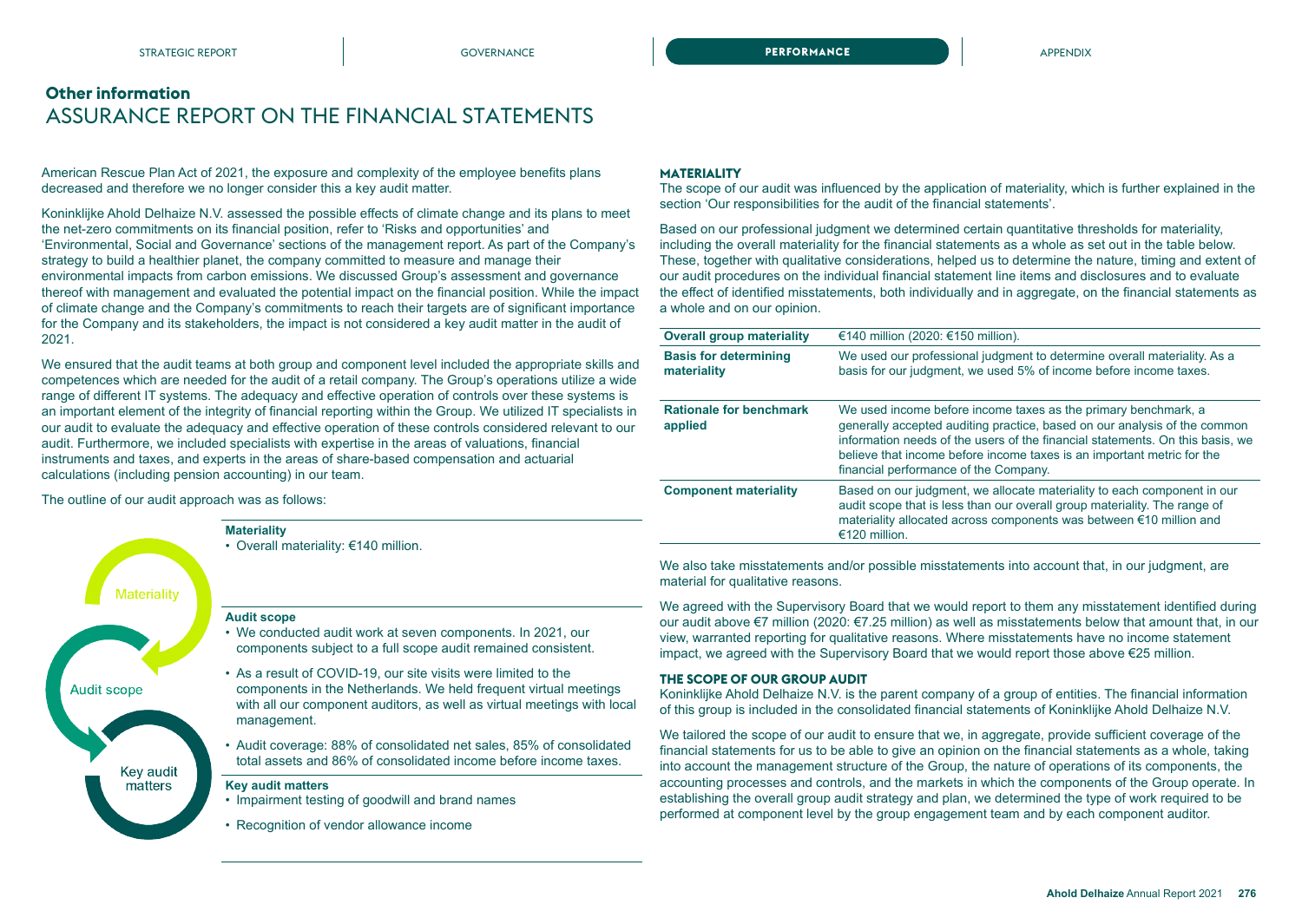American Rescue Plan Act of 2021, the exposure and complexity of the employee benefits plans decreased and therefore we no longer consider this a key audit matter.

Koninklijke Ahold Delhaize N.V. assessed the possible effects of climate change and its plans to meet the net-zero commitments on its financial position, refer to 'Risks and opportunities' and 'Environmental, Social and Governance' sections of the management report. As part of the Company's strategy to build a healthier planet, the company committed to measure and manage their environmental impacts from carbon emissions. We discussed Group's assessment and governance thereof with management and evaluated the potential impact on the financial position. While the impact of climate change and the Company's commitments to reach their targets are of significant importance for the Company and its stakeholders, the impact is not considered a key audit matter in the audit of 2021.

We ensured that the audit teams at both group and component level included the appropriate skills and competences which are needed for the audit of a retail company. The Group's operations utilize a wide range of different IT systems. The adequacy and effective operation of controls over these systems is an important element of the integrity of financial reporting within the Group. We utilized IT specialists in our audit to evaluate the adequacy and effective operation of these controls considered relevant to our audit. Furthermore, we included specialists with expertise in the areas of valuations, financial instruments and taxes, and experts in the areas of share-based compensation and actuarial calculations (including pension accounting) in our team.

The outline of our audit approach was as follows:



#### **MATERIALITY**

The scope of our audit was influenced by the application of materiality, which is further explained in the section 'Our responsibilities for the audit of the financial statements'.

Based on our professional judgment we determined certain quantitative thresholds for materiality, including the overall materiality for the financial statements as a whole as set out in the table below. These, together with qualitative considerations, helped us to determine the nature, timing and extent of our audit procedures on the individual financial statement line items and disclosures and to evaluate the effect of identified misstatements, both individually and in aggregate, on the financial statements as a whole and on our opinion.

| <b>Overall group materiality</b>            | €140 million (2020: €150 million).                                                                                                                                                                                                                                                                                                              |
|---------------------------------------------|-------------------------------------------------------------------------------------------------------------------------------------------------------------------------------------------------------------------------------------------------------------------------------------------------------------------------------------------------|
| <b>Basis for determining</b><br>materiality | We used our professional judgment to determine overall materiality. As a<br>basis for our judgment, we used 5% of income before income taxes.                                                                                                                                                                                                   |
| <b>Rationale for benchmark</b><br>applied   | We used income before income taxes as the primary benchmark, a<br>generally accepted auditing practice, based on our analysis of the common<br>information needs of the users of the financial statements. On this basis, we<br>believe that income before income taxes is an important metric for the<br>financial performance of the Company. |
| <b>Component materiality</b>                | Based on our judgment, we allocate materiality to each component in our<br>audit scope that is less than our overall group materiality. The range of<br>materiality allocated across components was between €10 million and<br>€120 million.                                                                                                    |

We also take misstatements and/or possible misstatements into account that, in our judgment, are material for qualitative reasons.

We agreed with the Supervisory Board that we would report to them any misstatement identified during our audit above €7 million (2020: €7.25 million) as well as misstatements below that amount that, in our view, warranted reporting for qualitative reasons. Where misstatements have no income statement impact, we agreed with the Supervisory Board that we would report those above €25 million.

#### **THE SCOPE OF OUR GROUP AUDIT**

Koninklijke Ahold Delhaize N.V. is the parent company of a group of entities. The financial information of this group is included in the consolidated financial statements of Koninklijke Ahold Delhaize N.V.

We tailored the scope of our audit to ensure that we, in aggregate, provide sufficient coverage of the financial statements for us to be able to give an opinion on the financial statements as a whole, taking into account the management structure of the Group, the nature of operations of its components, the accounting processes and controls, and the markets in which the components of the Group operate. In establishing the overall group audit strategy and plan, we determined the type of work required to be performed at component level by the group engagement team and by each component auditor.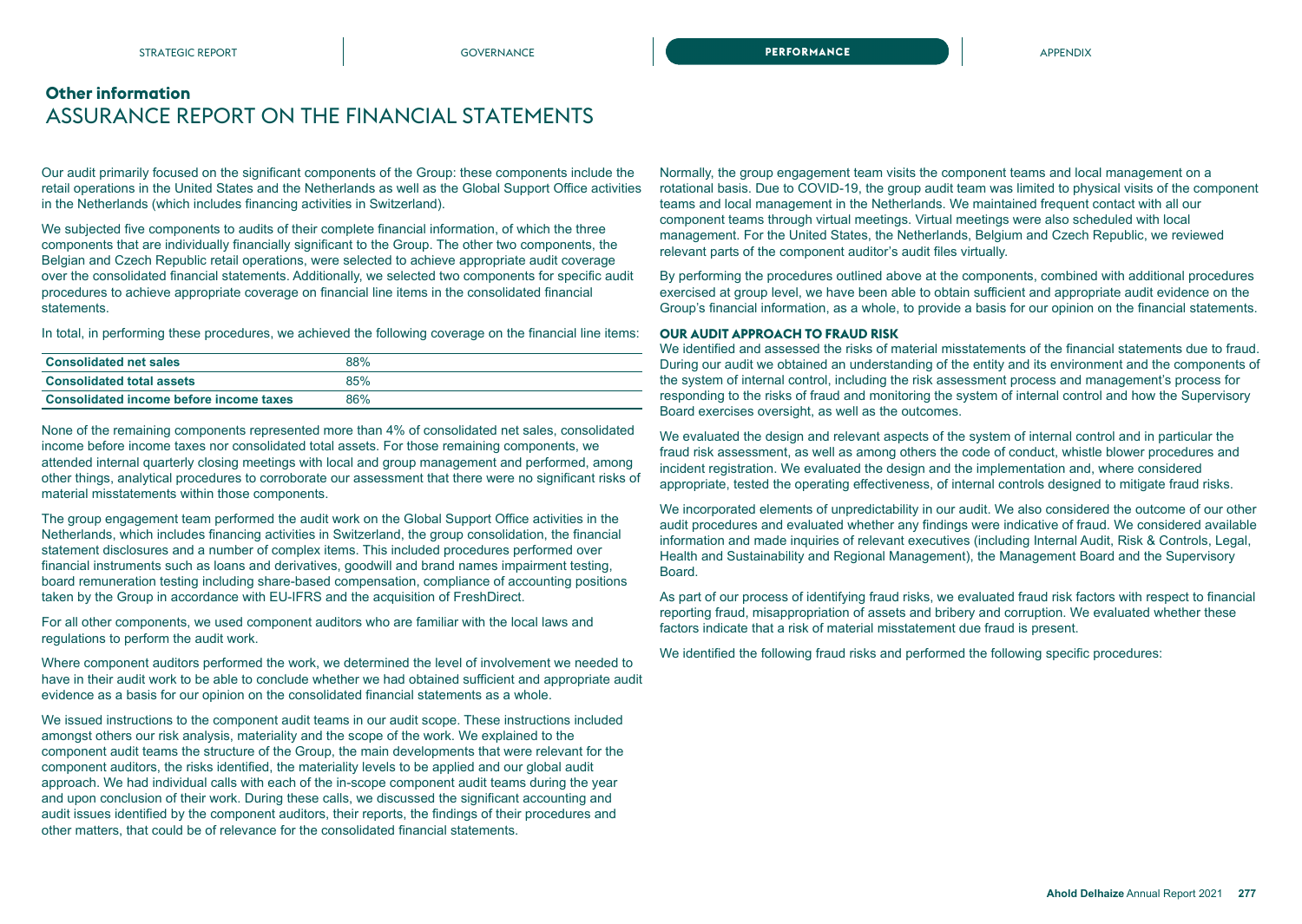Our audit primarily focused on the significant components of the Group: these components include the retail operations in the United States and the Netherlands as well as the Global Support Office activities in the Netherlands (which includes financing activities in Switzerland).

We subjected five components to audits of their complete financial information, of which the three components that are individually financially significant to the Group. The other two components, the Belgian and Czech Republic retail operations, were selected to achieve appropriate audit coverage over the consolidated financial statements. Additionally, we selected two components for specific audit procedures to achieve appropriate coverage on financial line items in the consolidated financial statements.

In total, in performing these procedures, we achieved the following coverage on the financial line items:

| <b>Consolidated net sales</b>           | 88% |
|-----------------------------------------|-----|
| <b>Consolidated total assets</b>        | 85% |
| Consolidated income before income taxes | 86% |

None of the remaining components represented more than 4% of consolidated net sales, consolidated income before income taxes nor consolidated total assets. For those remaining components, we attended internal quarterly closing meetings with local and group management and performed, among other things, analytical procedures to corroborate our assessment that there were no significant risks of material misstatements within those components.

The group engagement team performed the audit work on the Global Support Office activities in the Netherlands, which includes financing activities in Switzerland, the group consolidation, the financial statement disclosures and a number of complex items. This included procedures performed over financial instruments such as loans and derivatives, goodwill and brand names impairment testing, board remuneration testing including share-based compensation, compliance of accounting positions taken by the Group in accordance with EU-IFRS and the acquisition of FreshDirect.

For all other components, we used component auditors who are familiar with the local laws and regulations to perform the audit work.

Where component auditors performed the work, we determined the level of involvement we needed to have in their audit work to be able to conclude whether we had obtained sufficient and appropriate audit evidence as a basis for our opinion on the consolidated financial statements as a whole.

We issued instructions to the component audit teams in our audit scope. These instructions included amongst others our risk analysis, materiality and the scope of the work. We explained to the component audit teams the structure of the Group, the main developments that were relevant for the component auditors, the risks identified, the materiality levels to be applied and our global audit approach. We had individual calls with each of the in-scope component audit teams during the year and upon conclusion of their work. During these calls, we discussed the significant accounting and audit issues identified by the component auditors, their reports, the findings of their procedures and other matters, that could be of relevance for the consolidated financial statements.

Normally, the group engagement team visits the component teams and local management on a rotational basis. Due to COVID-19, the group audit team was limited to physical visits of the component teams and local management in the Netherlands. We maintained frequent contact with all our component teams through virtual meetings. Virtual meetings were also scheduled with local management. For the United States, the Netherlands, Belgium and Czech Republic, we reviewed relevant parts of the component auditor's audit files virtually.

By performing the procedures outlined above at the components, combined with additional procedures exercised at group level, we have been able to obtain sufficient and appropriate audit evidence on the Group's financial information, as a whole, to provide a basis for our opinion on the financial statements.

#### **OUR AUDIT APPROACH TO FRAUD RISK**

We identified and assessed the risks of material misstatements of the financial statements due to fraud. During our audit we obtained an understanding of the entity and its environment and the components of the system of internal control, including the risk assessment process and management's process for responding to the risks of fraud and monitoring the system of internal control and how the Supervisory Board exercises oversight, as well as the outcomes.

We evaluated the design and relevant aspects of the system of internal control and in particular the fraud risk assessment, as well as among others the code of conduct, whistle blower procedures and incident registration. We evaluated the design and the implementation and, where considered appropriate, tested the operating effectiveness, of internal controls designed to mitigate fraud risks.

We incorporated elements of unpredictability in our audit. We also considered the outcome of our other audit procedures and evaluated whether any findings were indicative of fraud. We considered available information and made inquiries of relevant executives (including Internal Audit, Risk & Controls, Legal, Health and Sustainability and Regional Management), the Management Board and the Supervisory Board.

As part of our process of identifying fraud risks, we evaluated fraud risk factors with respect to financial reporting fraud, misappropriation of assets and bribery and corruption. We evaluated whether these factors indicate that a risk of material misstatement due fraud is present.

We identified the following fraud risks and performed the following specific procedures: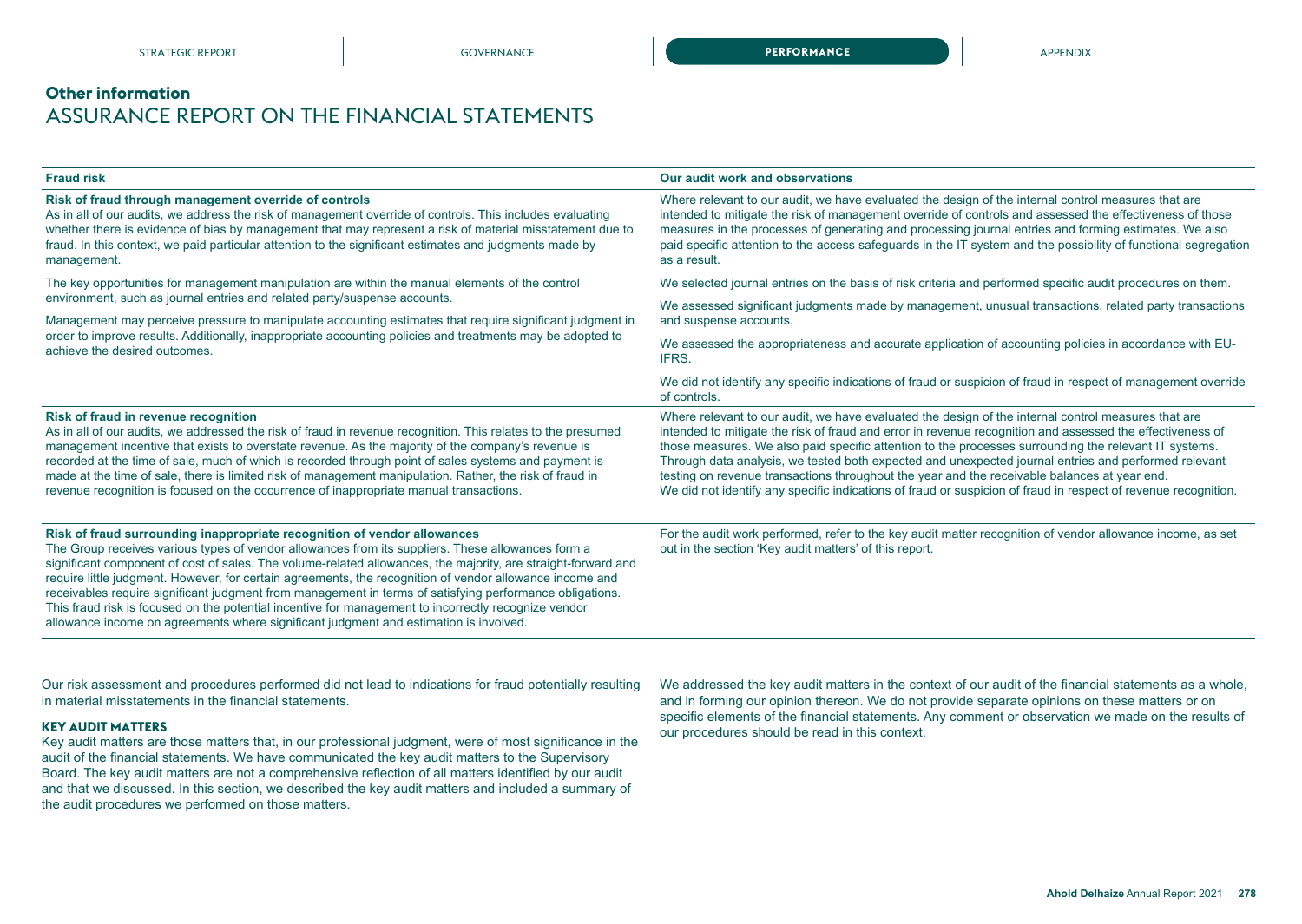| <b>Fraud risk</b>                                                                                                                                                                                                                                                                                                                                                                                                                                                                                                                                                                                                                                                                                                       | Our audit work and observations                                                                                                                                                                                                                                                                                                                                                                                                                                                                                                                                                                                                                     |
|-------------------------------------------------------------------------------------------------------------------------------------------------------------------------------------------------------------------------------------------------------------------------------------------------------------------------------------------------------------------------------------------------------------------------------------------------------------------------------------------------------------------------------------------------------------------------------------------------------------------------------------------------------------------------------------------------------------------------|-----------------------------------------------------------------------------------------------------------------------------------------------------------------------------------------------------------------------------------------------------------------------------------------------------------------------------------------------------------------------------------------------------------------------------------------------------------------------------------------------------------------------------------------------------------------------------------------------------------------------------------------------------|
| Risk of fraud through management override of controls<br>As in all of our audits, we address the risk of management override of controls. This includes evaluating<br>whether there is evidence of bias by management that may represent a risk of material misstatement due to<br>fraud. In this context, we paid particular attention to the significant estimates and judgments made by<br>management.                                                                                                                                                                                                                                                                                                               | Where relevant to our audit, we have evaluated the design of the internal control measures that are<br>intended to mitigate the risk of management override of controls and assessed the effectiveness of those<br>measures in the processes of generating and processing journal entries and forming estimates. We also<br>paid specific attention to the access safeguards in the IT system and the possibility of functional segregation<br>as a result.                                                                                                                                                                                         |
| The key opportunities for management manipulation are within the manual elements of the control                                                                                                                                                                                                                                                                                                                                                                                                                                                                                                                                                                                                                         | We selected journal entries on the basis of risk criteria and performed specific audit procedures on them.                                                                                                                                                                                                                                                                                                                                                                                                                                                                                                                                          |
| environment, such as journal entries and related party/suspense accounts.<br>Management may perceive pressure to manipulate accounting estimates that require significant judgment in                                                                                                                                                                                                                                                                                                                                                                                                                                                                                                                                   | We assessed significant judgments made by management, unusual transactions, related party transactions<br>and suspense accounts.                                                                                                                                                                                                                                                                                                                                                                                                                                                                                                                    |
| order to improve results. Additionally, inappropriate accounting policies and treatments may be adopted to<br>achieve the desired outcomes.                                                                                                                                                                                                                                                                                                                                                                                                                                                                                                                                                                             | We assessed the appropriateness and accurate application of accounting policies in accordance with EU-<br>IFRS.                                                                                                                                                                                                                                                                                                                                                                                                                                                                                                                                     |
|                                                                                                                                                                                                                                                                                                                                                                                                                                                                                                                                                                                                                                                                                                                         | We did not identify any specific indications of fraud or suspicion of fraud in respect of management override<br>of controls.                                                                                                                                                                                                                                                                                                                                                                                                                                                                                                                       |
| <b>Risk of fraud in revenue recognition</b><br>As in all of our audits, we addressed the risk of fraud in revenue recognition. This relates to the presumed<br>management incentive that exists to overstate revenue. As the majority of the company's revenue is<br>recorded at the time of sale, much of which is recorded through point of sales systems and payment is<br>made at the time of sale, there is limited risk of management manipulation. Rather, the risk of fraud in<br>revenue recognition is focused on the occurrence of inappropriate manual transactions.                                                                                                                                        | Where relevant to our audit, we have evaluated the design of the internal control measures that are<br>intended to mitigate the risk of fraud and error in revenue recognition and assessed the effectiveness of<br>those measures. We also paid specific attention to the processes surrounding the relevant IT systems.<br>Through data analysis, we tested both expected and unexpected journal entries and performed relevant<br>testing on revenue transactions throughout the year and the receivable balances at year end.<br>We did not identify any specific indications of fraud or suspicion of fraud in respect of revenue recognition. |
| Risk of fraud surrounding inappropriate recognition of vendor allowances<br>The Group receives various types of vendor allowances from its suppliers. These allowances form a<br>significant component of cost of sales. The volume-related allowances, the majority, are straight-forward and<br>require little judgment. However, for certain agreements, the recognition of vendor allowance income and<br>receivables require significant judgment from management in terms of satisfying performance obligations.<br>This fraud risk is focused on the potential incentive for management to incorrectly recognize vendor<br>allowance income on agreements where significant judgment and estimation is involved. | For the audit work performed, refer to the key audit matter recognition of vendor allowance income, as set<br>out in the section 'Key audit matters' of this report.                                                                                                                                                                                                                                                                                                                                                                                                                                                                                |

Our risk assessment and procedures performed did not lead to indications for fraud potentially resulting in material misstatements in the financial statements.

#### **KEY AUDIT MATTERS**

Key audit matters are those matters that, in our professional judgment, were of most significance in the audit of the financial statements. We have communicated the key audit matters to the Supervisory Board. The key audit matters are not a comprehensive reflection of all matters identified by our audit and that we discussed. In this section, we described the key audit matters and included a summary of the audit procedures we performed on those matters.

We addressed the key audit matters in the context of our audit of the financial statements as a whole, and in forming our opinion thereon. We do not provide separate opinions on these matters or on specific elements of the financial statements. Any comment or observation we made on the results of our procedures should be read in this context.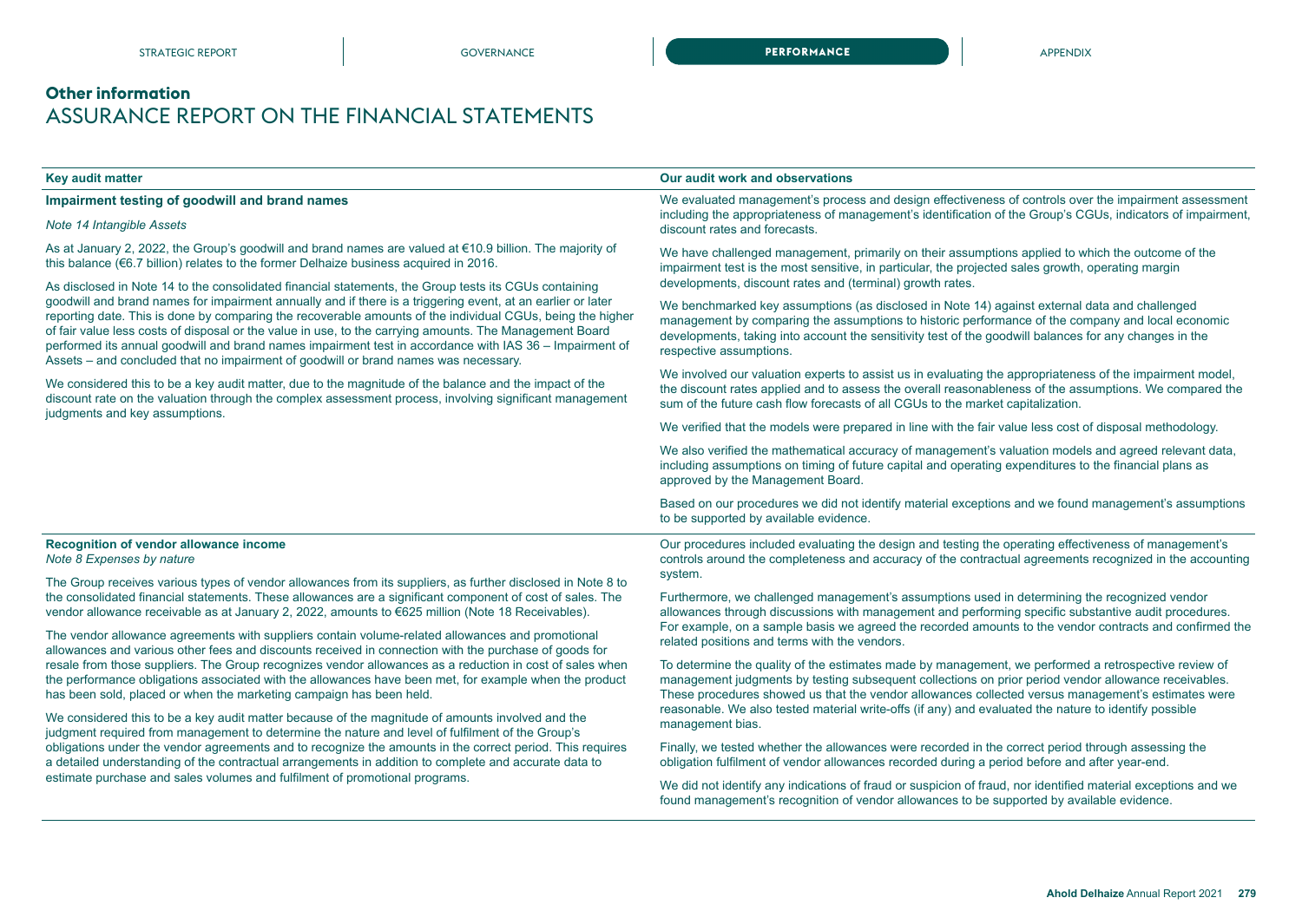| Key audit matter                                                                                                                                                                                                                                                                                                                                                                                                                                                                                                                                                                                                                                                                                                                                                                                                                                                                                       | Our audit work and observations                                                                                                                                                                                                                                                                                                                                                                                                                                                                                                                                                                   |
|--------------------------------------------------------------------------------------------------------------------------------------------------------------------------------------------------------------------------------------------------------------------------------------------------------------------------------------------------------------------------------------------------------------------------------------------------------------------------------------------------------------------------------------------------------------------------------------------------------------------------------------------------------------------------------------------------------------------------------------------------------------------------------------------------------------------------------------------------------------------------------------------------------|---------------------------------------------------------------------------------------------------------------------------------------------------------------------------------------------------------------------------------------------------------------------------------------------------------------------------------------------------------------------------------------------------------------------------------------------------------------------------------------------------------------------------------------------------------------------------------------------------|
| Impairment testing of goodwill and brand names                                                                                                                                                                                                                                                                                                                                                                                                                                                                                                                                                                                                                                                                                                                                                                                                                                                         | We evaluated management's process and design effectiveness of controls over the impairment assessment<br>including the appropriateness of management's identification of the Group's CGUs, indicators of impairment,<br>discount rates and forecasts.                                                                                                                                                                                                                                                                                                                                             |
| Note 14 Intangible Assets                                                                                                                                                                                                                                                                                                                                                                                                                                                                                                                                                                                                                                                                                                                                                                                                                                                                              |                                                                                                                                                                                                                                                                                                                                                                                                                                                                                                                                                                                                   |
| As at January 2, 2022, the Group's goodwill and brand names are valued at €10.9 billion. The majority of<br>this balance (€6.7 billion) relates to the former Delhaize business acquired in 2016.                                                                                                                                                                                                                                                                                                                                                                                                                                                                                                                                                                                                                                                                                                      | We have challenged management, primarily on their assumptions applied to which the outcome of the<br>impairment test is the most sensitive, in particular, the projected sales growth, operating margin<br>developments, discount rates and (terminal) growth rates.                                                                                                                                                                                                                                                                                                                              |
| As disclosed in Note 14 to the consolidated financial statements, the Group tests its CGUs containing<br>goodwill and brand names for impairment annually and if there is a triggering event, at an earlier or later<br>reporting date. This is done by comparing the recoverable amounts of the individual CGUs, being the higher<br>of fair value less costs of disposal or the value in use, to the carrying amounts. The Management Board<br>performed its annual goodwill and brand names impairment test in accordance with IAS 36 - Impairment of<br>Assets - and concluded that no impairment of goodwill or brand names was necessary.<br>We considered this to be a key audit matter, due to the magnitude of the balance and the impact of the<br>discount rate on the valuation through the complex assessment process, involving significant management<br>judgments and key assumptions. |                                                                                                                                                                                                                                                                                                                                                                                                                                                                                                                                                                                                   |
|                                                                                                                                                                                                                                                                                                                                                                                                                                                                                                                                                                                                                                                                                                                                                                                                                                                                                                        | We benchmarked key assumptions (as disclosed in Note 14) against external data and challenged<br>management by comparing the assumptions to historic performance of the company and local economic<br>developments, taking into account the sensitivity test of the goodwill balances for any changes in the<br>respective assumptions.                                                                                                                                                                                                                                                           |
|                                                                                                                                                                                                                                                                                                                                                                                                                                                                                                                                                                                                                                                                                                                                                                                                                                                                                                        | We involved our valuation experts to assist us in evaluating the appropriateness of the impairment model,<br>the discount rates applied and to assess the overall reasonableness of the assumptions. We compared the<br>sum of the future cash flow forecasts of all CGUs to the market capitalization.                                                                                                                                                                                                                                                                                           |
|                                                                                                                                                                                                                                                                                                                                                                                                                                                                                                                                                                                                                                                                                                                                                                                                                                                                                                        | We verified that the models were prepared in line with the fair value less cost of disposal methodology.                                                                                                                                                                                                                                                                                                                                                                                                                                                                                          |
|                                                                                                                                                                                                                                                                                                                                                                                                                                                                                                                                                                                                                                                                                                                                                                                                                                                                                                        | We also verified the mathematical accuracy of management's valuation models and agreed relevant data,<br>including assumptions on timing of future capital and operating expenditures to the financial plans as<br>approved by the Management Board.                                                                                                                                                                                                                                                                                                                                              |
|                                                                                                                                                                                                                                                                                                                                                                                                                                                                                                                                                                                                                                                                                                                                                                                                                                                                                                        | Based on our procedures we did not identify material exceptions and we found management's assumptions<br>to be supported by available evidence.                                                                                                                                                                                                                                                                                                                                                                                                                                                   |
| Recognition of vendor allowance income<br>Note 8 Expenses by nature                                                                                                                                                                                                                                                                                                                                                                                                                                                                                                                                                                                                                                                                                                                                                                                                                                    | Our procedures included evaluating the design and testing the operating effectiveness of management's<br>controls around the completeness and accuracy of the contractual agreements recognized in the accounting<br>system.<br>Furthermore, we challenged management's assumptions used in determining the recognized vendor<br>allowances through discussions with management and performing specific substantive audit procedures.<br>For example, on a sample basis we agreed the recorded amounts to the vendor contracts and confirmed the<br>related positions and terms with the vendors. |
| The Group receives various types of vendor allowances from its suppliers, as further disclosed in Note 8 to<br>the consolidated financial statements. These allowances are a significant component of cost of sales. The                                                                                                                                                                                                                                                                                                                                                                                                                                                                                                                                                                                                                                                                               |                                                                                                                                                                                                                                                                                                                                                                                                                                                                                                                                                                                                   |
| vendor allowance receivable as at January 2, 2022, amounts to €625 million (Note 18 Receivables).                                                                                                                                                                                                                                                                                                                                                                                                                                                                                                                                                                                                                                                                                                                                                                                                      |                                                                                                                                                                                                                                                                                                                                                                                                                                                                                                                                                                                                   |
| The vendor allowance agreements with suppliers contain volume-related allowances and promotional<br>allowances and various other fees and discounts received in connection with the purchase of goods for                                                                                                                                                                                                                                                                                                                                                                                                                                                                                                                                                                                                                                                                                              |                                                                                                                                                                                                                                                                                                                                                                                                                                                                                                                                                                                                   |
| resale from those suppliers. The Group recognizes vendor allowances as a reduction in cost of sales when<br>the performance obligations associated with the allowances have been met, for example when the product<br>has been sold, placed or when the marketing campaign has been held.                                                                                                                                                                                                                                                                                                                                                                                                                                                                                                                                                                                                              | To determine the quality of the estimates made by management, we performed a retrospective review of<br>management judgments by testing subsequent collections on prior period vendor allowance receivables.<br>These procedures showed us that the vendor allowances collected versus management's estimates were<br>reasonable. We also tested material write-offs (if any) and evaluated the nature to identify possible<br>management bias.                                                                                                                                                   |
| We considered this to be a key audit matter because of the magnitude of amounts involved and the<br>judgment required from management to determine the nature and level of fulfilment of the Group's<br>obligations under the vendor agreements and to recognize the amounts in the correct period. This requires<br>a detailed understanding of the contractual arrangements in addition to complete and accurate data to<br>estimate purchase and sales volumes and fulfilment of promotional programs.                                                                                                                                                                                                                                                                                                                                                                                              |                                                                                                                                                                                                                                                                                                                                                                                                                                                                                                                                                                                                   |
|                                                                                                                                                                                                                                                                                                                                                                                                                                                                                                                                                                                                                                                                                                                                                                                                                                                                                                        | Finally, we tested whether the allowances were recorded in the correct period through assessing the<br>obligation fulfilment of vendor allowances recorded during a period before and after year-end.                                                                                                                                                                                                                                                                                                                                                                                             |
|                                                                                                                                                                                                                                                                                                                                                                                                                                                                                                                                                                                                                                                                                                                                                                                                                                                                                                        | We did not identify any indications of fraud or suspicion of fraud, nor identified material exceptions and we<br>found management's recognition of vendor allowances to be supported by available evidence.                                                                                                                                                                                                                                                                                                                                                                                       |
|                                                                                                                                                                                                                                                                                                                                                                                                                                                                                                                                                                                                                                                                                                                                                                                                                                                                                                        |                                                                                                                                                                                                                                                                                                                                                                                                                                                                                                                                                                                                   |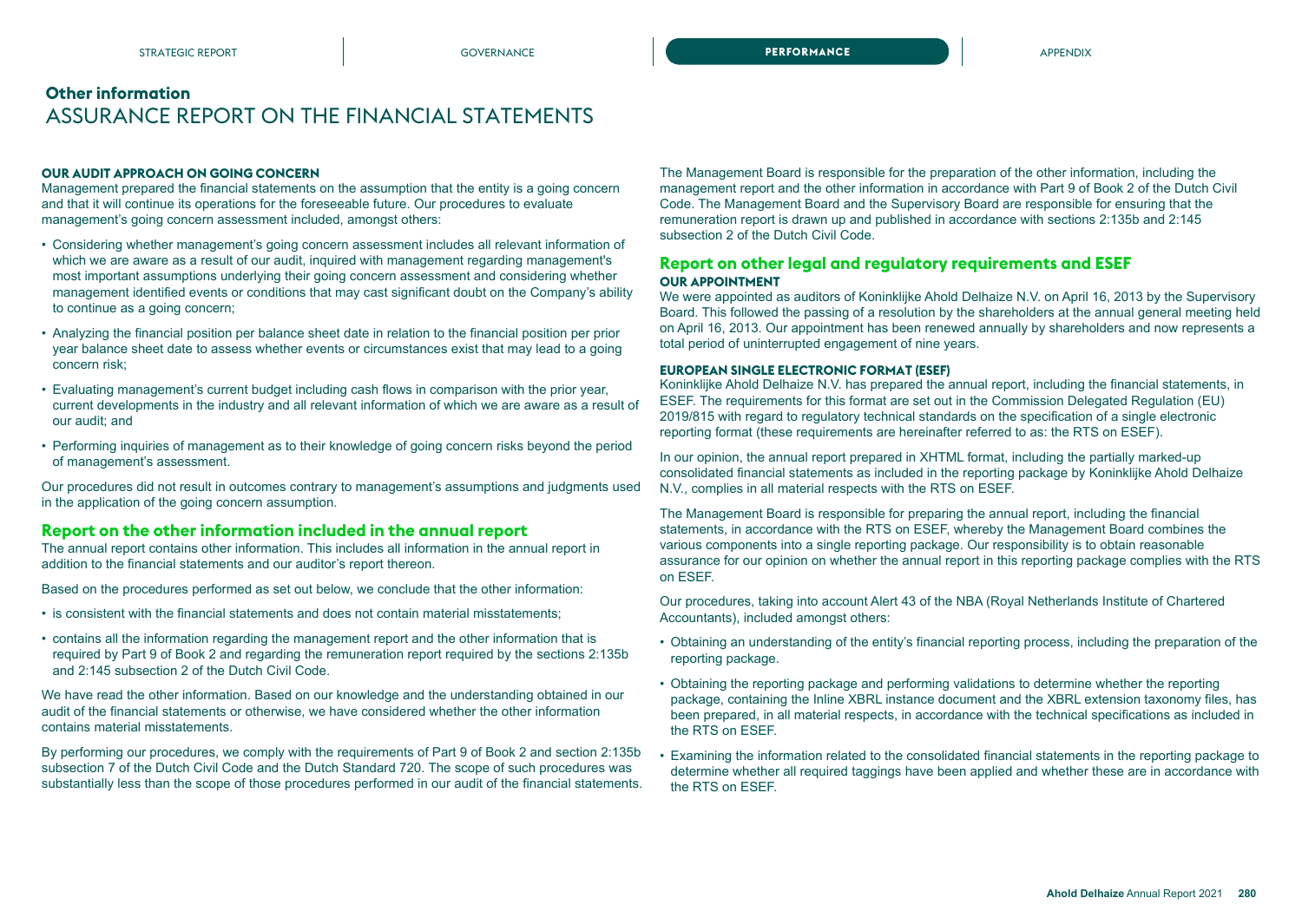#### **OUR AUDIT APPROACH ON GOING CONCERN**

Management prepared the financial statements on the assumption that the entity is a going concern and that it will continue its operations for the foreseeable future. Our procedures to evaluate management's going concern assessment included, amongst others:

- Considering whether management's going concern assessment includes all relevant information of which we are aware as a result of our audit, inquired with management regarding management's most important assumptions underlying their going concern assessment and considering whether management identified events or conditions that may cast significant doubt on the Company's ability to continue as a going concern;
- Analyzing the financial position per balance sheet date in relation to the financial position per prior year balance sheet date to assess whether events or circumstances exist that may lead to a going concern risk;
- Evaluating management's current budget including cash flows in comparison with the prior year, current developments in the industry and all relevant information of which we are aware as a result of our audit; and
- Performing inquiries of management as to their knowledge of going concern risks beyond the period of management's assessment.

Our procedures did not result in outcomes contrary to management's assumptions and judgments used in the application of the going concern assumption.

### **Report on the other information included in the annual report**

The annual report contains other information. This includes all information in the annual report in addition to the financial statements and our auditor's report thereon.

Based on the procedures performed as set out below, we conclude that the other information:

- is consistent with the financial statements and does not contain material misstatements;
- contains all the information regarding the management report and the other information that is required by Part 9 of Book 2 and regarding the remuneration report required by the sections 2:135b and 2:145 subsection 2 of the Dutch Civil Code.

We have read the other information. Based on our knowledge and the understanding obtained in our audit of the financial statements or otherwise, we have considered whether the other information contains material misstatements.

By performing our procedures, we comply with the requirements of Part 9 of Book 2 and section 2:135b subsection 7 of the Dutch Civil Code and the Dutch Standard 720. The scope of such procedures was substantially less than the scope of those procedures performed in our audit of the financial statements. The Management Board is responsible for the preparation of the other information, including the management report and the other information in accordance with Part 9 of Book 2 of the Dutch Civil Code. The Management Board and the Supervisory Board are responsible for ensuring that the remuneration report is drawn up and published in accordance with sections 2:135b and 2:145 subsection 2 of the Dutch Civil Code.

### **Report on other legal and regulatory requirements and ESEF OUR APPOINTMENT**

We were appointed as auditors of Koninklijke Ahold Delhaize N.V. on April 16, 2013 by the Supervisory Board. This followed the passing of a resolution by the shareholders at the annual general meeting held on April 16, 2013. Our appointment has been renewed annually by shareholders and now represents a total period of uninterrupted engagement of nine years.

### **EUROPEAN SINGLE ELECTRONIC FORMAT (ESEF)**

Koninklijke Ahold Delhaize N.V. has prepared the annual report, including the financial statements, in ESEF. The requirements for this format are set out in the Commission Delegated Regulation (EU) 2019/815 with regard to regulatory technical standards on the specification of a single electronic reporting format (these requirements are hereinafter referred to as: the RTS on ESEF).

In our opinion, the annual report prepared in XHTML format, including the partially marked-up consolidated financial statements as included in the reporting package by Koninklijke Ahold Delhaize N.V., complies in all material respects with the RTS on ESEF.

The Management Board is responsible for preparing the annual report, including the financial statements, in accordance with the RTS on ESEF, whereby the Management Board combines the various components into a single reporting package. Our responsibility is to obtain reasonable assurance for our opinion on whether the annual report in this reporting package complies with the RTS on ESEF.

Our procedures, taking into account Alert 43 of the NBA (Royal Netherlands Institute of Chartered Accountants), included amongst others:

- Obtaining an understanding of the entity's financial reporting process, including the preparation of the reporting package.
- Obtaining the reporting package and performing validations to determine whether the reporting package, containing the Inline XBRL instance document and the XBRL extension taxonomy files, has been prepared, in all material respects, in accordance with the technical specifications as included in the RTS on ESEF.
- Examining the information related to the consolidated financial statements in the reporting package to determine whether all required taggings have been applied and whether these are in accordance with the RTS on ESEF.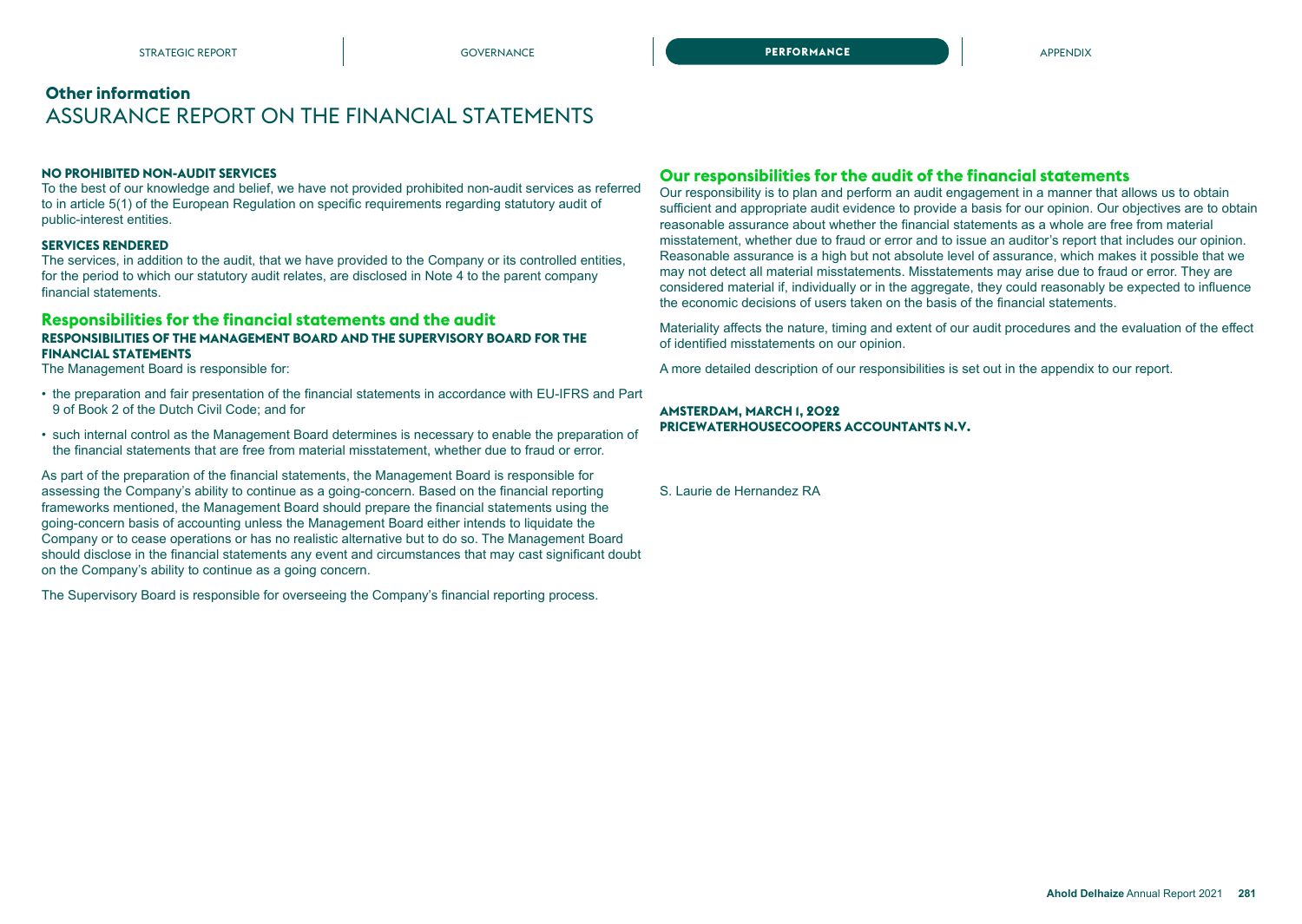### **Other information**

# ASSURANCE REPORT ON THE FINANCIAL STATEMENTS

#### **NO PROHIBITED NON-AUDIT SERVICES**

To the best of our knowledge and belief, we have not provided prohibited non-audit services as referred to in article 5(1) of the European Regulation on specific requirements regarding statutory audit of public-interest entities.

#### **SERVICES RENDERED**

The services, in addition to the audit, that we have provided to the Company or its controlled entities, for the period to which our statutory audit relates, are disclosed in Note 4 to the parent company financial statements.

### **Responsibilities for the financial statements and the audit RESPONSIBILITIES OF THE MANAGEMENT BOARD AND THE SUPERVISORY BOARD FOR THE FINANCIAL STATEMENTS**

The Management Board is responsible for:

- the preparation and fair presentation of the financial statements in accordance with EU-IFRS and Part 9 of Book 2 of the Dutch Civil Code; and for
- such internal control as the Management Board determines is necessary to enable the preparation of the financial statements that are free from material misstatement, whether due to fraud or error.

As part of the preparation of the financial statements, the Management Board is responsible for assessing the Company's ability to continue as a going-concern. Based on the financial reporting frameworks mentioned, the Management Board should prepare the financial statements using the going-concern basis of accounting unless the Management Board either intends to liquidate the Company or to cease operations or has no realistic alternative but to do so. The Management Board should disclose in the financial statements any event and circumstances that may cast significant doubt on the Company's ability to continue as a going concern.

The Supervisory Board is responsible for overseeing the Company's financial reporting process.

### **Our responsibilities for the audit of the financial statements**

Our responsibility is to plan and perform an audit engagement in a manner that allows us to obtain sufficient and appropriate audit evidence to provide a basis for our opinion. Our objectives are to obtain reasonable assurance about whether the financial statements as a whole are free from material misstatement, whether due to fraud or error and to issue an auditor's report that includes our opinion. Reasonable assurance is a high but not absolute level of assurance, which makes it possible that we may not detect all material misstatements. Misstatements may arise due to fraud or error. They are considered material if, individually or in the aggregate, they could reasonably be expected to influence the economic decisions of users taken on the basis of the financial statements.

Materiality affects the nature, timing and extent of our audit procedures and the evaluation of the effect of identified misstatements on our opinion.

A more detailed description of our responsibilities is set out in the appendix to our report.

**AMSTERDAM, MARCH 1, 2022 PRICEWATERHOUSECOOPERS ACCOUNTANTS N.V.**

S. Laurie de Hernandez RA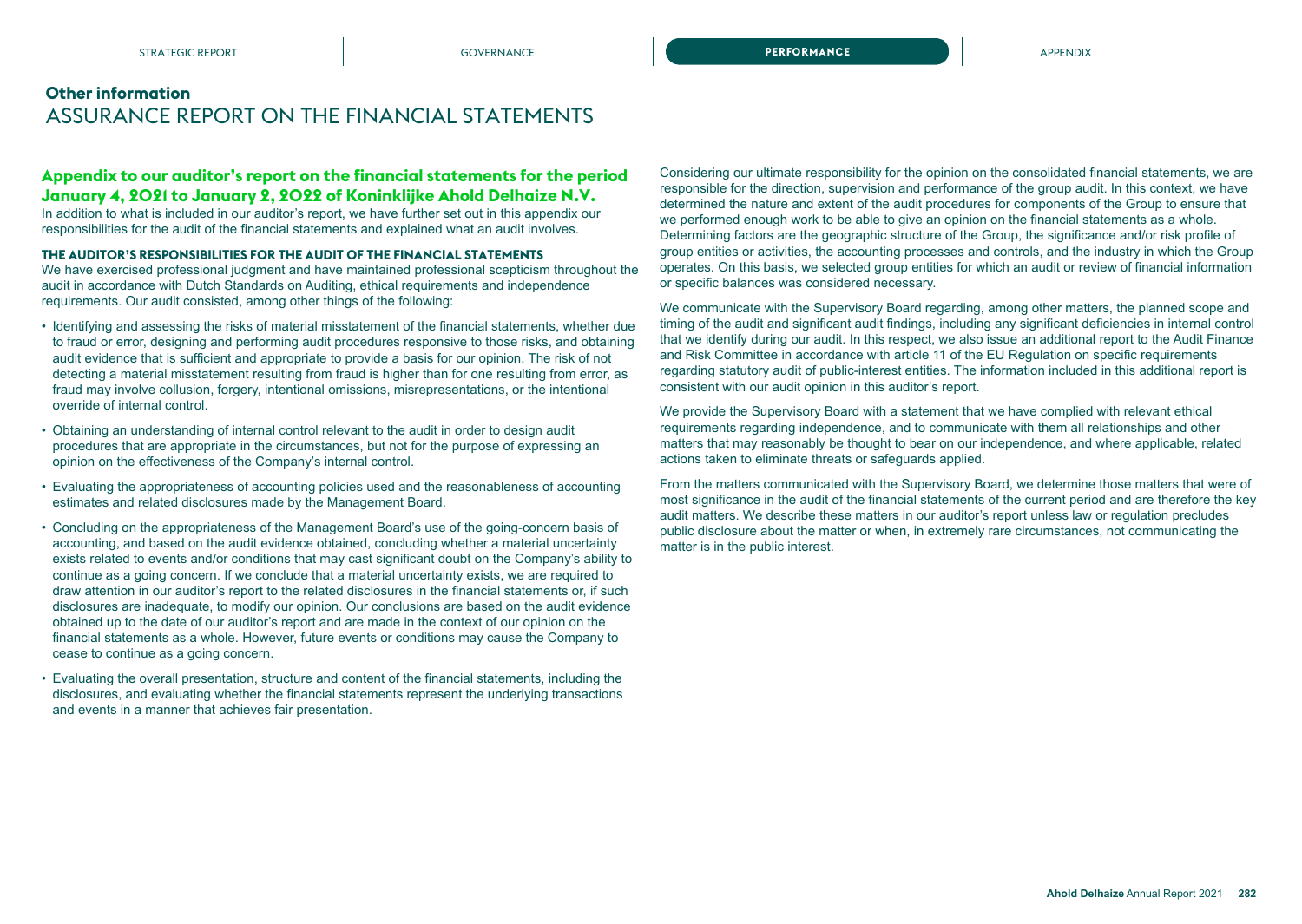### **Appendix to our auditor's report on the financial statements for the period January 4, 2021 to January 2, 2022 of Koninklijke Ahold Delhaize N.V.**

In addition to what is included in our auditor's report, we have further set out in this appendix our responsibilities for the audit of the financial statements and explained what an audit involves.

#### **THE AUDITOR'S RESPONSIBILITIES FOR THE AUDIT OF THE FINANCIAL STATEMENTS**

We have exercised professional judgment and have maintained professional scepticism throughout the audit in accordance with Dutch Standards on Auditing, ethical requirements and independence requirements. Our audit consisted, among other things of the following:

- Identifying and assessing the risks of material misstatement of the financial statements, whether due to fraud or error, designing and performing audit procedures responsive to those risks, and obtaining audit evidence that is sufficient and appropriate to provide a basis for our opinion. The risk of not detecting a material misstatement resulting from fraud is higher than for one resulting from error, as fraud may involve collusion, forgery, intentional omissions, misrepresentations, or the intentional override of internal control.
- Obtaining an understanding of internal control relevant to the audit in order to design audit procedures that are appropriate in the circumstances, but not for the purpose of expressing an opinion on the effectiveness of the Company's internal control.
- Evaluating the appropriateness of accounting policies used and the reasonableness of accounting estimates and related disclosures made by the Management Board.
- Concluding on the appropriateness of the Management Board's use of the going-concern basis of accounting, and based on the audit evidence obtained, concluding whether a material uncertainty exists related to events and/or conditions that may cast significant doubt on the Company's ability to continue as a going concern. If we conclude that a material uncertainty exists, we are required to draw attention in our auditor's report to the related disclosures in the financial statements or, if such disclosures are inadequate, to modify our opinion. Our conclusions are based on the audit evidence obtained up to the date of our auditor's report and are made in the context of our opinion on the financial statements as a whole. However, future events or conditions may cause the Company to cease to continue as a going concern.
- Evaluating the overall presentation, structure and content of the financial statements, including the disclosures, and evaluating whether the financial statements represent the underlying transactions and events in a manner that achieves fair presentation.

Considering our ultimate responsibility for the opinion on the consolidated financial statements, we are responsible for the direction, supervision and performance of the group audit. In this context, we have determined the nature and extent of the audit procedures for components of the Group to ensure that we performed enough work to be able to give an opinion on the financial statements as a whole. Determining factors are the geographic structure of the Group, the significance and/or risk profile of group entities or activities, the accounting processes and controls, and the industry in which the Group operates. On this basis, we selected group entities for which an audit or review of financial information or specific balances was considered necessary.

We communicate with the Supervisory Board regarding, among other matters, the planned scope and timing of the audit and significant audit findings, including any significant deficiencies in internal control that we identify during our audit. In this respect, we also issue an additional report to the Audit Finance and Risk Committee in accordance with article 11 of the EU Regulation on specific requirements regarding statutory audit of public-interest entities. The information included in this additional report is consistent with our audit opinion in this auditor's report.

We provide the Supervisory Board with a statement that we have complied with relevant ethical requirements regarding independence, and to communicate with them all relationships and other matters that may reasonably be thought to bear on our independence, and where applicable, related actions taken to eliminate threats or safeguards applied.

From the matters communicated with the Supervisory Board, we determine those matters that were of most significance in the audit of the financial statements of the current period and are therefore the key audit matters. We describe these matters in our auditor's report unless law or regulation precludes public disclosure about the matter or when, in extremely rare circumstances, not communicating the matter is in the public interest.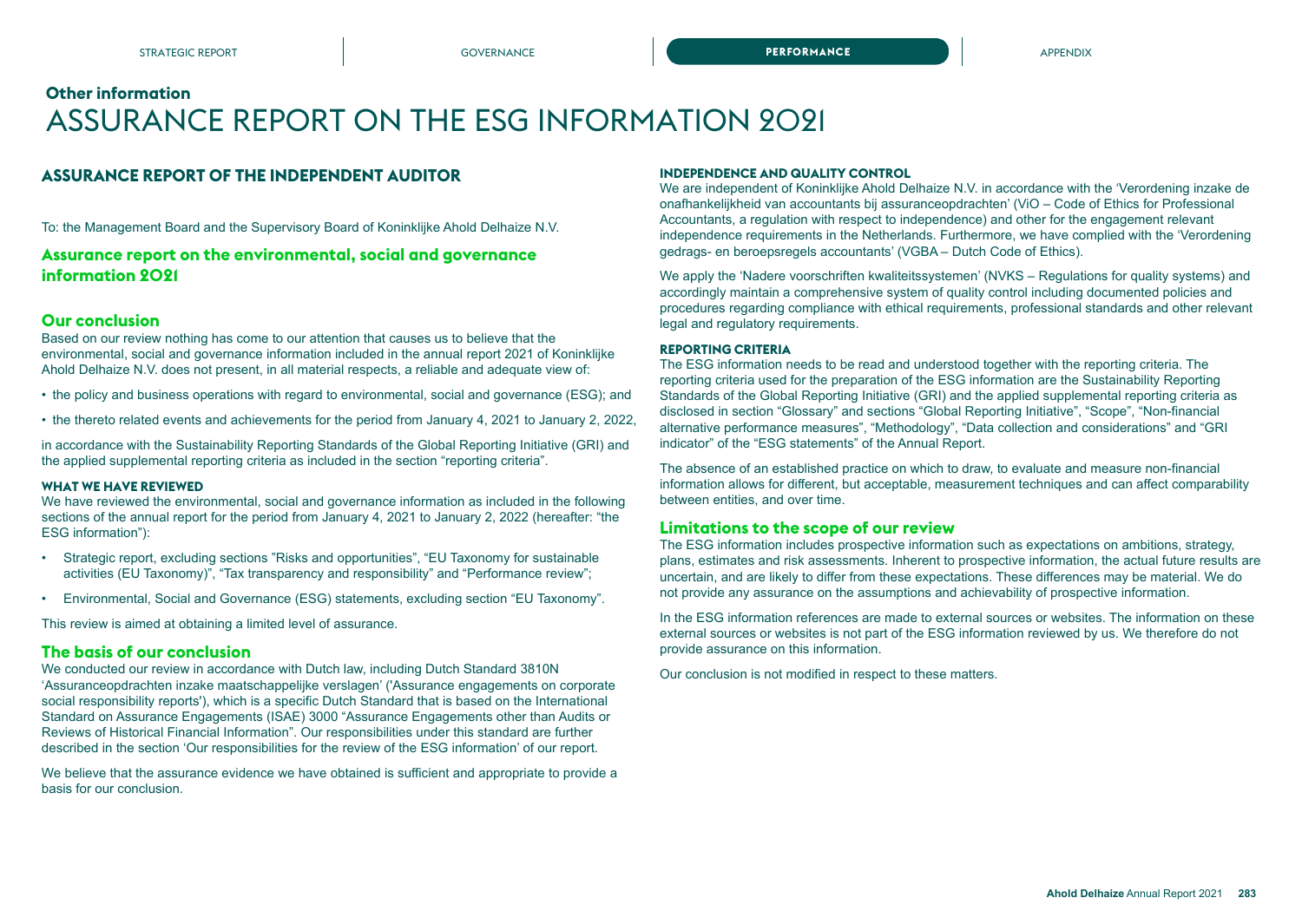# **Other information** ASSURANCE REPORT ON THE ESG INFORMATION 2021

### **ASSURANCE REPORT OF THE INDEPENDENT AUDITOR**

To: the Management Board and the Supervisory Board of Koninklijke Ahold Delhaize N.V.

# **Assurance report on the environmental, social and governance information 2021**

### **Our conclusion**

Based on our review nothing has come to our attention that causes us to believe that the environmental, social and governance information included in the annual report 2021 of Koninklijke Ahold Delhaize N.V. does not present, in all material respects, a reliable and adequate view of:

- the policy and business operations with regard to environmental, social and governance (ESG); and
- the thereto related events and achievements for the period from January 4, 2021 to January 2, 2022,

in accordance with the Sustainability Reporting Standards of the Global Reporting Initiative (GRI) and the applied supplemental reporting criteria as included in the section "reporting criteria".

#### **WHAT WE HAVE REVIEWED**

We have reviewed the environmental, social and governance information as included in the following sections of the annual report for the period from January 4, 2021 to January 2, 2022 (hereafter: "the ESG information"):

- Strategic report, excluding sections "Risks and opportunities", "EU Taxonomy for sustainable activities (EU Taxonomy)", "Tax transparency and responsibility" and "Performance review";
- Environmental, Social and Governance (ESG) statements, excluding section "EU Taxonomy".

This review is aimed at obtaining a limited level of assurance.

### **The basis of our conclusion**

We conducted our review in accordance with Dutch law, including Dutch Standard 3810N 'Assuranceopdrachten inzake maatschappelijke verslagen' ('Assurance engagements on corporate social responsibility reports'), which is a specific Dutch Standard that is based on the International Standard on Assurance Engagements (ISAE) 3000 "Assurance Engagements other than Audits or Reviews of Historical Financial Information". Our responsibilities under this standard are further described in the section 'Our responsibilities for the review of the ESG information' of our report.

We believe that the assurance evidence we have obtained is sufficient and appropriate to provide a basis for our conclusion.

#### **INDEPENDENCE AND QUALITY CONTROL**

We are independent of Koninklijke Ahold Delhaize N.V. in accordance with the 'Verordening inzake de onafhankelijkheid van accountants bij assuranceopdrachten' (ViO – Code of Ethics for Professional Accountants, a regulation with respect to independence) and other for the engagement relevant independence requirements in the Netherlands. Furthermore, we have complied with the 'Verordening gedrags- en beroepsregels accountants' (VGBA – Dutch Code of Ethics).

We apply the 'Nadere voorschriften kwaliteitssystemen' (NVKS – Regulations for quality systems) and accordingly maintain a comprehensive system of quality control including documented policies and procedures regarding compliance with ethical requirements, professional standards and other relevant legal and regulatory requirements.

#### **REPORTING CRITERIA**

The ESG information needs to be read and understood together with the reporting criteria. The reporting criteria used for the preparation of the ESG information are the Sustainability Reporting Standards of the Global Reporting Initiative (GRI) and the applied supplemental reporting criteria as disclosed in section "Glossary" and sections "Global Reporting Initiative", "Scope", "Non-financial alternative performance measures", "Methodology", "Data collection and considerations" and "GRI indicator" of the "ESG statements" of the Annual Report.

The absence of an established practice on which to draw, to evaluate and measure non-financial information allows for different, but acceptable, measurement techniques and can affect comparability between entities, and over time.

### **Limitations to the scope of our review**

The ESG information includes prospective information such as expectations on ambitions, strategy, plans, estimates and risk assessments. Inherent to prospective information, the actual future results are uncertain, and are likely to differ from these expectations. These differences may be material. We do not provide any assurance on the assumptions and achievability of prospective information.

In the ESG information references are made to external sources or websites. The information on these external sources or websites is not part of the ESG information reviewed by us. We therefore do not provide assurance on this information.

Our conclusion is not modified in respect to these matters.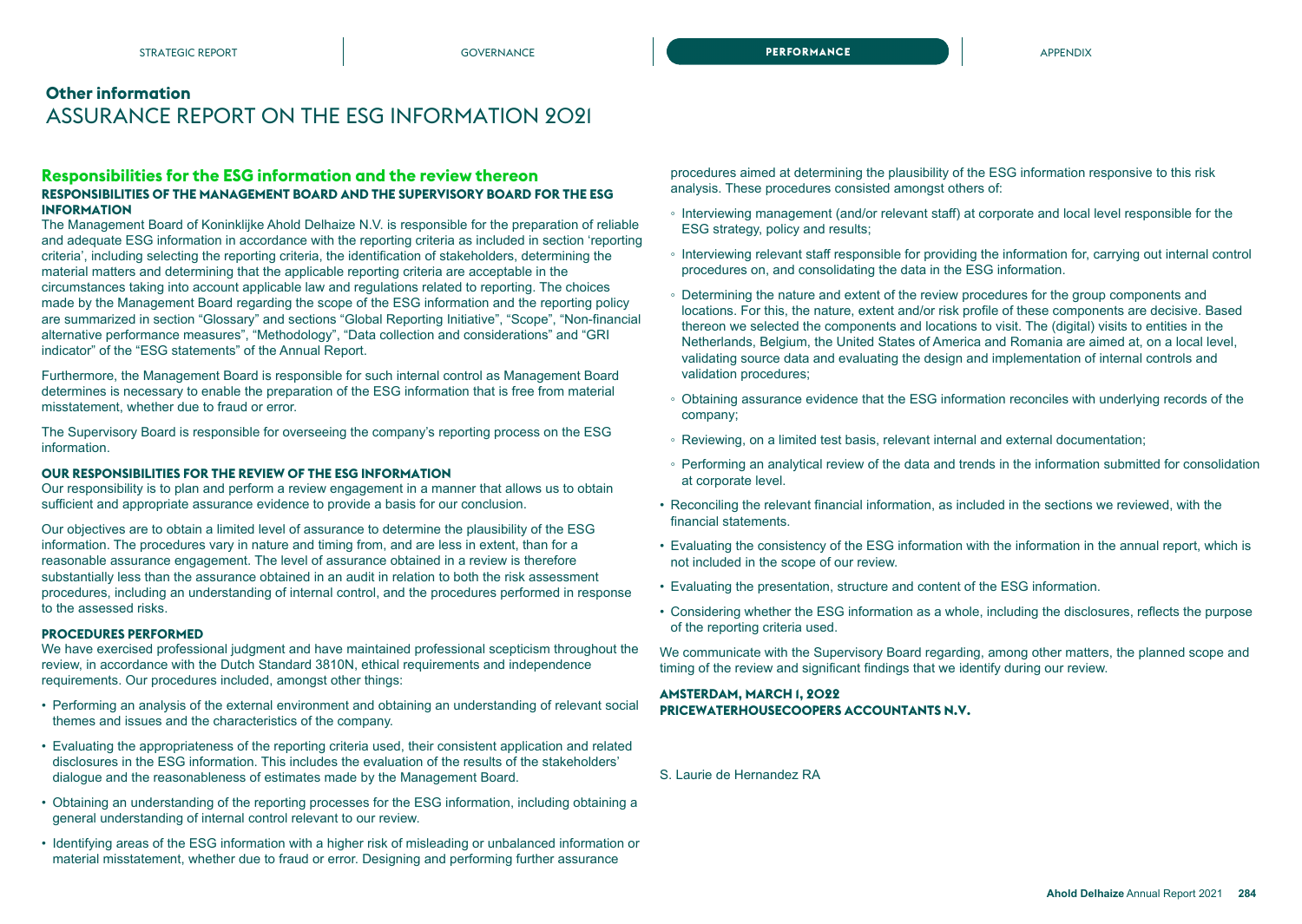# **Other information** ASSURANCE REPORT ON THE ESG INFORMATION 2021

### **Responsibilities for the ESG information and the review thereon RESPONSIBILITIES OF THE MANAGEMENT BOARD AND THE SUPERVISORY BOARD FOR THE ESG INFORMATION**

The Management Board of Koninklijke Ahold Delhaize N.V. is responsible for the preparation of reliable and adequate ESG information in accordance with the reporting criteria as included in section 'reporting criteria', including selecting the reporting criteria, the identification of stakeholders, determining the material matters and determining that the applicable reporting criteria are acceptable in the circumstances taking into account applicable law and regulations related to reporting. The choices made by the Management Board regarding the scope of the ESG information and the reporting policy are summarized in section "Glossary" and sections "Global Reporting Initiative", "Scope", "Non-financial alternative performance measures", "Methodology", "Data collection and considerations" and "GRI indicator" of the "ESG statements" of the Annual Report.

Furthermore, the Management Board is responsible for such internal control as Management Board determines is necessary to enable the preparation of the ESG information that is free from material misstatement, whether due to fraud or error.

The Supervisory Board is responsible for overseeing the company's reporting process on the ESG information.

#### **OUR RESPONSIBILITIES FOR THE REVIEW OF THE ESG INFORMATION**

Our responsibility is to plan and perform a review engagement in a manner that allows us to obtain sufficient and appropriate assurance evidence to provide a basis for our conclusion.

Our objectives are to obtain a limited level of assurance to determine the plausibility of the ESG information. The procedures vary in nature and timing from, and are less in extent, than for a reasonable assurance engagement. The level of assurance obtained in a review is therefore substantially less than the assurance obtained in an audit in relation to both the risk assessment procedures, including an understanding of internal control, and the procedures performed in response to the assessed risks.

#### **PROCEDURES PERFORMED**

We have exercised professional judgment and have maintained professional scepticism throughout the review, in accordance with the Dutch Standard 3810N, ethical requirements and independence requirements. Our procedures included, amongst other things:

- Performing an analysis of the external environment and obtaining an understanding of relevant social themes and issues and the characteristics of the company.
- Evaluating the appropriateness of the reporting criteria used, their consistent application and related disclosures in the ESG information. This includes the evaluation of the results of the stakeholders' dialogue and the reasonableness of estimates made by the Management Board.
- Obtaining an understanding of the reporting processes for the ESG information, including obtaining a general understanding of internal control relevant to our review.
- Identifying areas of the ESG information with a higher risk of misleading or unbalanced information or material misstatement, whether due to fraud or error. Designing and performing further assurance

procedures aimed at determining the plausibility of the ESG information responsive to this risk analysis. These procedures consisted amongst others of:

- Interviewing management (and/or relevant staff) at corporate and local level responsible for the ESG strategy, policy and results;
- Interviewing relevant staff responsible for providing the information for, carrying out internal control procedures on, and consolidating the data in the ESG information.
- Determining the nature and extent of the review procedures for the group components and locations. For this, the nature, extent and/or risk profile of these components are decisive. Based thereon we selected the components and locations to visit. The (digital) visits to entities in the Netherlands, Belgium, the United States of America and Romania are aimed at, on a local level, validating source data and evaluating the design and implementation of internal controls and validation procedures;
- Obtaining assurance evidence that the ESG information reconciles with underlying records of the company;
- Reviewing, on a limited test basis, relevant internal and external documentation;
- Performing an analytical review of the data and trends in the information submitted for consolidation at corporate level.
- Reconciling the relevant financial information, as included in the sections we reviewed, with the financial statements.
- Evaluating the consistency of the ESG information with the information in the annual report, which is not included in the scope of our review.
- Evaluating the presentation, structure and content of the ESG information.
- Considering whether the ESG information as a whole, including the disclosures, reflects the purpose of the reporting criteria used.

We communicate with the Supervisory Board regarding, among other matters, the planned scope and timing of the review and significant findings that we identify during our review.

#### **AMSTERDAM, MARCH 1, 2022 PRICEWATERHOUSECOOPERS ACCOUNTANTS N.V.**

S. Laurie de Hernandez RA